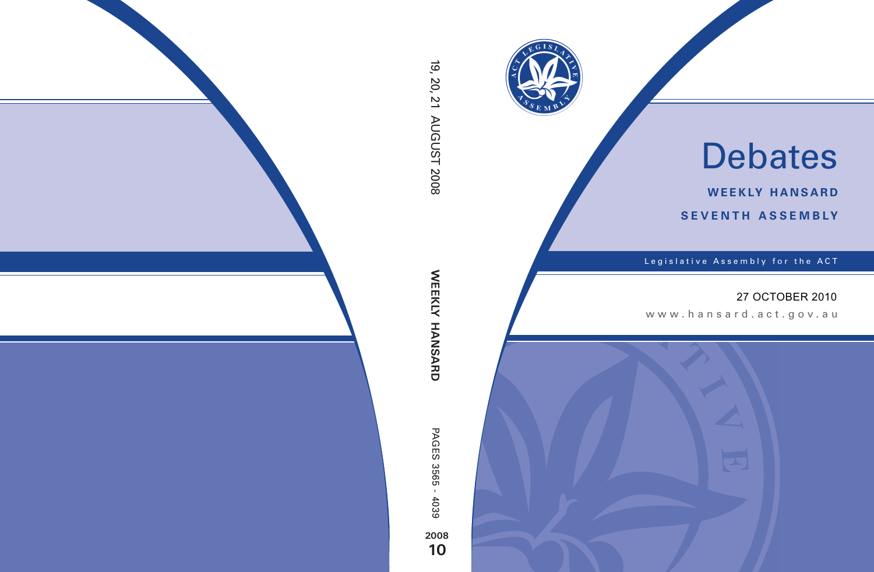

# Debates

**weekly hansard seventh asseMBly**

Legislative Assembly for the ACT

## 27 OCTOBER 2010

www.hansard.act.gov.au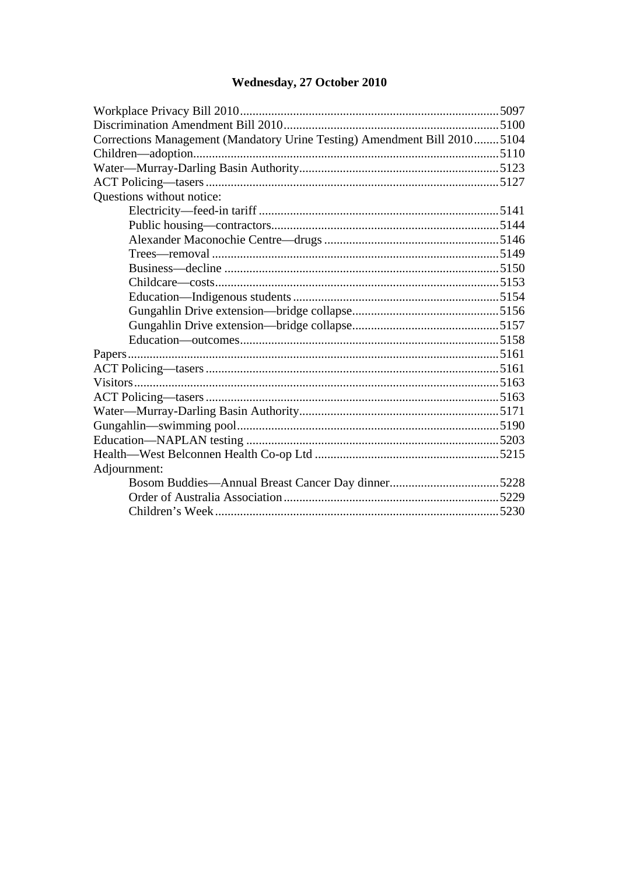# Wednesday, 27 October 2010

| Corrections Management (Mandatory Urine Testing) Amendment Bill 20105104 |  |
|--------------------------------------------------------------------------|--|
|                                                                          |  |
|                                                                          |  |
|                                                                          |  |
| Questions without notice:                                                |  |
|                                                                          |  |
|                                                                          |  |
|                                                                          |  |
|                                                                          |  |
|                                                                          |  |
|                                                                          |  |
|                                                                          |  |
|                                                                          |  |
|                                                                          |  |
|                                                                          |  |
|                                                                          |  |
|                                                                          |  |
|                                                                          |  |
|                                                                          |  |
|                                                                          |  |
|                                                                          |  |
|                                                                          |  |
|                                                                          |  |
| Adjournment:                                                             |  |
|                                                                          |  |
|                                                                          |  |
|                                                                          |  |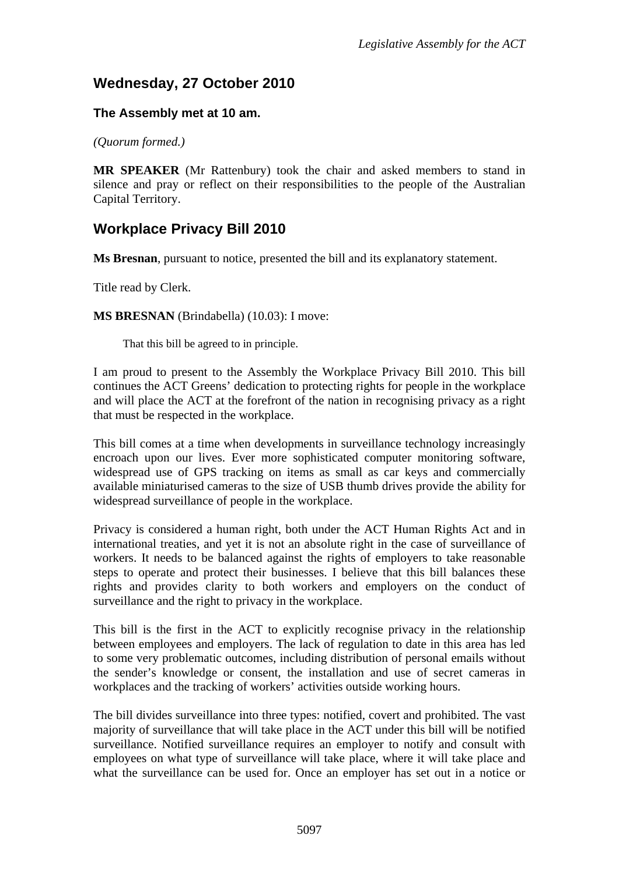# **Wednesday, 27 October 2010**

#### **The Assembly met at 10 am.**

*(Quorum formed.)*

**MR SPEAKER** (Mr Rattenbury) took the chair and asked members to stand in silence and pray or reflect on their responsibilities to the people of the Australian Capital Territory.

# <span id="page-2-0"></span>**Workplace Privacy Bill 2010**

**Ms Bresnan**, pursuant to notice, presented the bill and its explanatory statement.

Title read by Clerk.

**MS BRESNAN** (Brindabella) (10.03): I move:

That this bill be agreed to in principle.

I am proud to present to the Assembly the Workplace Privacy Bill 2010. This bill continues the ACT Greens' dedication to protecting rights for people in the workplace and will place the ACT at the forefront of the nation in recognising privacy as a right that must be respected in the workplace.

This bill comes at a time when developments in surveillance technology increasingly encroach upon our lives. Ever more sophisticated computer monitoring software, widespread use of GPS tracking on items as small as car keys and commercially available miniaturised cameras to the size of USB thumb drives provide the ability for widespread surveillance of people in the workplace.

Privacy is considered a human right, both under the ACT Human Rights Act and in international treaties, and yet it is not an absolute right in the case of surveillance of workers. It needs to be balanced against the rights of employers to take reasonable steps to operate and protect their businesses. I believe that this bill balances these rights and provides clarity to both workers and employers on the conduct of surveillance and the right to privacy in the workplace.

This bill is the first in the ACT to explicitly recognise privacy in the relationship between employees and employers. The lack of regulation to date in this area has led to some very problematic outcomes, including distribution of personal emails without the sender's knowledge or consent, the installation and use of secret cameras in workplaces and the tracking of workers' activities outside working hours.

The bill divides surveillance into three types: notified, covert and prohibited. The vast majority of surveillance that will take place in the ACT under this bill will be notified surveillance. Notified surveillance requires an employer to notify and consult with employees on what type of surveillance will take place, where it will take place and what the surveillance can be used for. Once an employer has set out in a notice or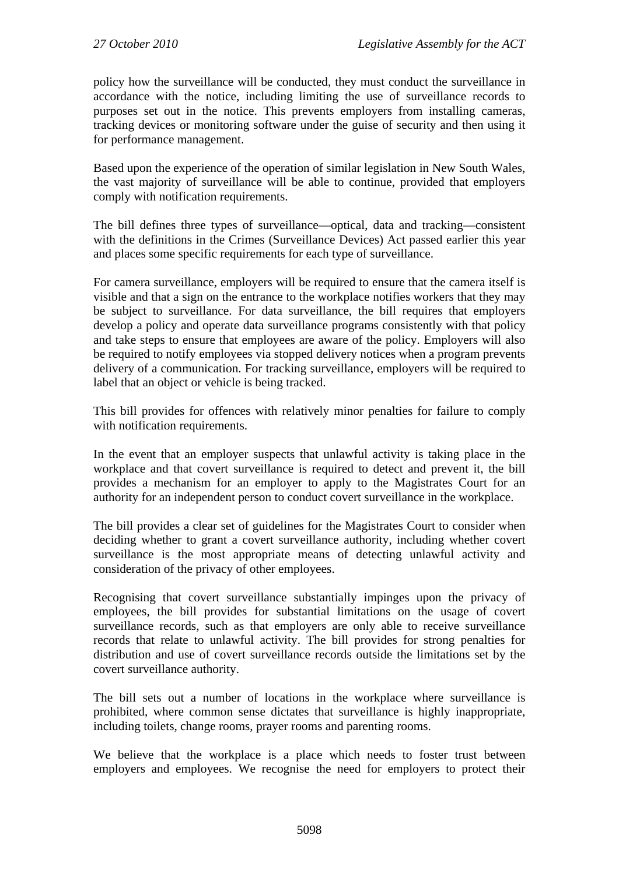policy how the surveillance will be conducted, they must conduct the surveillance in accordance with the notice, including limiting the use of surveillance records to purposes set out in the notice. This prevents employers from installing cameras, tracking devices or monitoring software under the guise of security and then using it for performance management.

Based upon the experience of the operation of similar legislation in New South Wales, the vast majority of surveillance will be able to continue, provided that employers comply with notification requirements.

The bill defines three types of surveillance—optical, data and tracking—consistent with the definitions in the Crimes (Surveillance Devices) Act passed earlier this year and places some specific requirements for each type of surveillance.

For camera surveillance, employers will be required to ensure that the camera itself is visible and that a sign on the entrance to the workplace notifies workers that they may be subject to surveillance. For data surveillance, the bill requires that employers develop a policy and operate data surveillance programs consistently with that policy and take steps to ensure that employees are aware of the policy. Employers will also be required to notify employees via stopped delivery notices when a program prevents delivery of a communication. For tracking surveillance, employers will be required to label that an object or vehicle is being tracked.

This bill provides for offences with relatively minor penalties for failure to comply with notification requirements.

In the event that an employer suspects that unlawful activity is taking place in the workplace and that covert surveillance is required to detect and prevent it, the bill provides a mechanism for an employer to apply to the Magistrates Court for an authority for an independent person to conduct covert surveillance in the workplace.

The bill provides a clear set of guidelines for the Magistrates Court to consider when deciding whether to grant a covert surveillance authority, including whether covert surveillance is the most appropriate means of detecting unlawful activity and consideration of the privacy of other employees.

Recognising that covert surveillance substantially impinges upon the privacy of employees, the bill provides for substantial limitations on the usage of covert surveillance records, such as that employers are only able to receive surveillance records that relate to unlawful activity. The bill provides for strong penalties for distribution and use of covert surveillance records outside the limitations set by the covert surveillance authority.

The bill sets out a number of locations in the workplace where surveillance is prohibited, where common sense dictates that surveillance is highly inappropriate, including toilets, change rooms, prayer rooms and parenting rooms.

We believe that the workplace is a place which needs to foster trust between employers and employees. We recognise the need for employers to protect their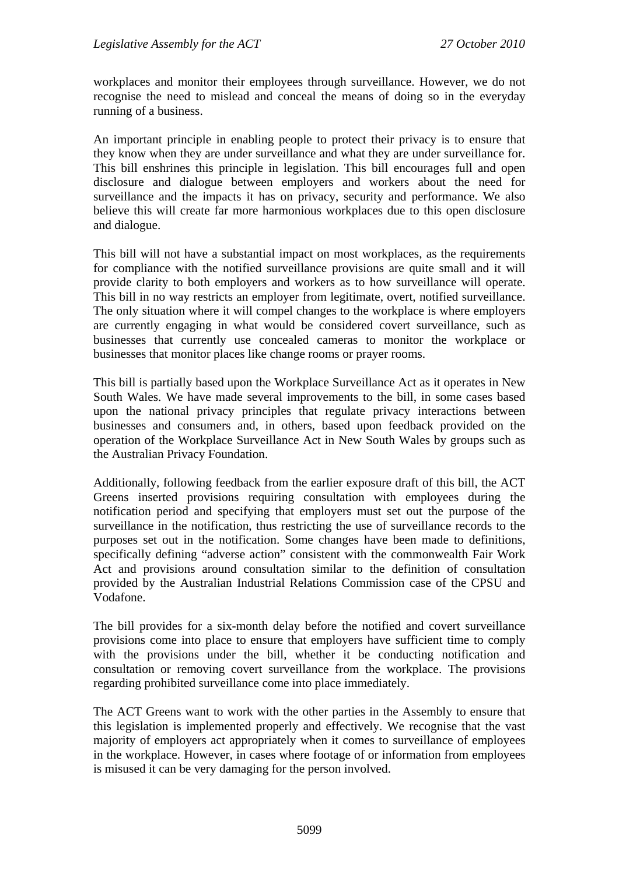workplaces and monitor their employees through surveillance. However, we do not recognise the need to mislead and conceal the means of doing so in the everyday running of a business.

An important principle in enabling people to protect their privacy is to ensure that they know when they are under surveillance and what they are under surveillance for. This bill enshrines this principle in legislation. This bill encourages full and open disclosure and dialogue between employers and workers about the need for surveillance and the impacts it has on privacy, security and performance. We also believe this will create far more harmonious workplaces due to this open disclosure and dialogue.

This bill will not have a substantial impact on most workplaces, as the requirements for compliance with the notified surveillance provisions are quite small and it will provide clarity to both employers and workers as to how surveillance will operate. This bill in no way restricts an employer from legitimate, overt, notified surveillance. The only situation where it will compel changes to the workplace is where employers are currently engaging in what would be considered covert surveillance, such as businesses that currently use concealed cameras to monitor the workplace or businesses that monitor places like change rooms or prayer rooms.

This bill is partially based upon the Workplace Surveillance Act as it operates in New South Wales. We have made several improvements to the bill, in some cases based upon the national privacy principles that regulate privacy interactions between businesses and consumers and, in others, based upon feedback provided on the operation of the Workplace Surveillance Act in New South Wales by groups such as the Australian Privacy Foundation.

Additionally, following feedback from the earlier exposure draft of this bill, the ACT Greens inserted provisions requiring consultation with employees during the notification period and specifying that employers must set out the purpose of the surveillance in the notification, thus restricting the use of surveillance records to the purposes set out in the notification. Some changes have been made to definitions, specifically defining "adverse action" consistent with the commonwealth Fair Work Act and provisions around consultation similar to the definition of consultation provided by the Australian Industrial Relations Commission case of the CPSU and Vodafone.

The bill provides for a six-month delay before the notified and covert surveillance provisions come into place to ensure that employers have sufficient time to comply with the provisions under the bill, whether it be conducting notification and consultation or removing covert surveillance from the workplace. The provisions regarding prohibited surveillance come into place immediately.

The ACT Greens want to work with the other parties in the Assembly to ensure that this legislation is implemented properly and effectively. We recognise that the vast majority of employers act appropriately when it comes to surveillance of employees in the workplace. However, in cases where footage of or information from employees is misused it can be very damaging for the person involved.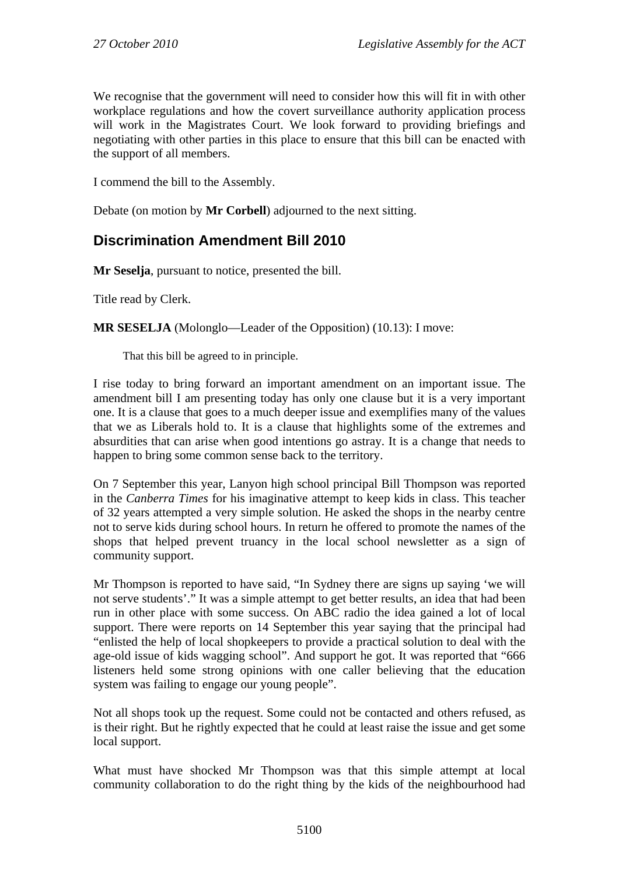We recognise that the government will need to consider how this will fit in with other workplace regulations and how the covert surveillance authority application process will work in the Magistrates Court. We look forward to providing briefings and negotiating with other parties in this place to ensure that this bill can be enacted with the support of all members.

I commend the bill to the Assembly.

Debate (on motion by **Mr Corbell**) adjourned to the next sitting.

## <span id="page-5-0"></span>**Discrimination Amendment Bill 2010**

**Mr Seselja**, pursuant to notice, presented the bill.

Title read by Clerk.

**MR SESELJA** (Molonglo—Leader of the Opposition) (10.13): I move:

That this bill be agreed to in principle.

I rise today to bring forward an important amendment on an important issue. The amendment bill I am presenting today has only one clause but it is a very important one. It is a clause that goes to a much deeper issue and exemplifies many of the values that we as Liberals hold to. It is a clause that highlights some of the extremes and absurdities that can arise when good intentions go astray. It is a change that needs to happen to bring some common sense back to the territory.

On 7 September this year, Lanyon high school principal Bill Thompson was reported in the *Canberra Times* for his imaginative attempt to keep kids in class. This teacher of 32 years attempted a very simple solution. He asked the shops in the nearby centre not to serve kids during school hours. In return he offered to promote the names of the shops that helped prevent truancy in the local school newsletter as a sign of community support.

Mr Thompson is reported to have said, "In Sydney there are signs up saying 'we will not serve students'." It was a simple attempt to get better results, an idea that had been run in other place with some success. On ABC radio the idea gained a lot of local support. There were reports on 14 September this year saying that the principal had "enlisted the help of local shopkeepers to provide a practical solution to deal with the age-old issue of kids wagging school". And support he got. It was reported that "666 listeners held some strong opinions with one caller believing that the education system was failing to engage our young people".

Not all shops took up the request. Some could not be contacted and others refused, as is their right. But he rightly expected that he could at least raise the issue and get some local support.

What must have shocked Mr Thompson was that this simple attempt at local community collaboration to do the right thing by the kids of the neighbourhood had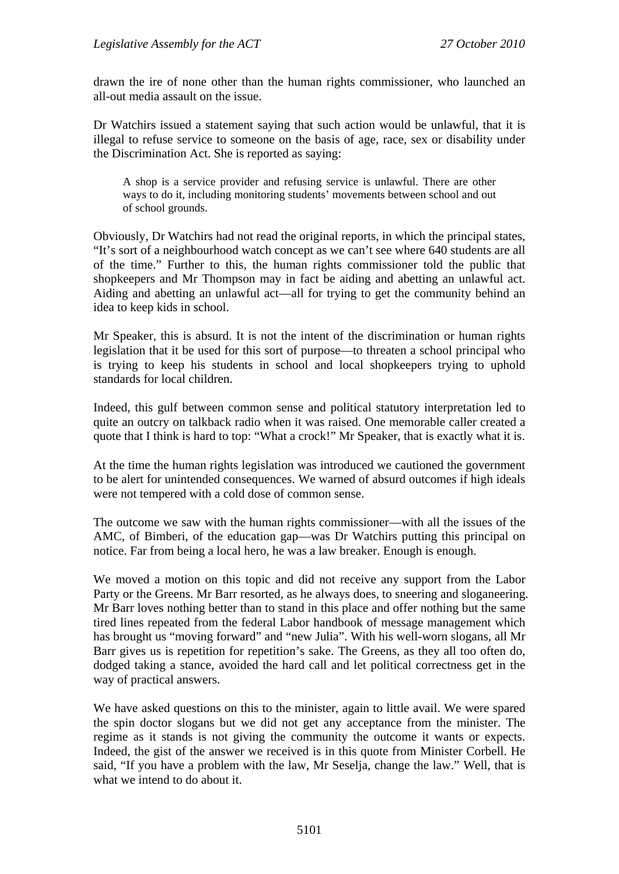drawn the ire of none other than the human rights commissioner, who launched an all-out media assault on the issue.

Dr Watchirs issued a statement saying that such action would be unlawful, that it is illegal to refuse service to someone on the basis of age, race, sex or disability under the Discrimination Act. She is reported as saying:

A shop is a service provider and refusing service is unlawful. There are other ways to do it, including monitoring students' movements between school and out of school grounds.

Obviously, Dr Watchirs had not read the original reports, in which the principal states, "It's sort of a neighbourhood watch concept as we can't see where 640 students are all of the time." Further to this, the human rights commissioner told the public that shopkeepers and Mr Thompson may in fact be aiding and abetting an unlawful act. Aiding and abetting an unlawful act—all for trying to get the community behind an idea to keep kids in school.

Mr Speaker, this is absurd. It is not the intent of the discrimination or human rights legislation that it be used for this sort of purpose—to threaten a school principal who is trying to keep his students in school and local shopkeepers trying to uphold standards for local children.

Indeed, this gulf between common sense and political statutory interpretation led to quite an outcry on talkback radio when it was raised. One memorable caller created a quote that I think is hard to top: "What a crock!" Mr Speaker, that is exactly what it is.

At the time the human rights legislation was introduced we cautioned the government to be alert for unintended consequences. We warned of absurd outcomes if high ideals were not tempered with a cold dose of common sense.

The outcome we saw with the human rights commissioner—with all the issues of the AMC, of Bimberi, of the education gap—was Dr Watchirs putting this principal on notice. Far from being a local hero, he was a law breaker. Enough is enough.

We moved a motion on this topic and did not receive any support from the Labor Party or the Greens. Mr Barr resorted, as he always does, to sneering and sloganeering. Mr Barr loves nothing better than to stand in this place and offer nothing but the same tired lines repeated from the federal Labor handbook of message management which has brought us "moving forward" and "new Julia". With his well-worn slogans, all Mr Barr gives us is repetition for repetition's sake. The Greens, as they all too often do, dodged taking a stance, avoided the hard call and let political correctness get in the way of practical answers.

We have asked questions on this to the minister, again to little avail. We were spared the spin doctor slogans but we did not get any acceptance from the minister. The regime as it stands is not giving the community the outcome it wants or expects. Indeed, the gist of the answer we received is in this quote from Minister Corbell. He said, "If you have a problem with the law, Mr Seselja, change the law." Well, that is what we intend to do about it.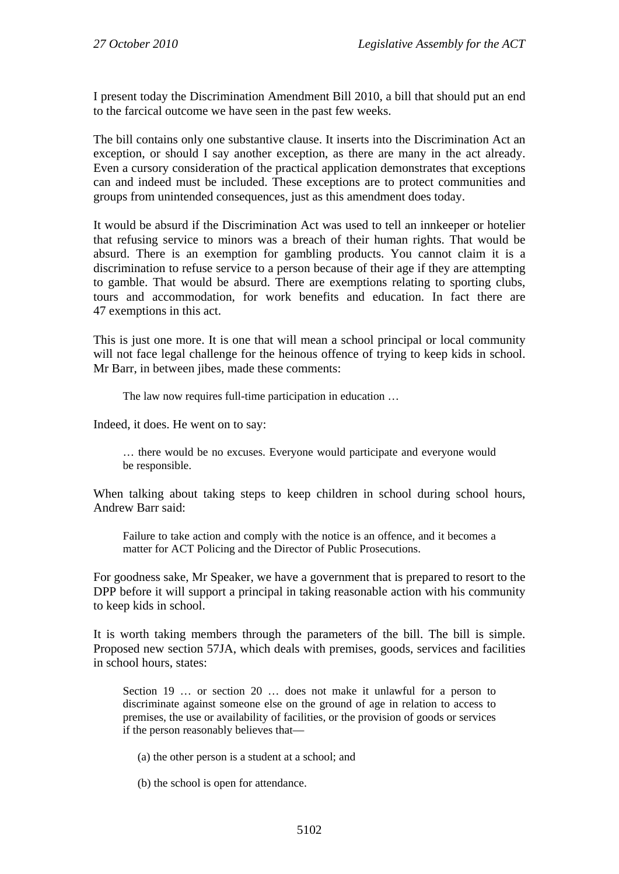I present today the Discrimination Amendment Bill 2010, a bill that should put an end to the farcical outcome we have seen in the past few weeks.

The bill contains only one substantive clause. It inserts into the Discrimination Act an exception, or should I say another exception, as there are many in the act already. Even a cursory consideration of the practical application demonstrates that exceptions can and indeed must be included. These exceptions are to protect communities and groups from unintended consequences, just as this amendment does today.

It would be absurd if the Discrimination Act was used to tell an innkeeper or hotelier that refusing service to minors was a breach of their human rights. That would be absurd. There is an exemption for gambling products. You cannot claim it is a discrimination to refuse service to a person because of their age if they are attempting to gamble. That would be absurd. There are exemptions relating to sporting clubs, tours and accommodation, for work benefits and education. In fact there are 47 exemptions in this act.

This is just one more. It is one that will mean a school principal or local community will not face legal challenge for the heinous offence of trying to keep kids in school. Mr Barr, in between jibes, made these comments:

The law now requires full-time participation in education …

Indeed, it does. He went on to say:

… there would be no excuses. Everyone would participate and everyone would be responsible.

When talking about taking steps to keep children in school during school hours, Andrew Barr said:

Failure to take action and comply with the notice is an offence, and it becomes a matter for ACT Policing and the Director of Public Prosecutions.

For goodness sake, Mr Speaker, we have a government that is prepared to resort to the DPP before it will support a principal in taking reasonable action with his community to keep kids in school.

It is worth taking members through the parameters of the bill. The bill is simple. Proposed new section 57JA, which deals with premises, goods, services and facilities in school hours, states:

Section 19 ... or section 20 ... does not make it unlawful for a person to discriminate against someone else on the ground of age in relation to access to premises, the use or availability of facilities, or the provision of goods or services if the person reasonably believes that—

- (a) the other person is a student at a school; and
- (b) the school is open for attendance.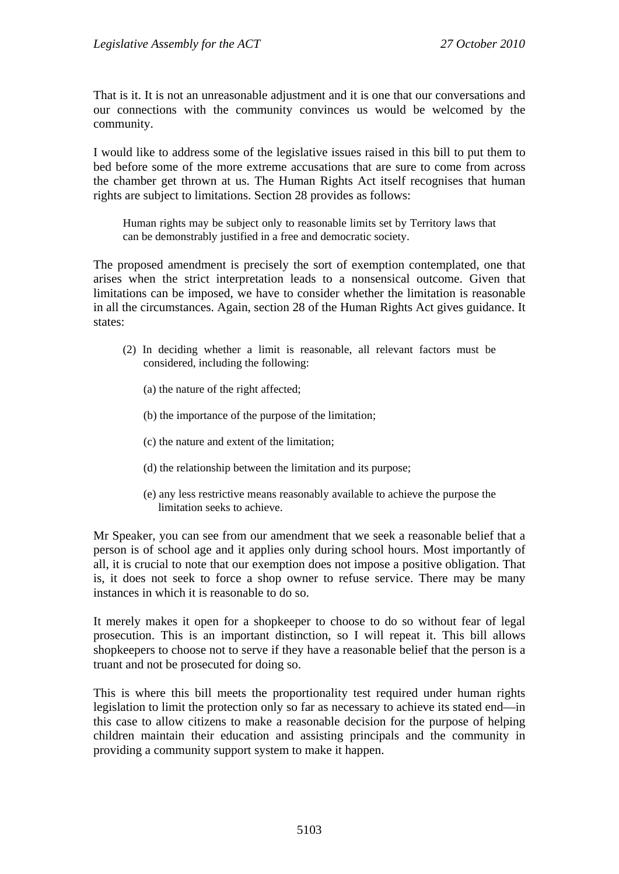That is it. It is not an unreasonable adjustment and it is one that our conversations and our connections with the community convinces us would be welcomed by the community.

I would like to address some of the legislative issues raised in this bill to put them to bed before some of the more extreme accusations that are sure to come from across the chamber get thrown at us. The Human Rights Act itself recognises that human rights are subject to limitations. Section 28 provides as follows:

Human rights may be subject only to reasonable limits set by Territory laws that can be demonstrably justified in a free and democratic society.

The proposed amendment is precisely the sort of exemption contemplated, one that arises when the strict interpretation leads to a nonsensical outcome. Given that limitations can be imposed, we have to consider whether the limitation is reasonable in all the circumstances. Again, section 28 of the Human Rights Act gives guidance. It states:

- (2) In deciding whether a limit is reasonable, all relevant factors must be considered, including the following:
	- (a) the nature of the right affected;
	- (b) the importance of the purpose of the limitation;
	- (c) the nature and extent of the limitation;
	- (d) the relationship between the limitation and its purpose;
	- (e) any less restrictive means reasonably available to achieve the purpose the limitation seeks to achieve.

Mr Speaker, you can see from our amendment that we seek a reasonable belief that a person is of school age and it applies only during school hours. Most importantly of all, it is crucial to note that our exemption does not impose a positive obligation. That is, it does not seek to force a shop owner to refuse service. There may be many instances in which it is reasonable to do so.

It merely makes it open for a shopkeeper to choose to do so without fear of legal prosecution. This is an important distinction, so I will repeat it. This bill allows shopkeepers to choose not to serve if they have a reasonable belief that the person is a truant and not be prosecuted for doing so.

This is where this bill meets the proportionality test required under human rights legislation to limit the protection only so far as necessary to achieve its stated end—in this case to allow citizens to make a reasonable decision for the purpose of helping children maintain their education and assisting principals and the community in providing a community support system to make it happen.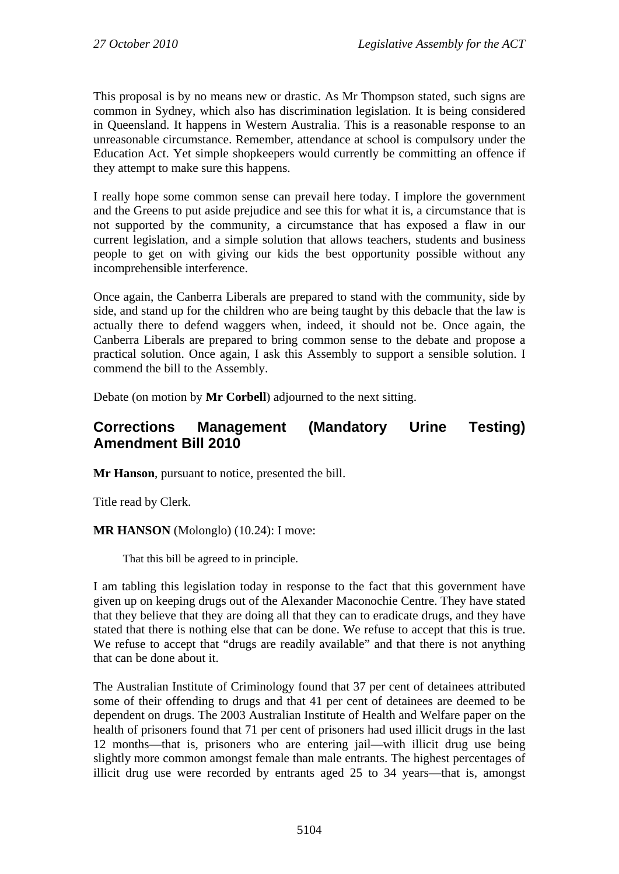This proposal is by no means new or drastic. As Mr Thompson stated, such signs are common in Sydney, which also has discrimination legislation. It is being considered in Queensland. It happens in Western Australia. This is a reasonable response to an unreasonable circumstance. Remember, attendance at school is compulsory under the Education Act. Yet simple shopkeepers would currently be committing an offence if they attempt to make sure this happens.

I really hope some common sense can prevail here today. I implore the government and the Greens to put aside prejudice and see this for what it is, a circumstance that is not supported by the community, a circumstance that has exposed a flaw in our current legislation, and a simple solution that allows teachers, students and business people to get on with giving our kids the best opportunity possible without any incomprehensible interference.

Once again, the Canberra Liberals are prepared to stand with the community, side by side, and stand up for the children who are being taught by this debacle that the law is actually there to defend waggers when, indeed, it should not be. Once again, the Canberra Liberals are prepared to bring common sense to the debate and propose a practical solution. Once again, I ask this Assembly to support a sensible solution. I commend the bill to the Assembly.

Debate (on motion by **Mr Corbell**) adjourned to the next sitting.

### <span id="page-9-0"></span>**Corrections Management (Mandatory Urine Testing) Amendment Bill 2010**

**Mr Hanson**, pursuant to notice, presented the bill.

Title read by Clerk.

**MR HANSON** (Molonglo) (10.24): I move:

That this bill be agreed to in principle.

I am tabling this legislation today in response to the fact that this government have given up on keeping drugs out of the Alexander Maconochie Centre. They have stated that they believe that they are doing all that they can to eradicate drugs, and they have stated that there is nothing else that can be done. We refuse to accept that this is true. We refuse to accept that "drugs are readily available" and that there is not anything that can be done about it.

The Australian Institute of Criminology found that 37 per cent of detainees attributed some of their offending to drugs and that 41 per cent of detainees are deemed to be dependent on drugs. The 2003 Australian Institute of Health and Welfare paper on the health of prisoners found that 71 per cent of prisoners had used illicit drugs in the last 12 months—that is, prisoners who are entering jail—with illicit drug use being slightly more common amongst female than male entrants. The highest percentages of illicit drug use were recorded by entrants aged 25 to 34 years—that is, amongst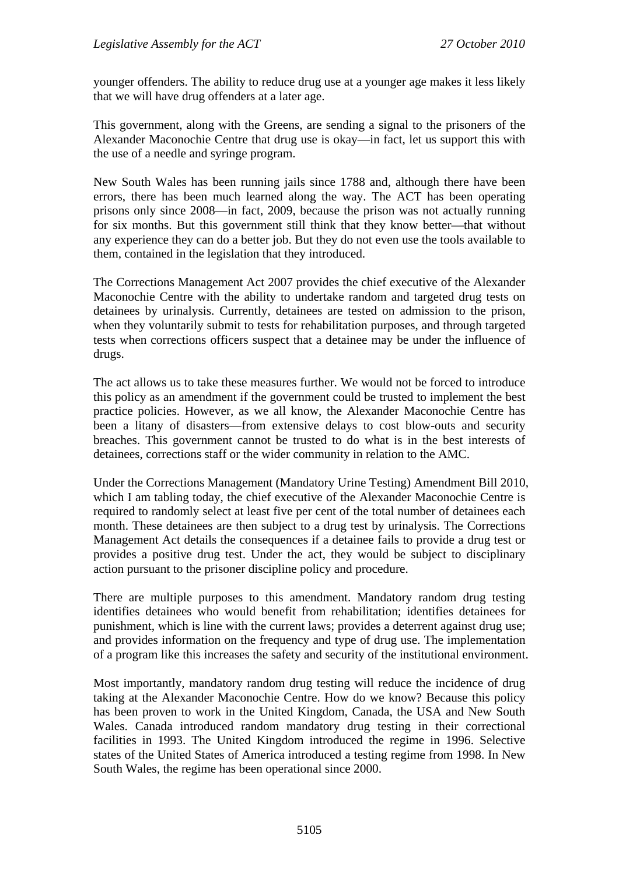younger offenders. The ability to reduce drug use at a younger age makes it less likely that we will have drug offenders at a later age.

This government, along with the Greens, are sending a signal to the prisoners of the Alexander Maconochie Centre that drug use is okay—in fact, let us support this with the use of a needle and syringe program.

New South Wales has been running jails since 1788 and, although there have been errors, there has been much learned along the way. The ACT has been operating prisons only since 2008—in fact, 2009, because the prison was not actually running for six months. But this government still think that they know better—that without any experience they can do a better job. But they do not even use the tools available to them, contained in the legislation that they introduced.

The Corrections Management Act 2007 provides the chief executive of the Alexander Maconochie Centre with the ability to undertake random and targeted drug tests on detainees by urinalysis. Currently, detainees are tested on admission to the prison, when they voluntarily submit to tests for rehabilitation purposes, and through targeted tests when corrections officers suspect that a detainee may be under the influence of drugs.

The act allows us to take these measures further. We would not be forced to introduce this policy as an amendment if the government could be trusted to implement the best practice policies. However, as we all know, the Alexander Maconochie Centre has been a litany of disasters—from extensive delays to cost blow-outs and security breaches. This government cannot be trusted to do what is in the best interests of detainees, corrections staff or the wider community in relation to the AMC.

Under the Corrections Management (Mandatory Urine Testing) Amendment Bill 2010, which I am tabling today, the chief executive of the Alexander Maconochie Centre is required to randomly select at least five per cent of the total number of detainees each month. These detainees are then subject to a drug test by urinalysis. The Corrections Management Act details the consequences if a detainee fails to provide a drug test or provides a positive drug test. Under the act, they would be subject to disciplinary action pursuant to the prisoner discipline policy and procedure.

There are multiple purposes to this amendment. Mandatory random drug testing identifies detainees who would benefit from rehabilitation; identifies detainees for punishment, which is line with the current laws; provides a deterrent against drug use; and provides information on the frequency and type of drug use. The implementation of a program like this increases the safety and security of the institutional environment.

Most importantly, mandatory random drug testing will reduce the incidence of drug taking at the Alexander Maconochie Centre. How do we know? Because this policy has been proven to work in the United Kingdom, Canada, the USA and New South Wales. Canada introduced random mandatory drug testing in their correctional facilities in 1993. The United Kingdom introduced the regime in 1996. Selective states of the United States of America introduced a testing regime from 1998. In New South Wales, the regime has been operational since 2000.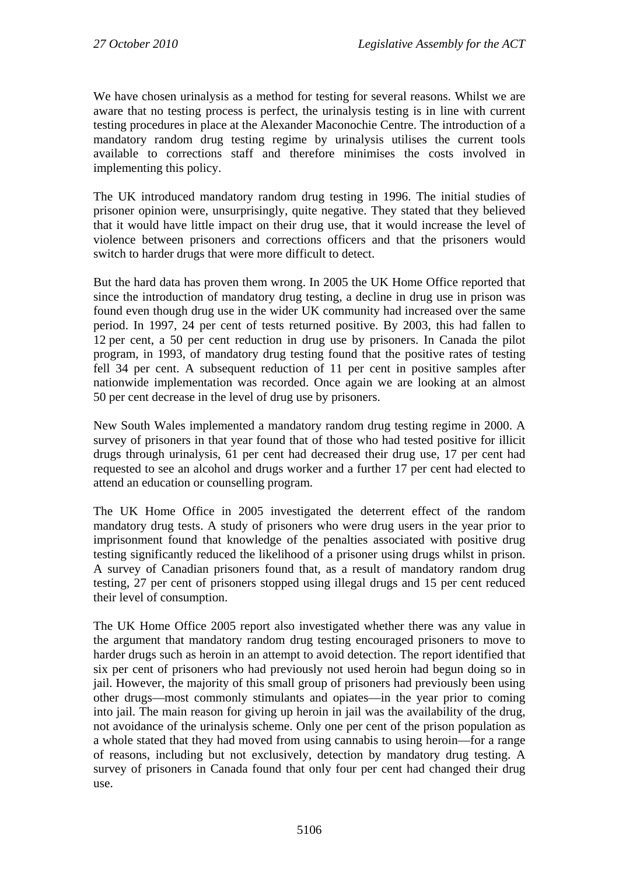We have chosen urinalysis as a method for testing for several reasons. Whilst we are aware that no testing process is perfect, the urinalysis testing is in line with current testing procedures in place at the Alexander Maconochie Centre. The introduction of a mandatory random drug testing regime by urinalysis utilises the current tools available to corrections staff and therefore minimises the costs involved in implementing this policy.

The UK introduced mandatory random drug testing in 1996. The initial studies of prisoner opinion were, unsurprisingly, quite negative. They stated that they believed that it would have little impact on their drug use, that it would increase the level of violence between prisoners and corrections officers and that the prisoners would switch to harder drugs that were more difficult to detect.

But the hard data has proven them wrong. In 2005 the UK Home Office reported that since the introduction of mandatory drug testing, a decline in drug use in prison was found even though drug use in the wider UK community had increased over the same period. In 1997, 24 per cent of tests returned positive. By 2003, this had fallen to 12 per cent, a 50 per cent reduction in drug use by prisoners. In Canada the pilot program, in 1993, of mandatory drug testing found that the positive rates of testing fell 34 per cent. A subsequent reduction of 11 per cent in positive samples after nationwide implementation was recorded. Once again we are looking at an almost 50 per cent decrease in the level of drug use by prisoners.

New South Wales implemented a mandatory random drug testing regime in 2000. A survey of prisoners in that year found that of those who had tested positive for illicit drugs through urinalysis, 61 per cent had decreased their drug use, 17 per cent had requested to see an alcohol and drugs worker and a further 17 per cent had elected to attend an education or counselling program.

The UK Home Office in 2005 investigated the deterrent effect of the random mandatory drug tests. A study of prisoners who were drug users in the year prior to imprisonment found that knowledge of the penalties associated with positive drug testing significantly reduced the likelihood of a prisoner using drugs whilst in prison. A survey of Canadian prisoners found that, as a result of mandatory random drug testing, 27 per cent of prisoners stopped using illegal drugs and 15 per cent reduced their level of consumption.

The UK Home Office 2005 report also investigated whether there was any value in the argument that mandatory random drug testing encouraged prisoners to move to harder drugs such as heroin in an attempt to avoid detection. The report identified that six per cent of prisoners who had previously not used heroin had begun doing so in jail. However, the majority of this small group of prisoners had previously been using other drugs—most commonly stimulants and opiates—in the year prior to coming into jail. The main reason for giving up heroin in jail was the availability of the drug, not avoidance of the urinalysis scheme. Only one per cent of the prison population as a whole stated that they had moved from using cannabis to using heroin—for a range of reasons, including but not exclusively, detection by mandatory drug testing. A survey of prisoners in Canada found that only four per cent had changed their drug use.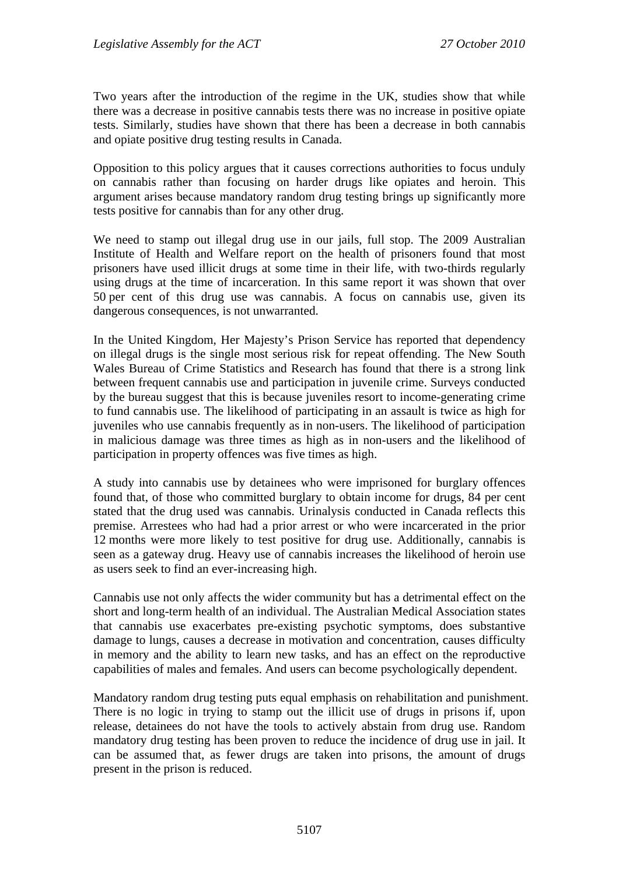Two years after the introduction of the regime in the UK, studies show that while there was a decrease in positive cannabis tests there was no increase in positive opiate tests. Similarly, studies have shown that there has been a decrease in both cannabis and opiate positive drug testing results in Canada.

Opposition to this policy argues that it causes corrections authorities to focus unduly on cannabis rather than focusing on harder drugs like opiates and heroin. This argument arises because mandatory random drug testing brings up significantly more tests positive for cannabis than for any other drug.

We need to stamp out illegal drug use in our jails, full stop. The 2009 Australian Institute of Health and Welfare report on the health of prisoners found that most prisoners have used illicit drugs at some time in their life, with two-thirds regularly using drugs at the time of incarceration. In this same report it was shown that over 50 per cent of this drug use was cannabis. A focus on cannabis use, given its dangerous consequences, is not unwarranted.

In the United Kingdom, Her Majesty's Prison Service has reported that dependency on illegal drugs is the single most serious risk for repeat offending. The New South Wales Bureau of Crime Statistics and Research has found that there is a strong link between frequent cannabis use and participation in juvenile crime. Surveys conducted by the bureau suggest that this is because juveniles resort to income-generating crime to fund cannabis use. The likelihood of participating in an assault is twice as high for juveniles who use cannabis frequently as in non-users. The likelihood of participation in malicious damage was three times as high as in non-users and the likelihood of participation in property offences was five times as high.

A study into cannabis use by detainees who were imprisoned for burglary offences found that, of those who committed burglary to obtain income for drugs, 84 per cent stated that the drug used was cannabis. Urinalysis conducted in Canada reflects this premise. Arrestees who had had a prior arrest or who were incarcerated in the prior 12 months were more likely to test positive for drug use. Additionally, cannabis is seen as a gateway drug. Heavy use of cannabis increases the likelihood of heroin use as users seek to find an ever-increasing high.

Cannabis use not only affects the wider community but has a detrimental effect on the short and long-term health of an individual. The Australian Medical Association states that cannabis use exacerbates pre-existing psychotic symptoms, does substantive damage to lungs, causes a decrease in motivation and concentration, causes difficulty in memory and the ability to learn new tasks, and has an effect on the reproductive capabilities of males and females. And users can become psychologically dependent.

Mandatory random drug testing puts equal emphasis on rehabilitation and punishment. There is no logic in trying to stamp out the illicit use of drugs in prisons if, upon release, detainees do not have the tools to actively abstain from drug use. Random mandatory drug testing has been proven to reduce the incidence of drug use in jail. It can be assumed that, as fewer drugs are taken into prisons, the amount of drugs present in the prison is reduced.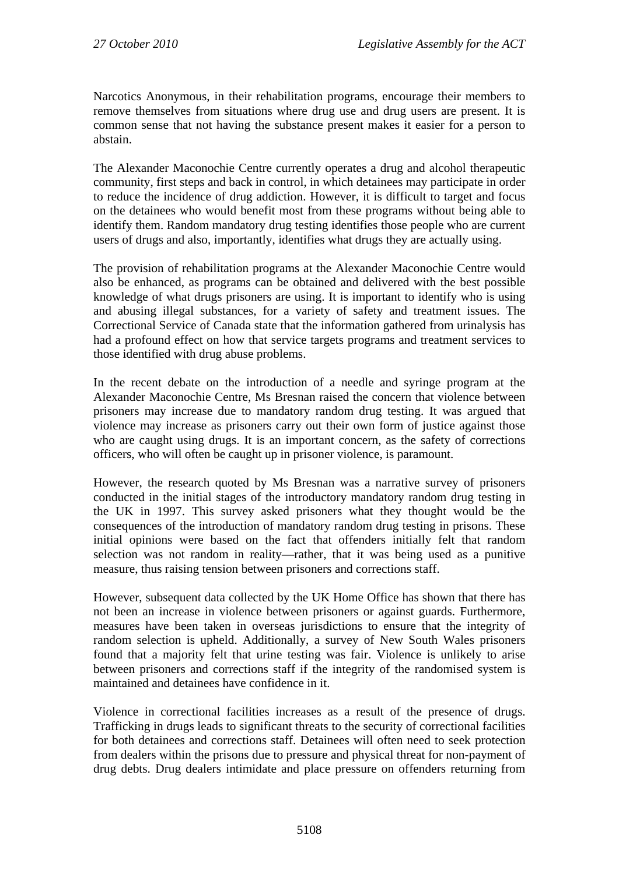Narcotics Anonymous, in their rehabilitation programs, encourage their members to remove themselves from situations where drug use and drug users are present. It is common sense that not having the substance present makes it easier for a person to abstain.

The Alexander Maconochie Centre currently operates a drug and alcohol therapeutic community, first steps and back in control, in which detainees may participate in order to reduce the incidence of drug addiction. However, it is difficult to target and focus on the detainees who would benefit most from these programs without being able to identify them. Random mandatory drug testing identifies those people who are current users of drugs and also, importantly, identifies what drugs they are actually using.

The provision of rehabilitation programs at the Alexander Maconochie Centre would also be enhanced, as programs can be obtained and delivered with the best possible knowledge of what drugs prisoners are using. It is important to identify who is using and abusing illegal substances, for a variety of safety and treatment issues. The Correctional Service of Canada state that the information gathered from urinalysis has had a profound effect on how that service targets programs and treatment services to those identified with drug abuse problems.

In the recent debate on the introduction of a needle and syringe program at the Alexander Maconochie Centre, Ms Bresnan raised the concern that violence between prisoners may increase due to mandatory random drug testing. It was argued that violence may increase as prisoners carry out their own form of justice against those who are caught using drugs. It is an important concern, as the safety of corrections officers, who will often be caught up in prisoner violence, is paramount.

However, the research quoted by Ms Bresnan was a narrative survey of prisoners conducted in the initial stages of the introductory mandatory random drug testing in the UK in 1997. This survey asked prisoners what they thought would be the consequences of the introduction of mandatory random drug testing in prisons. These initial opinions were based on the fact that offenders initially felt that random selection was not random in reality—rather, that it was being used as a punitive measure, thus raising tension between prisoners and corrections staff.

However, subsequent data collected by the UK Home Office has shown that there has not been an increase in violence between prisoners or against guards. Furthermore, measures have been taken in overseas jurisdictions to ensure that the integrity of random selection is upheld. Additionally, a survey of New South Wales prisoners found that a majority felt that urine testing was fair. Violence is unlikely to arise between prisoners and corrections staff if the integrity of the randomised system is maintained and detainees have confidence in it.

Violence in correctional facilities increases as a result of the presence of drugs. Trafficking in drugs leads to significant threats to the security of correctional facilities for both detainees and corrections staff. Detainees will often need to seek protection from dealers within the prisons due to pressure and physical threat for non-payment of drug debts. Drug dealers intimidate and place pressure on offenders returning from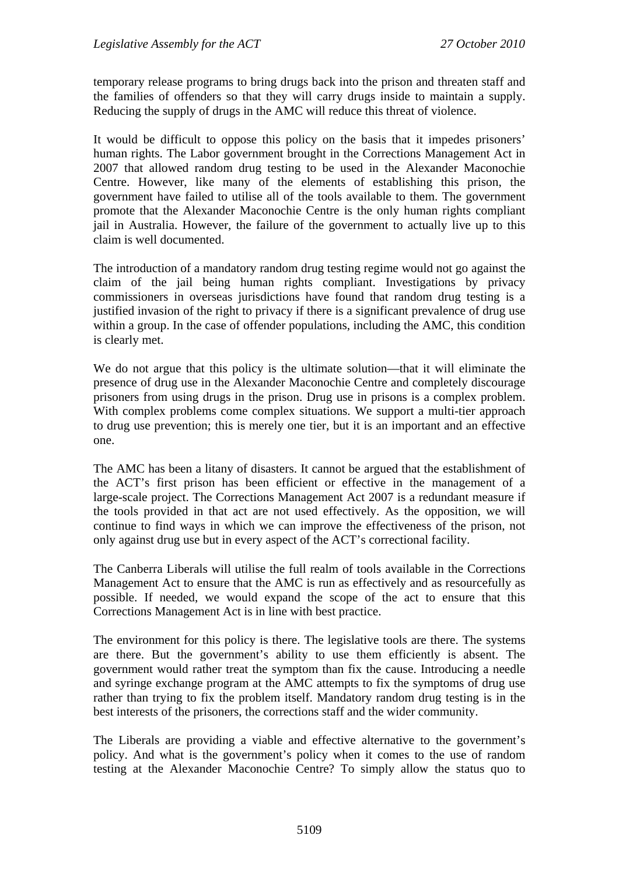temporary release programs to bring drugs back into the prison and threaten staff and the families of offenders so that they will carry drugs inside to maintain a supply. Reducing the supply of drugs in the AMC will reduce this threat of violence.

It would be difficult to oppose this policy on the basis that it impedes prisoners' human rights. The Labor government brought in the Corrections Management Act in 2007 that allowed random drug testing to be used in the Alexander Maconochie Centre. However, like many of the elements of establishing this prison, the government have failed to utilise all of the tools available to them. The government promote that the Alexander Maconochie Centre is the only human rights compliant jail in Australia. However, the failure of the government to actually live up to this claim is well documented.

The introduction of a mandatory random drug testing regime would not go against the claim of the jail being human rights compliant. Investigations by privacy commissioners in overseas jurisdictions have found that random drug testing is a justified invasion of the right to privacy if there is a significant prevalence of drug use within a group. In the case of offender populations, including the AMC, this condition is clearly met.

We do not argue that this policy is the ultimate solution—that it will eliminate the presence of drug use in the Alexander Maconochie Centre and completely discourage prisoners from using drugs in the prison. Drug use in prisons is a complex problem. With complex problems come complex situations. We support a multi-tier approach to drug use prevention; this is merely one tier, but it is an important and an effective one.

The AMC has been a litany of disasters. It cannot be argued that the establishment of the ACT's first prison has been efficient or effective in the management of a large-scale project. The Corrections Management Act 2007 is a redundant measure if the tools provided in that act are not used effectively. As the opposition, we will continue to find ways in which we can improve the effectiveness of the prison, not only against drug use but in every aspect of the ACT's correctional facility.

The Canberra Liberals will utilise the full realm of tools available in the Corrections Management Act to ensure that the AMC is run as effectively and as resourcefully as possible. If needed, we would expand the scope of the act to ensure that this Corrections Management Act is in line with best practice.

The environment for this policy is there. The legislative tools are there. The systems are there. But the government's ability to use them efficiently is absent. The government would rather treat the symptom than fix the cause. Introducing a needle and syringe exchange program at the AMC attempts to fix the symptoms of drug use rather than trying to fix the problem itself. Mandatory random drug testing is in the best interests of the prisoners, the corrections staff and the wider community.

The Liberals are providing a viable and effective alternative to the government's policy. And what is the government's policy when it comes to the use of random testing at the Alexander Maconochie Centre? To simply allow the status quo to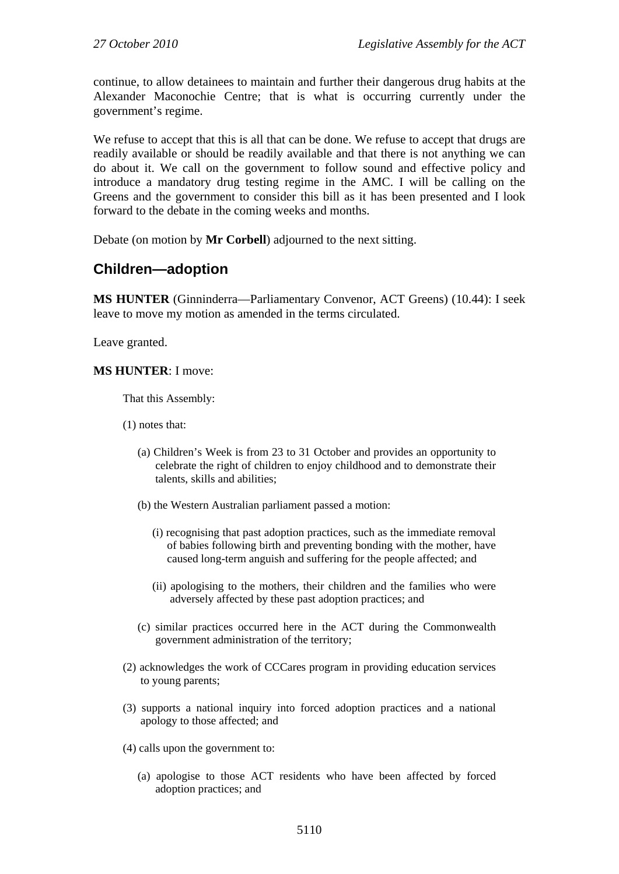continue, to allow detainees to maintain and further their dangerous drug habits at the Alexander Maconochie Centre; that is what is occurring currently under the government's regime.

We refuse to accept that this is all that can be done. We refuse to accept that drugs are readily available or should be readily available and that there is not anything we can do about it. We call on the government to follow sound and effective policy and introduce a mandatory drug testing regime in the AMC. I will be calling on the Greens and the government to consider this bill as it has been presented and I look forward to the debate in the coming weeks and months.

Debate (on motion by **Mr Corbell**) adjourned to the next sitting.

## <span id="page-15-0"></span>**Children—adoption**

**MS HUNTER** (Ginninderra—Parliamentary Convenor, ACT Greens) (10.44): I seek leave to move my motion as amended in the terms circulated.

Leave granted.

#### **MS HUNTER**: I move:

That this Assembly:

(1) notes that:

- (a) Children's Week is from 23 to 31 October and provides an opportunity to celebrate the right of children to enjoy childhood and to demonstrate their talents, skills and abilities;
- (b) the Western Australian parliament passed a motion:
	- (i) recognising that past adoption practices, such as the immediate removal of babies following birth and preventing bonding with the mother, have caused long-term anguish and suffering for the people affected; and
	- (ii) apologising to the mothers, their children and the families who were adversely affected by these past adoption practices; and
- (c) similar practices occurred here in the ACT during the Commonwealth government administration of the territory;
- (2) acknowledges the work of CCCares program in providing education services to young parents;
- (3) supports a national inquiry into forced adoption practices and a national apology to those affected; and
- (4) calls upon the government to:
	- (a) apologise to those ACT residents who have been affected by forced adoption practices; and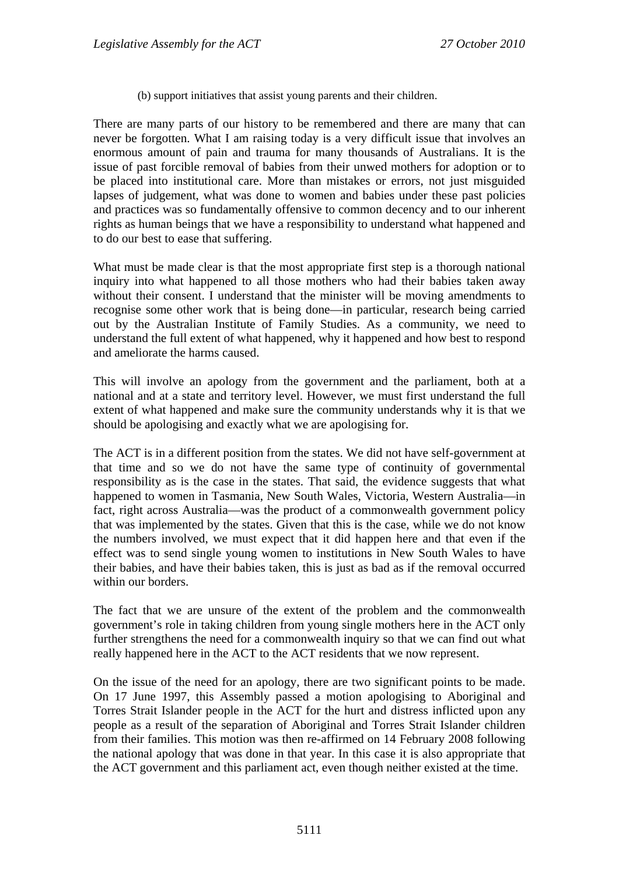(b) support initiatives that assist young parents and their children.

There are many parts of our history to be remembered and there are many that can never be forgotten. What I am raising today is a very difficult issue that involves an enormous amount of pain and trauma for many thousands of Australians. It is the issue of past forcible removal of babies from their unwed mothers for adoption or to be placed into institutional care. More than mistakes or errors, not just misguided lapses of judgement, what was done to women and babies under these past policies and practices was so fundamentally offensive to common decency and to our inherent rights as human beings that we have a responsibility to understand what happened and to do our best to ease that suffering.

What must be made clear is that the most appropriate first step is a thorough national inquiry into what happened to all those mothers who had their babies taken away without their consent. I understand that the minister will be moving amendments to recognise some other work that is being done—in particular, research being carried out by the Australian Institute of Family Studies. As a community, we need to understand the full extent of what happened, why it happened and how best to respond and ameliorate the harms caused.

This will involve an apology from the government and the parliament, both at a national and at a state and territory level. However, we must first understand the full extent of what happened and make sure the community understands why it is that we should be apologising and exactly what we are apologising for.

The ACT is in a different position from the states. We did not have self-government at that time and so we do not have the same type of continuity of governmental responsibility as is the case in the states. That said, the evidence suggests that what happened to women in Tasmania, New South Wales, Victoria, Western Australia—in fact, right across Australia—was the product of a commonwealth government policy that was implemented by the states. Given that this is the case, while we do not know the numbers involved, we must expect that it did happen here and that even if the effect was to send single young women to institutions in New South Wales to have their babies, and have their babies taken, this is just as bad as if the removal occurred within our borders.

The fact that we are unsure of the extent of the problem and the commonwealth government's role in taking children from young single mothers here in the ACT only further strengthens the need for a commonwealth inquiry so that we can find out what really happened here in the ACT to the ACT residents that we now represent.

On the issue of the need for an apology, there are two significant points to be made. On 17 June 1997, this Assembly passed a motion apologising to Aboriginal and Torres Strait Islander people in the ACT for the hurt and distress inflicted upon any people as a result of the separation of Aboriginal and Torres Strait Islander children from their families. This motion was then re-affirmed on 14 February 2008 following the national apology that was done in that year. In this case it is also appropriate that the ACT government and this parliament act, even though neither existed at the time.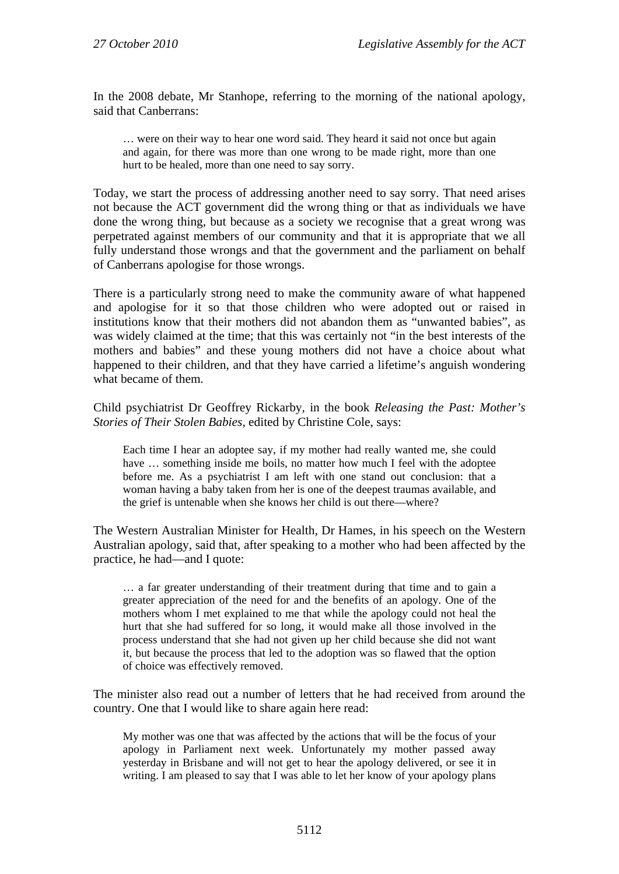In the 2008 debate, Mr Stanhope, referring to the morning of the national apology, said that Canberrans:

… were on their way to hear one word said. They heard it said not once but again and again, for there was more than one wrong to be made right, more than one hurt to be healed, more than one need to say sorry.

Today, we start the process of addressing another need to say sorry. That need arises not because the ACT government did the wrong thing or that as individuals we have done the wrong thing, but because as a society we recognise that a great wrong was perpetrated against members of our community and that it is appropriate that we all fully understand those wrongs and that the government and the parliament on behalf of Canberrans apologise for those wrongs.

There is a particularly strong need to make the community aware of what happened and apologise for it so that those children who were adopted out or raised in institutions know that their mothers did not abandon them as "unwanted babies", as was widely claimed at the time; that this was certainly not "in the best interests of the mothers and babies" and these young mothers did not have a choice about what happened to their children, and that they have carried a lifetime's anguish wondering what became of them.

Child psychiatrist Dr Geoffrey Rickarby, in the book *Releasing the Past: Mother's Stories of Their Stolen Babies,* edited by Christine Cole, says:

Each time I hear an adoptee say, if my mother had really wanted me, she could have ... something inside me boils, no matter how much I feel with the adoptee before me. As a psychiatrist I am left with one stand out conclusion: that a woman having a baby taken from her is one of the deepest traumas available, and the grief is untenable when she knows her child is out there—where?

The Western Australian Minister for Health, Dr Hames, in his speech on the Western Australian apology, said that, after speaking to a mother who had been affected by the practice, he had—and I quote:

… a far greater understanding of their treatment during that time and to gain a greater appreciation of the need for and the benefits of an apology. One of the mothers whom I met explained to me that while the apology could not heal the hurt that she had suffered for so long, it would make all those involved in the process understand that she had not given up her child because she did not want it, but because the process that led to the adoption was so flawed that the option of choice was effectively removed.

The minister also read out a number of letters that he had received from around the country. One that I would like to share again here read:

My mother was one that was affected by the actions that will be the focus of your apology in Parliament next week. Unfortunately my mother passed away yesterday in Brisbane and will not get to hear the apology delivered, or see it in writing. I am pleased to say that I was able to let her know of your apology plans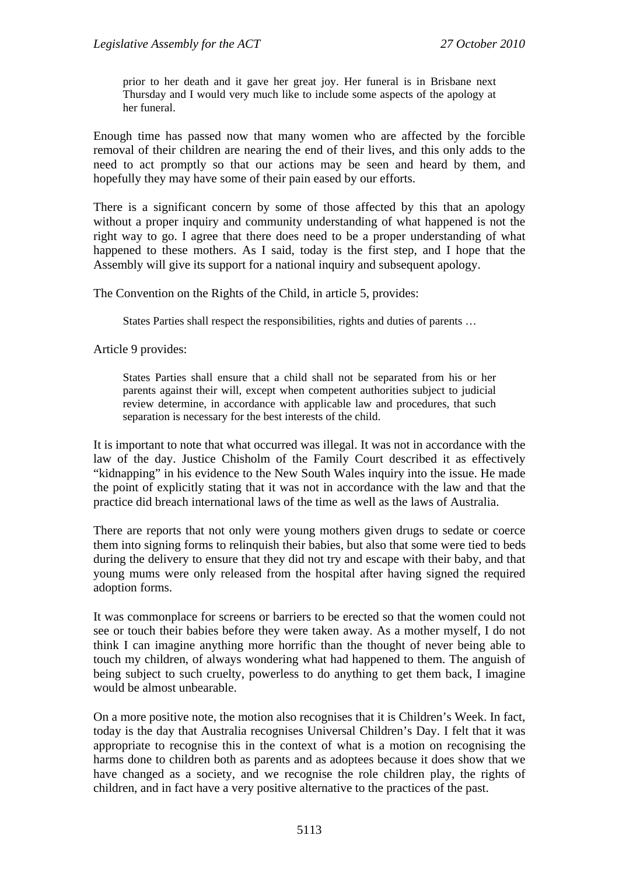prior to her death and it gave her great joy. Her funeral is in Brisbane next Thursday and I would very much like to include some aspects of the apology at her funeral.

Enough time has passed now that many women who are affected by the forcible removal of their children are nearing the end of their lives, and this only adds to the need to act promptly so that our actions may be seen and heard by them, and hopefully they may have some of their pain eased by our efforts.

There is a significant concern by some of those affected by this that an apology without a proper inquiry and community understanding of what happened is not the right way to go. I agree that there does need to be a proper understanding of what happened to these mothers. As I said, today is the first step, and I hope that the Assembly will give its support for a national inquiry and subsequent apology.

The Convention on the Rights of the Child, in article 5, provides:

States Parties shall respect the responsibilities, rights and duties of parents …

Article 9 provides:

States Parties shall ensure that a child shall not be separated from his or her parents against their will, except when competent authorities subject to judicial review determine, in accordance with applicable law and procedures, that such separation is necessary for the best interests of the child.

It is important to note that what occurred was illegal. It was not in accordance with the law of the day. Justice Chisholm of the Family Court described it as effectively "kidnapping" in his evidence to the New South Wales inquiry into the issue. He made the point of explicitly stating that it was not in accordance with the law and that the practice did breach international laws of the time as well as the laws of Australia.

There are reports that not only were young mothers given drugs to sedate or coerce them into signing forms to relinquish their babies, but also that some were tied to beds during the delivery to ensure that they did not try and escape with their baby, and that young mums were only released from the hospital after having signed the required adoption forms.

It was commonplace for screens or barriers to be erected so that the women could not see or touch their babies before they were taken away. As a mother myself, I do not think I can imagine anything more horrific than the thought of never being able to touch my children, of always wondering what had happened to them. The anguish of being subject to such cruelty, powerless to do anything to get them back, I imagine would be almost unbearable.

On a more positive note, the motion also recognises that it is Children's Week. In fact, today is the day that Australia recognises Universal Children's Day. I felt that it was appropriate to recognise this in the context of what is a motion on recognising the harms done to children both as parents and as adoptees because it does show that we have changed as a society, and we recognise the role children play, the rights of children, and in fact have a very positive alternative to the practices of the past.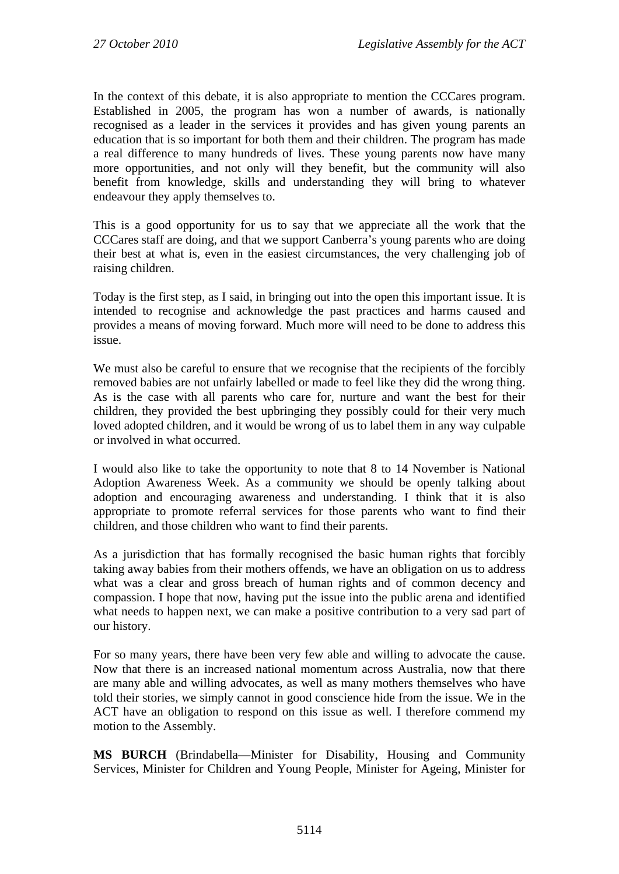In the context of this debate, it is also appropriate to mention the CCCares program. Established in 2005, the program has won a number of awards, is nationally recognised as a leader in the services it provides and has given young parents an education that is so important for both them and their children. The program has made a real difference to many hundreds of lives. These young parents now have many more opportunities, and not only will they benefit, but the community will also benefit from knowledge, skills and understanding they will bring to whatever endeavour they apply themselves to.

This is a good opportunity for us to say that we appreciate all the work that the CCCares staff are doing, and that we support Canberra's young parents who are doing their best at what is, even in the easiest circumstances, the very challenging job of raising children.

Today is the first step, as I said, in bringing out into the open this important issue. It is intended to recognise and acknowledge the past practices and harms caused and provides a means of moving forward. Much more will need to be done to address this issue.

We must also be careful to ensure that we recognise that the recipients of the forcibly removed babies are not unfairly labelled or made to feel like they did the wrong thing. As is the case with all parents who care for, nurture and want the best for their children, they provided the best upbringing they possibly could for their very much loved adopted children, and it would be wrong of us to label them in any way culpable or involved in what occurred.

I would also like to take the opportunity to note that 8 to 14 November is National Adoption Awareness Week. As a community we should be openly talking about adoption and encouraging awareness and understanding. I think that it is also appropriate to promote referral services for those parents who want to find their children, and those children who want to find their parents.

As a jurisdiction that has formally recognised the basic human rights that forcibly taking away babies from their mothers offends, we have an obligation on us to address what was a clear and gross breach of human rights and of common decency and compassion. I hope that now, having put the issue into the public arena and identified what needs to happen next, we can make a positive contribution to a very sad part of our history.

For so many years, there have been very few able and willing to advocate the cause. Now that there is an increased national momentum across Australia, now that there are many able and willing advocates, as well as many mothers themselves who have told their stories, we simply cannot in good conscience hide from the issue. We in the ACT have an obligation to respond on this issue as well. I therefore commend my motion to the Assembly.

**MS BURCH** (Brindabella—Minister for Disability, Housing and Community Services, Minister for Children and Young People, Minister for Ageing, Minister for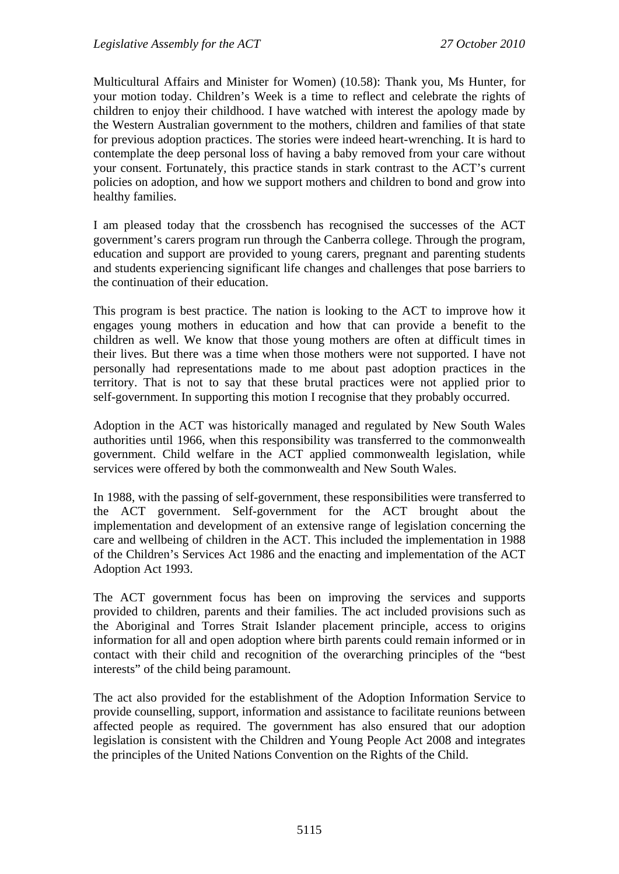Multicultural Affairs and Minister for Women) (10.58): Thank you, Ms Hunter, for your motion today. Children's Week is a time to reflect and celebrate the rights of children to enjoy their childhood. I have watched with interest the apology made by the Western Australian government to the mothers, children and families of that state for previous adoption practices. The stories were indeed heart-wrenching. It is hard to contemplate the deep personal loss of having a baby removed from your care without your consent. Fortunately, this practice stands in stark contrast to the ACT's current policies on adoption, and how we support mothers and children to bond and grow into healthy families.

I am pleased today that the crossbench has recognised the successes of the ACT government's carers program run through the Canberra college. Through the program, education and support are provided to young carers, pregnant and parenting students and students experiencing significant life changes and challenges that pose barriers to the continuation of their education.

This program is best practice. The nation is looking to the ACT to improve how it engages young mothers in education and how that can provide a benefit to the children as well. We know that those young mothers are often at difficult times in their lives. But there was a time when those mothers were not supported. I have not personally had representations made to me about past adoption practices in the territory. That is not to say that these brutal practices were not applied prior to self-government. In supporting this motion I recognise that they probably occurred.

Adoption in the ACT was historically managed and regulated by New South Wales authorities until 1966, when this responsibility was transferred to the commonwealth government. Child welfare in the ACT applied commonwealth legislation, while services were offered by both the commonwealth and New South Wales.

In 1988, with the passing of self-government, these responsibilities were transferred to the ACT government. Self-government for the ACT brought about the implementation and development of an extensive range of legislation concerning the care and wellbeing of children in the ACT. This included the implementation in 1988 of the Children's Services Act 1986 and the enacting and implementation of the ACT Adoption Act 1993.

The ACT government focus has been on improving the services and supports provided to children, parents and their families. The act included provisions such as the Aboriginal and Torres Strait Islander placement principle, access to origins information for all and open adoption where birth parents could remain informed or in contact with their child and recognition of the overarching principles of the "best interests" of the child being paramount.

The act also provided for the establishment of the Adoption Information Service to provide counselling, support, information and assistance to facilitate reunions between affected people as required. The government has also ensured that our adoption legislation is consistent with the Children and Young People Act 2008 and integrates the principles of the United Nations Convention on the Rights of the Child.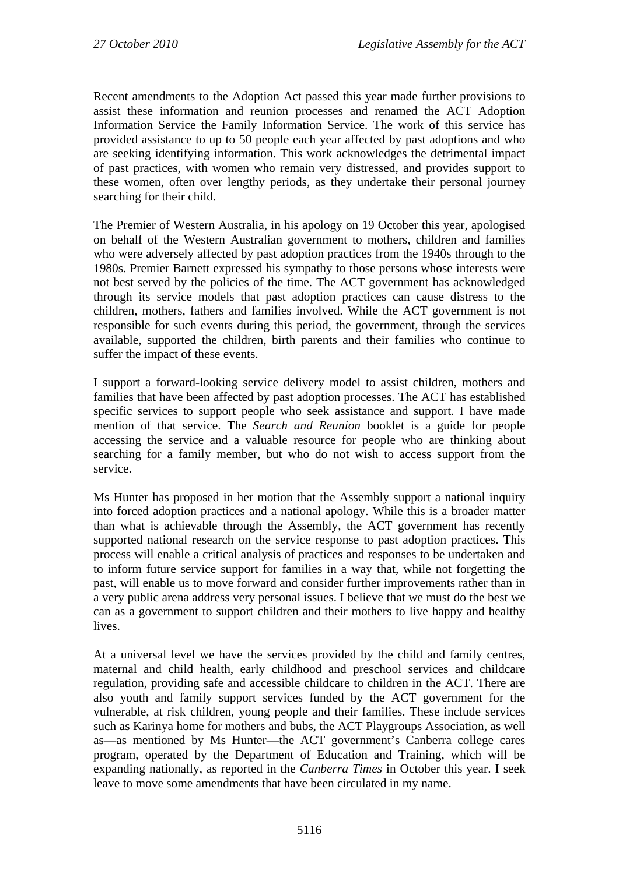Recent amendments to the Adoption Act passed this year made further provisions to assist these information and reunion processes and renamed the ACT Adoption Information Service the Family Information Service. The work of this service has provided assistance to up to 50 people each year affected by past adoptions and who are seeking identifying information. This work acknowledges the detrimental impact of past practices, with women who remain very distressed, and provides support to these women, often over lengthy periods, as they undertake their personal journey searching for their child.

The Premier of Western Australia, in his apology on 19 October this year, apologised on behalf of the Western Australian government to mothers, children and families who were adversely affected by past adoption practices from the 1940s through to the 1980s. Premier Barnett expressed his sympathy to those persons whose interests were not best served by the policies of the time. The ACT government has acknowledged through its service models that past adoption practices can cause distress to the children, mothers, fathers and families involved. While the ACT government is not responsible for such events during this period, the government, through the services available, supported the children, birth parents and their families who continue to suffer the impact of these events.

I support a forward-looking service delivery model to assist children, mothers and families that have been affected by past adoption processes. The ACT has established specific services to support people who seek assistance and support. I have made mention of that service. The *Search and Reunion* booklet is a guide for people accessing the service and a valuable resource for people who are thinking about searching for a family member, but who do not wish to access support from the service.

Ms Hunter has proposed in her motion that the Assembly support a national inquiry into forced adoption practices and a national apology. While this is a broader matter than what is achievable through the Assembly, the ACT government has recently supported national research on the service response to past adoption practices. This process will enable a critical analysis of practices and responses to be undertaken and to inform future service support for families in a way that, while not forgetting the past, will enable us to move forward and consider further improvements rather than in a very public arena address very personal issues. I believe that we must do the best we can as a government to support children and their mothers to live happy and healthy lives.

At a universal level we have the services provided by the child and family centres, maternal and child health, early childhood and preschool services and childcare regulation, providing safe and accessible childcare to children in the ACT. There are also youth and family support services funded by the ACT government for the vulnerable, at risk children, young people and their families. These include services such as Karinya home for mothers and bubs, the ACT Playgroups Association, as well as—as mentioned by Ms Hunter—the ACT government's Canberra college cares program, operated by the Department of Education and Training, which will be expanding nationally, as reported in the *Canberra Times* in October this year. I seek leave to move some amendments that have been circulated in my name.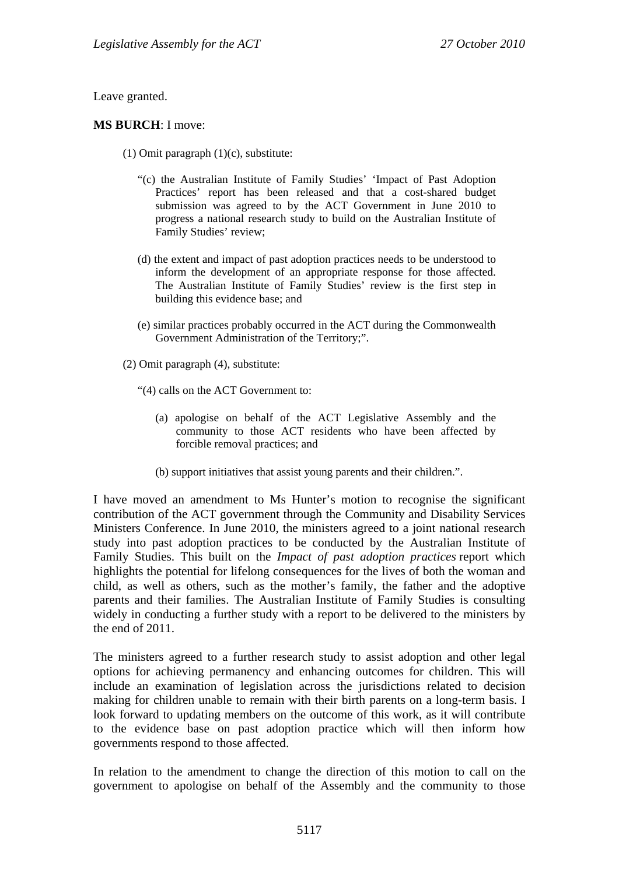Leave granted.

#### **MS BURCH**: I move:

- (1) Omit paragraph (1)(c), substitute:
	- "(c) the Australian Institute of Family Studies' 'Impact of Past Adoption Practices' report has been released and that a cost-shared budget submission was agreed to by the ACT Government in June 2010 to progress a national research study to build on the Australian Institute of Family Studies' review;
	- (d) the extent and impact of past adoption practices needs to be understood to inform the development of an appropriate response for those affected. The Australian Institute of Family Studies' review is the first step in building this evidence base; and
	- (e) similar practices probably occurred in the ACT during the Commonwealth Government Administration of the Territory;".
- (2) Omit paragraph (4), substitute:
	- "(4) calls on the ACT Government to:
		- (a) apologise on behalf of the ACT Legislative Assembly and the community to those ACT residents who have been affected by forcible removal practices; and
		- (b) support initiatives that assist young parents and their children.".

I have moved an amendment to Ms Hunter's motion to recognise the significant contribution of the ACT government through the Community and Disability Services Ministers Conference. In June 2010, the ministers agreed to a joint national research study into past adoption practices to be conducted by the Australian Institute of Family Studies. This built on the *Impact of past adoption practices* report which highlights the potential for lifelong consequences for the lives of both the woman and child, as well as others, such as the mother's family, the father and the adoptive parents and their families. The Australian Institute of Family Studies is consulting widely in conducting a further study with a report to be delivered to the ministers by the end of 2011.

The ministers agreed to a further research study to assist adoption and other legal options for achieving permanency and enhancing outcomes for children. This will include an examination of legislation across the jurisdictions related to decision making for children unable to remain with their birth parents on a long-term basis. I look forward to updating members on the outcome of this work, as it will contribute to the evidence base on past adoption practice which will then inform how governments respond to those affected.

In relation to the amendment to change the direction of this motion to call on the government to apologise on behalf of the Assembly and the community to those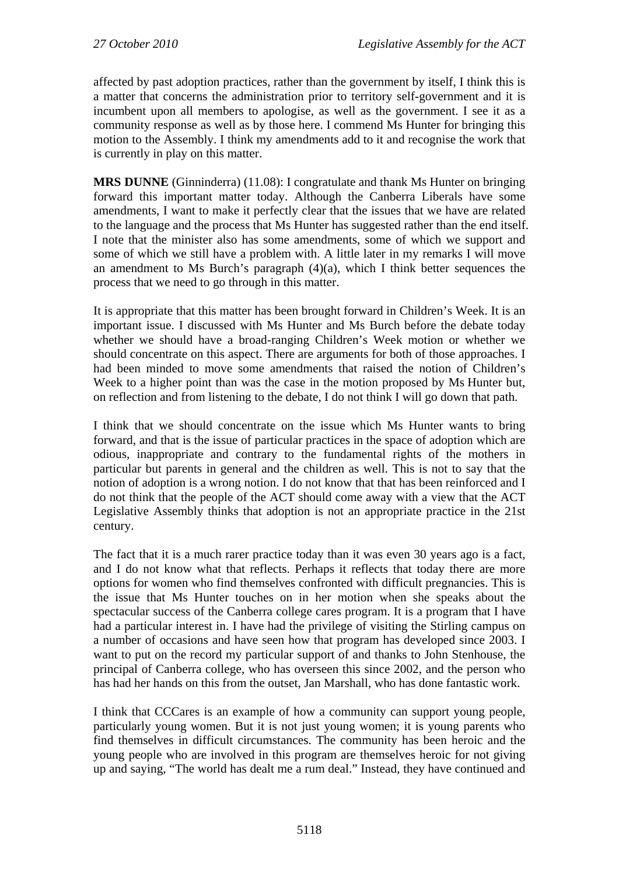affected by past adoption practices, rather than the government by itself, I think this is a matter that concerns the administration prior to territory self-government and it is incumbent upon all members to apologise, as well as the government. I see it as a community response as well as by those here. I commend Ms Hunter for bringing this motion to the Assembly. I think my amendments add to it and recognise the work that is currently in play on this matter.

**MRS DUNNE** (Ginninderra) (11.08): I congratulate and thank Ms Hunter on bringing forward this important matter today. Although the Canberra Liberals have some amendments, I want to make it perfectly clear that the issues that we have are related to the language and the process that Ms Hunter has suggested rather than the end itself. I note that the minister also has some amendments, some of which we support and some of which we still have a problem with. A little later in my remarks I will move an amendment to Ms Burch's paragraph  $(4)(a)$ , which I think better sequences the process that we need to go through in this matter.

It is appropriate that this matter has been brought forward in Children's Week. It is an important issue. I discussed with Ms Hunter and Ms Burch before the debate today whether we should have a broad-ranging Children's Week motion or whether we should concentrate on this aspect. There are arguments for both of those approaches. I had been minded to move some amendments that raised the notion of Children's Week to a higher point than was the case in the motion proposed by Ms Hunter but, on reflection and from listening to the debate, I do not think I will go down that path.

I think that we should concentrate on the issue which Ms Hunter wants to bring forward, and that is the issue of particular practices in the space of adoption which are odious, inappropriate and contrary to the fundamental rights of the mothers in particular but parents in general and the children as well. This is not to say that the notion of adoption is a wrong notion. I do not know that that has been reinforced and I do not think that the people of the ACT should come away with a view that the ACT Legislative Assembly thinks that adoption is not an appropriate practice in the 21st century.

The fact that it is a much rarer practice today than it was even 30 years ago is a fact, and I do not know what that reflects. Perhaps it reflects that today there are more options for women who find themselves confronted with difficult pregnancies. This is the issue that Ms Hunter touches on in her motion when she speaks about the spectacular success of the Canberra college cares program. It is a program that I have had a particular interest in. I have had the privilege of visiting the Stirling campus on a number of occasions and have seen how that program has developed since 2003. I want to put on the record my particular support of and thanks to John Stenhouse, the principal of Canberra college, who has overseen this since 2002, and the person who has had her hands on this from the outset, Jan Marshall, who has done fantastic work.

I think that CCCares is an example of how a community can support young people, particularly young women. But it is not just young women; it is young parents who find themselves in difficult circumstances. The community has been heroic and the young people who are involved in this program are themselves heroic for not giving up and saying, "The world has dealt me a rum deal." Instead, they have continued and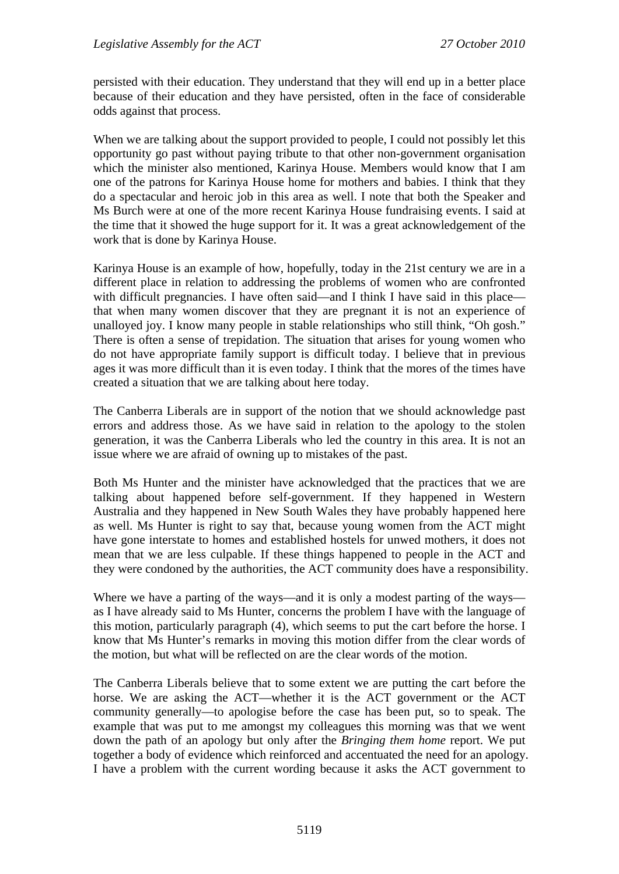persisted with their education. They understand that they will end up in a better place because of their education and they have persisted, often in the face of considerable odds against that process.

When we are talking about the support provided to people, I could not possibly let this opportunity go past without paying tribute to that other non-government organisation which the minister also mentioned, Karinya House. Members would know that I am one of the patrons for Karinya House home for mothers and babies. I think that they do a spectacular and heroic job in this area as well. I note that both the Speaker and Ms Burch were at one of the more recent Karinya House fundraising events. I said at the time that it showed the huge support for it. It was a great acknowledgement of the work that is done by Karinya House.

Karinya House is an example of how, hopefully, today in the 21st century we are in a different place in relation to addressing the problems of women who are confronted with difficult pregnancies. I have often said—and I think I have said in this place that when many women discover that they are pregnant it is not an experience of unalloyed joy. I know many people in stable relationships who still think, "Oh gosh." There is often a sense of trepidation. The situation that arises for young women who do not have appropriate family support is difficult today. I believe that in previous ages it was more difficult than it is even today. I think that the mores of the times have created a situation that we are talking about here today.

The Canberra Liberals are in support of the notion that we should acknowledge past errors and address those. As we have said in relation to the apology to the stolen generation, it was the Canberra Liberals who led the country in this area. It is not an issue where we are afraid of owning up to mistakes of the past.

Both Ms Hunter and the minister have acknowledged that the practices that we are talking about happened before self-government. If they happened in Western Australia and they happened in New South Wales they have probably happened here as well. Ms Hunter is right to say that, because young women from the ACT might have gone interstate to homes and established hostels for unwed mothers, it does not mean that we are less culpable. If these things happened to people in the ACT and they were condoned by the authorities, the ACT community does have a responsibility.

Where we have a parting of the ways—and it is only a modest parting of the ways as I have already said to Ms Hunter, concerns the problem I have with the language of this motion, particularly paragraph (4), which seems to put the cart before the horse. I know that Ms Hunter's remarks in moving this motion differ from the clear words of the motion, but what will be reflected on are the clear words of the motion.

The Canberra Liberals believe that to some extent we are putting the cart before the horse. We are asking the ACT—whether it is the ACT government or the ACT community generally—to apologise before the case has been put, so to speak. The example that was put to me amongst my colleagues this morning was that we went down the path of an apology but only after the *Bringing them home* report. We put together a body of evidence which reinforced and accentuated the need for an apology. I have a problem with the current wording because it asks the ACT government to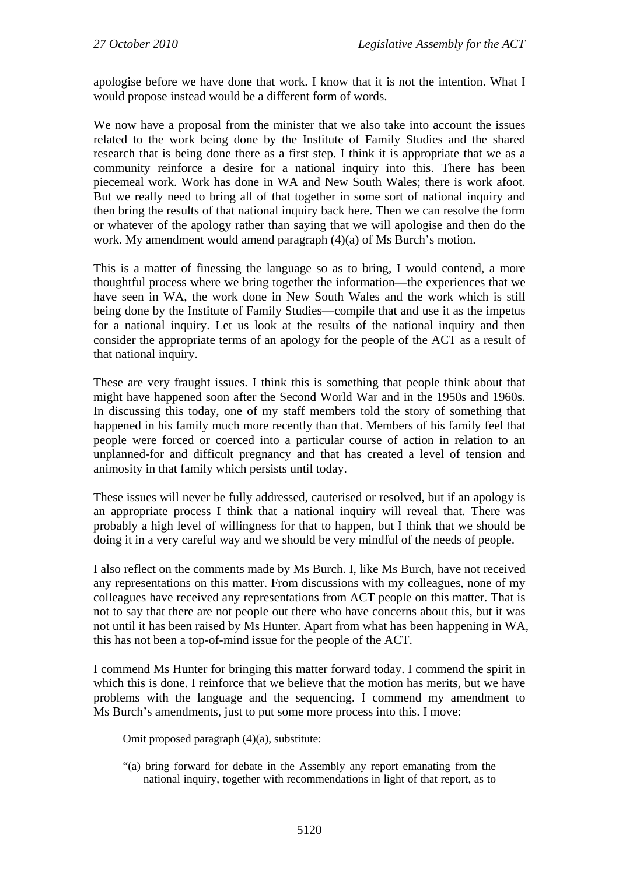apologise before we have done that work. I know that it is not the intention. What I would propose instead would be a different form of words.

We now have a proposal from the minister that we also take into account the issues related to the work being done by the Institute of Family Studies and the shared research that is being done there as a first step. I think it is appropriate that we as a community reinforce a desire for a national inquiry into this. There has been piecemeal work. Work has done in WA and New South Wales; there is work afoot. But we really need to bring all of that together in some sort of national inquiry and then bring the results of that national inquiry back here. Then we can resolve the form or whatever of the apology rather than saying that we will apologise and then do the work. My amendment would amend paragraph (4)(a) of Ms Burch's motion.

This is a matter of finessing the language so as to bring, I would contend, a more thoughtful process where we bring together the information—the experiences that we have seen in WA, the work done in New South Wales and the work which is still being done by the Institute of Family Studies—compile that and use it as the impetus for a national inquiry. Let us look at the results of the national inquiry and then consider the appropriate terms of an apology for the people of the ACT as a result of that national inquiry.

These are very fraught issues. I think this is something that people think about that might have happened soon after the Second World War and in the 1950s and 1960s. In discussing this today, one of my staff members told the story of something that happened in his family much more recently than that. Members of his family feel that people were forced or coerced into a particular course of action in relation to an unplanned-for and difficult pregnancy and that has created a level of tension and animosity in that family which persists until today.

These issues will never be fully addressed, cauterised or resolved, but if an apology is an appropriate process I think that a national inquiry will reveal that. There was probably a high level of willingness for that to happen, but I think that we should be doing it in a very careful way and we should be very mindful of the needs of people.

I also reflect on the comments made by Ms Burch. I, like Ms Burch, have not received any representations on this matter. From discussions with my colleagues, none of my colleagues have received any representations from ACT people on this matter. That is not to say that there are not people out there who have concerns about this, but it was not until it has been raised by Ms Hunter. Apart from what has been happening in WA, this has not been a top-of-mind issue for the people of the ACT.

I commend Ms Hunter for bringing this matter forward today. I commend the spirit in which this is done. I reinforce that we believe that the motion has merits, but we have problems with the language and the sequencing. I commend my amendment to Ms Burch's amendments, just to put some more process into this. I move:

Omit proposed paragraph (4)(a), substitute:

"(a) bring forward for debate in the Assembly any report emanating from the national inquiry, together with recommendations in light of that report, as to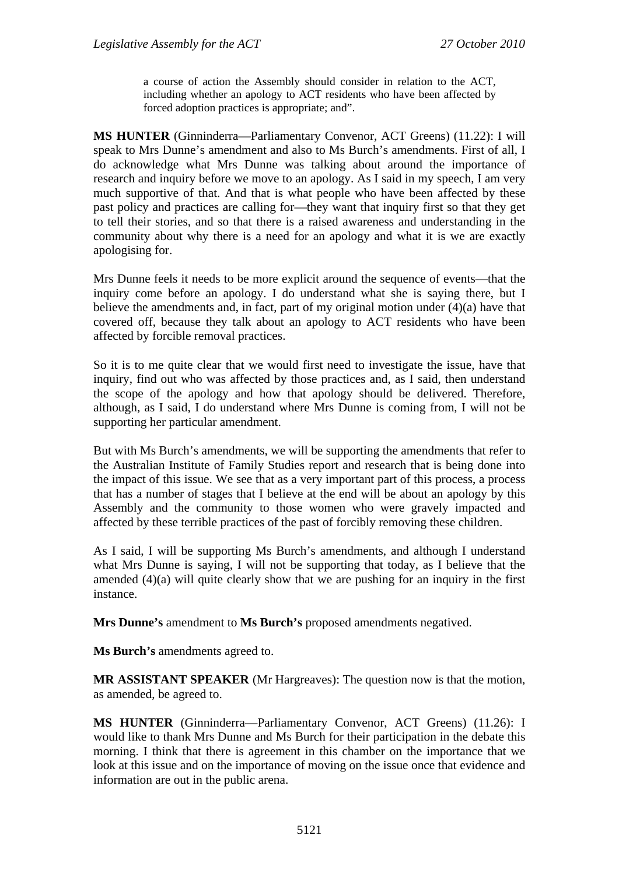a course of action the Assembly should consider in relation to the ACT, including whether an apology to ACT residents who have been affected by forced adoption practices is appropriate; and".

**MS HUNTER** (Ginninderra—Parliamentary Convenor, ACT Greens) (11.22): I will speak to Mrs Dunne's amendment and also to Ms Burch's amendments. First of all, I do acknowledge what Mrs Dunne was talking about around the importance of research and inquiry before we move to an apology. As I said in my speech, I am very much supportive of that. And that is what people who have been affected by these past policy and practices are calling for—they want that inquiry first so that they get to tell their stories, and so that there is a raised awareness and understanding in the community about why there is a need for an apology and what it is we are exactly apologising for.

Mrs Dunne feels it needs to be more explicit around the sequence of events—that the inquiry come before an apology. I do understand what she is saying there, but I believe the amendments and, in fact, part of my original motion under (4)(a) have that covered off, because they talk about an apology to ACT residents who have been affected by forcible removal practices.

So it is to me quite clear that we would first need to investigate the issue, have that inquiry, find out who was affected by those practices and, as I said, then understand the scope of the apology and how that apology should be delivered. Therefore, although, as I said, I do understand where Mrs Dunne is coming from, I will not be supporting her particular amendment.

But with Ms Burch's amendments, we will be supporting the amendments that refer to the Australian Institute of Family Studies report and research that is being done into the impact of this issue. We see that as a very important part of this process, a process that has a number of stages that I believe at the end will be about an apology by this Assembly and the community to those women who were gravely impacted and affected by these terrible practices of the past of forcibly removing these children.

As I said, I will be supporting Ms Burch's amendments, and although I understand what Mrs Dunne is saying, I will not be supporting that today, as I believe that the amended (4)(a) will quite clearly show that we are pushing for an inquiry in the first instance.

**Mrs Dunne's** amendment to **Ms Burch's** proposed amendments negatived.

**Ms Burch's** amendments agreed to.

**MR ASSISTANT SPEAKER** (Mr Hargreaves): The question now is that the motion, as amended, be agreed to.

**MS HUNTER** (Ginninderra—Parliamentary Convenor, ACT Greens) (11.26): I would like to thank Mrs Dunne and Ms Burch for their participation in the debate this morning. I think that there is agreement in this chamber on the importance that we look at this issue and on the importance of moving on the issue once that evidence and information are out in the public arena.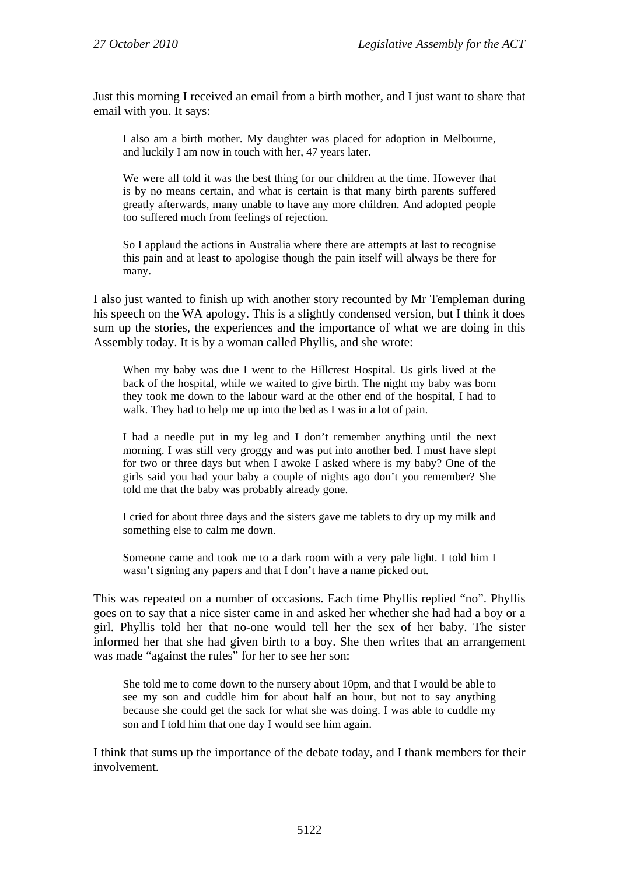Just this morning I received an email from a birth mother, and I just want to share that email with you. It says:

I also am a birth mother. My daughter was placed for adoption in Melbourne, and luckily I am now in touch with her, 47 years later.

We were all told it was the best thing for our children at the time. However that is by no means certain, and what is certain is that many birth parents suffered greatly afterwards, many unable to have any more children. And adopted people too suffered much from feelings of rejection.

So I applaud the actions in Australia where there are attempts at last to recognise this pain and at least to apologise though the pain itself will always be there for many.

I also just wanted to finish up with another story recounted by Mr Templeman during his speech on the WA apology. This is a slightly condensed version, but I think it does sum up the stories, the experiences and the importance of what we are doing in this Assembly today. It is by a woman called Phyllis, and she wrote:

When my baby was due I went to the Hillcrest Hospital. Us girls lived at the back of the hospital, while we waited to give birth. The night my baby was born they took me down to the labour ward at the other end of the hospital, I had to walk. They had to help me up into the bed as I was in a lot of pain.

I had a needle put in my leg and I don't remember anything until the next morning. I was still very groggy and was put into another bed. I must have slept for two or three days but when I awoke I asked where is my baby? One of the girls said you had your baby a couple of nights ago don't you remember? She told me that the baby was probably already gone.

I cried for about three days and the sisters gave me tablets to dry up my milk and something else to calm me down.

Someone came and took me to a dark room with a very pale light. I told him I wasn't signing any papers and that I don't have a name picked out.

This was repeated on a number of occasions. Each time Phyllis replied "no". Phyllis goes on to say that a nice sister came in and asked her whether she had had a boy or a girl. Phyllis told her that no-one would tell her the sex of her baby. The sister informed her that she had given birth to a boy. She then writes that an arrangement was made "against the rules" for her to see her son:

She told me to come down to the nursery about 10pm, and that I would be able to see my son and cuddle him for about half an hour, but not to say anything because she could get the sack for what she was doing. I was able to cuddle my son and I told him that one day I would see him again.

I think that sums up the importance of the debate today, and I thank members for their involvement.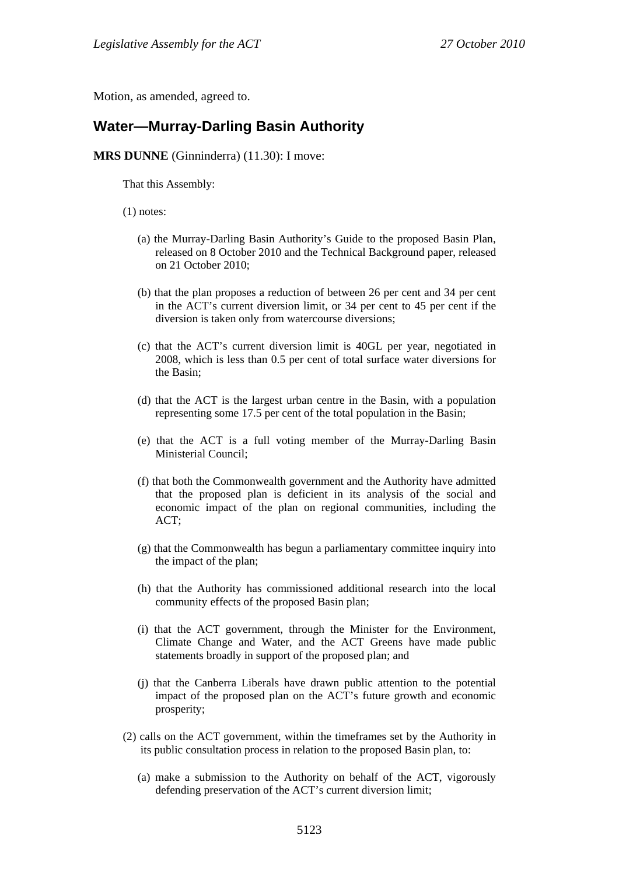Motion, as amended, agreed to.

#### <span id="page-28-0"></span>**Water—Murray-Darling Basin Authority**

#### **MRS DUNNE** (Ginninderra) (11.30): I move:

That this Assembly:

(1) notes:

- (a) the Murray-Darling Basin Authority's Guide to the proposed Basin Plan, released on 8 October 2010 and the Technical Background paper, released on 21 October 2010;
- (b) that the plan proposes a reduction of between 26 per cent and 34 per cent in the ACT's current diversion limit, or 34 per cent to 45 per cent if the diversion is taken only from watercourse diversions;
- (c) that the ACT's current diversion limit is 40GL per year, negotiated in 2008, which is less than 0.5 per cent of total surface water diversions for the Basin;
- (d) that the ACT is the largest urban centre in the Basin, with a population representing some 17.5 per cent of the total population in the Basin;
- (e) that the ACT is a full voting member of the Murray-Darling Basin Ministerial Council;
- (f) that both the Commonwealth government and the Authority have admitted that the proposed plan is deficient in its analysis of the social and economic impact of the plan on regional communities, including the ACT;
- (g) that the Commonwealth has begun a parliamentary committee inquiry into the impact of the plan;
- (h) that the Authority has commissioned additional research into the local community effects of the proposed Basin plan;
- (i) that the ACT government, through the Minister for the Environment, Climate Change and Water, and the ACT Greens have made public statements broadly in support of the proposed plan; and
- (j) that the Canberra Liberals have drawn public attention to the potential impact of the proposed plan on the ACT's future growth and economic prosperity;
- (2) calls on the ACT government, within the timeframes set by the Authority in its public consultation process in relation to the proposed Basin plan, to:
	- (a) make a submission to the Authority on behalf of the ACT, vigorously defending preservation of the ACT's current diversion limit;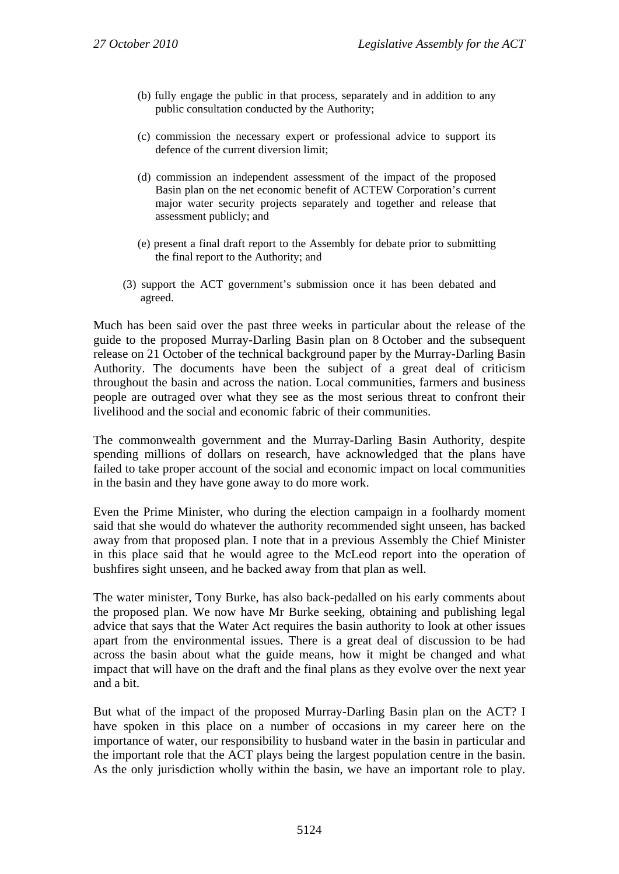- (b) fully engage the public in that process, separately and in addition to any public consultation conducted by the Authority;
- (c) commission the necessary expert or professional advice to support its defence of the current diversion limit;
- (d) commission an independent assessment of the impact of the proposed Basin plan on the net economic benefit of ACTEW Corporation's current major water security projects separately and together and release that assessment publicly; and
- (e) present a final draft report to the Assembly for debate prior to submitting the final report to the Authority; and
- (3) support the ACT government's submission once it has been debated and agreed.

Much has been said over the past three weeks in particular about the release of the guide to the proposed Murray-Darling Basin plan on 8 October and the subsequent release on 21 October of the technical background paper by the Murray-Darling Basin Authority. The documents have been the subject of a great deal of criticism throughout the basin and across the nation. Local communities, farmers and business people are outraged over what they see as the most serious threat to confront their livelihood and the social and economic fabric of their communities.

The commonwealth government and the Murray-Darling Basin Authority, despite spending millions of dollars on research, have acknowledged that the plans have failed to take proper account of the social and economic impact on local communities in the basin and they have gone away to do more work.

Even the Prime Minister, who during the election campaign in a foolhardy moment said that she would do whatever the authority recommended sight unseen, has backed away from that proposed plan. I note that in a previous Assembly the Chief Minister in this place said that he would agree to the McLeod report into the operation of bushfires sight unseen, and he backed away from that plan as well.

The water minister, Tony Burke, has also back-pedalled on his early comments about the proposed plan. We now have Mr Burke seeking, obtaining and publishing legal advice that says that the Water Act requires the basin authority to look at other issues apart from the environmental issues. There is a great deal of discussion to be had across the basin about what the guide means, how it might be changed and what impact that will have on the draft and the final plans as they evolve over the next year and a bit.

But what of the impact of the proposed Murray-Darling Basin plan on the ACT? I have spoken in this place on a number of occasions in my career here on the importance of water, our responsibility to husband water in the basin in particular and the important role that the ACT plays being the largest population centre in the basin. As the only jurisdiction wholly within the basin, we have an important role to play.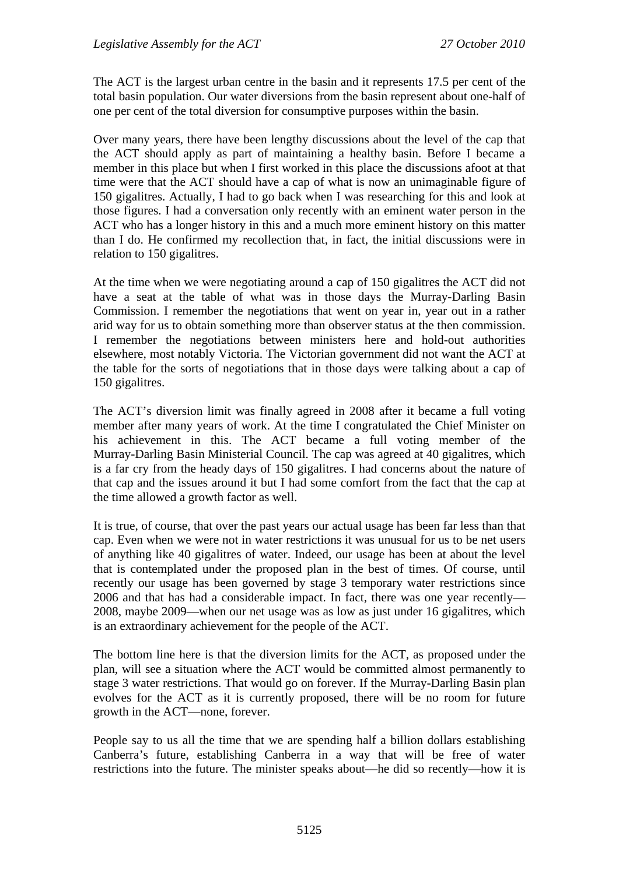The ACT is the largest urban centre in the basin and it represents 17.5 per cent of the total basin population. Our water diversions from the basin represent about one-half of one per cent of the total diversion for consumptive purposes within the basin.

Over many years, there have been lengthy discussions about the level of the cap that the ACT should apply as part of maintaining a healthy basin. Before I became a member in this place but when I first worked in this place the discussions afoot at that time were that the ACT should have a cap of what is now an unimaginable figure of 150 gigalitres. Actually, I had to go back when I was researching for this and look at those figures. I had a conversation only recently with an eminent water person in the ACT who has a longer history in this and a much more eminent history on this matter than I do. He confirmed my recollection that, in fact, the initial discussions were in relation to 150 gigalitres.

At the time when we were negotiating around a cap of 150 gigalitres the ACT did not have a seat at the table of what was in those days the Murray-Darling Basin Commission. I remember the negotiations that went on year in, year out in a rather arid way for us to obtain something more than observer status at the then commission. I remember the negotiations between ministers here and hold-out authorities elsewhere, most notably Victoria. The Victorian government did not want the ACT at the table for the sorts of negotiations that in those days were talking about a cap of 150 gigalitres.

The ACT's diversion limit was finally agreed in 2008 after it became a full voting member after many years of work. At the time I congratulated the Chief Minister on his achievement in this. The ACT became a full voting member of the Murray-Darling Basin Ministerial Council. The cap was agreed at 40 gigalitres, which is a far cry from the heady days of 150 gigalitres. I had concerns about the nature of that cap and the issues around it but I had some comfort from the fact that the cap at the time allowed a growth factor as well.

It is true, of course, that over the past years our actual usage has been far less than that cap. Even when we were not in water restrictions it was unusual for us to be net users of anything like 40 gigalitres of water. Indeed, our usage has been at about the level that is contemplated under the proposed plan in the best of times. Of course, until recently our usage has been governed by stage 3 temporary water restrictions since 2006 and that has had a considerable impact. In fact, there was one year recently— 2008, maybe 2009—when our net usage was as low as just under 16 gigalitres, which is an extraordinary achievement for the people of the ACT.

The bottom line here is that the diversion limits for the ACT, as proposed under the plan, will see a situation where the ACT would be committed almost permanently to stage 3 water restrictions. That would go on forever. If the Murray-Darling Basin plan evolves for the ACT as it is currently proposed, there will be no room for future growth in the ACT—none, forever.

People say to us all the time that we are spending half a billion dollars establishing Canberra's future, establishing Canberra in a way that will be free of water restrictions into the future. The minister speaks about—he did so recently—how it is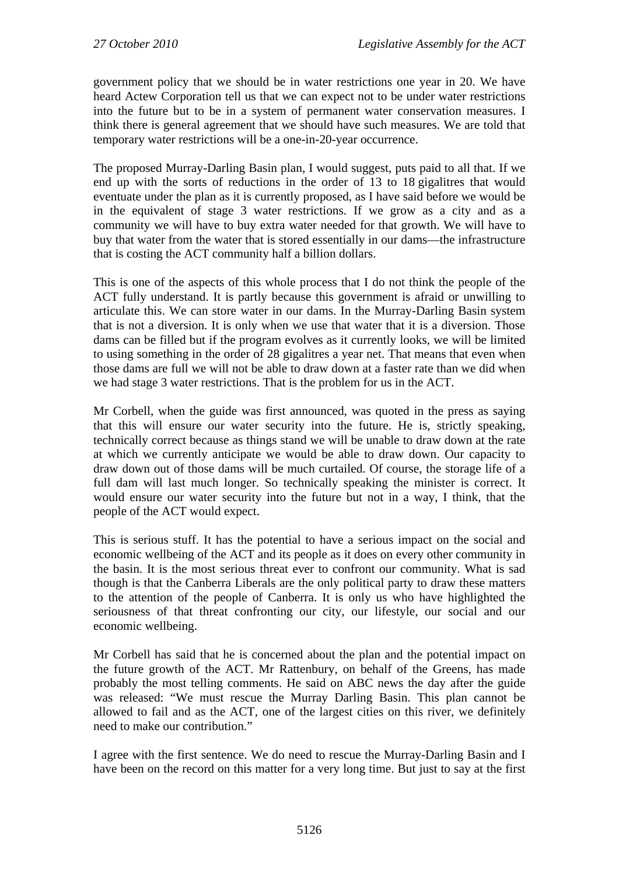government policy that we should be in water restrictions one year in 20. We have heard Actew Corporation tell us that we can expect not to be under water restrictions into the future but to be in a system of permanent water conservation measures. I think there is general agreement that we should have such measures. We are told that temporary water restrictions will be a one-in-20-year occurrence.

The proposed Murray-Darling Basin plan, I would suggest, puts paid to all that. If we end up with the sorts of reductions in the order of 13 to 18 gigalitres that would eventuate under the plan as it is currently proposed, as I have said before we would be in the equivalent of stage 3 water restrictions. If we grow as a city and as a community we will have to buy extra water needed for that growth. We will have to buy that water from the water that is stored essentially in our dams—the infrastructure that is costing the ACT community half a billion dollars.

This is one of the aspects of this whole process that I do not think the people of the ACT fully understand. It is partly because this government is afraid or unwilling to articulate this. We can store water in our dams. In the Murray-Darling Basin system that is not a diversion. It is only when we use that water that it is a diversion. Those dams can be filled but if the program evolves as it currently looks, we will be limited to using something in the order of 28 gigalitres a year net. That means that even when those dams are full we will not be able to draw down at a faster rate than we did when we had stage 3 water restrictions. That is the problem for us in the ACT.

Mr Corbell, when the guide was first announced, was quoted in the press as saying that this will ensure our water security into the future. He is, strictly speaking, technically correct because as things stand we will be unable to draw down at the rate at which we currently anticipate we would be able to draw down. Our capacity to draw down out of those dams will be much curtailed. Of course, the storage life of a full dam will last much longer. So technically speaking the minister is correct. It would ensure our water security into the future but not in a way, I think, that the people of the ACT would expect.

This is serious stuff. It has the potential to have a serious impact on the social and economic wellbeing of the ACT and its people as it does on every other community in the basin. It is the most serious threat ever to confront our community. What is sad though is that the Canberra Liberals are the only political party to draw these matters to the attention of the people of Canberra. It is only us who have highlighted the seriousness of that threat confronting our city, our lifestyle, our social and our economic wellbeing.

Mr Corbell has said that he is concerned about the plan and the potential impact on the future growth of the ACT. Mr Rattenbury, on behalf of the Greens, has made probably the most telling comments. He said on ABC news the day after the guide was released: "We must rescue the Murray Darling Basin. This plan cannot be allowed to fail and as the ACT, one of the largest cities on this river, we definitely need to make our contribution."

I agree with the first sentence. We do need to rescue the Murray-Darling Basin and I have been on the record on this matter for a very long time. But just to say at the first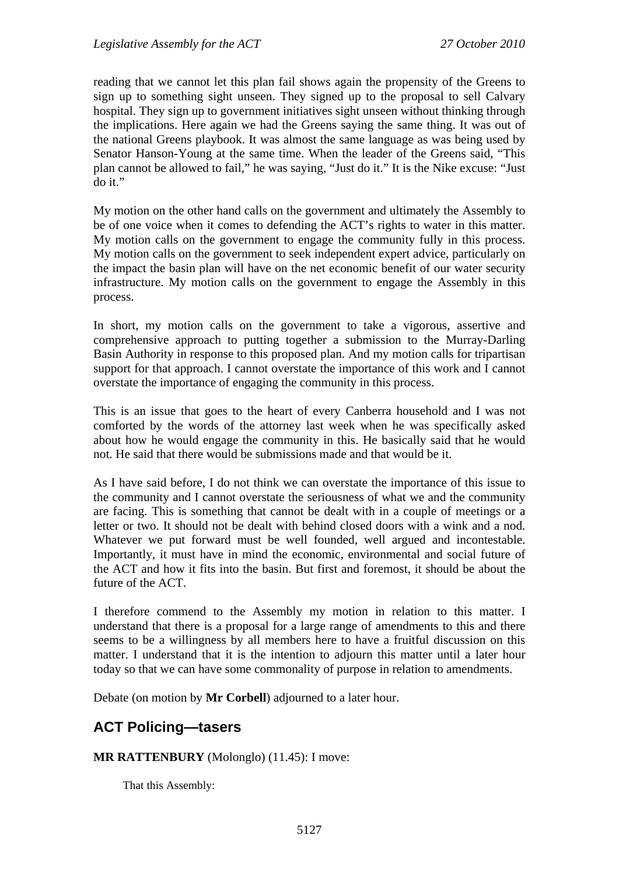reading that we cannot let this plan fail shows again the propensity of the Greens to sign up to something sight unseen. They signed up to the proposal to sell Calvary hospital. They sign up to government initiatives sight unseen without thinking through the implications. Here again we had the Greens saying the same thing. It was out of the national Greens playbook. It was almost the same language as was being used by Senator Hanson-Young at the same time. When the leader of the Greens said, "This plan cannot be allowed to fail," he was saying, "Just do it." It is the Nike excuse: "Just do it."

My motion on the other hand calls on the government and ultimately the Assembly to be of one voice when it comes to defending the ACT's rights to water in this matter. My motion calls on the government to engage the community fully in this process. My motion calls on the government to seek independent expert advice, particularly on the impact the basin plan will have on the net economic benefit of our water security infrastructure. My motion calls on the government to engage the Assembly in this process.

In short, my motion calls on the government to take a vigorous, assertive and comprehensive approach to putting together a submission to the Murray-Darling Basin Authority in response to this proposed plan. And my motion calls for tripartisan support for that approach. I cannot overstate the importance of this work and I cannot overstate the importance of engaging the community in this process.

This is an issue that goes to the heart of every Canberra household and I was not comforted by the words of the attorney last week when he was specifically asked about how he would engage the community in this. He basically said that he would not. He said that there would be submissions made and that would be it.

As I have said before, I do not think we can overstate the importance of this issue to the community and I cannot overstate the seriousness of what we and the community are facing. This is something that cannot be dealt with in a couple of meetings or a letter or two. It should not be dealt with behind closed doors with a wink and a nod. Whatever we put forward must be well founded, well argued and incontestable. Importantly, it must have in mind the economic, environmental and social future of the ACT and how it fits into the basin. But first and foremost, it should be about the future of the ACT.

I therefore commend to the Assembly my motion in relation to this matter. I understand that there is a proposal for a large range of amendments to this and there seems to be a willingness by all members here to have a fruitful discussion on this matter. I understand that it is the intention to adjourn this matter until a later hour today so that we can have some commonality of purpose in relation to amendments.

Debate (on motion by **Mr Corbell**) adjourned to a later hour.

# <span id="page-32-0"></span>**ACT Policing—tasers**

#### **MR RATTENBURY** (Molonglo) (11.45): I move:

That this Assembly: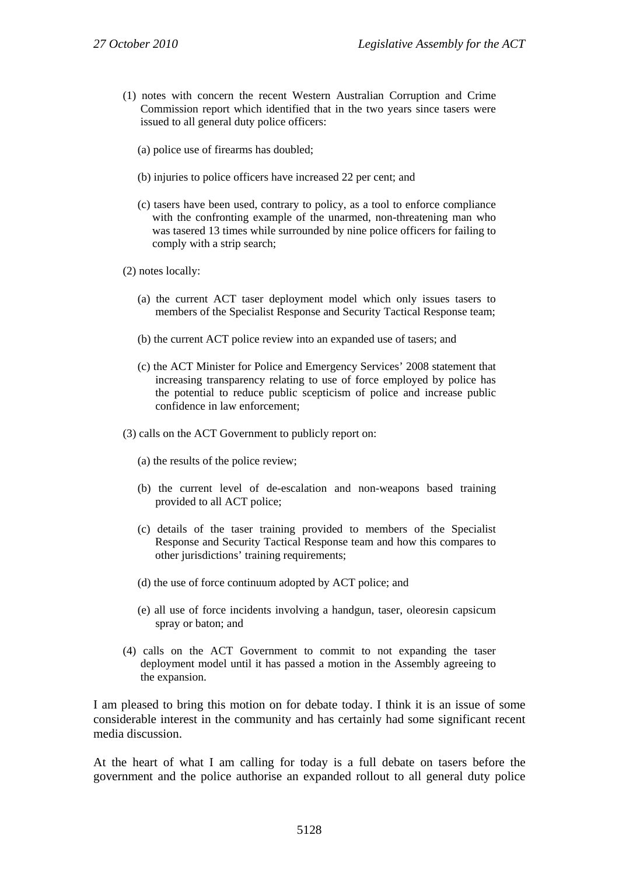- (1) notes with concern the recent Western Australian Corruption and Crime Commission report which identified that in the two years since tasers were issued to all general duty police officers:
	- (a) police use of firearms has doubled;
	- (b) injuries to police officers have increased 22 per cent; and
	- (c) tasers have been used, contrary to policy, as a tool to enforce compliance with the confronting example of the unarmed, non-threatening man who was tasered 13 times while surrounded by nine police officers for failing to comply with a strip search;
- (2) notes locally:
	- (a) the current ACT taser deployment model which only issues tasers to members of the Specialist Response and Security Tactical Response team;
	- (b) the current ACT police review into an expanded use of tasers; and
	- (c) the ACT Minister for Police and Emergency Services' 2008 statement that increasing transparency relating to use of force employed by police has the potential to reduce public scepticism of police and increase public confidence in law enforcement;
- (3) calls on the ACT Government to publicly report on:
	- (a) the results of the police review;
	- (b) the current level of de-escalation and non-weapons based training provided to all ACT police;
	- (c) details of the taser training provided to members of the Specialist Response and Security Tactical Response team and how this compares to other jurisdictions' training requirements;
	- (d) the use of force continuum adopted by ACT police; and
	- (e) all use of force incidents involving a handgun, taser, oleoresin capsicum spray or baton; and
- (4) calls on the ACT Government to commit to not expanding the taser deployment model until it has passed a motion in the Assembly agreeing to the expansion.

I am pleased to bring this motion on for debate today. I think it is an issue of some considerable interest in the community and has certainly had some significant recent media discussion.

At the heart of what I am calling for today is a full debate on tasers before the government and the police authorise an expanded rollout to all general duty police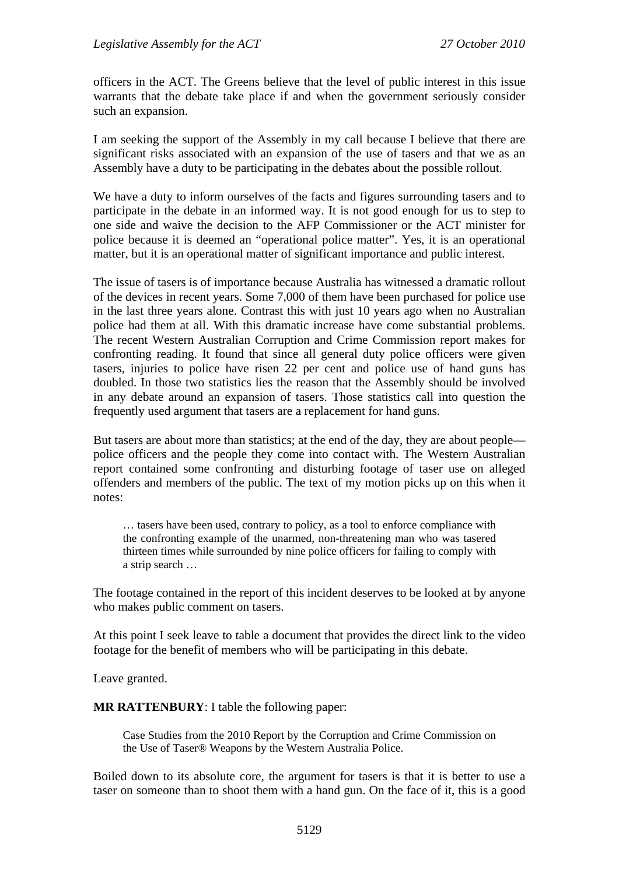officers in the ACT. The Greens believe that the level of public interest in this issue warrants that the debate take place if and when the government seriously consider such an expansion.

I am seeking the support of the Assembly in my call because I believe that there are significant risks associated with an expansion of the use of tasers and that we as an Assembly have a duty to be participating in the debates about the possible rollout.

We have a duty to inform ourselves of the facts and figures surrounding tasers and to participate in the debate in an informed way. It is not good enough for us to step to one side and waive the decision to the AFP Commissioner or the ACT minister for police because it is deemed an "operational police matter". Yes, it is an operational matter, but it is an operational matter of significant importance and public interest.

The issue of tasers is of importance because Australia has witnessed a dramatic rollout of the devices in recent years. Some 7,000 of them have been purchased for police use in the last three years alone. Contrast this with just 10 years ago when no Australian police had them at all. With this dramatic increase have come substantial problems. The recent Western Australian Corruption and Crime Commission report makes for confronting reading. It found that since all general duty police officers were given tasers, injuries to police have risen 22 per cent and police use of hand guns has doubled. In those two statistics lies the reason that the Assembly should be involved in any debate around an expansion of tasers. Those statistics call into question the frequently used argument that tasers are a replacement for hand guns.

But tasers are about more than statistics; at the end of the day, they are about people police officers and the people they come into contact with. The Western Australian report contained some confronting and disturbing footage of taser use on alleged offenders and members of the public. The text of my motion picks up on this when it notes:

… tasers have been used, contrary to policy, as a tool to enforce compliance with the confronting example of the unarmed, non-threatening man who was tasered thirteen times while surrounded by nine police officers for failing to comply with a strip search …

The footage contained in the report of this incident deserves to be looked at by anyone who makes public comment on tasers.

At this point I seek leave to table a document that provides the direct link to the video footage for the benefit of members who will be participating in this debate.

Leave granted.

**MR RATTENBURY**: I table the following paper:

Case Studies from the 2010 Report by the Corruption and Crime Commission on the Use of Taser® Weapons by the Western Australia Police.

Boiled down to its absolute core, the argument for tasers is that it is better to use a taser on someone than to shoot them with a hand gun. On the face of it, this is a good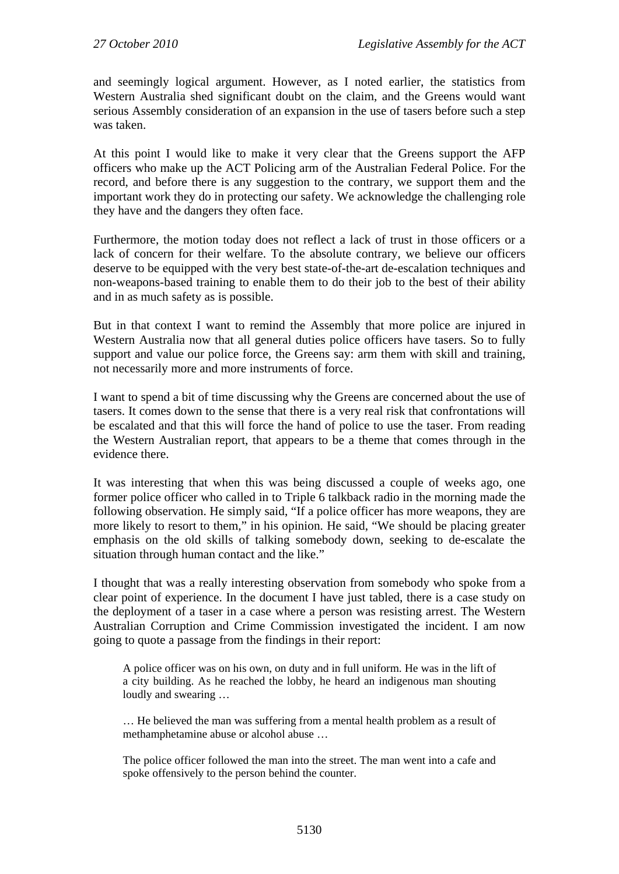and seemingly logical argument. However, as I noted earlier, the statistics from Western Australia shed significant doubt on the claim, and the Greens would want serious Assembly consideration of an expansion in the use of tasers before such a step was taken.

At this point I would like to make it very clear that the Greens support the AFP officers who make up the ACT Policing arm of the Australian Federal Police. For the record, and before there is any suggestion to the contrary, we support them and the important work they do in protecting our safety. We acknowledge the challenging role they have and the dangers they often face.

Furthermore, the motion today does not reflect a lack of trust in those officers or a lack of concern for their welfare. To the absolute contrary, we believe our officers deserve to be equipped with the very best state-of-the-art de-escalation techniques and non-weapons-based training to enable them to do their job to the best of their ability and in as much safety as is possible.

But in that context I want to remind the Assembly that more police are injured in Western Australia now that all general duties police officers have tasers. So to fully support and value our police force, the Greens say: arm them with skill and training, not necessarily more and more instruments of force.

I want to spend a bit of time discussing why the Greens are concerned about the use of tasers. It comes down to the sense that there is a very real risk that confrontations will be escalated and that this will force the hand of police to use the taser. From reading the Western Australian report, that appears to be a theme that comes through in the evidence there.

It was interesting that when this was being discussed a couple of weeks ago, one former police officer who called in to Triple 6 talkback radio in the morning made the following observation. He simply said, "If a police officer has more weapons, they are more likely to resort to them," in his opinion. He said, "We should be placing greater emphasis on the old skills of talking somebody down, seeking to de-escalate the situation through human contact and the like."

I thought that was a really interesting observation from somebody who spoke from a clear point of experience. In the document I have just tabled, there is a case study on the deployment of a taser in a case where a person was resisting arrest. The Western Australian Corruption and Crime Commission investigated the incident. I am now going to quote a passage from the findings in their report:

A police officer was on his own, on duty and in full uniform. He was in the lift of a city building. As he reached the lobby, he heard an indigenous man shouting loudly and swearing …

… He believed the man was suffering from a mental health problem as a result of methamphetamine abuse or alcohol abuse ...

The police officer followed the man into the street. The man went into a cafe and spoke offensively to the person behind the counter.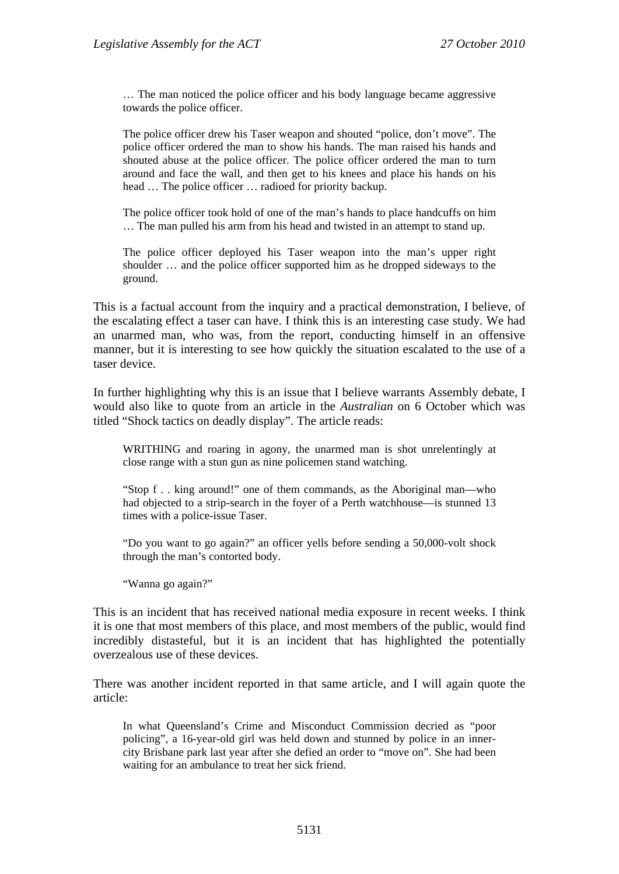… The man noticed the police officer and his body language became aggressive towards the police officer.

The police officer drew his Taser weapon and shouted "police, don't move". The police officer ordered the man to show his hands. The man raised his hands and shouted abuse at the police officer. The police officer ordered the man to turn around and face the wall, and then get to his knees and place his hands on his head … The police officer … radioed for priority backup.

The police officer took hold of one of the man's hands to place handcuffs on him … The man pulled his arm from his head and twisted in an attempt to stand up.

The police officer deployed his Taser weapon into the man's upper right shoulder … and the police officer supported him as he dropped sideways to the ground.

This is a factual account from the inquiry and a practical demonstration, I believe, of the escalating effect a taser can have. I think this is an interesting case study. We had an unarmed man, who was, from the report, conducting himself in an offensive manner, but it is interesting to see how quickly the situation escalated to the use of a taser device.

In further highlighting why this is an issue that I believe warrants Assembly debate, I would also like to quote from an article in the *Australian* on 6 October which was titled "Shock tactics on deadly display". The article reads:

WRITHING and roaring in agony, the unarmed man is shot unrelentingly at close range with a stun gun as nine policemen stand watching.

"Stop f . . king around!" one of them commands, as the Aboriginal man—who had objected to a strip-search in the foyer of a Perth watchhouse—is stunned 13 times with a police-issue Taser.

"Do you want to go again?" an officer yells before sending a 50,000-volt shock through the man's contorted body.

"Wanna go again?"

This is an incident that has received national media exposure in recent weeks. I think it is one that most members of this place, and most members of the public, would find incredibly distasteful, but it is an incident that has highlighted the potentially overzealous use of these devices.

There was another incident reported in that same article, and I will again quote the article:

In what Queensland's Crime and Misconduct Commission decried as "poor policing", a 16-year-old girl was held down and stunned by police in an innercity Brisbane park last year after she defied an order to "move on". She had been waiting for an ambulance to treat her sick friend.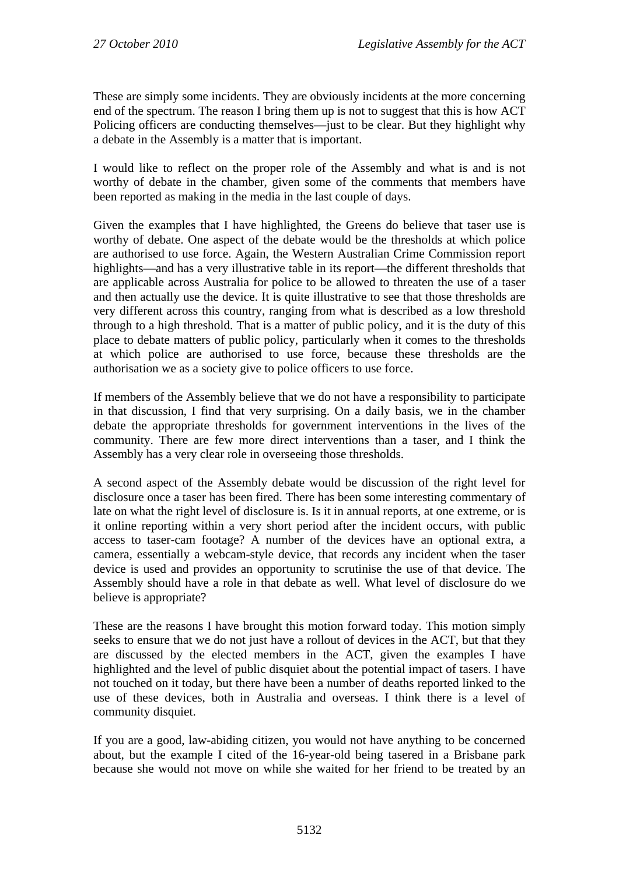These are simply some incidents. They are obviously incidents at the more concerning end of the spectrum. The reason I bring them up is not to suggest that this is how ACT Policing officers are conducting themselves—just to be clear. But they highlight why a debate in the Assembly is a matter that is important.

I would like to reflect on the proper role of the Assembly and what is and is not worthy of debate in the chamber, given some of the comments that members have been reported as making in the media in the last couple of days.

Given the examples that I have highlighted, the Greens do believe that taser use is worthy of debate. One aspect of the debate would be the thresholds at which police are authorised to use force. Again, the Western Australian Crime Commission report highlights—and has a very illustrative table in its report—the different thresholds that are applicable across Australia for police to be allowed to threaten the use of a taser and then actually use the device. It is quite illustrative to see that those thresholds are very different across this country, ranging from what is described as a low threshold through to a high threshold. That is a matter of public policy, and it is the duty of this place to debate matters of public policy, particularly when it comes to the thresholds at which police are authorised to use force, because these thresholds are the authorisation we as a society give to police officers to use force.

If members of the Assembly believe that we do not have a responsibility to participate in that discussion, I find that very surprising. On a daily basis, we in the chamber debate the appropriate thresholds for government interventions in the lives of the community. There are few more direct interventions than a taser, and I think the Assembly has a very clear role in overseeing those thresholds.

A second aspect of the Assembly debate would be discussion of the right level for disclosure once a taser has been fired. There has been some interesting commentary of late on what the right level of disclosure is. Is it in annual reports, at one extreme, or is it online reporting within a very short period after the incident occurs, with public access to taser-cam footage? A number of the devices have an optional extra, a camera, essentially a webcam-style device, that records any incident when the taser device is used and provides an opportunity to scrutinise the use of that device. The Assembly should have a role in that debate as well. What level of disclosure do we believe is appropriate?

These are the reasons I have brought this motion forward today. This motion simply seeks to ensure that we do not just have a rollout of devices in the ACT, but that they are discussed by the elected members in the ACT, given the examples I have highlighted and the level of public disquiet about the potential impact of tasers. I have not touched on it today, but there have been a number of deaths reported linked to the use of these devices, both in Australia and overseas. I think there is a level of community disquiet.

If you are a good, law-abiding citizen, you would not have anything to be concerned about, but the example I cited of the 16-year-old being tasered in a Brisbane park because she would not move on while she waited for her friend to be treated by an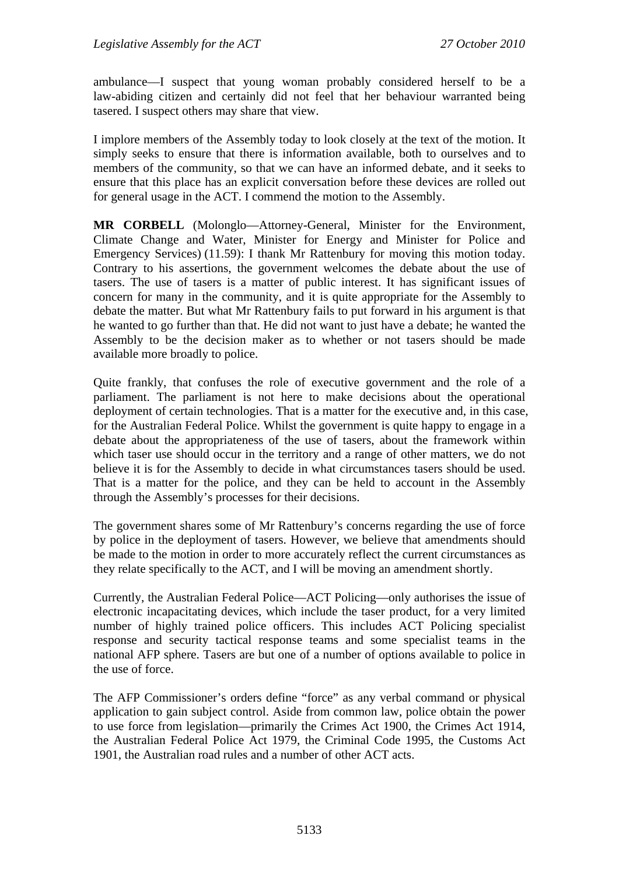ambulance—I suspect that young woman probably considered herself to be a law-abiding citizen and certainly did not feel that her behaviour warranted being tasered. I suspect others may share that view.

I implore members of the Assembly today to look closely at the text of the motion. It simply seeks to ensure that there is information available, both to ourselves and to members of the community, so that we can have an informed debate, and it seeks to ensure that this place has an explicit conversation before these devices are rolled out for general usage in the ACT. I commend the motion to the Assembly.

**MR CORBELL** (Molonglo—Attorney-General, Minister for the Environment, Climate Change and Water, Minister for Energy and Minister for Police and Emergency Services) (11.59): I thank Mr Rattenbury for moving this motion today. Contrary to his assertions, the government welcomes the debate about the use of tasers. The use of tasers is a matter of public interest. It has significant issues of concern for many in the community, and it is quite appropriate for the Assembly to debate the matter. But what Mr Rattenbury fails to put forward in his argument is that he wanted to go further than that. He did not want to just have a debate; he wanted the Assembly to be the decision maker as to whether or not tasers should be made available more broadly to police.

Quite frankly, that confuses the role of executive government and the role of a parliament. The parliament is not here to make decisions about the operational deployment of certain technologies. That is a matter for the executive and, in this case, for the Australian Federal Police. Whilst the government is quite happy to engage in a debate about the appropriateness of the use of tasers, about the framework within which taser use should occur in the territory and a range of other matters, we do not believe it is for the Assembly to decide in what circumstances tasers should be used. That is a matter for the police, and they can be held to account in the Assembly through the Assembly's processes for their decisions.

The government shares some of Mr Rattenbury's concerns regarding the use of force by police in the deployment of tasers. However, we believe that amendments should be made to the motion in order to more accurately reflect the current circumstances as they relate specifically to the ACT, and I will be moving an amendment shortly.

Currently, the Australian Federal Police—ACT Policing—only authorises the issue of electronic incapacitating devices, which include the taser product, for a very limited number of highly trained police officers. This includes ACT Policing specialist response and security tactical response teams and some specialist teams in the national AFP sphere. Tasers are but one of a number of options available to police in the use of force.

The AFP Commissioner's orders define "force" as any verbal command or physical application to gain subject control. Aside from common law, police obtain the power to use force from legislation—primarily the Crimes Act 1900, the Crimes Act 1914, the Australian Federal Police Act 1979, the Criminal Code 1995, the Customs Act 1901, the Australian road rules and a number of other ACT acts.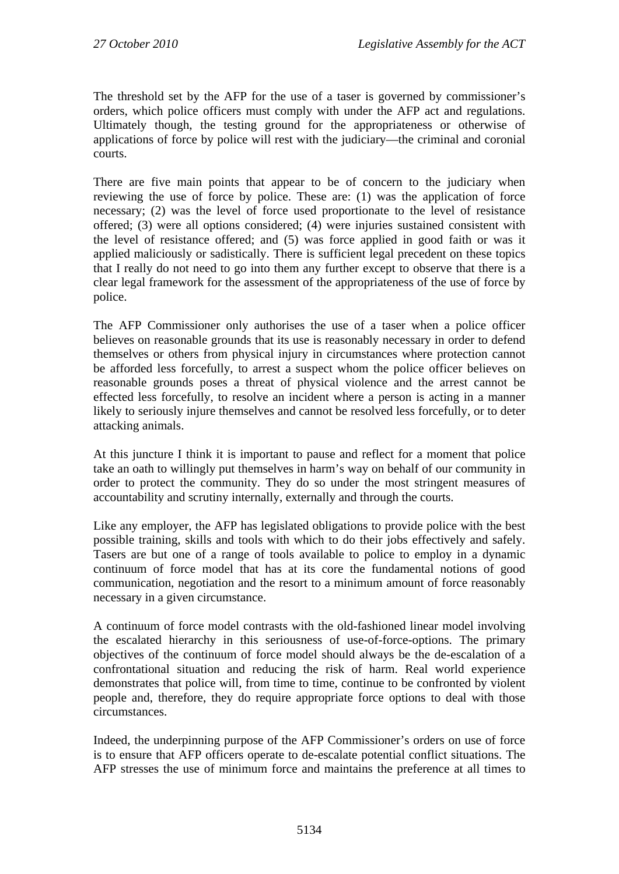The threshold set by the AFP for the use of a taser is governed by commissioner's orders, which police officers must comply with under the AFP act and regulations. Ultimately though, the testing ground for the appropriateness or otherwise of applications of force by police will rest with the judiciary—the criminal and coronial courts.

There are five main points that appear to be of concern to the judiciary when reviewing the use of force by police. These are: (1) was the application of force necessary; (2) was the level of force used proportionate to the level of resistance offered; (3) were all options considered; (4) were injuries sustained consistent with the level of resistance offered; and (5) was force applied in good faith or was it applied maliciously or sadistically. There is sufficient legal precedent on these topics that I really do not need to go into them any further except to observe that there is a clear legal framework for the assessment of the appropriateness of the use of force by police.

The AFP Commissioner only authorises the use of a taser when a police officer believes on reasonable grounds that its use is reasonably necessary in order to defend themselves or others from physical injury in circumstances where protection cannot be afforded less forcefully, to arrest a suspect whom the police officer believes on reasonable grounds poses a threat of physical violence and the arrest cannot be effected less forcefully, to resolve an incident where a person is acting in a manner likely to seriously injure themselves and cannot be resolved less forcefully, or to deter attacking animals.

At this juncture I think it is important to pause and reflect for a moment that police take an oath to willingly put themselves in harm's way on behalf of our community in order to protect the community. They do so under the most stringent measures of accountability and scrutiny internally, externally and through the courts.

Like any employer, the AFP has legislated obligations to provide police with the best possible training, skills and tools with which to do their jobs effectively and safely. Tasers are but one of a range of tools available to police to employ in a dynamic continuum of force model that has at its core the fundamental notions of good communication, negotiation and the resort to a minimum amount of force reasonably necessary in a given circumstance.

A continuum of force model contrasts with the old-fashioned linear model involving the escalated hierarchy in this seriousness of use-of-force-options. The primary objectives of the continuum of force model should always be the de-escalation of a confrontational situation and reducing the risk of harm. Real world experience demonstrates that police will, from time to time, continue to be confronted by violent people and, therefore, they do require appropriate force options to deal with those circumstances.

Indeed, the underpinning purpose of the AFP Commissioner's orders on use of force is to ensure that AFP officers operate to de-escalate potential conflict situations. The AFP stresses the use of minimum force and maintains the preference at all times to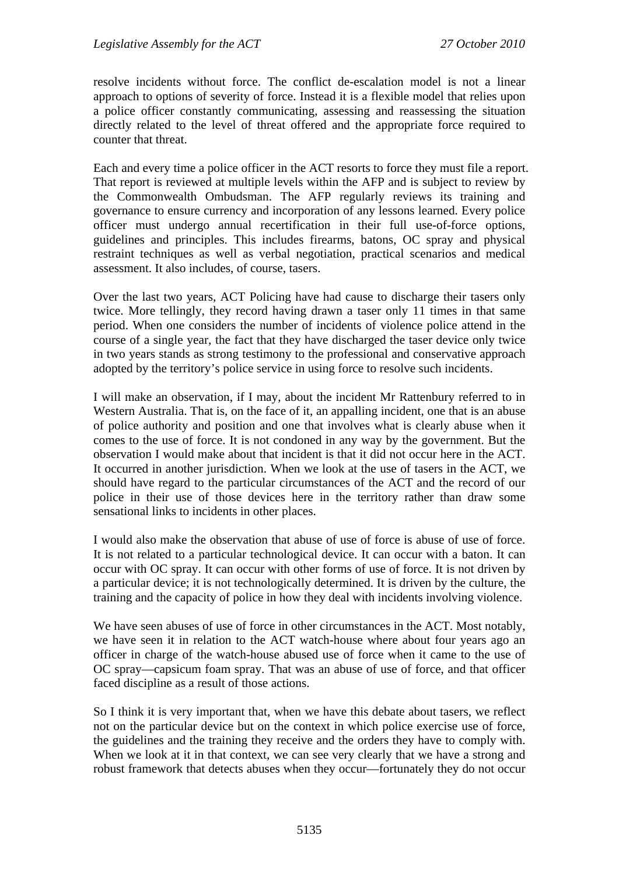resolve incidents without force. The conflict de-escalation model is not a linear approach to options of severity of force. Instead it is a flexible model that relies upon a police officer constantly communicating, assessing and reassessing the situation directly related to the level of threat offered and the appropriate force required to counter that threat.

Each and every time a police officer in the ACT resorts to force they must file a report. That report is reviewed at multiple levels within the AFP and is subject to review by the Commonwealth Ombudsman. The AFP regularly reviews its training and governance to ensure currency and incorporation of any lessons learned. Every police officer must undergo annual recertification in their full use-of-force options, guidelines and principles. This includes firearms, batons, OC spray and physical restraint techniques as well as verbal negotiation, practical scenarios and medical assessment. It also includes, of course, tasers.

Over the last two years, ACT Policing have had cause to discharge their tasers only twice. More tellingly, they record having drawn a taser only 11 times in that same period. When one considers the number of incidents of violence police attend in the course of a single year, the fact that they have discharged the taser device only twice in two years stands as strong testimony to the professional and conservative approach adopted by the territory's police service in using force to resolve such incidents.

I will make an observation, if I may, about the incident Mr Rattenbury referred to in Western Australia. That is, on the face of it, an appalling incident, one that is an abuse of police authority and position and one that involves what is clearly abuse when it comes to the use of force. It is not condoned in any way by the government. But the observation I would make about that incident is that it did not occur here in the ACT. It occurred in another jurisdiction. When we look at the use of tasers in the ACT, we should have regard to the particular circumstances of the ACT and the record of our police in their use of those devices here in the territory rather than draw some sensational links to incidents in other places.

I would also make the observation that abuse of use of force is abuse of use of force. It is not related to a particular technological device. It can occur with a baton. It can occur with OC spray. It can occur with other forms of use of force. It is not driven by a particular device; it is not technologically determined. It is driven by the culture, the training and the capacity of police in how they deal with incidents involving violence.

We have seen abuses of use of force in other circumstances in the ACT. Most notably, we have seen it in relation to the ACT watch-house where about four years ago an officer in charge of the watch-house abused use of force when it came to the use of OC spray—capsicum foam spray. That was an abuse of use of force, and that officer faced discipline as a result of those actions.

So I think it is very important that, when we have this debate about tasers, we reflect not on the particular device but on the context in which police exercise use of force, the guidelines and the training they receive and the orders they have to comply with. When we look at it in that context, we can see very clearly that we have a strong and robust framework that detects abuses when they occur—fortunately they do not occur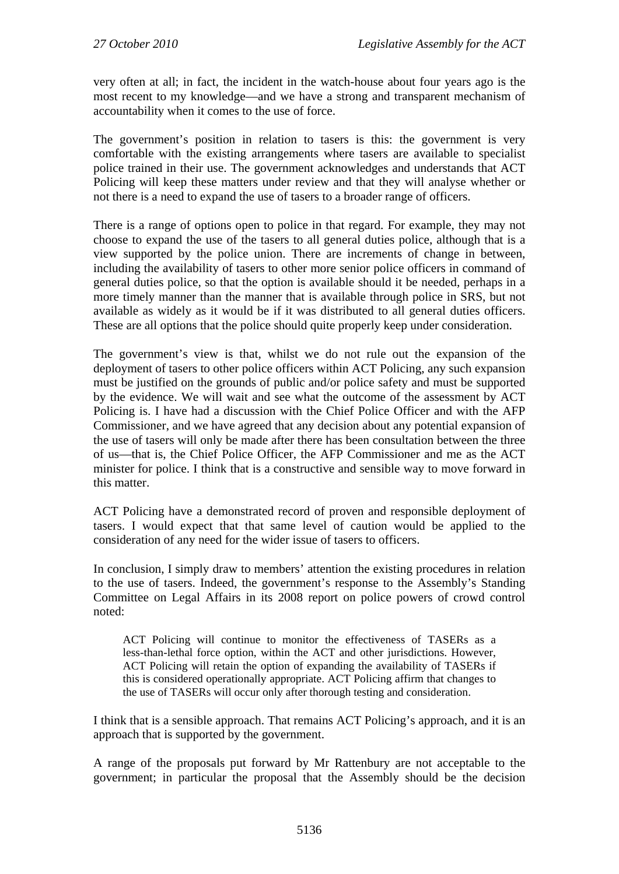very often at all; in fact, the incident in the watch-house about four years ago is the most recent to my knowledge—and we have a strong and transparent mechanism of accountability when it comes to the use of force.

The government's position in relation to tasers is this: the government is very comfortable with the existing arrangements where tasers are available to specialist police trained in their use. The government acknowledges and understands that ACT Policing will keep these matters under review and that they will analyse whether or not there is a need to expand the use of tasers to a broader range of officers.

There is a range of options open to police in that regard. For example, they may not choose to expand the use of the tasers to all general duties police, although that is a view supported by the police union. There are increments of change in between, including the availability of tasers to other more senior police officers in command of general duties police, so that the option is available should it be needed, perhaps in a more timely manner than the manner that is available through police in SRS, but not available as widely as it would be if it was distributed to all general duties officers. These are all options that the police should quite properly keep under consideration.

The government's view is that, whilst we do not rule out the expansion of the deployment of tasers to other police officers within ACT Policing, any such expansion must be justified on the grounds of public and/or police safety and must be supported by the evidence. We will wait and see what the outcome of the assessment by ACT Policing is. I have had a discussion with the Chief Police Officer and with the AFP Commissioner, and we have agreed that any decision about any potential expansion of the use of tasers will only be made after there has been consultation between the three of us—that is, the Chief Police Officer, the AFP Commissioner and me as the ACT minister for police. I think that is a constructive and sensible way to move forward in this matter.

ACT Policing have a demonstrated record of proven and responsible deployment of tasers. I would expect that that same level of caution would be applied to the consideration of any need for the wider issue of tasers to officers.

In conclusion, I simply draw to members' attention the existing procedures in relation to the use of tasers. Indeed, the government's response to the Assembly's Standing Committee on Legal Affairs in its 2008 report on police powers of crowd control noted:

ACT Policing will continue to monitor the effectiveness of TASERs as a less-than-lethal force option, within the ACT and other jurisdictions. However, ACT Policing will retain the option of expanding the availability of TASERs if this is considered operationally appropriate. ACT Policing affirm that changes to the use of TASERs will occur only after thorough testing and consideration.

I think that is a sensible approach. That remains ACT Policing's approach, and it is an approach that is supported by the government.

A range of the proposals put forward by Mr Rattenbury are not acceptable to the government; in particular the proposal that the Assembly should be the decision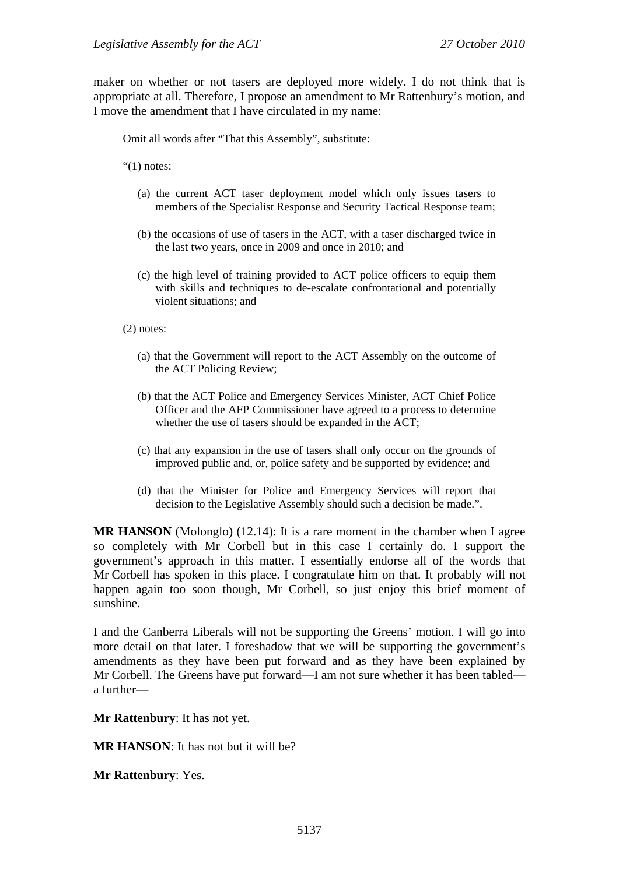maker on whether or not tasers are deployed more widely. I do not think that is appropriate at all. Therefore, I propose an amendment to Mr Rattenbury's motion, and I move the amendment that I have circulated in my name:

Omit all words after "That this Assembly", substitute:

" $(1)$  notes:

- (a) the current ACT taser deployment model which only issues tasers to members of the Specialist Response and Security Tactical Response team;
- (b) the occasions of use of tasers in the ACT, with a taser discharged twice in the last two years, once in 2009 and once in 2010; and
- (c) the high level of training provided to ACT police officers to equip them with skills and techniques to de-escalate confrontational and potentially violent situations; and

(2) notes:

- (a) that the Government will report to the ACT Assembly on the outcome of the ACT Policing Review;
- (b) that the ACT Police and Emergency Services Minister, ACT Chief Police Officer and the AFP Commissioner have agreed to a process to determine whether the use of tasers should be expanded in the ACT;
- (c) that any expansion in the use of tasers shall only occur on the grounds of improved public and, or, police safety and be supported by evidence; and
- (d) that the Minister for Police and Emergency Services will report that decision to the Legislative Assembly should such a decision be made.".

**MR HANSON** (Molonglo) (12.14): It is a rare moment in the chamber when I agree so completely with Mr Corbell but in this case I certainly do. I support the government's approach in this matter. I essentially endorse all of the words that Mr Corbell has spoken in this place. I congratulate him on that. It probably will not happen again too soon though, Mr Corbell, so just enjoy this brief moment of sunshine.

I and the Canberra Liberals will not be supporting the Greens' motion. I will go into more detail on that later. I foreshadow that we will be supporting the government's amendments as they have been put forward and as they have been explained by Mr Corbell. The Greens have put forward—I am not sure whether it has been tabled a further—

**Mr Rattenbury**: It has not yet.

**MR HANSON**: It has not but it will be?

**Mr Rattenbury**: Yes.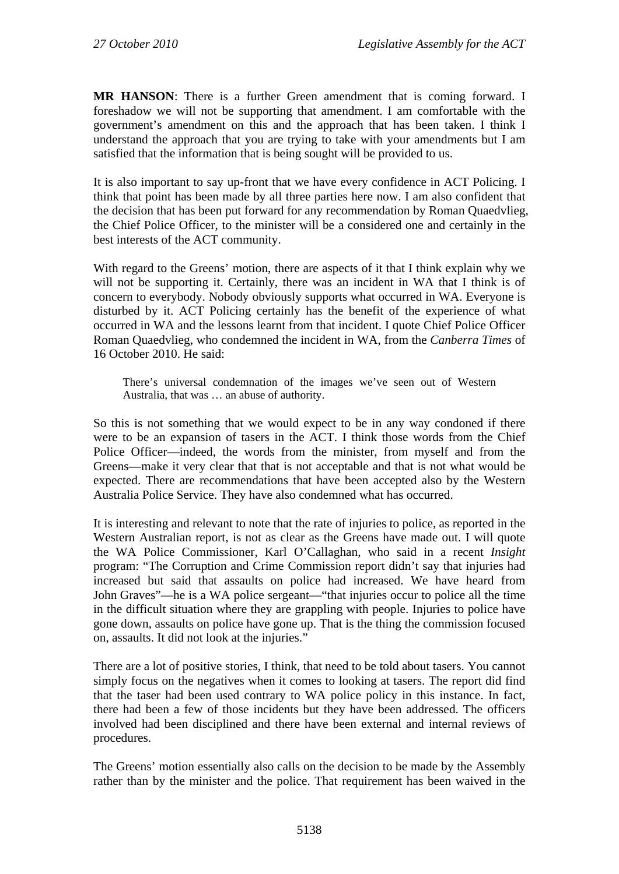**MR HANSON**: There is a further Green amendment that is coming forward. I foreshadow we will not be supporting that amendment. I am comfortable with the government's amendment on this and the approach that has been taken. I think I understand the approach that you are trying to take with your amendments but I am satisfied that the information that is being sought will be provided to us.

It is also important to say up-front that we have every confidence in ACT Policing. I think that point has been made by all three parties here now. I am also confident that the decision that has been put forward for any recommendation by Roman Quaedvlieg, the Chief Police Officer, to the minister will be a considered one and certainly in the best interests of the ACT community.

With regard to the Greens' motion, there are aspects of it that I think explain why we will not be supporting it. Certainly, there was an incident in WA that I think is of concern to everybody. Nobody obviously supports what occurred in WA. Everyone is disturbed by it. ACT Policing certainly has the benefit of the experience of what occurred in WA and the lessons learnt from that incident. I quote Chief Police Officer Roman Quaedvlieg, who condemned the incident in WA, from the *Canberra Times* of 16 October 2010. He said:

There's universal condemnation of the images we've seen out of Western Australia, that was … an abuse of authority.

So this is not something that we would expect to be in any way condoned if there were to be an expansion of tasers in the ACT. I think those words from the Chief Police Officer—indeed, the words from the minister, from myself and from the Greens—make it very clear that that is not acceptable and that is not what would be expected. There are recommendations that have been accepted also by the Western Australia Police Service. They have also condemned what has occurred.

It is interesting and relevant to note that the rate of injuries to police, as reported in the Western Australian report, is not as clear as the Greens have made out. I will quote the WA Police Commissioner, Karl O'Callaghan, who said in a recent *Insight* program: "The Corruption and Crime Commission report didn't say that injuries had increased but said that assaults on police had increased. We have heard from John Graves"—he is a WA police sergeant—"that injuries occur to police all the time in the difficult situation where they are grappling with people. Injuries to police have gone down, assaults on police have gone up. That is the thing the commission focused on, assaults. It did not look at the injuries."

There are a lot of positive stories, I think, that need to be told about tasers. You cannot simply focus on the negatives when it comes to looking at tasers. The report did find that the taser had been used contrary to WA police policy in this instance. In fact, there had been a few of those incidents but they have been addressed. The officers involved had been disciplined and there have been external and internal reviews of procedures.

The Greens' motion essentially also calls on the decision to be made by the Assembly rather than by the minister and the police. That requirement has been waived in the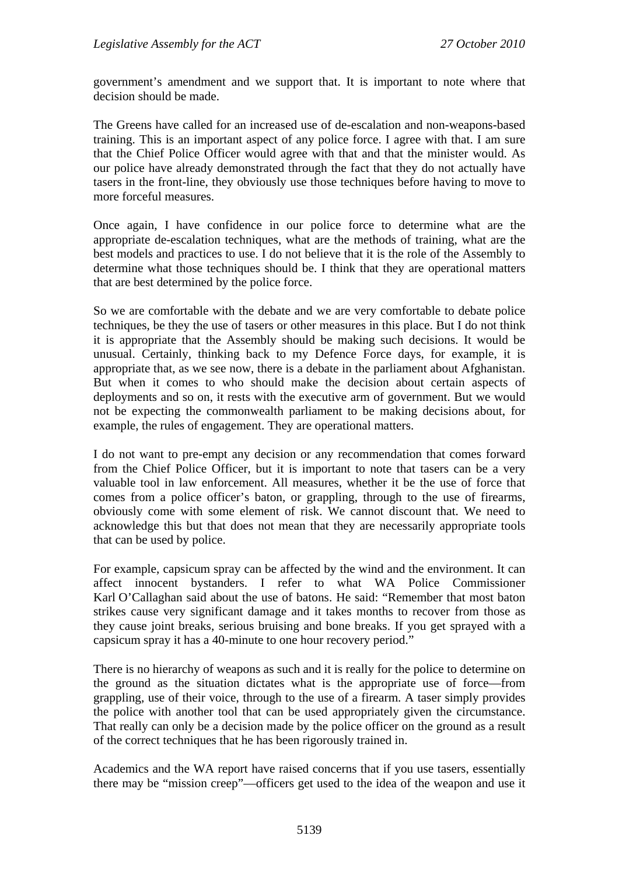government's amendment and we support that. It is important to note where that decision should be made.

The Greens have called for an increased use of de-escalation and non-weapons-based training. This is an important aspect of any police force. I agree with that. I am sure that the Chief Police Officer would agree with that and that the minister would. As our police have already demonstrated through the fact that they do not actually have tasers in the front-line, they obviously use those techniques before having to move to more forceful measures.

Once again, I have confidence in our police force to determine what are the appropriate de-escalation techniques, what are the methods of training, what are the best models and practices to use. I do not believe that it is the role of the Assembly to determine what those techniques should be. I think that they are operational matters that are best determined by the police force.

So we are comfortable with the debate and we are very comfortable to debate police techniques, be they the use of tasers or other measures in this place. But I do not think it is appropriate that the Assembly should be making such decisions. It would be unusual. Certainly, thinking back to my Defence Force days, for example, it is appropriate that, as we see now, there is a debate in the parliament about Afghanistan. But when it comes to who should make the decision about certain aspects of deployments and so on, it rests with the executive arm of government. But we would not be expecting the commonwealth parliament to be making decisions about, for example, the rules of engagement. They are operational matters.

I do not want to pre-empt any decision or any recommendation that comes forward from the Chief Police Officer, but it is important to note that tasers can be a very valuable tool in law enforcement. All measures, whether it be the use of force that comes from a police officer's baton, or grappling, through to the use of firearms, obviously come with some element of risk. We cannot discount that. We need to acknowledge this but that does not mean that they are necessarily appropriate tools that can be used by police.

For example, capsicum spray can be affected by the wind and the environment. It can affect innocent bystanders. I refer to what WA Police Commissioner Karl O'Callaghan said about the use of batons. He said: "Remember that most baton strikes cause very significant damage and it takes months to recover from those as they cause joint breaks, serious bruising and bone breaks. If you get sprayed with a capsicum spray it has a 40-minute to one hour recovery period."

There is no hierarchy of weapons as such and it is really for the police to determine on the ground as the situation dictates what is the appropriate use of force—from grappling, use of their voice, through to the use of a firearm. A taser simply provides the police with another tool that can be used appropriately given the circumstance. That really can only be a decision made by the police officer on the ground as a result of the correct techniques that he has been rigorously trained in.

Academics and the WA report have raised concerns that if you use tasers, essentially there may be "mission creep"—officers get used to the idea of the weapon and use it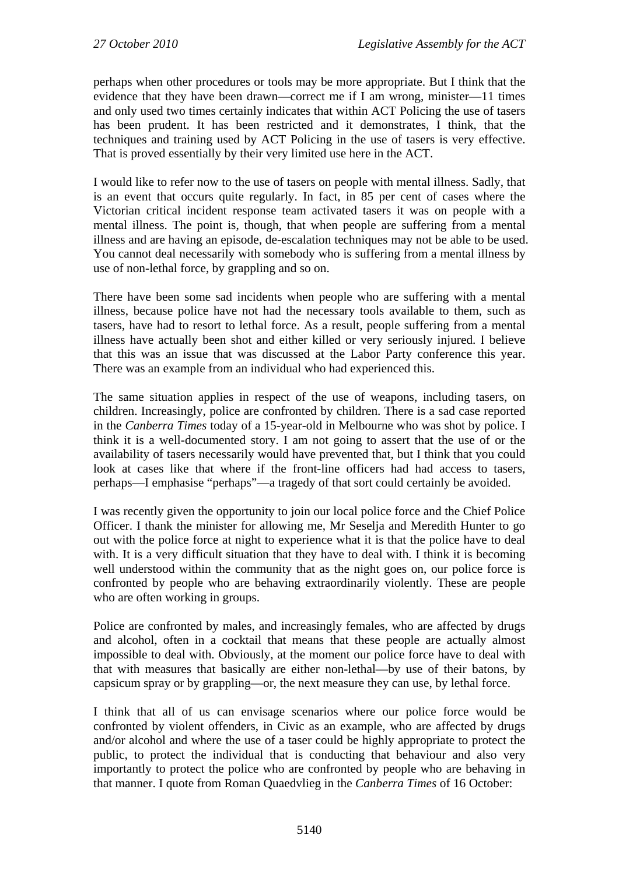perhaps when other procedures or tools may be more appropriate. But I think that the evidence that they have been drawn—correct me if I am wrong, minister—11 times and only used two times certainly indicates that within ACT Policing the use of tasers has been prudent. It has been restricted and it demonstrates, I think, that the techniques and training used by ACT Policing in the use of tasers is very effective. That is proved essentially by their very limited use here in the ACT.

I would like to refer now to the use of tasers on people with mental illness. Sadly, that is an event that occurs quite regularly. In fact, in 85 per cent of cases where the Victorian critical incident response team activated tasers it was on people with a mental illness. The point is, though, that when people are suffering from a mental illness and are having an episode, de-escalation techniques may not be able to be used. You cannot deal necessarily with somebody who is suffering from a mental illness by use of non-lethal force, by grappling and so on.

There have been some sad incidents when people who are suffering with a mental illness, because police have not had the necessary tools available to them, such as tasers, have had to resort to lethal force. As a result, people suffering from a mental illness have actually been shot and either killed or very seriously injured. I believe that this was an issue that was discussed at the Labor Party conference this year. There was an example from an individual who had experienced this.

The same situation applies in respect of the use of weapons, including tasers, on children. Increasingly, police are confronted by children. There is a sad case reported in the *Canberra Times* today of a 15-year-old in Melbourne who was shot by police. I think it is a well-documented story. I am not going to assert that the use of or the availability of tasers necessarily would have prevented that, but I think that you could look at cases like that where if the front-line officers had had access to tasers, perhaps—I emphasise "perhaps"—a tragedy of that sort could certainly be avoided.

I was recently given the opportunity to join our local police force and the Chief Police Officer. I thank the minister for allowing me, Mr Seselja and Meredith Hunter to go out with the police force at night to experience what it is that the police have to deal with. It is a very difficult situation that they have to deal with. I think it is becoming well understood within the community that as the night goes on, our police force is confronted by people who are behaving extraordinarily violently. These are people who are often working in groups.

Police are confronted by males, and increasingly females, who are affected by drugs and alcohol, often in a cocktail that means that these people are actually almost impossible to deal with. Obviously, at the moment our police force have to deal with that with measures that basically are either non-lethal—by use of their batons, by capsicum spray or by grappling—or, the next measure they can use, by lethal force.

I think that all of us can envisage scenarios where our police force would be confronted by violent offenders, in Civic as an example, who are affected by drugs and/or alcohol and where the use of a taser could be highly appropriate to protect the public, to protect the individual that is conducting that behaviour and also very importantly to protect the police who are confronted by people who are behaving in that manner. I quote from Roman Quaedvlieg in the *Canberra Times* of 16 October: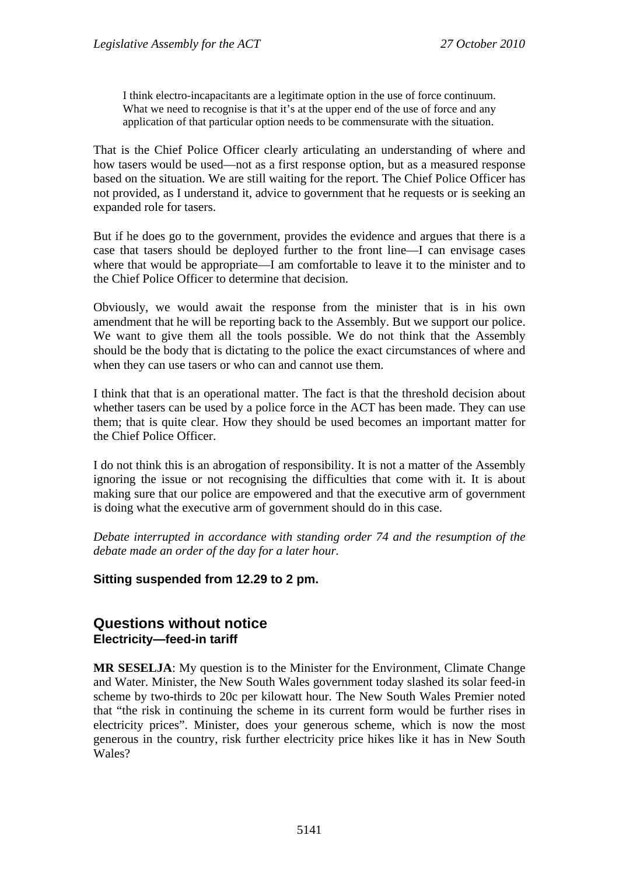I think electro-incapacitants are a legitimate option in the use of force continuum. What we need to recognise is that it's at the upper end of the use of force and any application of that particular option needs to be commensurate with the situation.

That is the Chief Police Officer clearly articulating an understanding of where and how tasers would be used—not as a first response option, but as a measured response based on the situation. We are still waiting for the report. The Chief Police Officer has not provided, as I understand it, advice to government that he requests or is seeking an expanded role for tasers.

But if he does go to the government, provides the evidence and argues that there is a case that tasers should be deployed further to the front line—I can envisage cases where that would be appropriate—I am comfortable to leave it to the minister and to the Chief Police Officer to determine that decision.

Obviously, we would await the response from the minister that is in his own amendment that he will be reporting back to the Assembly. But we support our police. We want to give them all the tools possible. We do not think that the Assembly should be the body that is dictating to the police the exact circumstances of where and when they can use tasers or who can and cannot use them.

I think that that is an operational matter. The fact is that the threshold decision about whether tasers can be used by a police force in the ACT has been made. They can use them; that is quite clear. How they should be used becomes an important matter for the Chief Police Officer.

I do not think this is an abrogation of responsibility. It is not a matter of the Assembly ignoring the issue or not recognising the difficulties that come with it. It is about making sure that our police are empowered and that the executive arm of government is doing what the executive arm of government should do in this case.

*Debate interrupted in accordance with standing order 74 and the resumption of the debate made an order of the day for a later hour.* 

**Sitting suspended from 12.29 to 2 pm.** 

# **Questions without notice Electricity—feed-in tariff**

**MR SESELJA**: My question is to the Minister for the Environment, Climate Change and Water. Minister, the New South Wales government today slashed its solar feed-in scheme by two-thirds to 20c per kilowatt hour. The New South Wales Premier noted that "the risk in continuing the scheme in its current form would be further rises in electricity prices". Minister, does your generous scheme, which is now the most generous in the country, risk further electricity price hikes like it has in New South Wales?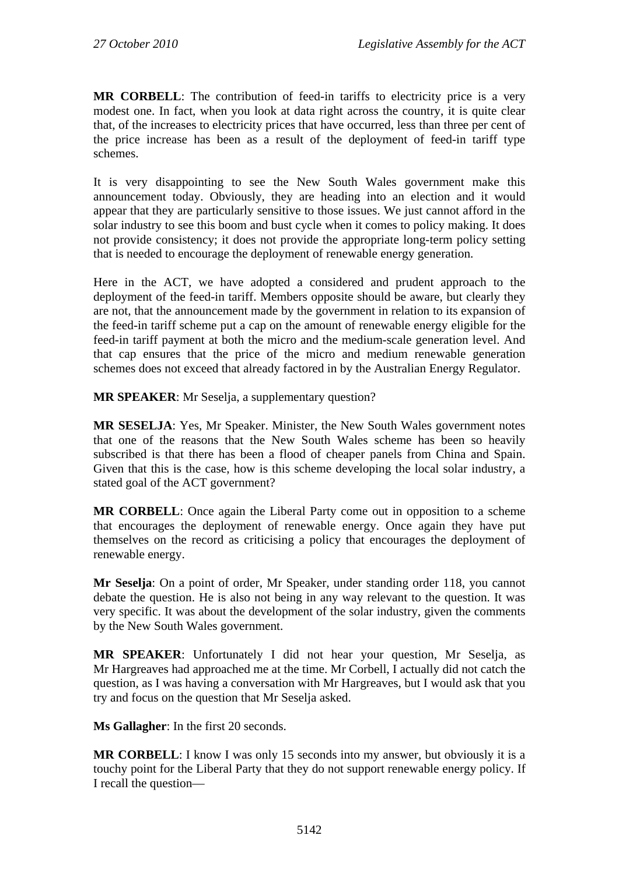**MR CORBELL**: The contribution of feed-in tariffs to electricity price is a very modest one. In fact, when you look at data right across the country, it is quite clear that, of the increases to electricity prices that have occurred, less than three per cent of the price increase has been as a result of the deployment of feed-in tariff type schemes.

It is very disappointing to see the New South Wales government make this announcement today. Obviously, they are heading into an election and it would appear that they are particularly sensitive to those issues. We just cannot afford in the solar industry to see this boom and bust cycle when it comes to policy making. It does not provide consistency; it does not provide the appropriate long-term policy setting that is needed to encourage the deployment of renewable energy generation.

Here in the ACT, we have adopted a considered and prudent approach to the deployment of the feed-in tariff. Members opposite should be aware, but clearly they are not, that the announcement made by the government in relation to its expansion of the feed-in tariff scheme put a cap on the amount of renewable energy eligible for the feed-in tariff payment at both the micro and the medium-scale generation level. And that cap ensures that the price of the micro and medium renewable generation schemes does not exceed that already factored in by the Australian Energy Regulator.

**MR SPEAKER**: Mr Seselja, a supplementary question?

**MR SESELJA**: Yes, Mr Speaker. Minister, the New South Wales government notes that one of the reasons that the New South Wales scheme has been so heavily subscribed is that there has been a flood of cheaper panels from China and Spain. Given that this is the case, how is this scheme developing the local solar industry, a stated goal of the ACT government?

**MR CORBELL**: Once again the Liberal Party come out in opposition to a scheme that encourages the deployment of renewable energy. Once again they have put themselves on the record as criticising a policy that encourages the deployment of renewable energy.

**Mr Seselja**: On a point of order, Mr Speaker, under standing order 118, you cannot debate the question. He is also not being in any way relevant to the question. It was very specific. It was about the development of the solar industry, given the comments by the New South Wales government.

**MR SPEAKER**: Unfortunately I did not hear your question, Mr Seselja, as Mr Hargreaves had approached me at the time. Mr Corbell, I actually did not catch the question, as I was having a conversation with Mr Hargreaves, but I would ask that you try and focus on the question that Mr Seselja asked.

**Ms Gallagher**: In the first 20 seconds.

**MR CORBELL:** I know I was only 15 seconds into my answer, but obviously it is a touchy point for the Liberal Party that they do not support renewable energy policy. If I recall the question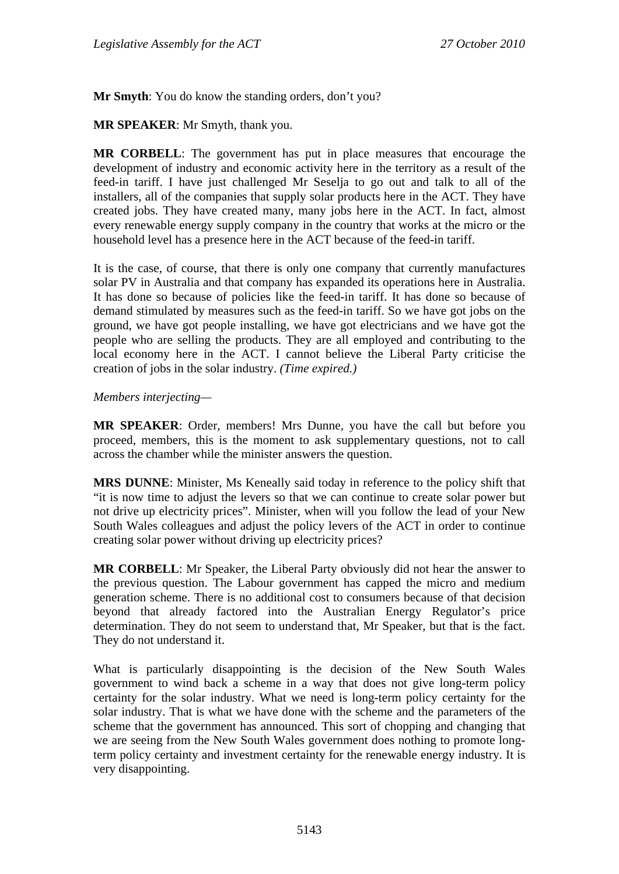**Mr Smyth**: You do know the standing orders, don't you?

**MR SPEAKER**: Mr Smyth, thank you.

**MR CORBELL**: The government has put in place measures that encourage the development of industry and economic activity here in the territory as a result of the feed-in tariff. I have just challenged Mr Seselja to go out and talk to all of the installers, all of the companies that supply solar products here in the ACT. They have created jobs. They have created many, many jobs here in the ACT. In fact, almost every renewable energy supply company in the country that works at the micro or the household level has a presence here in the ACT because of the feed-in tariff.

It is the case, of course, that there is only one company that currently manufactures solar PV in Australia and that company has expanded its operations here in Australia. It has done so because of policies like the feed-in tariff. It has done so because of demand stimulated by measures such as the feed-in tariff. So we have got jobs on the ground, we have got people installing, we have got electricians and we have got the people who are selling the products. They are all employed and contributing to the local economy here in the ACT. I cannot believe the Liberal Party criticise the creation of jobs in the solar industry. *(Time expired.)*

#### *Members interjecting—*

**MR SPEAKER**: Order, members! Mrs Dunne, you have the call but before you proceed, members, this is the moment to ask supplementary questions, not to call across the chamber while the minister answers the question.

**MRS DUNNE**: Minister, Ms Keneally said today in reference to the policy shift that "it is now time to adjust the levers so that we can continue to create solar power but not drive up electricity prices". Minister, when will you follow the lead of your New South Wales colleagues and adjust the policy levers of the ACT in order to continue creating solar power without driving up electricity prices?

**MR CORBELL**: Mr Speaker, the Liberal Party obviously did not hear the answer to the previous question. The Labour government has capped the micro and medium generation scheme. There is no additional cost to consumers because of that decision beyond that already factored into the Australian Energy Regulator's price determination. They do not seem to understand that, Mr Speaker, but that is the fact. They do not understand it.

What is particularly disappointing is the decision of the New South Wales government to wind back a scheme in a way that does not give long-term policy certainty for the solar industry. What we need is long-term policy certainty for the solar industry. That is what we have done with the scheme and the parameters of the scheme that the government has announced. This sort of chopping and changing that we are seeing from the New South Wales government does nothing to promote longterm policy certainty and investment certainty for the renewable energy industry. It is very disappointing.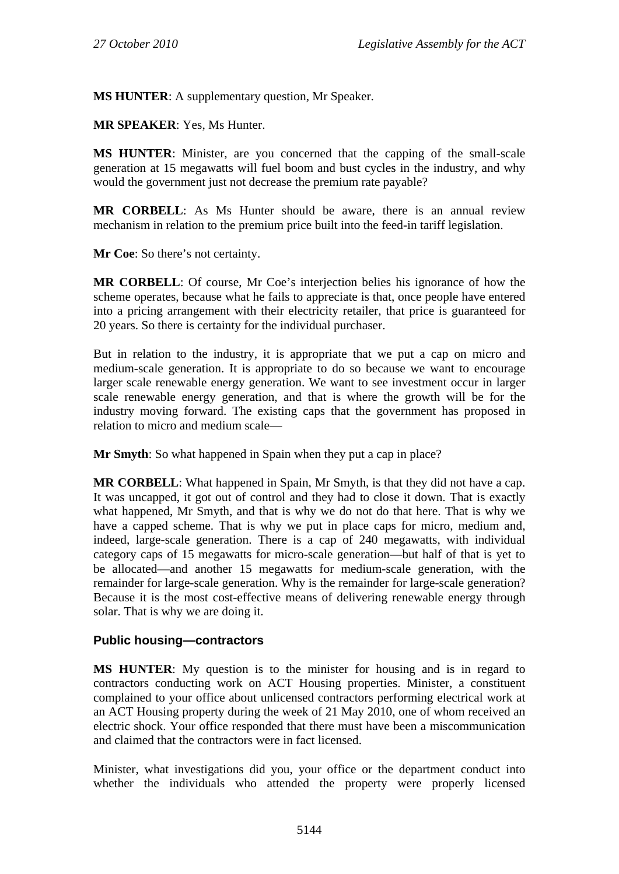**MS HUNTER**: A supplementary question, Mr Speaker.

**MR SPEAKER**: Yes, Ms Hunter.

**MS HUNTER**: Minister, are you concerned that the capping of the small-scale generation at 15 megawatts will fuel boom and bust cycles in the industry, and why would the government just not decrease the premium rate payable?

**MR CORBELL**: As Ms Hunter should be aware, there is an annual review mechanism in relation to the premium price built into the feed-in tariff legislation.

**Mr Coe**: So there's not certainty.

**MR CORBELL**: Of course, Mr Coe's interjection belies his ignorance of how the scheme operates, because what he fails to appreciate is that, once people have entered into a pricing arrangement with their electricity retailer, that price is guaranteed for 20 years. So there is certainty for the individual purchaser.

But in relation to the industry, it is appropriate that we put a cap on micro and medium-scale generation. It is appropriate to do so because we want to encourage larger scale renewable energy generation. We want to see investment occur in larger scale renewable energy generation, and that is where the growth will be for the industry moving forward. The existing caps that the government has proposed in relation to micro and medium scale—

**Mr Smyth**: So what happened in Spain when they put a cap in place?

**MR CORBELL**: What happened in Spain, Mr Smyth, is that they did not have a cap. It was uncapped, it got out of control and they had to close it down. That is exactly what happened, Mr Smyth, and that is why we do not do that here. That is why we have a capped scheme. That is why we put in place caps for micro, medium and, indeed, large-scale generation. There is a cap of 240 megawatts, with individual category caps of 15 megawatts for micro-scale generation—but half of that is yet to be allocated—and another 15 megawatts for medium-scale generation, with the remainder for large-scale generation. Why is the remainder for large-scale generation? Because it is the most cost-effective means of delivering renewable energy through solar. That is why we are doing it.

# **Public housing—contractors**

**MS HUNTER**: My question is to the minister for housing and is in regard to contractors conducting work on ACT Housing properties. Minister, a constituent complained to your office about unlicensed contractors performing electrical work at an ACT Housing property during the week of 21 May 2010, one of whom received an electric shock. Your office responded that there must have been a miscommunication and claimed that the contractors were in fact licensed.

Minister, what investigations did you, your office or the department conduct into whether the individuals who attended the property were properly licensed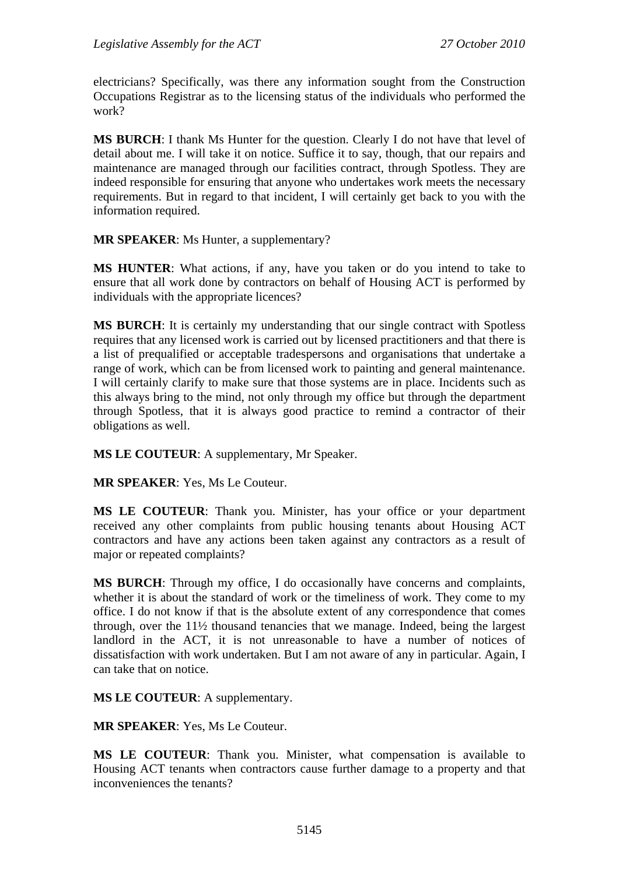electricians? Specifically, was there any information sought from the Construction Occupations Registrar as to the licensing status of the individuals who performed the work?

**MS BURCH**: I thank Ms Hunter for the question. Clearly I do not have that level of detail about me. I will take it on notice. Suffice it to say, though, that our repairs and maintenance are managed through our facilities contract, through Spotless. They are indeed responsible for ensuring that anyone who undertakes work meets the necessary requirements. But in regard to that incident, I will certainly get back to you with the information required.

**MR SPEAKER**: Ms Hunter, a supplementary?

**MS HUNTER**: What actions, if any, have you taken or do you intend to take to ensure that all work done by contractors on behalf of Housing ACT is performed by individuals with the appropriate licences?

**MS BURCH**: It is certainly my understanding that our single contract with Spotless requires that any licensed work is carried out by licensed practitioners and that there is a list of prequalified or acceptable tradespersons and organisations that undertake a range of work, which can be from licensed work to painting and general maintenance. I will certainly clarify to make sure that those systems are in place. Incidents such as this always bring to the mind, not only through my office but through the department through Spotless, that it is always good practice to remind a contractor of their obligations as well.

**MS LE COUTEUR**: A supplementary, Mr Speaker.

**MR SPEAKER**: Yes, Ms Le Couteur.

**MS LE COUTEUR**: Thank you. Minister, has your office or your department received any other complaints from public housing tenants about Housing ACT contractors and have any actions been taken against any contractors as a result of major or repeated complaints?

**MS BURCH**: Through my office, I do occasionally have concerns and complaints, whether it is about the standard of work or the timeliness of work. They come to my office. I do not know if that is the absolute extent of any correspondence that comes through, over the 11½ thousand tenancies that we manage. Indeed, being the largest landlord in the ACT, it is not unreasonable to have a number of notices of dissatisfaction with work undertaken. But I am not aware of any in particular. Again, I can take that on notice.

**MS LE COUTEUR**: A supplementary.

**MR SPEAKER**: Yes, Ms Le Couteur.

**MS LE COUTEUR**: Thank you. Minister, what compensation is available to Housing ACT tenants when contractors cause further damage to a property and that inconveniences the tenants?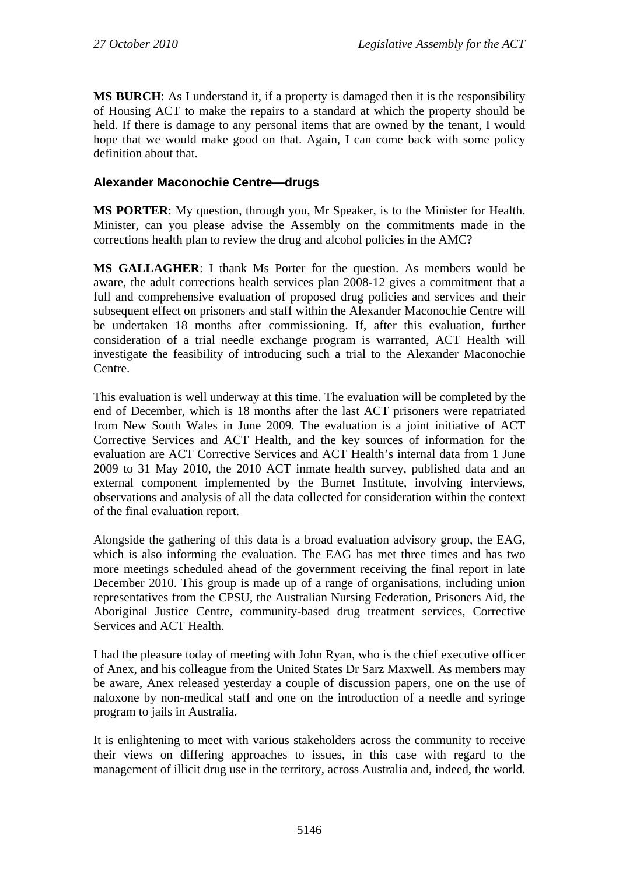**MS BURCH**: As I understand it, if a property is damaged then it is the responsibility of Housing ACT to make the repairs to a standard at which the property should be held. If there is damage to any personal items that are owned by the tenant, I would hope that we would make good on that. Again, I can come back with some policy definition about that.

# **Alexander Maconochie Centre—drugs**

**MS PORTER**: My question, through you, Mr Speaker, is to the Minister for Health. Minister, can you please advise the Assembly on the commitments made in the corrections health plan to review the drug and alcohol policies in the AMC?

**MS GALLAGHER**: I thank Ms Porter for the question. As members would be aware, the adult corrections health services plan 2008-12 gives a commitment that a full and comprehensive evaluation of proposed drug policies and services and their subsequent effect on prisoners and staff within the Alexander Maconochie Centre will be undertaken 18 months after commissioning. If, after this evaluation, further consideration of a trial needle exchange program is warranted, ACT Health will investigate the feasibility of introducing such a trial to the Alexander Maconochie Centre.

This evaluation is well underway at this time. The evaluation will be completed by the end of December, which is 18 months after the last ACT prisoners were repatriated from New South Wales in June 2009. The evaluation is a joint initiative of ACT Corrective Services and ACT Health, and the key sources of information for the evaluation are ACT Corrective Services and ACT Health's internal data from 1 June 2009 to 31 May 2010, the 2010 ACT inmate health survey, published data and an external component implemented by the Burnet Institute, involving interviews, observations and analysis of all the data collected for consideration within the context of the final evaluation report.

Alongside the gathering of this data is a broad evaluation advisory group, the EAG, which is also informing the evaluation. The EAG has met three times and has two more meetings scheduled ahead of the government receiving the final report in late December 2010. This group is made up of a range of organisations, including union representatives from the CPSU, the Australian Nursing Federation, Prisoners Aid, the Aboriginal Justice Centre, community-based drug treatment services, Corrective Services and ACT Health.

I had the pleasure today of meeting with John Ryan, who is the chief executive officer of Anex, and his colleague from the United States Dr Sarz Maxwell. As members may be aware, Anex released yesterday a couple of discussion papers, one on the use of naloxone by non-medical staff and one on the introduction of a needle and syringe program to jails in Australia.

It is enlightening to meet with various stakeholders across the community to receive their views on differing approaches to issues, in this case with regard to the management of illicit drug use in the territory, across Australia and, indeed, the world.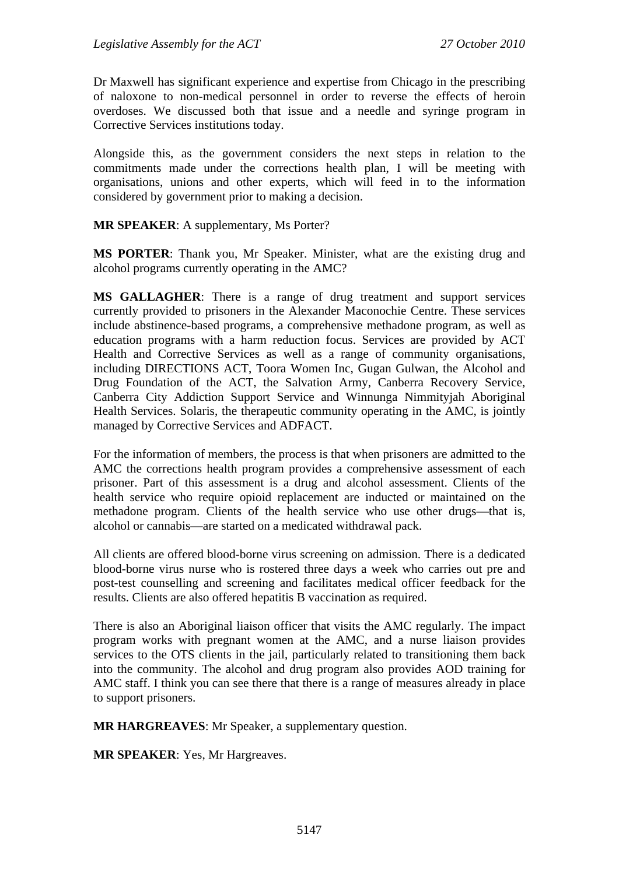Dr Maxwell has significant experience and expertise from Chicago in the prescribing of naloxone to non-medical personnel in order to reverse the effects of heroin overdoses. We discussed both that issue and a needle and syringe program in Corrective Services institutions today.

Alongside this, as the government considers the next steps in relation to the commitments made under the corrections health plan, I will be meeting with organisations, unions and other experts, which will feed in to the information considered by government prior to making a decision.

#### **MR SPEAKER**: A supplementary, Ms Porter?

**MS PORTER**: Thank you, Mr Speaker. Minister, what are the existing drug and alcohol programs currently operating in the AMC?

**MS GALLAGHER**: There is a range of drug treatment and support services currently provided to prisoners in the Alexander Maconochie Centre. These services include abstinence-based programs, a comprehensive methadone program, as well as education programs with a harm reduction focus. Services are provided by ACT Health and Corrective Services as well as a range of community organisations, including DIRECTIONS ACT, Toora Women Inc, Gugan Gulwan, the Alcohol and Drug Foundation of the ACT, the Salvation Army, Canberra Recovery Service, Canberra City Addiction Support Service and Winnunga Nimmityjah Aboriginal Health Services. Solaris, the therapeutic community operating in the AMC, is jointly managed by Corrective Services and ADFACT.

For the information of members, the process is that when prisoners are admitted to the AMC the corrections health program provides a comprehensive assessment of each prisoner. Part of this assessment is a drug and alcohol assessment. Clients of the health service who require opioid replacement are inducted or maintained on the methadone program. Clients of the health service who use other drugs—that is, alcohol or cannabis—are started on a medicated withdrawal pack.

All clients are offered blood-borne virus screening on admission. There is a dedicated blood-borne virus nurse who is rostered three days a week who carries out pre and post-test counselling and screening and facilitates medical officer feedback for the results. Clients are also offered hepatitis B vaccination as required.

There is also an Aboriginal liaison officer that visits the AMC regularly. The impact program works with pregnant women at the AMC, and a nurse liaison provides services to the OTS clients in the jail, particularly related to transitioning them back into the community. The alcohol and drug program also provides AOD training for AMC staff. I think you can see there that there is a range of measures already in place to support prisoners.

**MR HARGREAVES**: Mr Speaker, a supplementary question.

**MR SPEAKER**: Yes, Mr Hargreaves.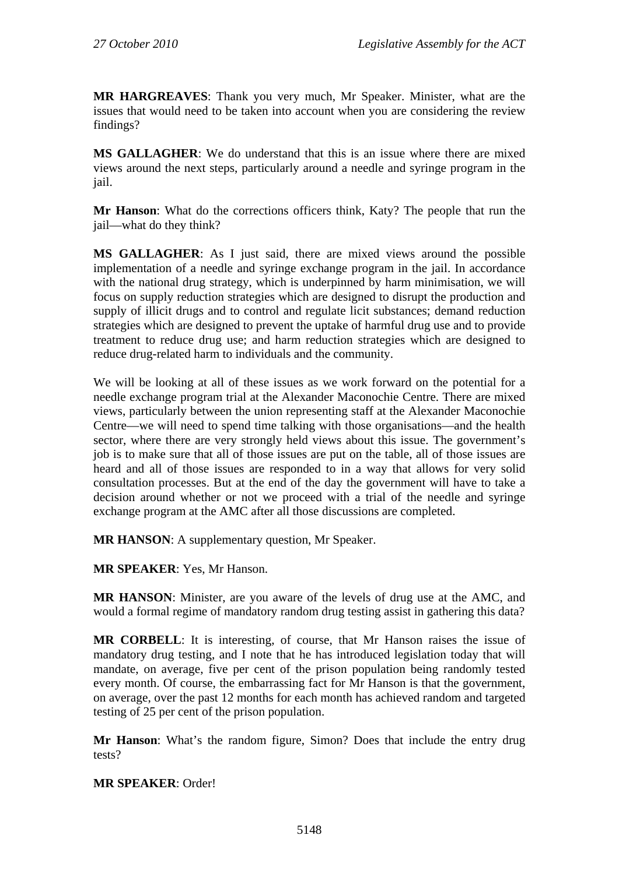**MR HARGREAVES**: Thank you very much, Mr Speaker. Minister, what are the issues that would need to be taken into account when you are considering the review findings?

**MS GALLAGHER**: We do understand that this is an issue where there are mixed views around the next steps, particularly around a needle and syringe program in the jail.

**Mr Hanson**: What do the corrections officers think, Katy? The people that run the jail—what do they think?

**MS GALLAGHER**: As I just said, there are mixed views around the possible implementation of a needle and syringe exchange program in the jail. In accordance with the national drug strategy, which is underpinned by harm minimisation, we will focus on supply reduction strategies which are designed to disrupt the production and supply of illicit drugs and to control and regulate licit substances; demand reduction strategies which are designed to prevent the uptake of harmful drug use and to provide treatment to reduce drug use; and harm reduction strategies which are designed to reduce drug-related harm to individuals and the community.

We will be looking at all of these issues as we work forward on the potential for a needle exchange program trial at the Alexander Maconochie Centre. There are mixed views, particularly between the union representing staff at the Alexander Maconochie Centre—we will need to spend time talking with those organisations—and the health sector, where there are very strongly held views about this issue. The government's job is to make sure that all of those issues are put on the table, all of those issues are heard and all of those issues are responded to in a way that allows for very solid consultation processes. But at the end of the day the government will have to take a decision around whether or not we proceed with a trial of the needle and syringe exchange program at the AMC after all those discussions are completed.

**MR HANSON**: A supplementary question, Mr Speaker.

**MR SPEAKER**: Yes, Mr Hanson.

**MR HANSON**: Minister, are you aware of the levels of drug use at the AMC, and would a formal regime of mandatory random drug testing assist in gathering this data?

**MR CORBELL**: It is interesting, of course, that Mr Hanson raises the issue of mandatory drug testing, and I note that he has introduced legislation today that will mandate, on average, five per cent of the prison population being randomly tested every month. Of course, the embarrassing fact for Mr Hanson is that the government, on average, over the past 12 months for each month has achieved random and targeted testing of 25 per cent of the prison population.

**Mr Hanson**: What's the random figure, Simon? Does that include the entry drug tests?

**MR SPEAKER**: Order!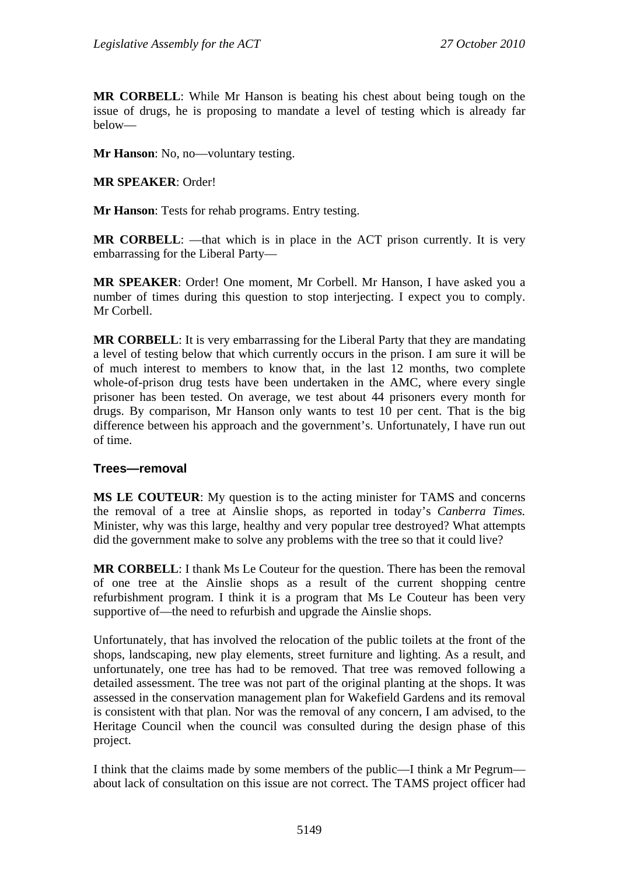**MR CORBELL**: While Mr Hanson is beating his chest about being tough on the issue of drugs, he is proposing to mandate a level of testing which is already far below—

**Mr Hanson**: No, no—voluntary testing.

**MR SPEAKER**: Order!

**Mr Hanson**: Tests for rehab programs. Entry testing.

**MR CORBELL:** —that which is in place in the ACT prison currently. It is very embarrassing for the Liberal Party—

**MR SPEAKER**: Order! One moment, Mr Corbell. Mr Hanson, I have asked you a number of times during this question to stop interjecting. I expect you to comply. Mr Corbell.

**MR CORBELL**: It is very embarrassing for the Liberal Party that they are mandating a level of testing below that which currently occurs in the prison. I am sure it will be of much interest to members to know that, in the last 12 months, two complete whole-of-prison drug tests have been undertaken in the AMC, where every single prisoner has been tested. On average, we test about 44 prisoners every month for drugs. By comparison, Mr Hanson only wants to test 10 per cent. That is the big difference between his approach and the government's. Unfortunately, I have run out of time.

#### **Trees—removal**

**MS LE COUTEUR**: My question is to the acting minister for TAMS and concerns the removal of a tree at Ainslie shops, as reported in today's *Canberra Times.* Minister, why was this large, healthy and very popular tree destroyed? What attempts did the government make to solve any problems with the tree so that it could live?

**MR CORBELL:** I thank Ms Le Couteur for the question. There has been the removal of one tree at the Ainslie shops as a result of the current shopping centre refurbishment program. I think it is a program that Ms Le Couteur has been very supportive of—the need to refurbish and upgrade the Ainslie shops.

Unfortunately, that has involved the relocation of the public toilets at the front of the shops, landscaping, new play elements, street furniture and lighting. As a result, and unfortunately, one tree has had to be removed. That tree was removed following a detailed assessment. The tree was not part of the original planting at the shops. It was assessed in the conservation management plan for Wakefield Gardens and its removal is consistent with that plan. Nor was the removal of any concern, I am advised, to the Heritage Council when the council was consulted during the design phase of this project.

I think that the claims made by some members of the public—I think a Mr Pegrum about lack of consultation on this issue are not correct. The TAMS project officer had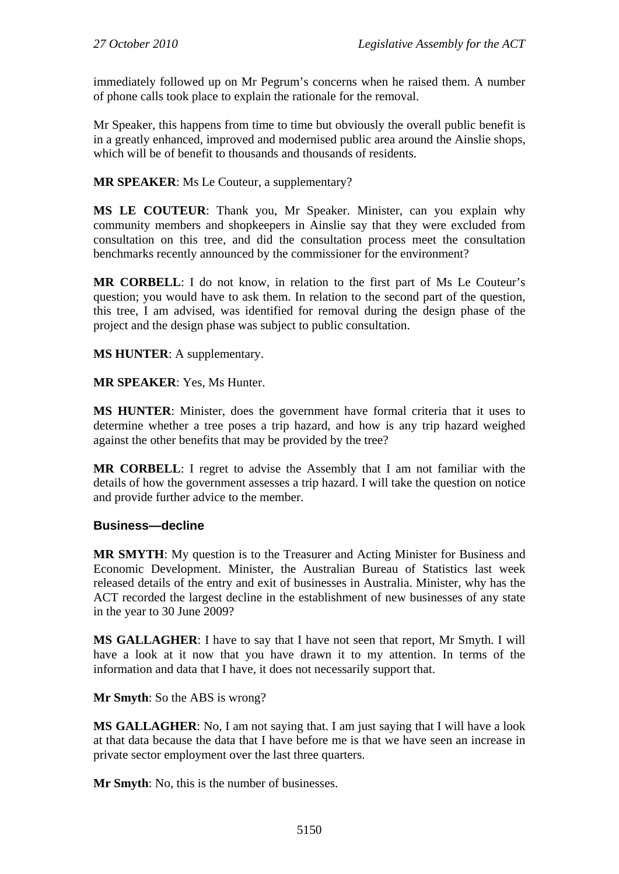immediately followed up on Mr Pegrum's concerns when he raised them. A number of phone calls took place to explain the rationale for the removal.

Mr Speaker, this happens from time to time but obviously the overall public benefit is in a greatly enhanced, improved and modernised public area around the Ainslie shops, which will be of benefit to thousands and thousands of residents.

**MR SPEAKER**: Ms Le Couteur, a supplementary?

**MS LE COUTEUR**: Thank you, Mr Speaker. Minister, can you explain why community members and shopkeepers in Ainslie say that they were excluded from consultation on this tree, and did the consultation process meet the consultation benchmarks recently announced by the commissioner for the environment?

**MR CORBELL**: I do not know, in relation to the first part of Ms Le Couteur's question; you would have to ask them. In relation to the second part of the question, this tree, I am advised, was identified for removal during the design phase of the project and the design phase was subject to public consultation.

**MS HUNTER**: A supplementary.

**MR SPEAKER**: Yes, Ms Hunter.

**MS HUNTER**: Minister, does the government have formal criteria that it uses to determine whether a tree poses a trip hazard, and how is any trip hazard weighed against the other benefits that may be provided by the tree?

**MR CORBELL**: I regret to advise the Assembly that I am not familiar with the details of how the government assesses a trip hazard. I will take the question on notice and provide further advice to the member.

#### **Business—decline**

**MR SMYTH**: My question is to the Treasurer and Acting Minister for Business and Economic Development. Minister, the Australian Bureau of Statistics last week released details of the entry and exit of businesses in Australia. Minister, why has the ACT recorded the largest decline in the establishment of new businesses of any state in the year to 30 June 2009?

**MS GALLAGHER**: I have to say that I have not seen that report, Mr Smyth. I will have a look at it now that you have drawn it to my attention. In terms of the information and data that I have, it does not necessarily support that.

**Mr Smyth**: So the ABS is wrong?

**MS GALLAGHER**: No, I am not saying that. I am just saying that I will have a look at that data because the data that I have before me is that we have seen an increase in private sector employment over the last three quarters.

**Mr Smyth**: No, this is the number of businesses.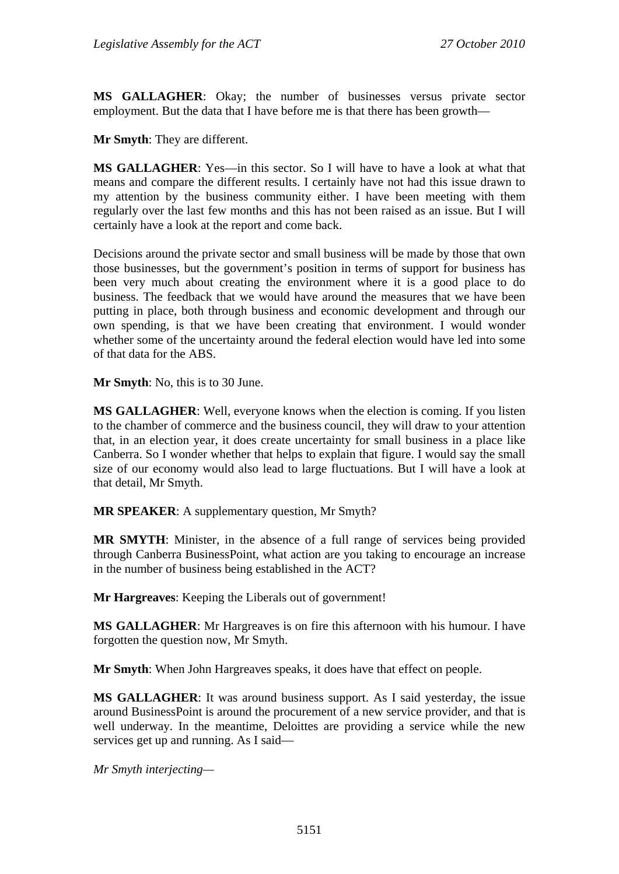**MS GALLAGHER**: Okay; the number of businesses versus private sector employment. But the data that I have before me is that there has been growth—

**Mr Smyth**: They are different.

**MS GALLAGHER**: Yes—in this sector. So I will have to have a look at what that means and compare the different results. I certainly have not had this issue drawn to my attention by the business community either. I have been meeting with them regularly over the last few months and this has not been raised as an issue. But I will certainly have a look at the report and come back.

Decisions around the private sector and small business will be made by those that own those businesses, but the government's position in terms of support for business has been very much about creating the environment where it is a good place to do business. The feedback that we would have around the measures that we have been putting in place, both through business and economic development and through our own spending, is that we have been creating that environment. I would wonder whether some of the uncertainty around the federal election would have led into some of that data for the ABS.

**Mr Smyth**: No, this is to 30 June.

**MS GALLAGHER**: Well, everyone knows when the election is coming. If you listen to the chamber of commerce and the business council, they will draw to your attention that, in an election year, it does create uncertainty for small business in a place like Canberra. So I wonder whether that helps to explain that figure. I would say the small size of our economy would also lead to large fluctuations. But I will have a look at that detail, Mr Smyth.

**MR SPEAKER**: A supplementary question, Mr Smyth?

**MR SMYTH**: Minister, in the absence of a full range of services being provided through Canberra BusinessPoint, what action are you taking to encourage an increase in the number of business being established in the ACT?

**Mr Hargreaves**: Keeping the Liberals out of government!

**MS GALLAGHER**: Mr Hargreaves is on fire this afternoon with his humour. I have forgotten the question now, Mr Smyth.

**Mr Smyth**: When John Hargreaves speaks, it does have that effect on people.

**MS GALLAGHER**: It was around business support. As I said yesterday, the issue around BusinessPoint is around the procurement of a new service provider, and that is well underway. In the meantime, Deloittes are providing a service while the new services get up and running. As I said—

*Mr Smyth interjecting—*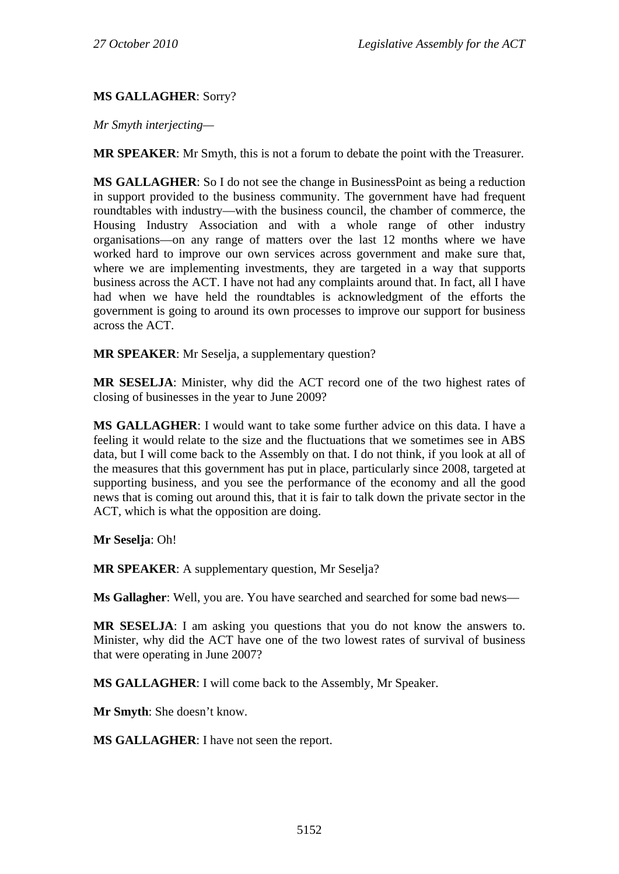#### **MS GALLAGHER**: Sorry?

*Mr Smyth interjecting—*

**MR SPEAKER**: Mr Smyth, this is not a forum to debate the point with the Treasurer.

**MS GALLAGHER**: So I do not see the change in BusinessPoint as being a reduction in support provided to the business community. The government have had frequent roundtables with industry—with the business council, the chamber of commerce, the Housing Industry Association and with a whole range of other industry organisations—on any range of matters over the last 12 months where we have worked hard to improve our own services across government and make sure that, where we are implementing investments, they are targeted in a way that supports business across the ACT. I have not had any complaints around that. In fact, all I have had when we have held the roundtables is acknowledgment of the efforts the government is going to around its own processes to improve our support for business across the ACT.

**MR SPEAKER**: Mr Seselja, a supplementary question?

**MR SESELJA**: Minister, why did the ACT record one of the two highest rates of closing of businesses in the year to June 2009?

**MS GALLAGHER**: I would want to take some further advice on this data. I have a feeling it would relate to the size and the fluctuations that we sometimes see in ABS data, but I will come back to the Assembly on that. I do not think, if you look at all of the measures that this government has put in place, particularly since 2008, targeted at supporting business, and you see the performance of the economy and all the good news that is coming out around this, that it is fair to talk down the private sector in the ACT, which is what the opposition are doing.

**Mr Seselja**: Oh!

**MR SPEAKER**: A supplementary question, Mr Seselja?

**Ms Gallagher**: Well, you are. You have searched and searched for some bad news—

**MR SESELJA**: I am asking you questions that you do not know the answers to. Minister, why did the ACT have one of the two lowest rates of survival of business that were operating in June 2007?

**MS GALLAGHER**: I will come back to the Assembly, Mr Speaker.

**Mr Smyth**: She doesn't know.

**MS GALLAGHER**: I have not seen the report.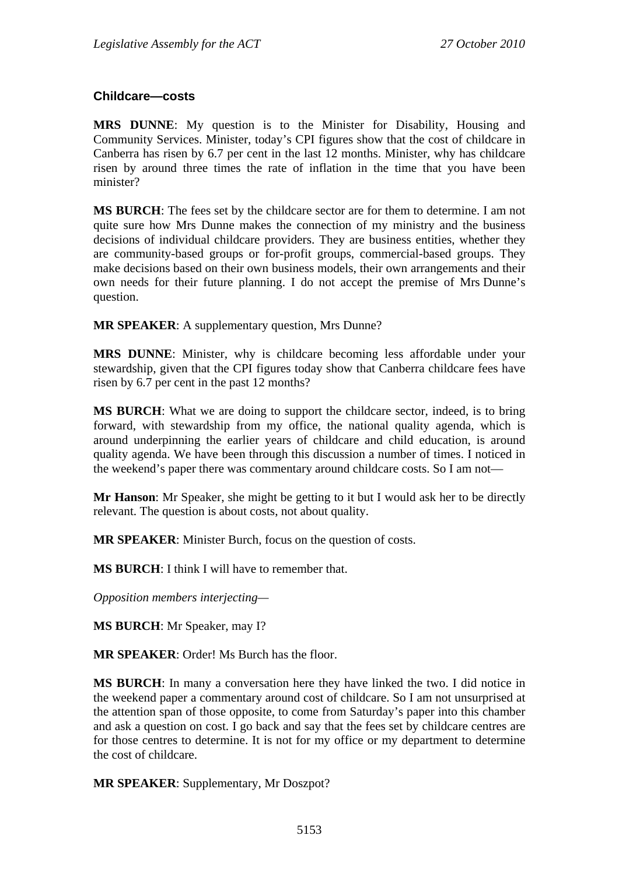#### **Childcare—costs**

**MRS DUNNE**: My question is to the Minister for Disability, Housing and Community Services. Minister, today's CPI figures show that the cost of childcare in Canberra has risen by 6.7 per cent in the last 12 months. Minister, why has childcare risen by around three times the rate of inflation in the time that you have been minister?

**MS BURCH**: The fees set by the childcare sector are for them to determine. I am not quite sure how Mrs Dunne makes the connection of my ministry and the business decisions of individual childcare providers. They are business entities, whether they are community-based groups or for-profit groups, commercial-based groups. They make decisions based on their own business models, their own arrangements and their own needs for their future planning. I do not accept the premise of Mrs Dunne's question.

**MR SPEAKER:** A supplementary question, Mrs Dunne?

**MRS DUNNE**: Minister, why is childcare becoming less affordable under your stewardship, given that the CPI figures today show that Canberra childcare fees have risen by 6.7 per cent in the past 12 months?

**MS BURCH**: What we are doing to support the childcare sector, indeed, is to bring forward, with stewardship from my office, the national quality agenda, which is around underpinning the earlier years of childcare and child education, is around quality agenda. We have been through this discussion a number of times. I noticed in the weekend's paper there was commentary around childcare costs. So I am not—

**Mr Hanson**: Mr Speaker, she might be getting to it but I would ask her to be directly relevant. The question is about costs, not about quality.

**MR SPEAKER**: Minister Burch, focus on the question of costs.

**MS BURCH**: I think I will have to remember that.

*Opposition members interjecting—* 

**MS BURCH**: Mr Speaker, may I?

**MR SPEAKER**: Order! Ms Burch has the floor.

**MS BURCH**: In many a conversation here they have linked the two. I did notice in the weekend paper a commentary around cost of childcare. So I am not unsurprised at the attention span of those opposite, to come from Saturday's paper into this chamber and ask a question on cost. I go back and say that the fees set by childcare centres are for those centres to determine. It is not for my office or my department to determine the cost of childcare.

**MR SPEAKER**: Supplementary, Mr Doszpot?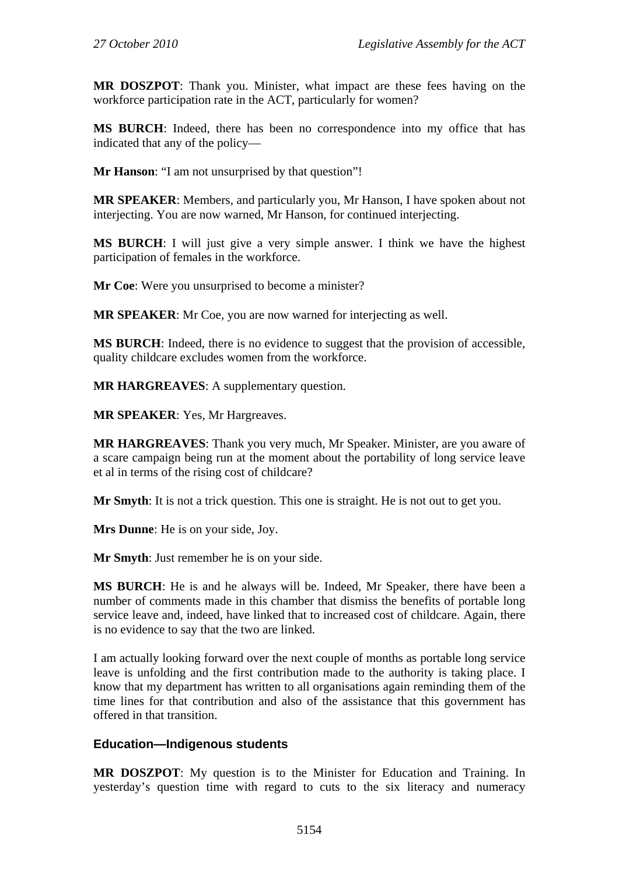**MR DOSZPOT**: Thank you. Minister, what impact are these fees having on the workforce participation rate in the ACT, particularly for women?

**MS BURCH**: Indeed, there has been no correspondence into my office that has indicated that any of the policy—

**Mr Hanson**: "I am not unsurprised by that question"!

**MR SPEAKER**: Members, and particularly you, Mr Hanson, I have spoken about not interjecting. You are now warned, Mr Hanson, for continued interjecting.

**MS BURCH**: I will just give a very simple answer. I think we have the highest participation of females in the workforce.

**Mr Coe**: Were you unsurprised to become a minister?

**MR SPEAKER**: Mr Coe, you are now warned for interjecting as well.

**MS BURCH**: Indeed, there is no evidence to suggest that the provision of accessible, quality childcare excludes women from the workforce.

**MR HARGREAVES**: A supplementary question.

**MR SPEAKER**: Yes, Mr Hargreaves.

**MR HARGREAVES**: Thank you very much, Mr Speaker. Minister, are you aware of a scare campaign being run at the moment about the portability of long service leave et al in terms of the rising cost of childcare?

**Mr Smyth**: It is not a trick question. This one is straight. He is not out to get you.

**Mrs Dunne**: He is on your side, Joy.

**Mr Smyth**: Just remember he is on your side.

**MS BURCH**: He is and he always will be. Indeed, Mr Speaker, there have been a number of comments made in this chamber that dismiss the benefits of portable long service leave and, indeed, have linked that to increased cost of childcare. Again, there is no evidence to say that the two are linked.

I am actually looking forward over the next couple of months as portable long service leave is unfolding and the first contribution made to the authority is taking place. I know that my department has written to all organisations again reminding them of the time lines for that contribution and also of the assistance that this government has offered in that transition.

#### **Education—Indigenous students**

**MR DOSZPOT**: My question is to the Minister for Education and Training. In yesterday's question time with regard to cuts to the six literacy and numeracy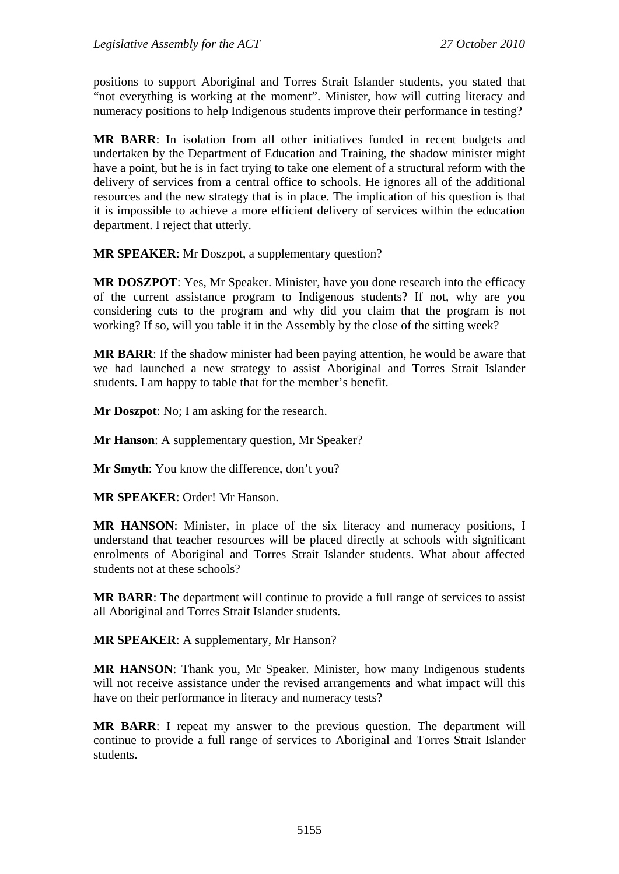positions to support Aboriginal and Torres Strait Islander students, you stated that "not everything is working at the moment". Minister, how will cutting literacy and numeracy positions to help Indigenous students improve their performance in testing?

**MR BARR**: In isolation from all other initiatives funded in recent budgets and undertaken by the Department of Education and Training, the shadow minister might have a point, but he is in fact trying to take one element of a structural reform with the delivery of services from a central office to schools. He ignores all of the additional resources and the new strategy that is in place. The implication of his question is that it is impossible to achieve a more efficient delivery of services within the education department. I reject that utterly.

**MR SPEAKER**: Mr Doszpot, a supplementary question?

**MR DOSZPOT**: Yes, Mr Speaker. Minister, have you done research into the efficacy of the current assistance program to Indigenous students? If not, why are you considering cuts to the program and why did you claim that the program is not working? If so, will you table it in the Assembly by the close of the sitting week?

**MR BARR**: If the shadow minister had been paying attention, he would be aware that we had launched a new strategy to assist Aboriginal and Torres Strait Islander students. I am happy to table that for the member's benefit.

**Mr Doszpot**: No; I am asking for the research.

**Mr Hanson:** A supplementary question, Mr Speaker?

**Mr Smyth**: You know the difference, don't you?

**MR SPEAKER**: Order! Mr Hanson.

**MR HANSON**: Minister, in place of the six literacy and numeracy positions, I understand that teacher resources will be placed directly at schools with significant enrolments of Aboriginal and Torres Strait Islander students. What about affected students not at these schools?

**MR BARR**: The department will continue to provide a full range of services to assist all Aboriginal and Torres Strait Islander students.

**MR SPEAKER**: A supplementary, Mr Hanson?

**MR HANSON**: Thank you, Mr Speaker. Minister, how many Indigenous students will not receive assistance under the revised arrangements and what impact will this have on their performance in literacy and numeracy tests?

**MR BARR**: I repeat my answer to the previous question. The department will continue to provide a full range of services to Aboriginal and Torres Strait Islander students.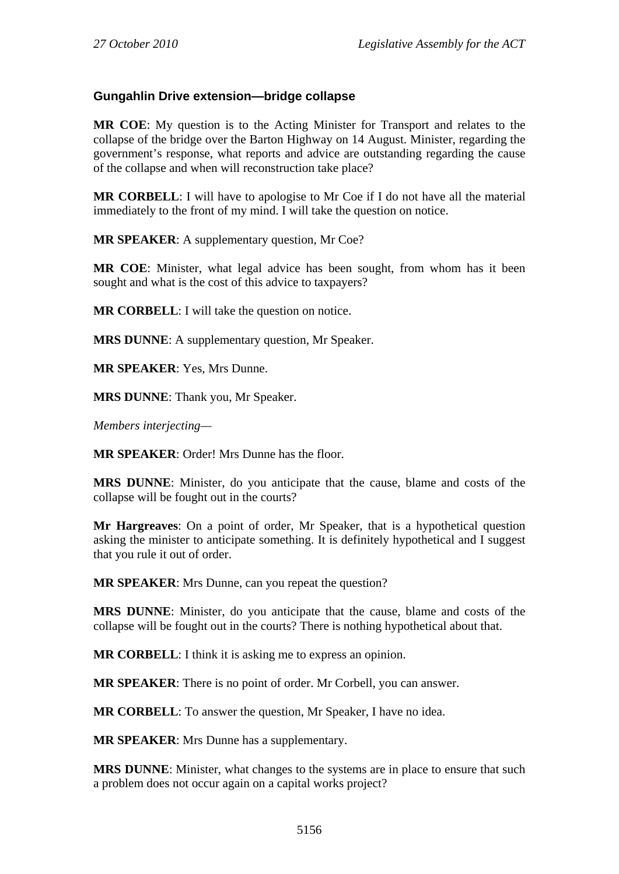### **Gungahlin Drive extension—bridge collapse**

**MR COE**: My question is to the Acting Minister for Transport and relates to the collapse of the bridge over the Barton Highway on 14 August. Minister, regarding the government's response, what reports and advice are outstanding regarding the cause of the collapse and when will reconstruction take place?

**MR CORBELL**: I will have to apologise to Mr Coe if I do not have all the material immediately to the front of my mind. I will take the question on notice.

**MR SPEAKER**: A supplementary question, Mr Coe?

**MR COE**: Minister, what legal advice has been sought, from whom has it been sought and what is the cost of this advice to taxpayers?

**MR CORBELL**: I will take the question on notice.

**MRS DUNNE**: A supplementary question, Mr Speaker.

**MR SPEAKER**: Yes, Mrs Dunne.

**MRS DUNNE**: Thank you, Mr Speaker.

*Members interjecting—* 

**MR SPEAKER**: Order! Mrs Dunne has the floor.

**MRS DUNNE**: Minister, do you anticipate that the cause, blame and costs of the collapse will be fought out in the courts?

**Mr Hargreaves**: On a point of order, Mr Speaker, that is a hypothetical question asking the minister to anticipate something. It is definitely hypothetical and I suggest that you rule it out of order.

**MR SPEAKER**: Mrs Dunne, can you repeat the question?

**MRS DUNNE**: Minister, do you anticipate that the cause, blame and costs of the collapse will be fought out in the courts? There is nothing hypothetical about that.

**MR CORBELL**: I think it is asking me to express an opinion.

**MR SPEAKER**: There is no point of order. Mr Corbell, you can answer.

**MR CORBELL**: To answer the question, Mr Speaker, I have no idea.

**MR SPEAKER**: Mrs Dunne has a supplementary.

**MRS DUNNE**: Minister, what changes to the systems are in place to ensure that such a problem does not occur again on a capital works project?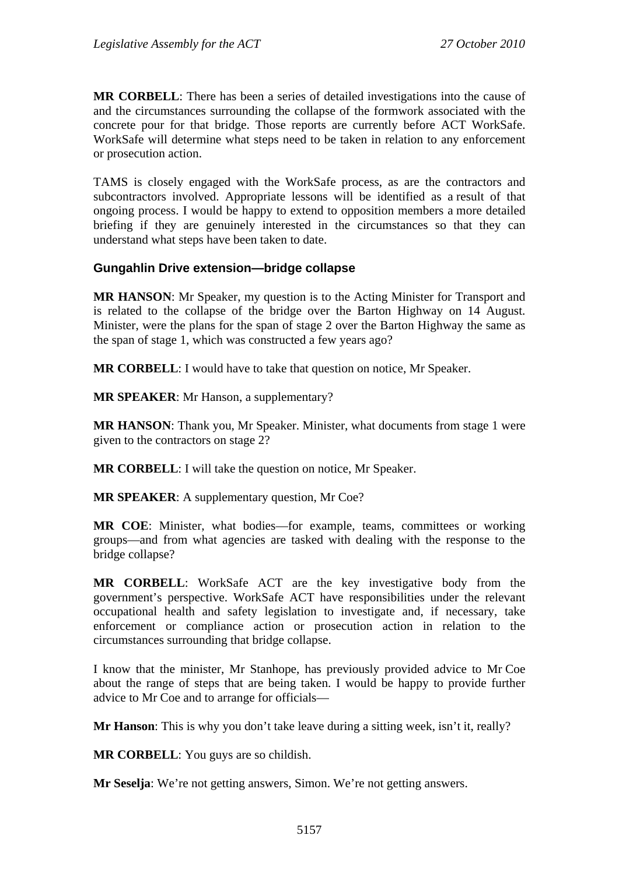**MR CORBELL**: There has been a series of detailed investigations into the cause of and the circumstances surrounding the collapse of the formwork associated with the concrete pour for that bridge. Those reports are currently before ACT WorkSafe. WorkSafe will determine what steps need to be taken in relation to any enforcement or prosecution action.

TAMS is closely engaged with the WorkSafe process, as are the contractors and subcontractors involved. Appropriate lessons will be identified as a result of that ongoing process. I would be happy to extend to opposition members a more detailed briefing if they are genuinely interested in the circumstances so that they can understand what steps have been taken to date.

#### **Gungahlin Drive extension—bridge collapse**

**MR HANSON**: Mr Speaker, my question is to the Acting Minister for Transport and is related to the collapse of the bridge over the Barton Highway on 14 August. Minister, were the plans for the span of stage 2 over the Barton Highway the same as the span of stage 1, which was constructed a few years ago?

**MR CORBELL**: I would have to take that question on notice, Mr Speaker.

**MR SPEAKER**: Mr Hanson, a supplementary?

**MR HANSON**: Thank you, Mr Speaker. Minister, what documents from stage 1 were given to the contractors on stage 2?

**MR CORBELL**: I will take the question on notice, Mr Speaker.

**MR SPEAKER**: A supplementary question, Mr Coe?

**MR COE**: Minister, what bodies—for example, teams, committees or working groups—and from what agencies are tasked with dealing with the response to the bridge collapse?

**MR CORBELL**: WorkSafe ACT are the key investigative body from the government's perspective. WorkSafe ACT have responsibilities under the relevant occupational health and safety legislation to investigate and, if necessary, take enforcement or compliance action or prosecution action in relation to the circumstances surrounding that bridge collapse.

I know that the minister, Mr Stanhope, has previously provided advice to Mr Coe about the range of steps that are being taken. I would be happy to provide further advice to Mr Coe and to arrange for officials—

**Mr Hanson**: This is why you don't take leave during a sitting week, isn't it, really?

**MR CORBELL**: You guys are so childish.

**Mr Seselja**: We're not getting answers, Simon. We're not getting answers.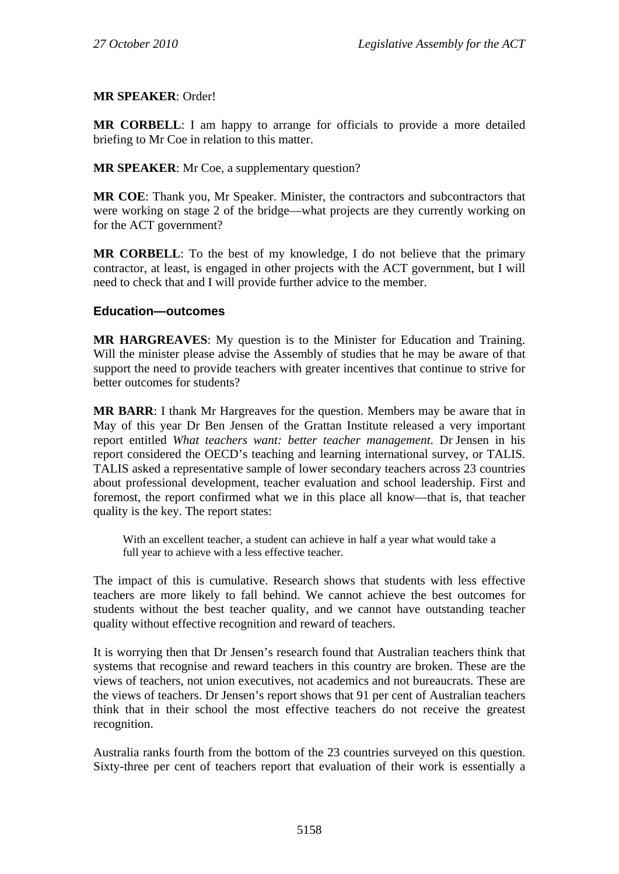#### **MR SPEAKER**: Order!

**MR CORBELL**: I am happy to arrange for officials to provide a more detailed briefing to Mr Coe in relation to this matter.

**MR SPEAKER**: Mr Coe, a supplementary question?

**MR COE**: Thank you, Mr Speaker. Minister, the contractors and subcontractors that were working on stage 2 of the bridge—what projects are they currently working on for the ACT government?

**MR CORBELL**: To the best of my knowledge, I do not believe that the primary contractor, at least, is engaged in other projects with the ACT government, but I will need to check that and I will provide further advice to the member.

### **Education—outcomes**

**MR HARGREAVES**: My question is to the Minister for Education and Training. Will the minister please advise the Assembly of studies that he may be aware of that support the need to provide teachers with greater incentives that continue to strive for better outcomes for students?

**MR BARR**: I thank Mr Hargreaves for the question. Members may be aware that in May of this year Dr Ben Jensen of the Grattan Institute released a very important report entitled *What teachers want: better teacher management*. Dr Jensen in his report considered the OECD's teaching and learning international survey, or TALIS. TALIS asked a representative sample of lower secondary teachers across 23 countries about professional development, teacher evaluation and school leadership. First and foremost, the report confirmed what we in this place all know—that is, that teacher quality is the key. The report states:

With an excellent teacher, a student can achieve in half a year what would take a full year to achieve with a less effective teacher.

The impact of this is cumulative. Research shows that students with less effective teachers are more likely to fall behind. We cannot achieve the best outcomes for students without the best teacher quality, and we cannot have outstanding teacher quality without effective recognition and reward of teachers.

It is worrying then that Dr Jensen's research found that Australian teachers think that systems that recognise and reward teachers in this country are broken. These are the views of teachers, not union executives, not academics and not bureaucrats. These are the views of teachers. Dr Jensen's report shows that 91 per cent of Australian teachers think that in their school the most effective teachers do not receive the greatest recognition.

Australia ranks fourth from the bottom of the 23 countries surveyed on this question. Sixty-three per cent of teachers report that evaluation of their work is essentially a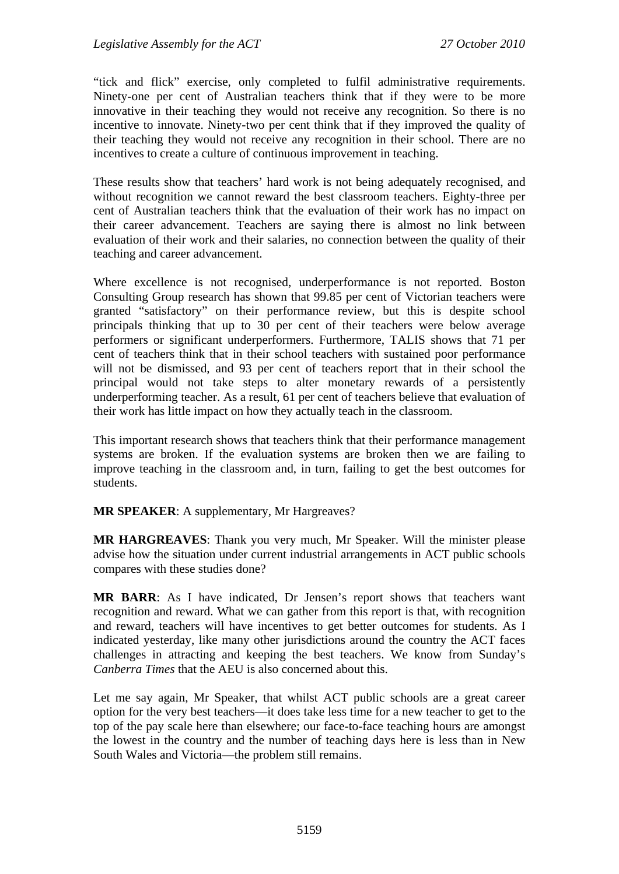"tick and flick" exercise, only completed to fulfil administrative requirements. Ninety-one per cent of Australian teachers think that if they were to be more innovative in their teaching they would not receive any recognition. So there is no incentive to innovate. Ninety-two per cent think that if they improved the quality of their teaching they would not receive any recognition in their school. There are no incentives to create a culture of continuous improvement in teaching.

These results show that teachers' hard work is not being adequately recognised, and without recognition we cannot reward the best classroom teachers. Eighty-three per cent of Australian teachers think that the evaluation of their work has no impact on their career advancement. Teachers are saying there is almost no link between evaluation of their work and their salaries, no connection between the quality of their teaching and career advancement.

Where excellence is not recognised, underperformance is not reported. Boston Consulting Group research has shown that 99.85 per cent of Victorian teachers were granted "satisfactory" on their performance review, but this is despite school principals thinking that up to 30 per cent of their teachers were below average performers or significant underperformers. Furthermore, TALIS shows that 71 per cent of teachers think that in their school teachers with sustained poor performance will not be dismissed, and 93 per cent of teachers report that in their school the principal would not take steps to alter monetary rewards of a persistently underperforming teacher. As a result, 61 per cent of teachers believe that evaluation of their work has little impact on how they actually teach in the classroom.

This important research shows that teachers think that their performance management systems are broken. If the evaluation systems are broken then we are failing to improve teaching in the classroom and, in turn, failing to get the best outcomes for students.

**MR SPEAKER**: A supplementary, Mr Hargreaves?

**MR HARGREAVES**: Thank you very much, Mr Speaker. Will the minister please advise how the situation under current industrial arrangements in ACT public schools compares with these studies done?

**MR BARR**: As I have indicated, Dr Jensen's report shows that teachers want recognition and reward. What we can gather from this report is that, with recognition and reward, teachers will have incentives to get better outcomes for students. As I indicated yesterday, like many other jurisdictions around the country the ACT faces challenges in attracting and keeping the best teachers. We know from Sunday's *Canberra Times* that the AEU is also concerned about this.

Let me say again, Mr Speaker, that whilst ACT public schools are a great career option for the very best teachers—it does take less time for a new teacher to get to the top of the pay scale here than elsewhere; our face-to-face teaching hours are amongst the lowest in the country and the number of teaching days here is less than in New South Wales and Victoria—the problem still remains.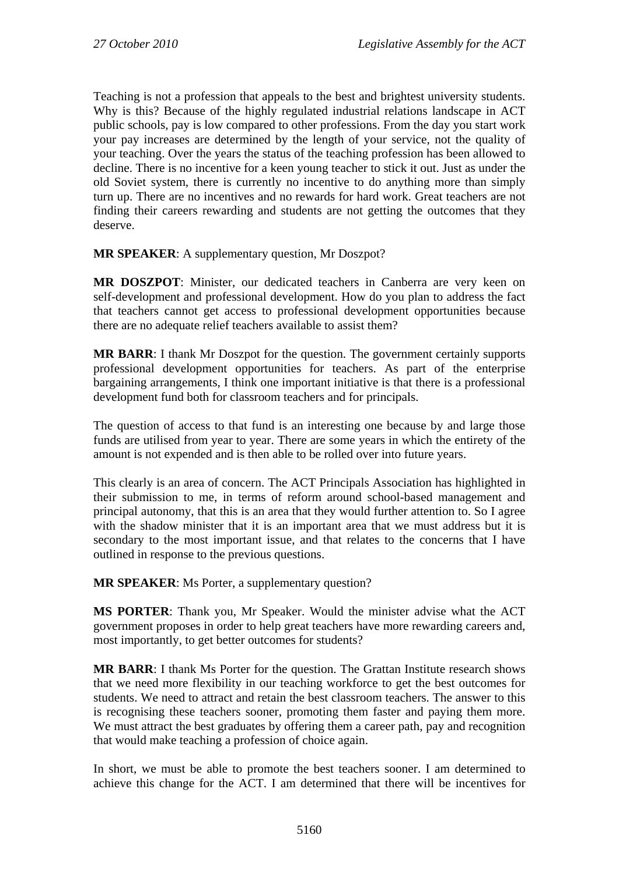Teaching is not a profession that appeals to the best and brightest university students. Why is this? Because of the highly regulated industrial relations landscape in ACT public schools, pay is low compared to other professions. From the day you start work your pay increases are determined by the length of your service, not the quality of your teaching. Over the years the status of the teaching profession has been allowed to decline. There is no incentive for a keen young teacher to stick it out. Just as under the old Soviet system, there is currently no incentive to do anything more than simply turn up. There are no incentives and no rewards for hard work. Great teachers are not finding their careers rewarding and students are not getting the outcomes that they deserve.

**MR SPEAKER**: A supplementary question, Mr Doszpot?

**MR DOSZPOT**: Minister, our dedicated teachers in Canberra are very keen on self-development and professional development. How do you plan to address the fact that teachers cannot get access to professional development opportunities because there are no adequate relief teachers available to assist them?

**MR BARR**: I thank Mr Doszpot for the question. The government certainly supports professional development opportunities for teachers. As part of the enterprise bargaining arrangements, I think one important initiative is that there is a professional development fund both for classroom teachers and for principals.

The question of access to that fund is an interesting one because by and large those funds are utilised from year to year. There are some years in which the entirety of the amount is not expended and is then able to be rolled over into future years.

This clearly is an area of concern. The ACT Principals Association has highlighted in their submission to me, in terms of reform around school-based management and principal autonomy, that this is an area that they would further attention to. So I agree with the shadow minister that it is an important area that we must address but it is secondary to the most important issue, and that relates to the concerns that I have outlined in response to the previous questions.

**MR SPEAKER**: Ms Porter, a supplementary question?

**MS PORTER**: Thank you, Mr Speaker. Would the minister advise what the ACT government proposes in order to help great teachers have more rewarding careers and, most importantly, to get better outcomes for students?

**MR BARR**: I thank Ms Porter for the question. The Grattan Institute research shows that we need more flexibility in our teaching workforce to get the best outcomes for students. We need to attract and retain the best classroom teachers. The answer to this is recognising these teachers sooner, promoting them faster and paying them more. We must attract the best graduates by offering them a career path, pay and recognition that would make teaching a profession of choice again.

In short, we must be able to promote the best teachers sooner. I am determined to achieve this change for the ACT. I am determined that there will be incentives for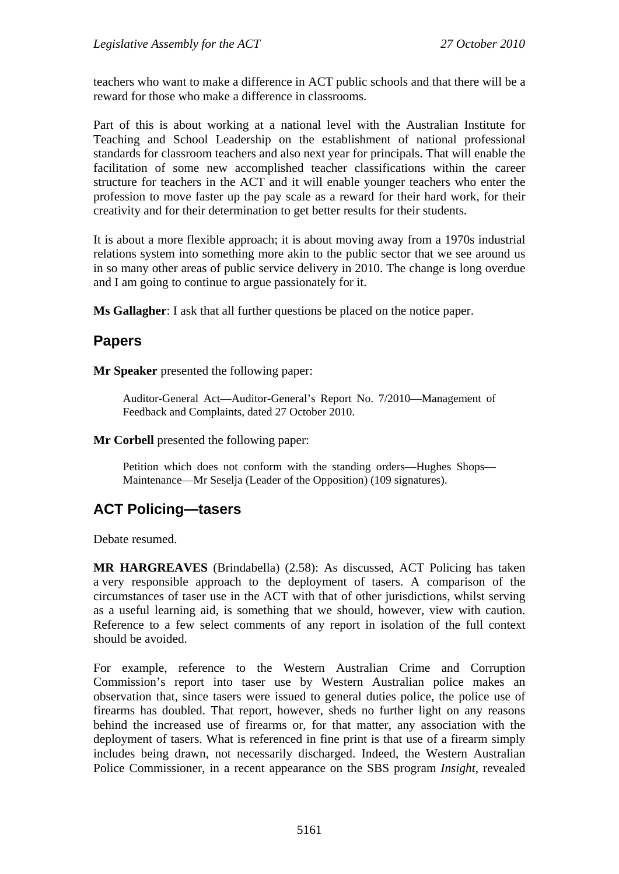teachers who want to make a difference in ACT public schools and that there will be a reward for those who make a difference in classrooms.

Part of this is about working at a national level with the Australian Institute for Teaching and School Leadership on the establishment of national professional standards for classroom teachers and also next year for principals. That will enable the facilitation of some new accomplished teacher classifications within the career structure for teachers in the ACT and it will enable younger teachers who enter the profession to move faster up the pay scale as a reward for their hard work, for their creativity and for their determination to get better results for their students.

It is about a more flexible approach; it is about moving away from a 1970s industrial relations system into something more akin to the public sector that we see around us in so many other areas of public service delivery in 2010. The change is long overdue and I am going to continue to argue passionately for it.

**Ms Gallagher**: I ask that all further questions be placed on the notice paper.

# **Papers**

**Mr Speaker** presented the following paper:

Auditor-General Act—Auditor-General's Report No. 7/2010—Management of Feedback and Complaints, dated 27 October 2010.

**Mr Corbell** presented the following paper:

Petition which does not conform with the standing orders—Hughes Shops— Maintenance—Mr Seselja (Leader of the Opposition) (109 signatures).

# **ACT Policing—tasers**

Debate resumed.

**MR HARGREAVES** (Brindabella) (2.58): As discussed, ACT Policing has taken a very responsible approach to the deployment of tasers. A comparison of the circumstances of taser use in the ACT with that of other jurisdictions, whilst serving as a useful learning aid, is something that we should, however, view with caution. Reference to a few select comments of any report in isolation of the full context should be avoided.

For example, reference to the Western Australian Crime and Corruption Commission's report into taser use by Western Australian police makes an observation that, since tasers were issued to general duties police, the police use of firearms has doubled. That report, however, sheds no further light on any reasons behind the increased use of firearms or, for that matter, any association with the deployment of tasers. What is referenced in fine print is that use of a firearm simply includes being drawn, not necessarily discharged. Indeed, the Western Australian Police Commissioner, in a recent appearance on the SBS program *Insight*, revealed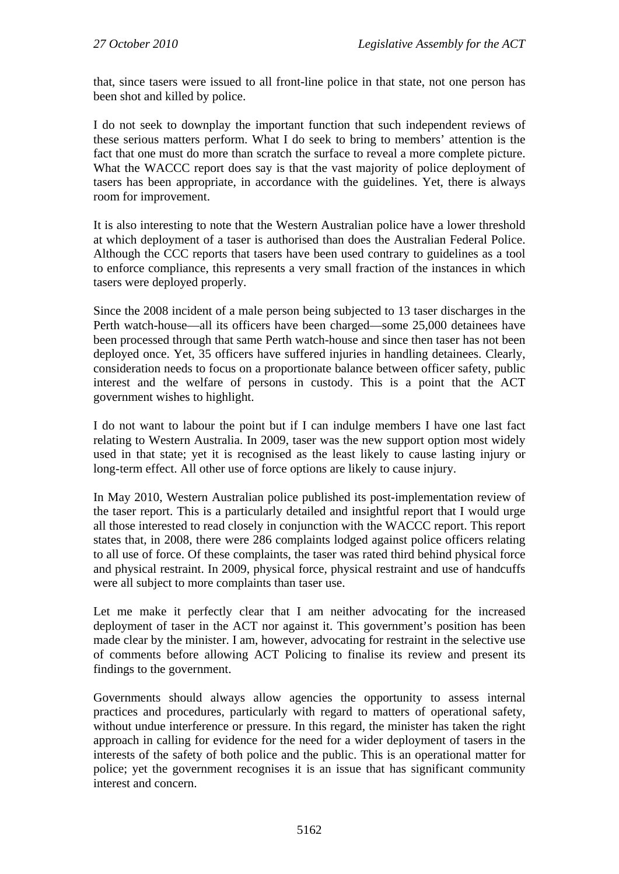that, since tasers were issued to all front-line police in that state, not one person has been shot and killed by police.

I do not seek to downplay the important function that such independent reviews of these serious matters perform. What I do seek to bring to members' attention is the fact that one must do more than scratch the surface to reveal a more complete picture. What the WACCC report does say is that the vast majority of police deployment of tasers has been appropriate, in accordance with the guidelines. Yet, there is always room for improvement.

It is also interesting to note that the Western Australian police have a lower threshold at which deployment of a taser is authorised than does the Australian Federal Police. Although the CCC reports that tasers have been used contrary to guidelines as a tool to enforce compliance, this represents a very small fraction of the instances in which tasers were deployed properly.

Since the 2008 incident of a male person being subjected to 13 taser discharges in the Perth watch-house—all its officers have been charged—some 25,000 detainees have been processed through that same Perth watch-house and since then taser has not been deployed once. Yet, 35 officers have suffered injuries in handling detainees. Clearly, consideration needs to focus on a proportionate balance between officer safety, public interest and the welfare of persons in custody. This is a point that the ACT government wishes to highlight.

I do not want to labour the point but if I can indulge members I have one last fact relating to Western Australia. In 2009, taser was the new support option most widely used in that state; yet it is recognised as the least likely to cause lasting injury or long-term effect. All other use of force options are likely to cause injury.

In May 2010, Western Australian police published its post-implementation review of the taser report. This is a particularly detailed and insightful report that I would urge all those interested to read closely in conjunction with the WACCC report. This report states that, in 2008, there were 286 complaints lodged against police officers relating to all use of force. Of these complaints, the taser was rated third behind physical force and physical restraint. In 2009, physical force, physical restraint and use of handcuffs were all subject to more complaints than taser use.

Let me make it perfectly clear that I am neither advocating for the increased deployment of taser in the ACT nor against it. This government's position has been made clear by the minister. I am, however, advocating for restraint in the selective use of comments before allowing ACT Policing to finalise its review and present its findings to the government.

Governments should always allow agencies the opportunity to assess internal practices and procedures, particularly with regard to matters of operational safety, without undue interference or pressure. In this regard, the minister has taken the right approach in calling for evidence for the need for a wider deployment of tasers in the interests of the safety of both police and the public. This is an operational matter for police; yet the government recognises it is an issue that has significant community interest and concern.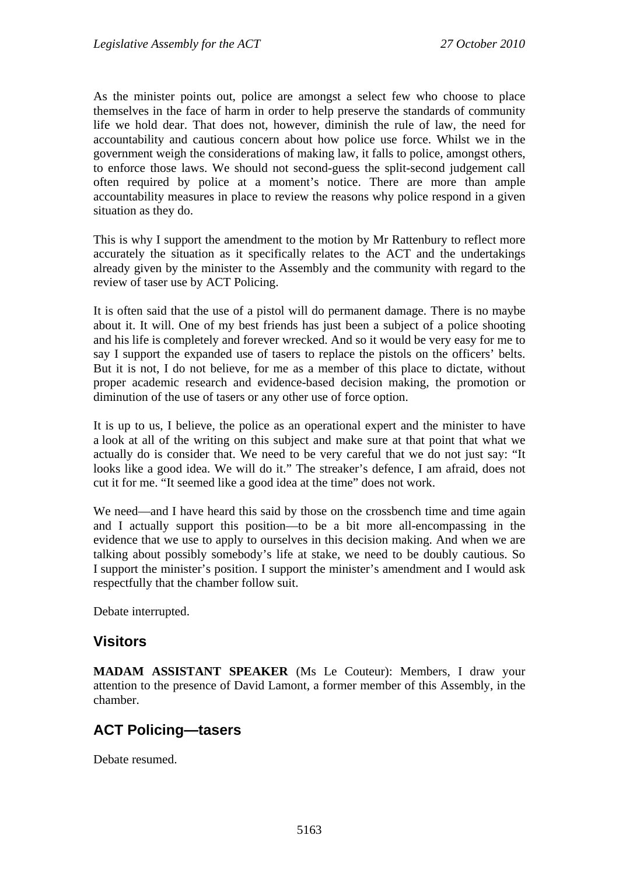As the minister points out, police are amongst a select few who choose to place themselves in the face of harm in order to help preserve the standards of community life we hold dear. That does not, however, diminish the rule of law, the need for accountability and cautious concern about how police use force. Whilst we in the government weigh the considerations of making law, it falls to police, amongst others, to enforce those laws. We should not second-guess the split-second judgement call often required by police at a moment's notice. There are more than ample accountability measures in place to review the reasons why police respond in a given situation as they do.

This is why I support the amendment to the motion by Mr Rattenbury to reflect more accurately the situation as it specifically relates to the ACT and the undertakings already given by the minister to the Assembly and the community with regard to the review of taser use by ACT Policing.

It is often said that the use of a pistol will do permanent damage. There is no maybe about it. It will. One of my best friends has just been a subject of a police shooting and his life is completely and forever wrecked. And so it would be very easy for me to say I support the expanded use of tasers to replace the pistols on the officers' belts. But it is not, I do not believe, for me as a member of this place to dictate, without proper academic research and evidence-based decision making, the promotion or diminution of the use of tasers or any other use of force option.

It is up to us, I believe, the police as an operational expert and the minister to have a look at all of the writing on this subject and make sure at that point that what we actually do is consider that. We need to be very careful that we do not just say: "It looks like a good idea. We will do it." The streaker's defence, I am afraid, does not cut it for me. "It seemed like a good idea at the time" does not work.

We need—and I have heard this said by those on the crossbench time and time again and I actually support this position—to be a bit more all-encompassing in the evidence that we use to apply to ourselves in this decision making. And when we are talking about possibly somebody's life at stake, we need to be doubly cautious. So I support the minister's position. I support the minister's amendment and I would ask respectfully that the chamber follow suit.

Debate interrupted.

# **Visitors**

**MADAM ASSISTANT SPEAKER** (Ms Le Couteur): Members, I draw your attention to the presence of David Lamont, a former member of this Assembly, in the chamber.

# **ACT Policing—tasers**

Debate resumed.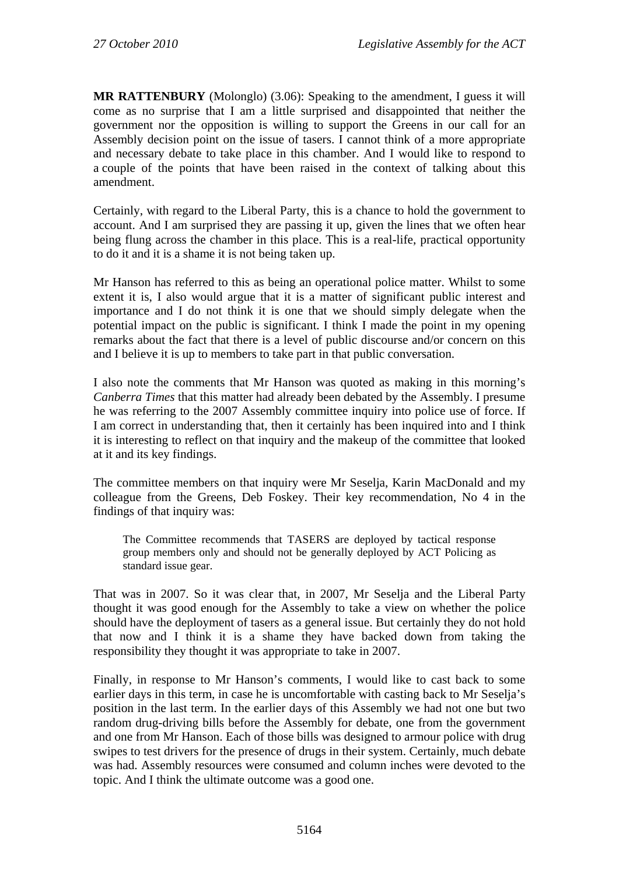**MR RATTENBURY** (Molonglo) (3.06): Speaking to the amendment, I guess it will come as no surprise that I am a little surprised and disappointed that neither the government nor the opposition is willing to support the Greens in our call for an Assembly decision point on the issue of tasers. I cannot think of a more appropriate and necessary debate to take place in this chamber. And I would like to respond to a couple of the points that have been raised in the context of talking about this amendment.

Certainly, with regard to the Liberal Party, this is a chance to hold the government to account. And I am surprised they are passing it up, given the lines that we often hear being flung across the chamber in this place. This is a real-life, practical opportunity to do it and it is a shame it is not being taken up.

Mr Hanson has referred to this as being an operational police matter. Whilst to some extent it is, I also would argue that it is a matter of significant public interest and importance and I do not think it is one that we should simply delegate when the potential impact on the public is significant. I think I made the point in my opening remarks about the fact that there is a level of public discourse and/or concern on this and I believe it is up to members to take part in that public conversation.

I also note the comments that Mr Hanson was quoted as making in this morning's *Canberra Times* that this matter had already been debated by the Assembly. I presume he was referring to the 2007 Assembly committee inquiry into police use of force. If I am correct in understanding that, then it certainly has been inquired into and I think it is interesting to reflect on that inquiry and the makeup of the committee that looked at it and its key findings.

The committee members on that inquiry were Mr Seselja, Karin MacDonald and my colleague from the Greens, Deb Foskey. Their key recommendation, No 4 in the findings of that inquiry was:

The Committee recommends that TASERS are deployed by tactical response group members only and should not be generally deployed by ACT Policing as standard issue gear.

That was in 2007. So it was clear that, in 2007, Mr Seselja and the Liberal Party thought it was good enough for the Assembly to take a view on whether the police should have the deployment of tasers as a general issue. But certainly they do not hold that now and I think it is a shame they have backed down from taking the responsibility they thought it was appropriate to take in 2007.

Finally, in response to Mr Hanson's comments, I would like to cast back to some earlier days in this term, in case he is uncomfortable with casting back to Mr Seselja's position in the last term. In the earlier days of this Assembly we had not one but two random drug-driving bills before the Assembly for debate, one from the government and one from Mr Hanson. Each of those bills was designed to armour police with drug swipes to test drivers for the presence of drugs in their system. Certainly, much debate was had. Assembly resources were consumed and column inches were devoted to the topic. And I think the ultimate outcome was a good one.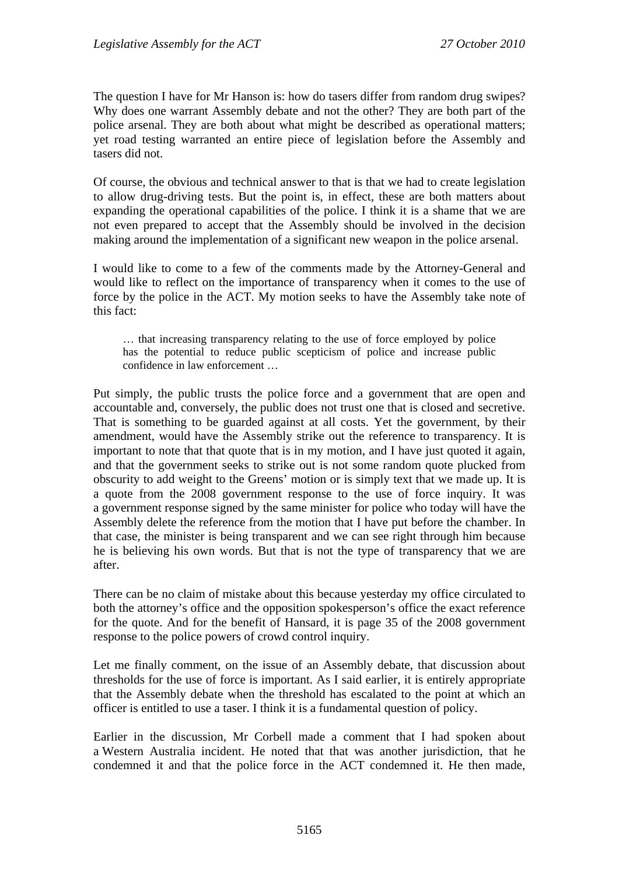The question I have for Mr Hanson is: how do tasers differ from random drug swipes? Why does one warrant Assembly debate and not the other? They are both part of the police arsenal. They are both about what might be described as operational matters; yet road testing warranted an entire piece of legislation before the Assembly and tasers did not.

Of course, the obvious and technical answer to that is that we had to create legislation to allow drug-driving tests. But the point is, in effect, these are both matters about expanding the operational capabilities of the police. I think it is a shame that we are not even prepared to accept that the Assembly should be involved in the decision making around the implementation of a significant new weapon in the police arsenal.

I would like to come to a few of the comments made by the Attorney-General and would like to reflect on the importance of transparency when it comes to the use of force by the police in the ACT. My motion seeks to have the Assembly take note of this fact:

… that increasing transparency relating to the use of force employed by police has the potential to reduce public scepticism of police and increase public confidence in law enforcement …

Put simply, the public trusts the police force and a government that are open and accountable and, conversely, the public does not trust one that is closed and secretive. That is something to be guarded against at all costs. Yet the government, by their amendment, would have the Assembly strike out the reference to transparency. It is important to note that that quote that is in my motion, and I have just quoted it again, and that the government seeks to strike out is not some random quote plucked from obscurity to add weight to the Greens' motion or is simply text that we made up. It is a quote from the 2008 government response to the use of force inquiry. It was a government response signed by the same minister for police who today will have the Assembly delete the reference from the motion that I have put before the chamber. In that case, the minister is being transparent and we can see right through him because he is believing his own words. But that is not the type of transparency that we are after.

There can be no claim of mistake about this because yesterday my office circulated to both the attorney's office and the opposition spokesperson's office the exact reference for the quote. And for the benefit of Hansard, it is page 35 of the 2008 government response to the police powers of crowd control inquiry.

Let me finally comment, on the issue of an Assembly debate, that discussion about thresholds for the use of force is important. As I said earlier, it is entirely appropriate that the Assembly debate when the threshold has escalated to the point at which an officer is entitled to use a taser. I think it is a fundamental question of policy.

Earlier in the discussion, Mr Corbell made a comment that I had spoken about a Western Australia incident. He noted that that was another jurisdiction, that he condemned it and that the police force in the ACT condemned it. He then made,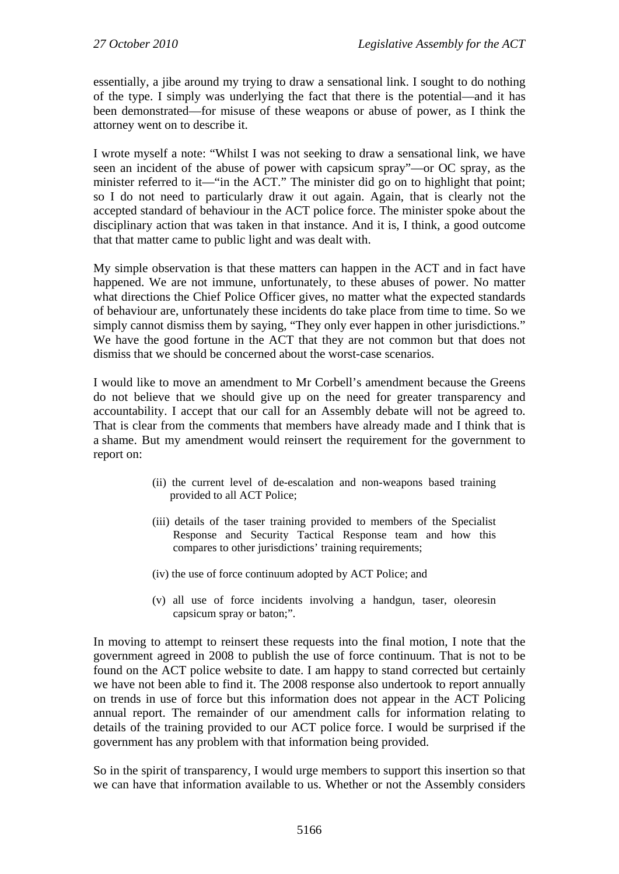essentially, a jibe around my trying to draw a sensational link. I sought to do nothing of the type. I simply was underlying the fact that there is the potential—and it has been demonstrated—for misuse of these weapons or abuse of power, as I think the attorney went on to describe it.

I wrote myself a note: "Whilst I was not seeking to draw a sensational link, we have seen an incident of the abuse of power with capsicum spray"—or OC spray, as the minister referred to it—"in the ACT." The minister did go on to highlight that point; so I do not need to particularly draw it out again. Again, that is clearly not the accepted standard of behaviour in the ACT police force. The minister spoke about the disciplinary action that was taken in that instance. And it is, I think, a good outcome that that matter came to public light and was dealt with.

My simple observation is that these matters can happen in the ACT and in fact have happened. We are not immune, unfortunately, to these abuses of power. No matter what directions the Chief Police Officer gives, no matter what the expected standards of behaviour are, unfortunately these incidents do take place from time to time. So we simply cannot dismiss them by saying, "They only ever happen in other jurisdictions." We have the good fortune in the ACT that they are not common but that does not dismiss that we should be concerned about the worst-case scenarios.

I would like to move an amendment to Mr Corbell's amendment because the Greens do not believe that we should give up on the need for greater transparency and accountability. I accept that our call for an Assembly debate will not be agreed to. That is clear from the comments that members have already made and I think that is a shame. But my amendment would reinsert the requirement for the government to report on:

- (ii) the current level of de-escalation and non-weapons based training provided to all ACT Police;
- (iii) details of the taser training provided to members of the Specialist Response and Security Tactical Response team and how this compares to other jurisdictions' training requirements;
- (iv) the use of force continuum adopted by ACT Police; and
- (v) all use of force incidents involving a handgun, taser, oleoresin capsicum spray or baton;".

In moving to attempt to reinsert these requests into the final motion, I note that the government agreed in 2008 to publish the use of force continuum. That is not to be found on the ACT police website to date. I am happy to stand corrected but certainly we have not been able to find it. The 2008 response also undertook to report annually on trends in use of force but this information does not appear in the ACT Policing annual report. The remainder of our amendment calls for information relating to details of the training provided to our ACT police force. I would be surprised if the government has any problem with that information being provided.

So in the spirit of transparency, I would urge members to support this insertion so that we can have that information available to us. Whether or not the Assembly considers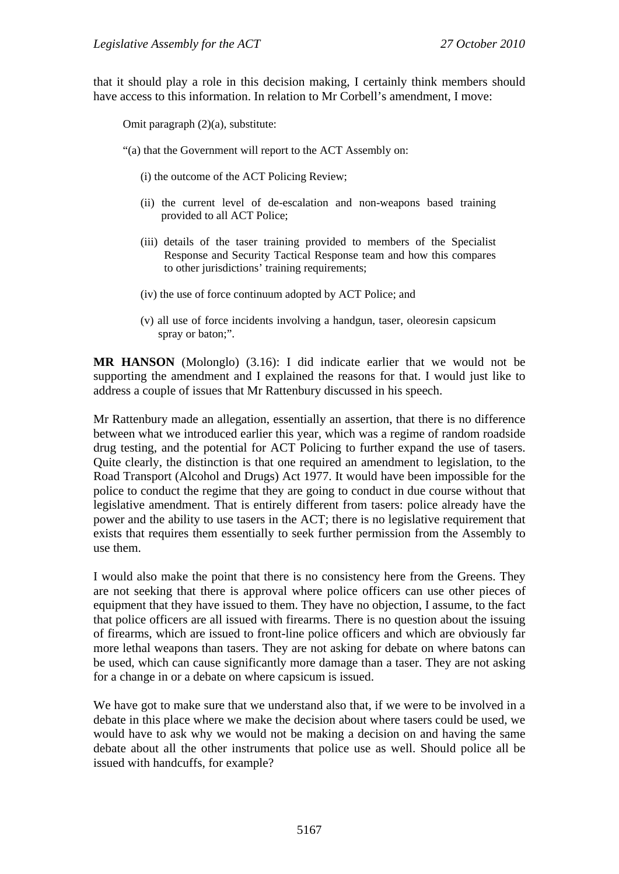that it should play a role in this decision making, I certainly think members should have access to this information. In relation to Mr Corbell's amendment, I move:

Omit paragraph (2)(a), substitute:

"(a) that the Government will report to the ACT Assembly on:

(i) the outcome of the ACT Policing Review;

- (ii) the current level of de-escalation and non-weapons based training provided to all ACT Police;
- (iii) details of the taser training provided to members of the Specialist Response and Security Tactical Response team and how this compares to other jurisdictions' training requirements;
- (iv) the use of force continuum adopted by ACT Police; and
- (v) all use of force incidents involving a handgun, taser, oleoresin capsicum spray or baton;".

**MR HANSON** (Molonglo) (3.16): I did indicate earlier that we would not be supporting the amendment and I explained the reasons for that. I would just like to address a couple of issues that Mr Rattenbury discussed in his speech.

Mr Rattenbury made an allegation, essentially an assertion, that there is no difference between what we introduced earlier this year, which was a regime of random roadside drug testing, and the potential for ACT Policing to further expand the use of tasers. Quite clearly, the distinction is that one required an amendment to legislation, to the Road Transport (Alcohol and Drugs) Act 1977. It would have been impossible for the police to conduct the regime that they are going to conduct in due course without that legislative amendment. That is entirely different from tasers: police already have the power and the ability to use tasers in the ACT; there is no legislative requirement that exists that requires them essentially to seek further permission from the Assembly to use them.

I would also make the point that there is no consistency here from the Greens. They are not seeking that there is approval where police officers can use other pieces of equipment that they have issued to them. They have no objection, I assume, to the fact that police officers are all issued with firearms. There is no question about the issuing of firearms, which are issued to front-line police officers and which are obviously far more lethal weapons than tasers. They are not asking for debate on where batons can be used, which can cause significantly more damage than a taser. They are not asking for a change in or a debate on where capsicum is issued.

We have got to make sure that we understand also that, if we were to be involved in a debate in this place where we make the decision about where tasers could be used, we would have to ask why we would not be making a decision on and having the same debate about all the other instruments that police use as well. Should police all be issued with handcuffs, for example?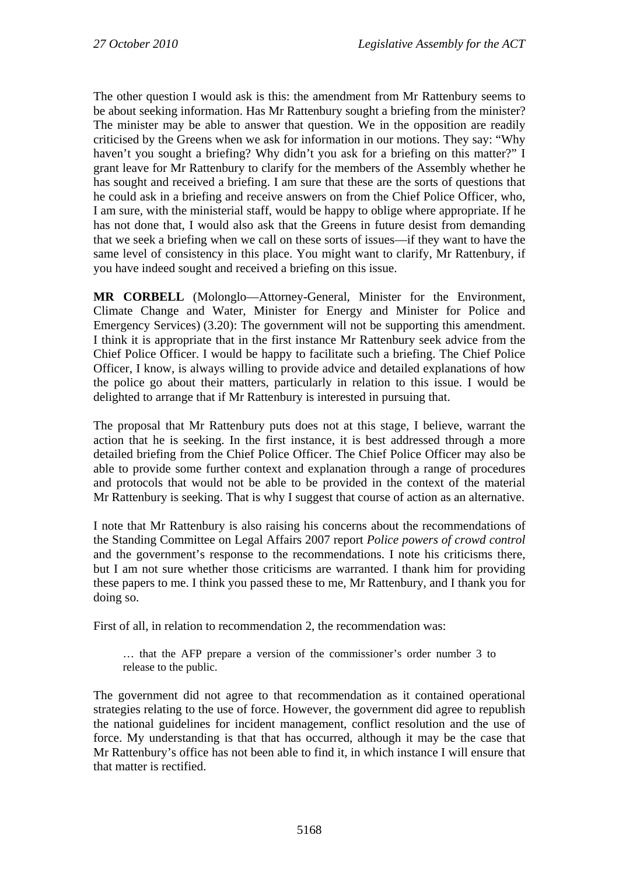The other question I would ask is this: the amendment from Mr Rattenbury seems to be about seeking information. Has Mr Rattenbury sought a briefing from the minister? The minister may be able to answer that question. We in the opposition are readily criticised by the Greens when we ask for information in our motions. They say: "Why haven't you sought a briefing? Why didn't you ask for a briefing on this matter?" I grant leave for Mr Rattenbury to clarify for the members of the Assembly whether he has sought and received a briefing. I am sure that these are the sorts of questions that he could ask in a briefing and receive answers on from the Chief Police Officer, who, I am sure, with the ministerial staff, would be happy to oblige where appropriate. If he has not done that, I would also ask that the Greens in future desist from demanding that we seek a briefing when we call on these sorts of issues—if they want to have the same level of consistency in this place. You might want to clarify, Mr Rattenbury, if you have indeed sought and received a briefing on this issue.

**MR CORBELL** (Molonglo—Attorney-General, Minister for the Environment, Climate Change and Water, Minister for Energy and Minister for Police and Emergency Services) (3.20): The government will not be supporting this amendment. I think it is appropriate that in the first instance Mr Rattenbury seek advice from the Chief Police Officer. I would be happy to facilitate such a briefing. The Chief Police Officer, I know, is always willing to provide advice and detailed explanations of how the police go about their matters, particularly in relation to this issue. I would be delighted to arrange that if Mr Rattenbury is interested in pursuing that.

The proposal that Mr Rattenbury puts does not at this stage, I believe, warrant the action that he is seeking. In the first instance, it is best addressed through a more detailed briefing from the Chief Police Officer. The Chief Police Officer may also be able to provide some further context and explanation through a range of procedures and protocols that would not be able to be provided in the context of the material Mr Rattenbury is seeking. That is why I suggest that course of action as an alternative.

I note that Mr Rattenbury is also raising his concerns about the recommendations of the Standing Committee on Legal Affairs 2007 report *Police powers of crowd control* and the government's response to the recommendations. I note his criticisms there, but I am not sure whether those criticisms are warranted. I thank him for providing these papers to me. I think you passed these to me, Mr Rattenbury, and I thank you for doing so.

First of all, in relation to recommendation 2, the recommendation was:

… that the AFP prepare a version of the commissioner's order number 3 to release to the public.

The government did not agree to that recommendation as it contained operational strategies relating to the use of force. However, the government did agree to republish the national guidelines for incident management, conflict resolution and the use of force. My understanding is that that has occurred, although it may be the case that Mr Rattenbury's office has not been able to find it, in which instance I will ensure that that matter is rectified.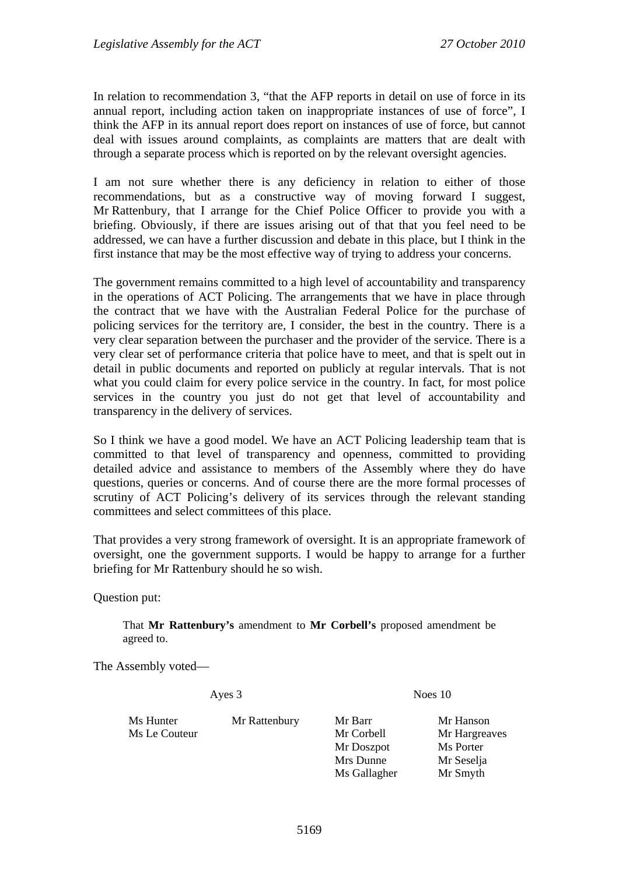In relation to recommendation 3, "that the AFP reports in detail on use of force in its annual report, including action taken on inappropriate instances of use of force", I think the AFP in its annual report does report on instances of use of force, but cannot deal with issues around complaints, as complaints are matters that are dealt with through a separate process which is reported on by the relevant oversight agencies.

I am not sure whether there is any deficiency in relation to either of those recommendations, but as a constructive way of moving forward I suggest, Mr Rattenbury, that I arrange for the Chief Police Officer to provide you with a briefing. Obviously, if there are issues arising out of that that you feel need to be addressed, we can have a further discussion and debate in this place, but I think in the first instance that may be the most effective way of trying to address your concerns.

The government remains committed to a high level of accountability and transparency in the operations of ACT Policing. The arrangements that we have in place through the contract that we have with the Australian Federal Police for the purchase of policing services for the territory are, I consider, the best in the country. There is a very clear separation between the purchaser and the provider of the service. There is a very clear set of performance criteria that police have to meet, and that is spelt out in detail in public documents and reported on publicly at regular intervals. That is not what you could claim for every police service in the country. In fact, for most police services in the country you just do not get that level of accountability and transparency in the delivery of services.

So I think we have a good model. We have an ACT Policing leadership team that is committed to that level of transparency and openness, committed to providing detailed advice and assistance to members of the Assembly where they do have questions, queries or concerns. And of course there are the more formal processes of scrutiny of ACT Policing's delivery of its services through the relevant standing committees and select committees of this place.

That provides a very strong framework of oversight. It is an appropriate framework of oversight, one the government supports. I would be happy to arrange for a further briefing for Mr Rattenbury should he so wish.

Question put:

That **Mr Rattenbury's** amendment to **Mr Corbell's** proposed amendment be agreed to.

The Assembly voted—

Ayes 3 Noes 10

Ms Hunter Mr Rattenbury Mr Barr Mr Hanson Ms Le Couteur **Mr Corpus** Mr Corbell Mr Hargreaves

Mr Doszpot Ms Porter Mrs Dunne Mr Seselja Ms Gallagher Mr Smyth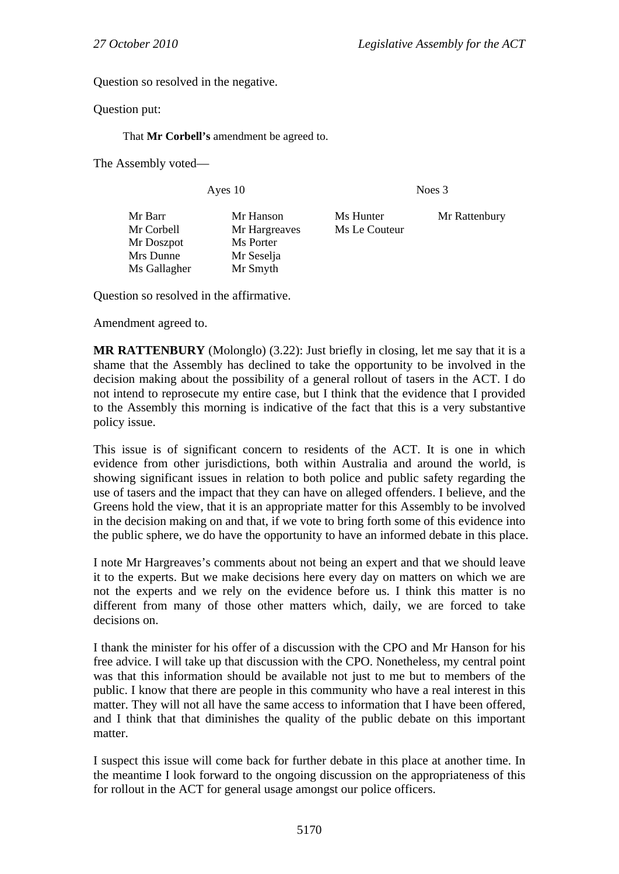Question so resolved in the negative.

Question put:

That **Mr Corbell's** amendment be agreed to.

The Assembly voted—

Ayes 10 Noes 3

| Mr Barr      | Mr Hanson     | Ms Hunter     |               |
|--------------|---------------|---------------|---------------|
|              |               |               | Mr Rattenbury |
| Mr Corbell   | Mr Hargreaves | Ms Le Couteur |               |
| Mr Doszpot   | Ms Porter     |               |               |
| Mrs Dunne    | Mr Seselja    |               |               |
| Ms Gallagher | Mr Smyth      |               |               |

Question so resolved in the affirmative.

Amendment agreed to.

**MR RATTENBURY** (Molonglo) (3.22): Just briefly in closing, let me say that it is a shame that the Assembly has declined to take the opportunity to be involved in the decision making about the possibility of a general rollout of tasers in the ACT. I do not intend to reprosecute my entire case, but I think that the evidence that I provided to the Assembly this morning is indicative of the fact that this is a very substantive policy issue.

This issue is of significant concern to residents of the ACT. It is one in which evidence from other jurisdictions, both within Australia and around the world, is showing significant issues in relation to both police and public safety regarding the use of tasers and the impact that they can have on alleged offenders. I believe, and the Greens hold the view, that it is an appropriate matter for this Assembly to be involved in the decision making on and that, if we vote to bring forth some of this evidence into the public sphere, we do have the opportunity to have an informed debate in this place.

I note Mr Hargreaves's comments about not being an expert and that we should leave it to the experts. But we make decisions here every day on matters on which we are not the experts and we rely on the evidence before us. I think this matter is no different from many of those other matters which, daily, we are forced to take decisions on.

I thank the minister for his offer of a discussion with the CPO and Mr Hanson for his free advice. I will take up that discussion with the CPO. Nonetheless, my central point was that this information should be available not just to me but to members of the public. I know that there are people in this community who have a real interest in this matter. They will not all have the same access to information that I have been offered, and I think that that diminishes the quality of the public debate on this important matter.

I suspect this issue will come back for further debate in this place at another time. In the meantime I look forward to the ongoing discussion on the appropriateness of this for rollout in the ACT for general usage amongst our police officers.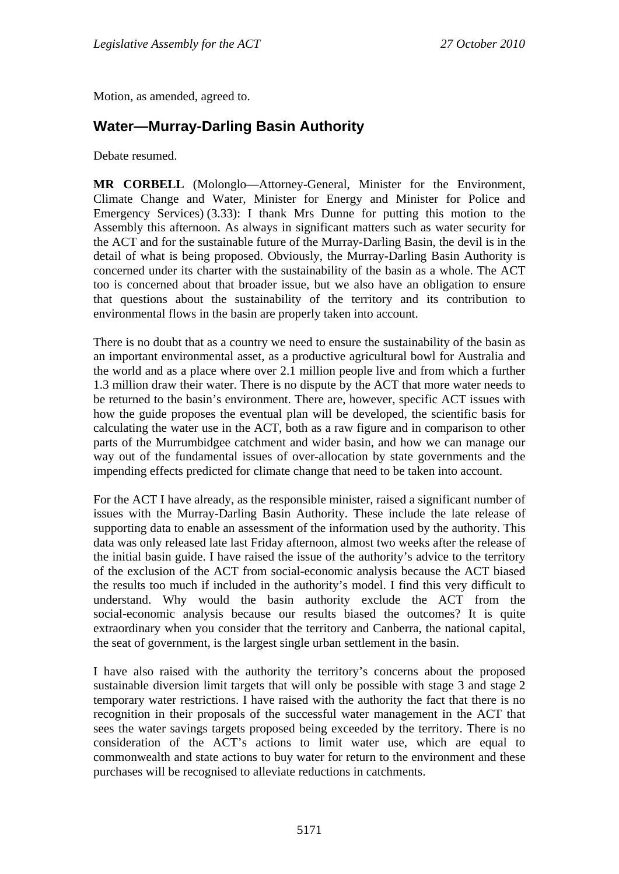Motion, as amended, agreed to.

# **Water—Murray-Darling Basin Authority**

Debate resumed.

**MR CORBELL** (Molonglo—Attorney-General, Minister for the Environment, Climate Change and Water, Minister for Energy and Minister for Police and Emergency Services) (3.33): I thank Mrs Dunne for putting this motion to the Assembly this afternoon. As always in significant matters such as water security for the ACT and for the sustainable future of the Murray-Darling Basin, the devil is in the detail of what is being proposed. Obviously, the Murray-Darling Basin Authority is concerned under its charter with the sustainability of the basin as a whole. The ACT too is concerned about that broader issue, but we also have an obligation to ensure that questions about the sustainability of the territory and its contribution to environmental flows in the basin are properly taken into account.

There is no doubt that as a country we need to ensure the sustainability of the basin as an important environmental asset, as a productive agricultural bowl for Australia and the world and as a place where over 2.1 million people live and from which a further 1.3 million draw their water. There is no dispute by the ACT that more water needs to be returned to the basin's environment. There are, however, specific ACT issues with how the guide proposes the eventual plan will be developed, the scientific basis for calculating the water use in the ACT, both as a raw figure and in comparison to other parts of the Murrumbidgee catchment and wider basin, and how we can manage our way out of the fundamental issues of over-allocation by state governments and the impending effects predicted for climate change that need to be taken into account.

For the ACT I have already, as the responsible minister, raised a significant number of issues with the Murray-Darling Basin Authority. These include the late release of supporting data to enable an assessment of the information used by the authority. This data was only released late last Friday afternoon, almost two weeks after the release of the initial basin guide. I have raised the issue of the authority's advice to the territory of the exclusion of the ACT from social-economic analysis because the ACT biased the results too much if included in the authority's model. I find this very difficult to understand. Why would the basin authority exclude the ACT from the social-economic analysis because our results biased the outcomes? It is quite extraordinary when you consider that the territory and Canberra, the national capital, the seat of government, is the largest single urban settlement in the basin.

I have also raised with the authority the territory's concerns about the proposed sustainable diversion limit targets that will only be possible with stage 3 and stage 2 temporary water restrictions. I have raised with the authority the fact that there is no recognition in their proposals of the successful water management in the ACT that sees the water savings targets proposed being exceeded by the territory. There is no consideration of the ACT's actions to limit water use, which are equal to commonwealth and state actions to buy water for return to the environment and these purchases will be recognised to alleviate reductions in catchments.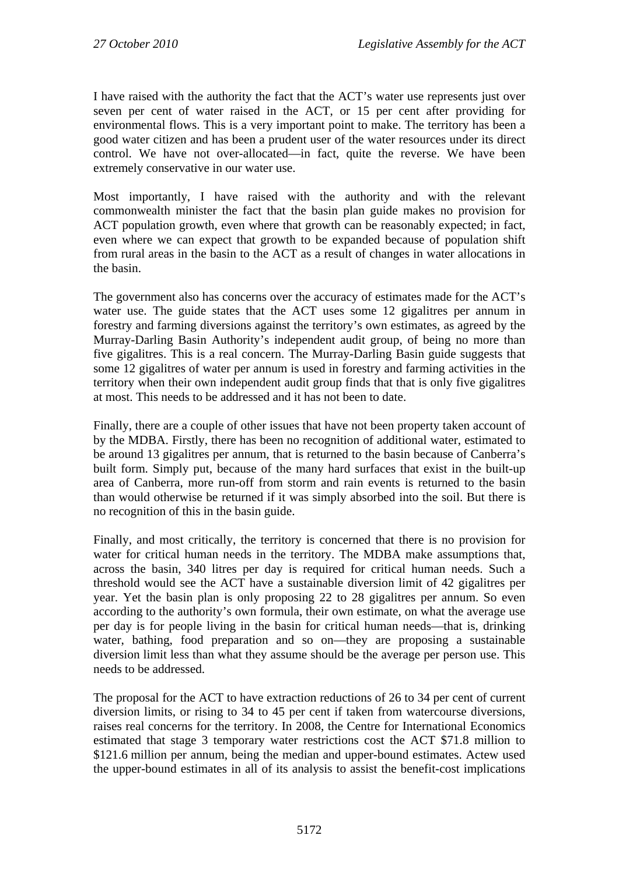I have raised with the authority the fact that the ACT's water use represents just over seven per cent of water raised in the ACT, or 15 per cent after providing for environmental flows. This is a very important point to make. The territory has been a good water citizen and has been a prudent user of the water resources under its direct control. We have not over-allocated—in fact, quite the reverse. We have been extremely conservative in our water use.

Most importantly, I have raised with the authority and with the relevant commonwealth minister the fact that the basin plan guide makes no provision for ACT population growth, even where that growth can be reasonably expected; in fact, even where we can expect that growth to be expanded because of population shift from rural areas in the basin to the ACT as a result of changes in water allocations in the basin.

The government also has concerns over the accuracy of estimates made for the ACT's water use. The guide states that the ACT uses some 12 gigalitres per annum in forestry and farming diversions against the territory's own estimates, as agreed by the Murray-Darling Basin Authority's independent audit group, of being no more than five gigalitres. This is a real concern. The Murray-Darling Basin guide suggests that some 12 gigalitres of water per annum is used in forestry and farming activities in the territory when their own independent audit group finds that that is only five gigalitres at most. This needs to be addressed and it has not been to date.

Finally, there are a couple of other issues that have not been property taken account of by the MDBA. Firstly, there has been no recognition of additional water, estimated to be around 13 gigalitres per annum, that is returned to the basin because of Canberra's built form. Simply put, because of the many hard surfaces that exist in the built-up area of Canberra, more run-off from storm and rain events is returned to the basin than would otherwise be returned if it was simply absorbed into the soil. But there is no recognition of this in the basin guide.

Finally, and most critically, the territory is concerned that there is no provision for water for critical human needs in the territory. The MDBA make assumptions that, across the basin, 340 litres per day is required for critical human needs. Such a threshold would see the ACT have a sustainable diversion limit of 42 gigalitres per year. Yet the basin plan is only proposing 22 to 28 gigalitres per annum. So even according to the authority's own formula, their own estimate, on what the average use per day is for people living in the basin for critical human needs—that is, drinking water, bathing, food preparation and so on—they are proposing a sustainable diversion limit less than what they assume should be the average per person use. This needs to be addressed.

The proposal for the ACT to have extraction reductions of 26 to 34 per cent of current diversion limits, or rising to 34 to 45 per cent if taken from watercourse diversions, raises real concerns for the territory. In 2008, the Centre for International Economics estimated that stage 3 temporary water restrictions cost the ACT \$71.8 million to \$121.6 million per annum, being the median and upper-bound estimates. Actew used the upper-bound estimates in all of its analysis to assist the benefit-cost implications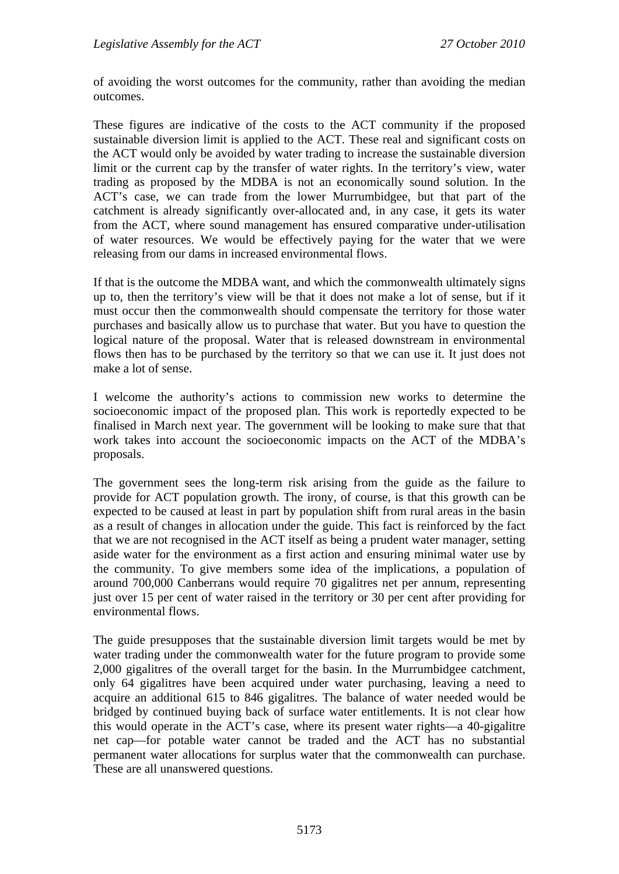of avoiding the worst outcomes for the community, rather than avoiding the median outcomes.

These figures are indicative of the costs to the ACT community if the proposed sustainable diversion limit is applied to the ACT. These real and significant costs on the ACT would only be avoided by water trading to increase the sustainable diversion limit or the current cap by the transfer of water rights. In the territory's view, water trading as proposed by the MDBA is not an economically sound solution. In the ACT's case, we can trade from the lower Murrumbidgee, but that part of the catchment is already significantly over-allocated and, in any case, it gets its water from the ACT, where sound management has ensured comparative under-utilisation of water resources. We would be effectively paying for the water that we were releasing from our dams in increased environmental flows.

If that is the outcome the MDBA want, and which the commonwealth ultimately signs up to, then the territory's view will be that it does not make a lot of sense, but if it must occur then the commonwealth should compensate the territory for those water purchases and basically allow us to purchase that water. But you have to question the logical nature of the proposal. Water that is released downstream in environmental flows then has to be purchased by the territory so that we can use it. It just does not make a lot of sense.

I welcome the authority's actions to commission new works to determine the socioeconomic impact of the proposed plan. This work is reportedly expected to be finalised in March next year. The government will be looking to make sure that that work takes into account the socioeconomic impacts on the ACT of the MDBA's proposals.

The government sees the long-term risk arising from the guide as the failure to provide for ACT population growth. The irony, of course, is that this growth can be expected to be caused at least in part by population shift from rural areas in the basin as a result of changes in allocation under the guide. This fact is reinforced by the fact that we are not recognised in the ACT itself as being a prudent water manager, setting aside water for the environment as a first action and ensuring minimal water use by the community. To give members some idea of the implications, a population of around 700,000 Canberrans would require 70 gigalitres net per annum, representing just over 15 per cent of water raised in the territory or 30 per cent after providing for environmental flows.

The guide presupposes that the sustainable diversion limit targets would be met by water trading under the commonwealth water for the future program to provide some 2,000 gigalitres of the overall target for the basin. In the Murrumbidgee catchment, only 64 gigalitres have been acquired under water purchasing, leaving a need to acquire an additional 615 to 846 gigalitres. The balance of water needed would be bridged by continued buying back of surface water entitlements. It is not clear how this would operate in the ACT's case, where its present water rights—a 40-gigalitre net cap—for potable water cannot be traded and the ACT has no substantial permanent water allocations for surplus water that the commonwealth can purchase. These are all unanswered questions.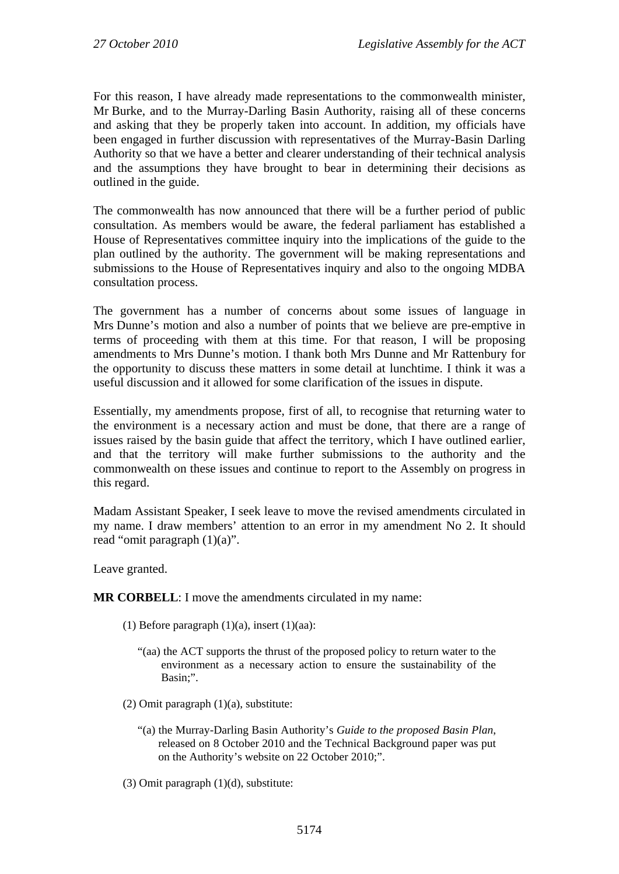For this reason, I have already made representations to the commonwealth minister, Mr Burke, and to the Murray-Darling Basin Authority, raising all of these concerns and asking that they be properly taken into account. In addition, my officials have been engaged in further discussion with representatives of the Murray-Basin Darling Authority so that we have a better and clearer understanding of their technical analysis and the assumptions they have brought to bear in determining their decisions as outlined in the guide.

The commonwealth has now announced that there will be a further period of public consultation. As members would be aware, the federal parliament has established a House of Representatives committee inquiry into the implications of the guide to the plan outlined by the authority. The government will be making representations and submissions to the House of Representatives inquiry and also to the ongoing MDBA consultation process.

The government has a number of concerns about some issues of language in Mrs Dunne's motion and also a number of points that we believe are pre-emptive in terms of proceeding with them at this time. For that reason, I will be proposing amendments to Mrs Dunne's motion. I thank both Mrs Dunne and Mr Rattenbury for the opportunity to discuss these matters in some detail at lunchtime. I think it was a useful discussion and it allowed for some clarification of the issues in dispute.

Essentially, my amendments propose, first of all, to recognise that returning water to the environment is a necessary action and must be done, that there are a range of issues raised by the basin guide that affect the territory, which I have outlined earlier, and that the territory will make further submissions to the authority and the commonwealth on these issues and continue to report to the Assembly on progress in this regard.

Madam Assistant Speaker, I seek leave to move the revised amendments circulated in my name. I draw members' attention to an error in my amendment No 2. It should read "omit paragraph (1)(a)".

Leave granted.

**MR CORBELL**: I move the amendments circulated in my name:

- (1) Before paragraph  $(1)(a)$ , insert  $(1)(aa)$ :
	- "(aa) the ACT supports the thrust of the proposed policy to return water to the environment as a necessary action to ensure the sustainability of the Basin;".
- (2) Omit paragraph  $(1)(a)$ , substitute:
	- "(a) the Murray-Darling Basin Authority's *Guide to the proposed Basin Plan*, released on 8 October 2010 and the Technical Background paper was put on the Authority's website on 22 October 2010;".
- (3) Omit paragraph (1)(d), substitute: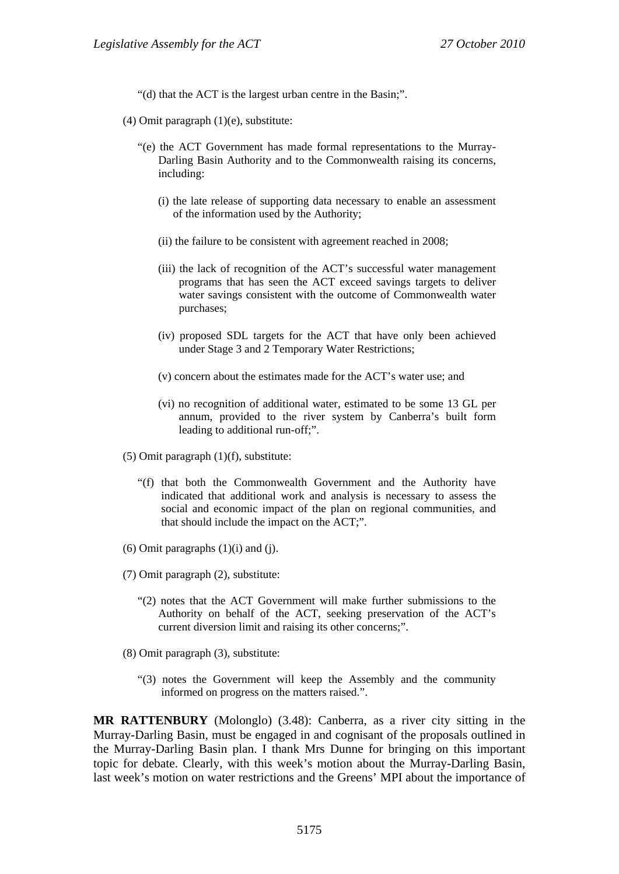"(d) that the ACT is the largest urban centre in the Basin;".

- (4) Omit paragraph (1)(e), substitute:
	- "(e) the ACT Government has made formal representations to the Murray-Darling Basin Authority and to the Commonwealth raising its concerns, including:
		- (i) the late release of supporting data necessary to enable an assessment of the information used by the Authority;
		- (ii) the failure to be consistent with agreement reached in 2008;
		- (iii) the lack of recognition of the ACT's successful water management programs that has seen the ACT exceed savings targets to deliver water savings consistent with the outcome of Commonwealth water purchases;
		- (iv) proposed SDL targets for the ACT that have only been achieved under Stage 3 and 2 Temporary Water Restrictions;
		- (v) concern about the estimates made for the ACT's water use; and
		- (vi) no recognition of additional water, estimated to be some 13 GL per annum, provided to the river system by Canberra's built form leading to additional run-off;".
- (5) Omit paragraph (1)(f), substitute:
	- "(f) that both the Commonwealth Government and the Authority have indicated that additional work and analysis is necessary to assess the social and economic impact of the plan on regional communities, and that should include the impact on the ACT;".
- $(6)$  Omit paragraphs  $(1)(i)$  and  $(i)$ .
- (7) Omit paragraph (2), substitute:
	- "(2) notes that the ACT Government will make further submissions to the Authority on behalf of the ACT, seeking preservation of the ACT's current diversion limit and raising its other concerns;".
- (8) Omit paragraph (3), substitute:
	- "(3) notes the Government will keep the Assembly and the community informed on progress on the matters raised.".

**MR RATTENBURY** (Molonglo) (3.48): Canberra, as a river city sitting in the Murray-Darling Basin, must be engaged in and cognisant of the proposals outlined in the Murray-Darling Basin plan. I thank Mrs Dunne for bringing on this important topic for debate. Clearly, with this week's motion about the Murray-Darling Basin, last week's motion on water restrictions and the Greens' MPI about the importance of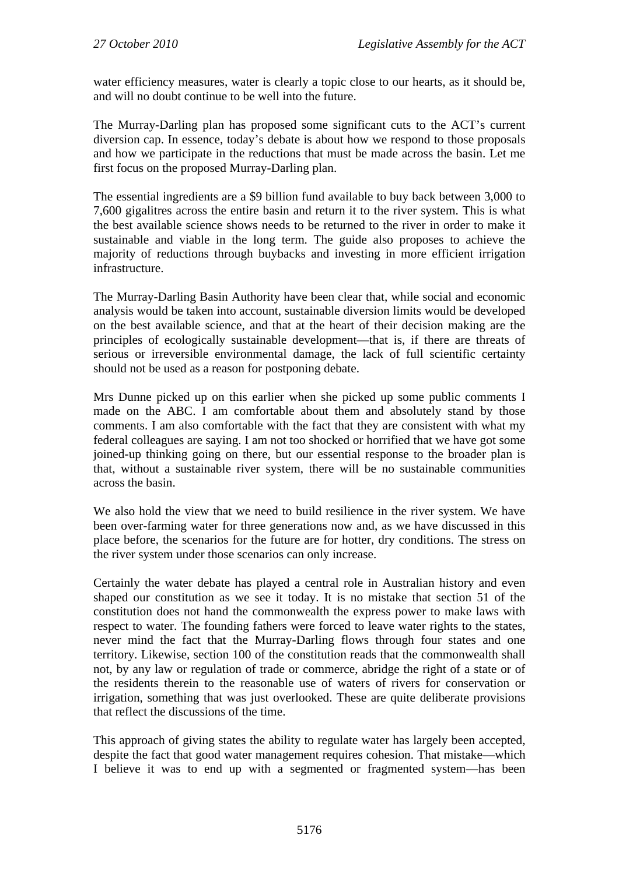water efficiency measures, water is clearly a topic close to our hearts, as it should be, and will no doubt continue to be well into the future.

The Murray-Darling plan has proposed some significant cuts to the ACT's current diversion cap. In essence, today's debate is about how we respond to those proposals and how we participate in the reductions that must be made across the basin. Let me first focus on the proposed Murray-Darling plan.

The essential ingredients are a \$9 billion fund available to buy back between 3,000 to 7,600 gigalitres across the entire basin and return it to the river system. This is what the best available science shows needs to be returned to the river in order to make it sustainable and viable in the long term. The guide also proposes to achieve the majority of reductions through buybacks and investing in more efficient irrigation infrastructure.

The Murray-Darling Basin Authority have been clear that, while social and economic analysis would be taken into account, sustainable diversion limits would be developed on the best available science, and that at the heart of their decision making are the principles of ecologically sustainable development—that is, if there are threats of serious or irreversible environmental damage, the lack of full scientific certainty should not be used as a reason for postponing debate.

Mrs Dunne picked up on this earlier when she picked up some public comments I made on the ABC. I am comfortable about them and absolutely stand by those comments. I am also comfortable with the fact that they are consistent with what my federal colleagues are saying. I am not too shocked or horrified that we have got some joined-up thinking going on there, but our essential response to the broader plan is that, without a sustainable river system, there will be no sustainable communities across the basin.

We also hold the view that we need to build resilience in the river system. We have been over-farming water for three generations now and, as we have discussed in this place before, the scenarios for the future are for hotter, dry conditions. The stress on the river system under those scenarios can only increase.

Certainly the water debate has played a central role in Australian history and even shaped our constitution as we see it today. It is no mistake that section 51 of the constitution does not hand the commonwealth the express power to make laws with respect to water. The founding fathers were forced to leave water rights to the states, never mind the fact that the Murray-Darling flows through four states and one territory. Likewise, section 100 of the constitution reads that the commonwealth shall not, by any law or regulation of trade or commerce, abridge the right of a state or of the residents therein to the reasonable use of waters of rivers for conservation or irrigation, something that was just overlooked. These are quite deliberate provisions that reflect the discussions of the time.

This approach of giving states the ability to regulate water has largely been accepted, despite the fact that good water management requires cohesion. That mistake—which I believe it was to end up with a segmented or fragmented system—has been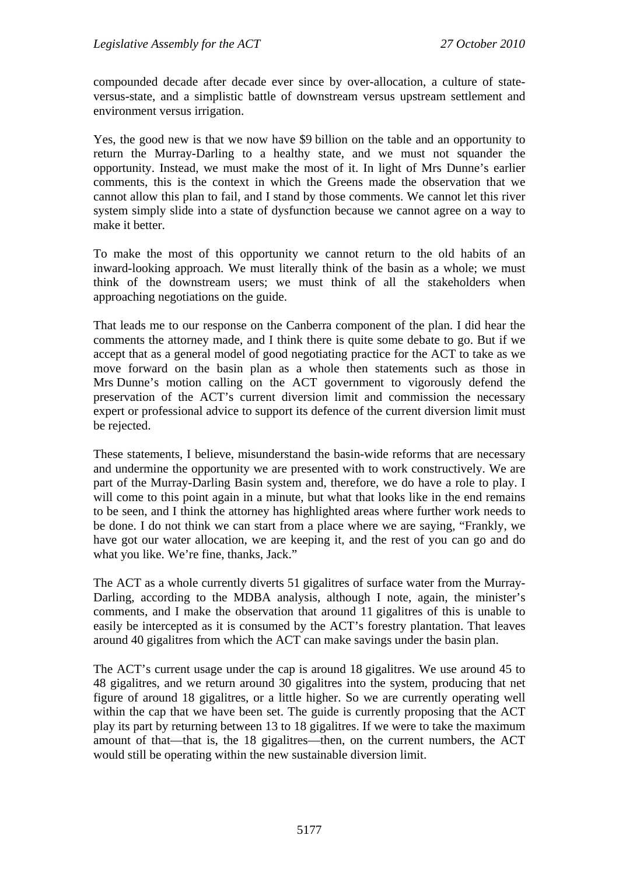compounded decade after decade ever since by over-allocation, a culture of stateversus-state, and a simplistic battle of downstream versus upstream settlement and environment versus irrigation.

Yes, the good new is that we now have \$9 billion on the table and an opportunity to return the Murray-Darling to a healthy state, and we must not squander the opportunity. Instead, we must make the most of it. In light of Mrs Dunne's earlier comments, this is the context in which the Greens made the observation that we cannot allow this plan to fail, and I stand by those comments. We cannot let this river system simply slide into a state of dysfunction because we cannot agree on a way to make it better.

To make the most of this opportunity we cannot return to the old habits of an inward-looking approach. We must literally think of the basin as a whole; we must think of the downstream users; we must think of all the stakeholders when approaching negotiations on the guide.

That leads me to our response on the Canberra component of the plan. I did hear the comments the attorney made, and I think there is quite some debate to go. But if we accept that as a general model of good negotiating practice for the ACT to take as we move forward on the basin plan as a whole then statements such as those in Mrs Dunne's motion calling on the ACT government to vigorously defend the preservation of the ACT's current diversion limit and commission the necessary expert or professional advice to support its defence of the current diversion limit must be rejected.

These statements, I believe, misunderstand the basin-wide reforms that are necessary and undermine the opportunity we are presented with to work constructively. We are part of the Murray-Darling Basin system and, therefore, we do have a role to play. I will come to this point again in a minute, but what that looks like in the end remains to be seen, and I think the attorney has highlighted areas where further work needs to be done. I do not think we can start from a place where we are saying, "Frankly, we have got our water allocation, we are keeping it, and the rest of you can go and do what you like. We're fine, thanks, Jack."

The ACT as a whole currently diverts 51 gigalitres of surface water from the Murray-Darling, according to the MDBA analysis, although I note, again, the minister's comments, and I make the observation that around 11 gigalitres of this is unable to easily be intercepted as it is consumed by the ACT's forestry plantation. That leaves around 40 gigalitres from which the ACT can make savings under the basin plan.

The ACT's current usage under the cap is around 18 gigalitres. We use around 45 to 48 gigalitres, and we return around 30 gigalitres into the system, producing that net figure of around 18 gigalitres, or a little higher. So we are currently operating well within the cap that we have been set. The guide is currently proposing that the ACT play its part by returning between 13 to 18 gigalitres. If we were to take the maximum amount of that—that is, the 18 gigalitres—then, on the current numbers, the ACT would still be operating within the new sustainable diversion limit.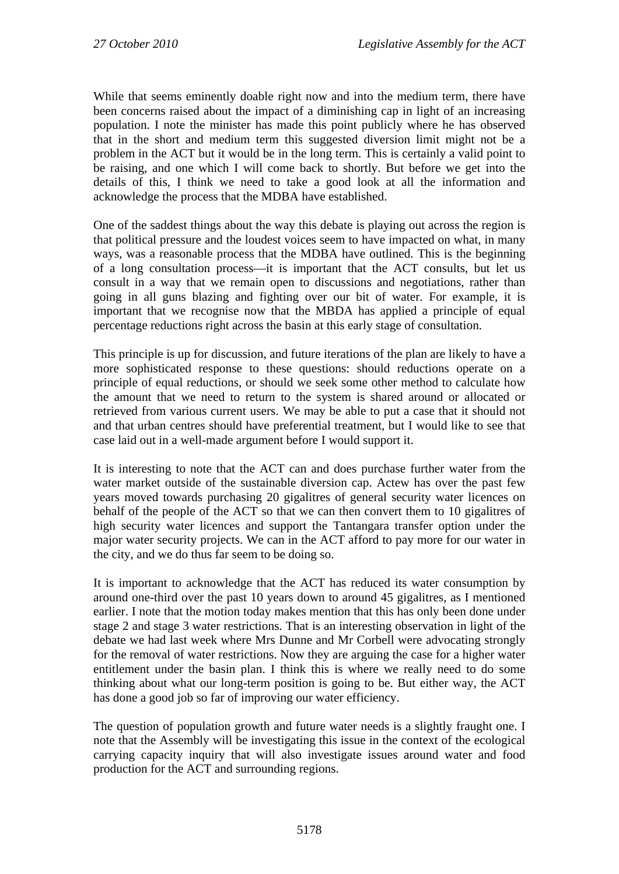While that seems eminently doable right now and into the medium term, there have been concerns raised about the impact of a diminishing cap in light of an increasing population. I note the minister has made this point publicly where he has observed that in the short and medium term this suggested diversion limit might not be a problem in the ACT but it would be in the long term. This is certainly a valid point to be raising, and one which I will come back to shortly. But before we get into the details of this, I think we need to take a good look at all the information and acknowledge the process that the MDBA have established.

One of the saddest things about the way this debate is playing out across the region is that political pressure and the loudest voices seem to have impacted on what, in many ways, was a reasonable process that the MDBA have outlined. This is the beginning of a long consultation process—it is important that the ACT consults, but let us consult in a way that we remain open to discussions and negotiations, rather than going in all guns blazing and fighting over our bit of water. For example, it is important that we recognise now that the MBDA has applied a principle of equal percentage reductions right across the basin at this early stage of consultation.

This principle is up for discussion, and future iterations of the plan are likely to have a more sophisticated response to these questions: should reductions operate on a principle of equal reductions, or should we seek some other method to calculate how the amount that we need to return to the system is shared around or allocated or retrieved from various current users. We may be able to put a case that it should not and that urban centres should have preferential treatment, but I would like to see that case laid out in a well-made argument before I would support it.

It is interesting to note that the ACT can and does purchase further water from the water market outside of the sustainable diversion cap. Actew has over the past few years moved towards purchasing 20 gigalitres of general security water licences on behalf of the people of the ACT so that we can then convert them to 10 gigalitres of high security water licences and support the Tantangara transfer option under the major water security projects. We can in the ACT afford to pay more for our water in the city, and we do thus far seem to be doing so.

It is important to acknowledge that the ACT has reduced its water consumption by around one-third over the past 10 years down to around 45 gigalitres, as I mentioned earlier. I note that the motion today makes mention that this has only been done under stage 2 and stage 3 water restrictions. That is an interesting observation in light of the debate we had last week where Mrs Dunne and Mr Corbell were advocating strongly for the removal of water restrictions. Now they are arguing the case for a higher water entitlement under the basin plan. I think this is where we really need to do some thinking about what our long-term position is going to be. But either way, the ACT has done a good job so far of improving our water efficiency.

The question of population growth and future water needs is a slightly fraught one. I note that the Assembly will be investigating this issue in the context of the ecological carrying capacity inquiry that will also investigate issues around water and food production for the ACT and surrounding regions.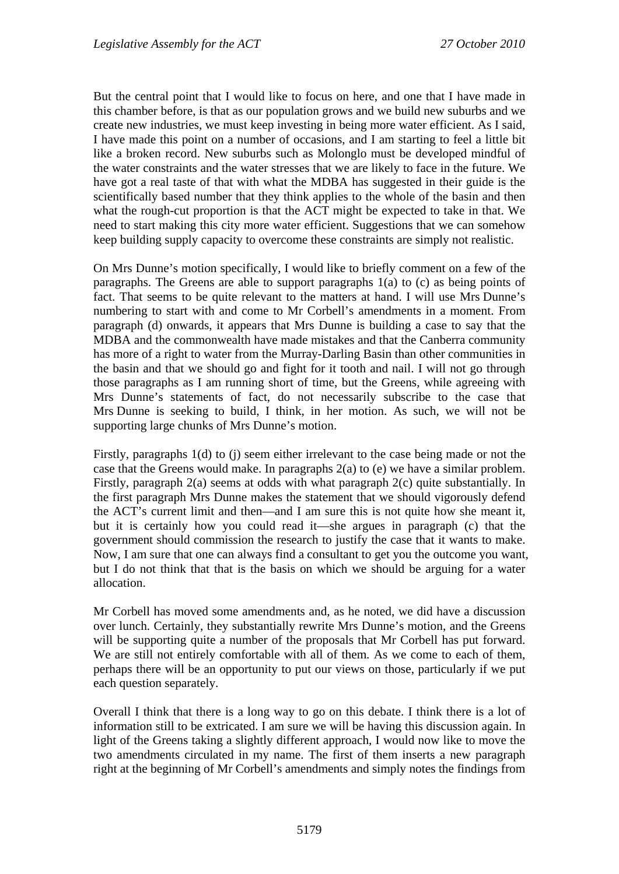But the central point that I would like to focus on here, and one that I have made in this chamber before, is that as our population grows and we build new suburbs and we create new industries, we must keep investing in being more water efficient. As I said, I have made this point on a number of occasions, and I am starting to feel a little bit like a broken record. New suburbs such as Molonglo must be developed mindful of the water constraints and the water stresses that we are likely to face in the future. We have got a real taste of that with what the MDBA has suggested in their guide is the scientifically based number that they think applies to the whole of the basin and then what the rough-cut proportion is that the ACT might be expected to take in that. We need to start making this city more water efficient. Suggestions that we can somehow keep building supply capacity to overcome these constraints are simply not realistic.

On Mrs Dunne's motion specifically, I would like to briefly comment on a few of the paragraphs. The Greens are able to support paragraphs 1(a) to (c) as being points of fact. That seems to be quite relevant to the matters at hand. I will use Mrs Dunne's numbering to start with and come to Mr Corbell's amendments in a moment. From paragraph (d) onwards, it appears that Mrs Dunne is building a case to say that the MDBA and the commonwealth have made mistakes and that the Canberra community has more of a right to water from the Murray-Darling Basin than other communities in the basin and that we should go and fight for it tooth and nail. I will not go through those paragraphs as I am running short of time, but the Greens, while agreeing with Mrs Dunne's statements of fact, do not necessarily subscribe to the case that Mrs Dunne is seeking to build, I think, in her motion. As such, we will not be supporting large chunks of Mrs Dunne's motion.

Firstly, paragraphs 1(d) to (j) seem either irrelevant to the case being made or not the case that the Greens would make. In paragraphs 2(a) to (e) we have a similar problem. Firstly, paragraph 2(a) seems at odds with what paragraph 2(c) quite substantially. In the first paragraph Mrs Dunne makes the statement that we should vigorously defend the ACT's current limit and then—and I am sure this is not quite how she meant it, but it is certainly how you could read it—she argues in paragraph (c) that the government should commission the research to justify the case that it wants to make. Now, I am sure that one can always find a consultant to get you the outcome you want, but I do not think that that is the basis on which we should be arguing for a water allocation.

Mr Corbell has moved some amendments and, as he noted, we did have a discussion over lunch. Certainly, they substantially rewrite Mrs Dunne's motion, and the Greens will be supporting quite a number of the proposals that Mr Corbell has put forward. We are still not entirely comfortable with all of them. As we come to each of them, perhaps there will be an opportunity to put our views on those, particularly if we put each question separately.

Overall I think that there is a long way to go on this debate. I think there is a lot of information still to be extricated. I am sure we will be having this discussion again. In light of the Greens taking a slightly different approach, I would now like to move the two amendments circulated in my name. The first of them inserts a new paragraph right at the beginning of Mr Corbell's amendments and simply notes the findings from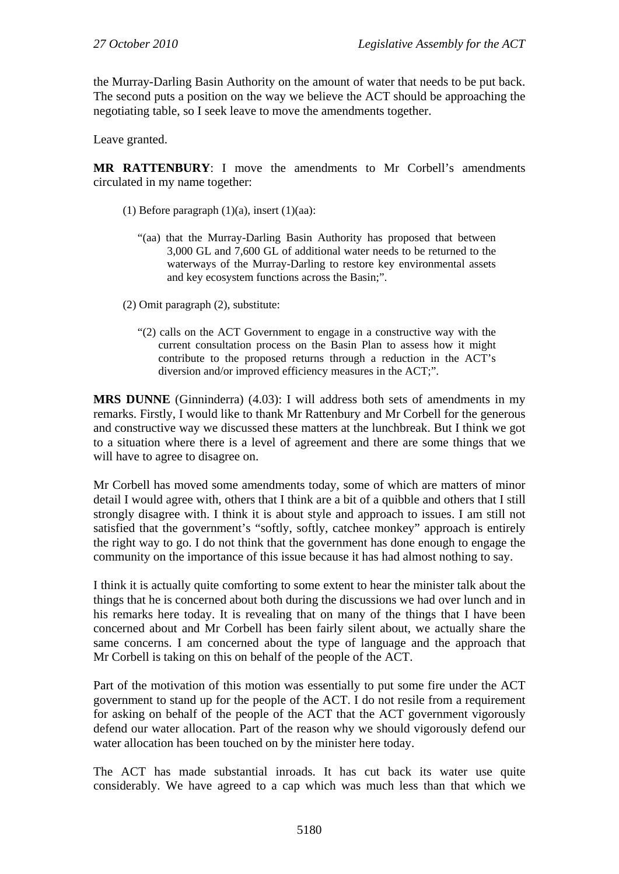the Murray-Darling Basin Authority on the amount of water that needs to be put back. The second puts a position on the way we believe the ACT should be approaching the negotiating table, so I seek leave to move the amendments together.

Leave granted.

**MR RATTENBURY**: I move the amendments to Mr Corbell's amendments circulated in my name together:

- (1) Before paragraph  $(1)(a)$ , insert  $(1)(aa)$ :
	- "(aa) that the Murray-Darling Basin Authority has proposed that between 3,000 GL and 7,600 GL of additional water needs to be returned to the waterways of the Murray-Darling to restore key environmental assets and key ecosystem functions across the Basin;".

(2) Omit paragraph (2), substitute:

"(2) calls on the ACT Government to engage in a constructive way with the current consultation process on the Basin Plan to assess how it might contribute to the proposed returns through a reduction in the ACT's diversion and/or improved efficiency measures in the ACT;".

**MRS DUNNE** (Ginninderra) (4.03): I will address both sets of amendments in my remarks. Firstly, I would like to thank Mr Rattenbury and Mr Corbell for the generous and constructive way we discussed these matters at the lunchbreak. But I think we got to a situation where there is a level of agreement and there are some things that we will have to agree to disagree on.

Mr Corbell has moved some amendments today, some of which are matters of minor detail I would agree with, others that I think are a bit of a quibble and others that I still strongly disagree with. I think it is about style and approach to issues. I am still not satisfied that the government's "softly, softly, catchee monkey" approach is entirely the right way to go. I do not think that the government has done enough to engage the community on the importance of this issue because it has had almost nothing to say.

I think it is actually quite comforting to some extent to hear the minister talk about the things that he is concerned about both during the discussions we had over lunch and in his remarks here today. It is revealing that on many of the things that I have been concerned about and Mr Corbell has been fairly silent about, we actually share the same concerns. I am concerned about the type of language and the approach that Mr Corbell is taking on this on behalf of the people of the ACT.

Part of the motivation of this motion was essentially to put some fire under the ACT government to stand up for the people of the ACT. I do not resile from a requirement for asking on behalf of the people of the ACT that the ACT government vigorously defend our water allocation. Part of the reason why we should vigorously defend our water allocation has been touched on by the minister here today.

The ACT has made substantial inroads. It has cut back its water use quite considerably. We have agreed to a cap which was much less than that which we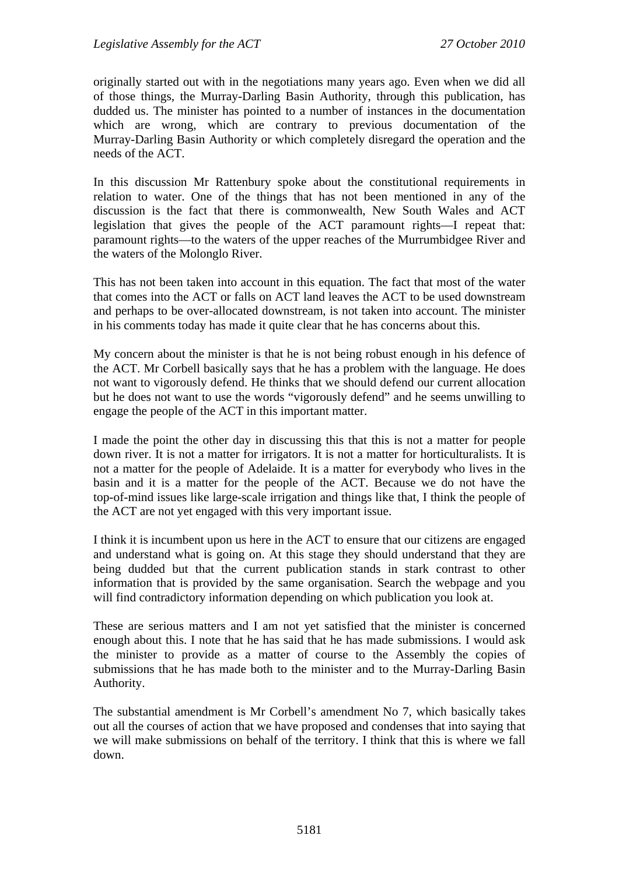originally started out with in the negotiations many years ago. Even when we did all of those things, the Murray-Darling Basin Authority, through this publication, has dudded us. The minister has pointed to a number of instances in the documentation which are wrong, which are contrary to previous documentation of the Murray-Darling Basin Authority or which completely disregard the operation and the needs of the ACT.

In this discussion Mr Rattenbury spoke about the constitutional requirements in relation to water. One of the things that has not been mentioned in any of the discussion is the fact that there is commonwealth, New South Wales and ACT legislation that gives the people of the ACT paramount rights—I repeat that: paramount rights—to the waters of the upper reaches of the Murrumbidgee River and the waters of the Molonglo River.

This has not been taken into account in this equation. The fact that most of the water that comes into the ACT or falls on ACT land leaves the ACT to be used downstream and perhaps to be over-allocated downstream, is not taken into account. The minister in his comments today has made it quite clear that he has concerns about this.

My concern about the minister is that he is not being robust enough in his defence of the ACT. Mr Corbell basically says that he has a problem with the language. He does not want to vigorously defend. He thinks that we should defend our current allocation but he does not want to use the words "vigorously defend" and he seems unwilling to engage the people of the ACT in this important matter.

I made the point the other day in discussing this that this is not a matter for people down river. It is not a matter for irrigators. It is not a matter for horticulturalists. It is not a matter for the people of Adelaide. It is a matter for everybody who lives in the basin and it is a matter for the people of the ACT. Because we do not have the top-of-mind issues like large-scale irrigation and things like that, I think the people of the ACT are not yet engaged with this very important issue.

I think it is incumbent upon us here in the ACT to ensure that our citizens are engaged and understand what is going on. At this stage they should understand that they are being dudded but that the current publication stands in stark contrast to other information that is provided by the same organisation. Search the webpage and you will find contradictory information depending on which publication you look at.

These are serious matters and I am not yet satisfied that the minister is concerned enough about this. I note that he has said that he has made submissions. I would ask the minister to provide as a matter of course to the Assembly the copies of submissions that he has made both to the minister and to the Murray-Darling Basin Authority.

The substantial amendment is Mr Corbell's amendment No 7, which basically takes out all the courses of action that we have proposed and condenses that into saying that we will make submissions on behalf of the territory. I think that this is where we fall down.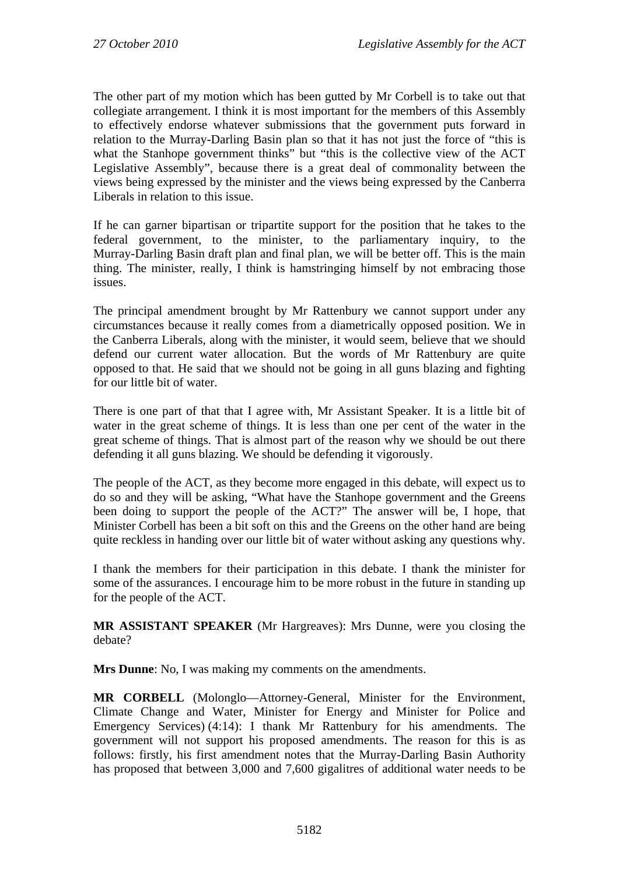The other part of my motion which has been gutted by Mr Corbell is to take out that collegiate arrangement. I think it is most important for the members of this Assembly to effectively endorse whatever submissions that the government puts forward in relation to the Murray-Darling Basin plan so that it has not just the force of "this is what the Stanhope government thinks" but "this is the collective view of the ACT Legislative Assembly", because there is a great deal of commonality between the views being expressed by the minister and the views being expressed by the Canberra Liberals in relation to this issue.

If he can garner bipartisan or tripartite support for the position that he takes to the federal government, to the minister, to the parliamentary inquiry, to the Murray-Darling Basin draft plan and final plan, we will be better off. This is the main thing. The minister, really, I think is hamstringing himself by not embracing those issues.

The principal amendment brought by Mr Rattenbury we cannot support under any circumstances because it really comes from a diametrically opposed position. We in the Canberra Liberals, along with the minister, it would seem, believe that we should defend our current water allocation. But the words of Mr Rattenbury are quite opposed to that. He said that we should not be going in all guns blazing and fighting for our little bit of water.

There is one part of that that I agree with, Mr Assistant Speaker. It is a little bit of water in the great scheme of things. It is less than one per cent of the water in the great scheme of things. That is almost part of the reason why we should be out there defending it all guns blazing. We should be defending it vigorously.

The people of the ACT, as they become more engaged in this debate, will expect us to do so and they will be asking, "What have the Stanhope government and the Greens been doing to support the people of the ACT?" The answer will be, I hope, that Minister Corbell has been a bit soft on this and the Greens on the other hand are being quite reckless in handing over our little bit of water without asking any questions why.

I thank the members for their participation in this debate. I thank the minister for some of the assurances. I encourage him to be more robust in the future in standing up for the people of the ACT.

**MR ASSISTANT SPEAKER** (Mr Hargreaves): Mrs Dunne, were you closing the debate?

**Mrs Dunne**: No, I was making my comments on the amendments.

**MR CORBELL** (Molonglo—Attorney-General, Minister for the Environment, Climate Change and Water, Minister for Energy and Minister for Police and Emergency Services) (4:14): I thank Mr Rattenbury for his amendments. The government will not support his proposed amendments. The reason for this is as follows: firstly, his first amendment notes that the Murray-Darling Basin Authority has proposed that between 3,000 and 7,600 gigalitres of additional water needs to be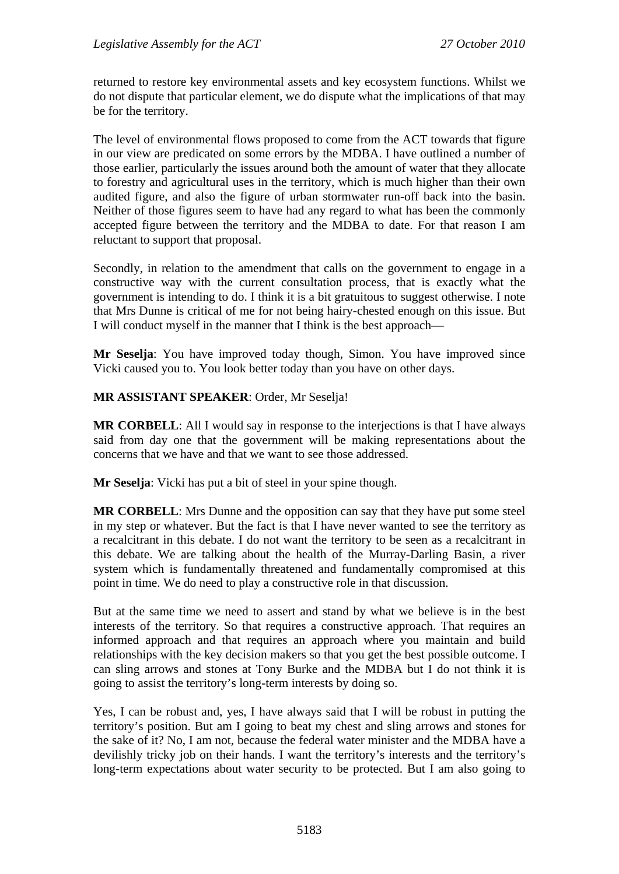returned to restore key environmental assets and key ecosystem functions. Whilst we do not dispute that particular element, we do dispute what the implications of that may be for the territory.

The level of environmental flows proposed to come from the ACT towards that figure in our view are predicated on some errors by the MDBA. I have outlined a number of those earlier, particularly the issues around both the amount of water that they allocate to forestry and agricultural uses in the territory, which is much higher than their own audited figure, and also the figure of urban stormwater run-off back into the basin. Neither of those figures seem to have had any regard to what has been the commonly accepted figure between the territory and the MDBA to date. For that reason I am reluctant to support that proposal.

Secondly, in relation to the amendment that calls on the government to engage in a constructive way with the current consultation process, that is exactly what the government is intending to do. I think it is a bit gratuitous to suggest otherwise. I note that Mrs Dunne is critical of me for not being hairy-chested enough on this issue. But I will conduct myself in the manner that I think is the best approach—

**Mr Seselja**: You have improved today though, Simon. You have improved since Vicki caused you to. You look better today than you have on other days.

## **MR ASSISTANT SPEAKER**: Order, Mr Seselja!

**MR CORBELL**: All I would say in response to the interjections is that I have always said from day one that the government will be making representations about the concerns that we have and that we want to see those addressed.

**Mr Seselja**: Vicki has put a bit of steel in your spine though.

**MR CORBELL**: Mrs Dunne and the opposition can say that they have put some steel in my step or whatever. But the fact is that I have never wanted to see the territory as a recalcitrant in this debate. I do not want the territory to be seen as a recalcitrant in this debate. We are talking about the health of the Murray-Darling Basin, a river system which is fundamentally threatened and fundamentally compromised at this point in time. We do need to play a constructive role in that discussion.

But at the same time we need to assert and stand by what we believe is in the best interests of the territory. So that requires a constructive approach. That requires an informed approach and that requires an approach where you maintain and build relationships with the key decision makers so that you get the best possible outcome. I can sling arrows and stones at Tony Burke and the MDBA but I do not think it is going to assist the territory's long-term interests by doing so.

Yes, I can be robust and, yes, I have always said that I will be robust in putting the territory's position. But am I going to beat my chest and sling arrows and stones for the sake of it? No, I am not, because the federal water minister and the MDBA have a devilishly tricky job on their hands. I want the territory's interests and the territory's long-term expectations about water security to be protected. But I am also going to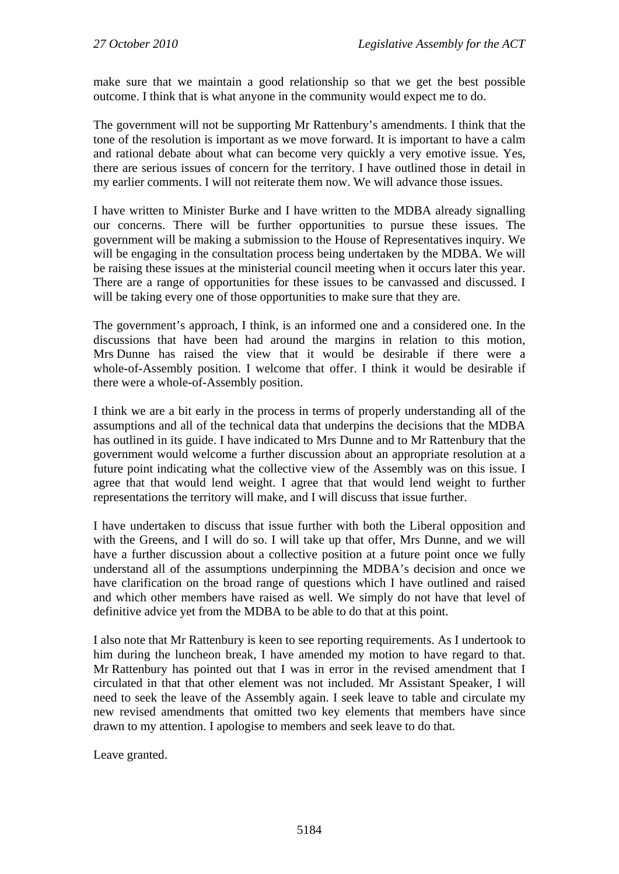make sure that we maintain a good relationship so that we get the best possible outcome. I think that is what anyone in the community would expect me to do.

The government will not be supporting Mr Rattenbury's amendments. I think that the tone of the resolution is important as we move forward. It is important to have a calm and rational debate about what can become very quickly a very emotive issue. Yes, there are serious issues of concern for the territory. I have outlined those in detail in my earlier comments. I will not reiterate them now. We will advance those issues.

I have written to Minister Burke and I have written to the MDBA already signalling our concerns. There will be further opportunities to pursue these issues. The government will be making a submission to the House of Representatives inquiry. We will be engaging in the consultation process being undertaken by the MDBA. We will be raising these issues at the ministerial council meeting when it occurs later this year. There are a range of opportunities for these issues to be canvassed and discussed. I will be taking every one of those opportunities to make sure that they are.

The government's approach, I think, is an informed one and a considered one. In the discussions that have been had around the margins in relation to this motion, Mrs Dunne has raised the view that it would be desirable if there were a whole-of-Assembly position. I welcome that offer. I think it would be desirable if there were a whole-of-Assembly position.

I think we are a bit early in the process in terms of properly understanding all of the assumptions and all of the technical data that underpins the decisions that the MDBA has outlined in its guide. I have indicated to Mrs Dunne and to Mr Rattenbury that the government would welcome a further discussion about an appropriate resolution at a future point indicating what the collective view of the Assembly was on this issue. I agree that that would lend weight. I agree that that would lend weight to further representations the territory will make, and I will discuss that issue further.

I have undertaken to discuss that issue further with both the Liberal opposition and with the Greens, and I will do so. I will take up that offer, Mrs Dunne, and we will have a further discussion about a collective position at a future point once we fully understand all of the assumptions underpinning the MDBA's decision and once we have clarification on the broad range of questions which I have outlined and raised and which other members have raised as well. We simply do not have that level of definitive advice yet from the MDBA to be able to do that at this point.

I also note that Mr Rattenbury is keen to see reporting requirements. As I undertook to him during the luncheon break, I have amended my motion to have regard to that. Mr Rattenbury has pointed out that I was in error in the revised amendment that I circulated in that that other element was not included. Mr Assistant Speaker, I will need to seek the leave of the Assembly again. I seek leave to table and circulate my new revised amendments that omitted two key elements that members have since drawn to my attention. I apologise to members and seek leave to do that.

Leave granted.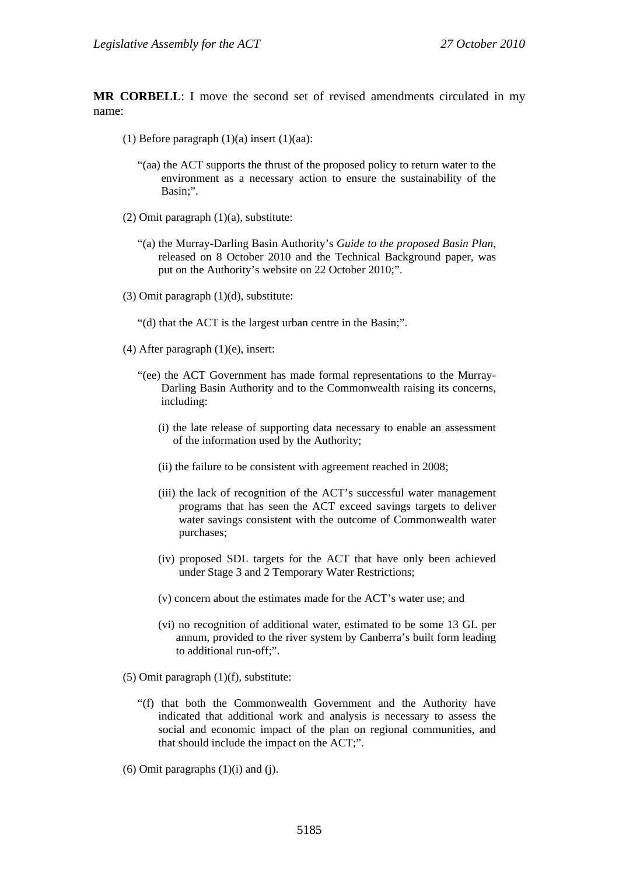**MR CORBELL**: I move the second set of revised amendments circulated in my name:

- (1) Before paragraph  $(1)(a)$  insert  $(1)(aa)$ :
	- "(aa) the ACT supports the thrust of the proposed policy to return water to the environment as a necessary action to ensure the sustainability of the Basin;".
- (2) Omit paragraph (1)(a), substitute:
	- "(a) the Murray-Darling Basin Authority's *Guide to the proposed Basin Plan*, released on 8 October 2010 and the Technical Background paper, was put on the Authority's website on 22 October 2010;".
- (3) Omit paragraph (1)(d), substitute:
	- "(d) that the ACT is the largest urban centre in the Basin;".
- (4) After paragraph  $(1)(e)$ , insert:
	- "(ee) the ACT Government has made formal representations to the Murray-Darling Basin Authority and to the Commonwealth raising its concerns, including:
		- (i) the late release of supporting data necessary to enable an assessment of the information used by the Authority;
		- (ii) the failure to be consistent with agreement reached in 2008;
		- (iii) the lack of recognition of the ACT's successful water management programs that has seen the ACT exceed savings targets to deliver water savings consistent with the outcome of Commonwealth water purchases;
		- (iv) proposed SDL targets for the ACT that have only been achieved under Stage 3 and 2 Temporary Water Restrictions;
		- (v) concern about the estimates made for the ACT's water use; and
		- (vi) no recognition of additional water, estimated to be some 13 GL per annum, provided to the river system by Canberra's built form leading to additional run-off;".
- (5) Omit paragraph (1)(f), substitute:
	- "(f) that both the Commonwealth Government and the Authority have indicated that additional work and analysis is necessary to assess the social and economic impact of the plan on regional communities, and that should include the impact on the ACT;".
- $(6)$  Omit paragraphs  $(1)(i)$  and  $(i)$ .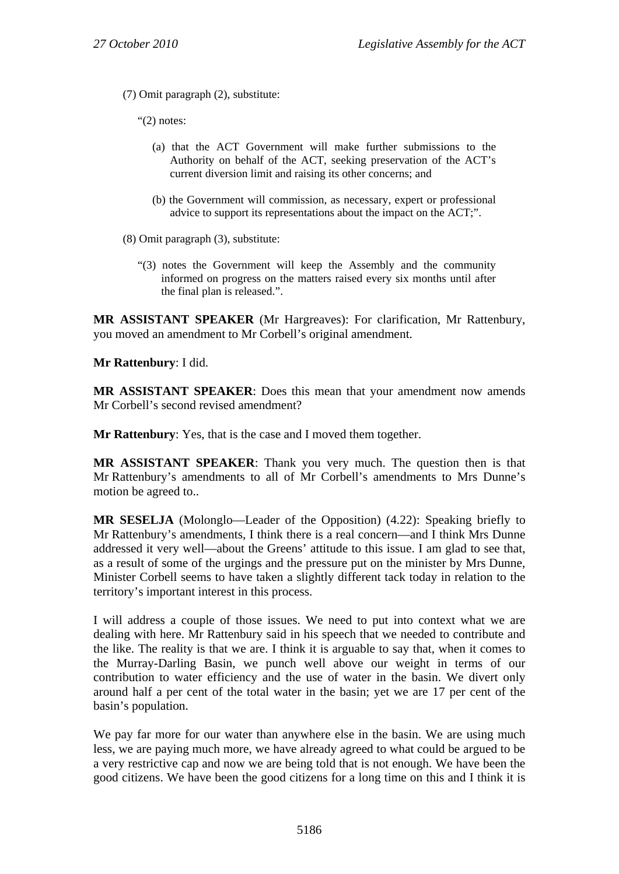(7) Omit paragraph (2), substitute:

"(2) notes:

- (a) that the ACT Government will make further submissions to the Authority on behalf of the ACT, seeking preservation of the ACT's current diversion limit and raising its other concerns; and
- (b) the Government will commission, as necessary, expert or professional advice to support its representations about the impact on the ACT;".
- (8) Omit paragraph (3), substitute:
	- "(3) notes the Government will keep the Assembly and the community informed on progress on the matters raised every six months until after the final plan is released.".

**MR ASSISTANT SPEAKER** (Mr Hargreaves): For clarification, Mr Rattenbury, you moved an amendment to Mr Corbell's original amendment.

**Mr Rattenbury**: I did.

**MR ASSISTANT SPEAKER**: Does this mean that your amendment now amends Mr Corbell's second revised amendment?

**Mr Rattenbury**: Yes, that is the case and I moved them together.

**MR ASSISTANT SPEAKER**: Thank you very much. The question then is that Mr Rattenbury's amendments to all of Mr Corbell's amendments to Mrs Dunne's motion be agreed to..

**MR SESELJA** (Molonglo—Leader of the Opposition) (4.22): Speaking briefly to Mr Rattenbury's amendments, I think there is a real concern—and I think Mrs Dunne addressed it very well—about the Greens' attitude to this issue. I am glad to see that, as a result of some of the urgings and the pressure put on the minister by Mrs Dunne, Minister Corbell seems to have taken a slightly different tack today in relation to the territory's important interest in this process.

I will address a couple of those issues. We need to put into context what we are dealing with here. Mr Rattenbury said in his speech that we needed to contribute and the like. The reality is that we are. I think it is arguable to say that, when it comes to the Murray-Darling Basin, we punch well above our weight in terms of our contribution to water efficiency and the use of water in the basin. We divert only around half a per cent of the total water in the basin; yet we are 17 per cent of the basin's population.

We pay far more for our water than anywhere else in the basin. We are using much less, we are paying much more, we have already agreed to what could be argued to be a very restrictive cap and now we are being told that is not enough. We have been the good citizens. We have been the good citizens for a long time on this and I think it is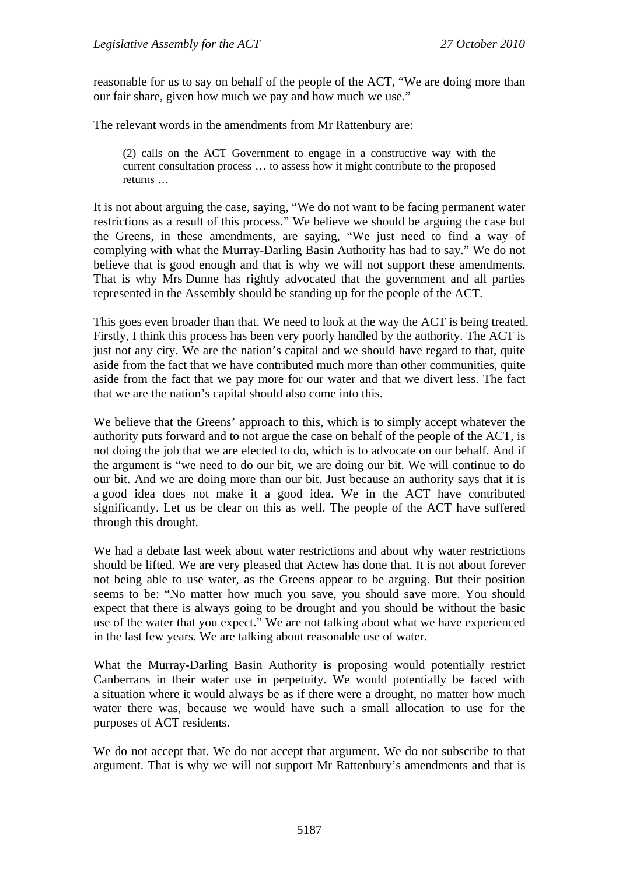reasonable for us to say on behalf of the people of the ACT, "We are doing more than our fair share, given how much we pay and how much we use."

The relevant words in the amendments from Mr Rattenbury are:

(2) calls on the ACT Government to engage in a constructive way with the current consultation process … to assess how it might contribute to the proposed returns …

It is not about arguing the case, saying, "We do not want to be facing permanent water restrictions as a result of this process." We believe we should be arguing the case but the Greens, in these amendments, are saying, "We just need to find a way of complying with what the Murray-Darling Basin Authority has had to say." We do not believe that is good enough and that is why we will not support these amendments. That is why Mrs Dunne has rightly advocated that the government and all parties represented in the Assembly should be standing up for the people of the ACT.

This goes even broader than that. We need to look at the way the ACT is being treated. Firstly, I think this process has been very poorly handled by the authority. The ACT is just not any city. We are the nation's capital and we should have regard to that, quite aside from the fact that we have contributed much more than other communities, quite aside from the fact that we pay more for our water and that we divert less. The fact that we are the nation's capital should also come into this.

We believe that the Greens' approach to this, which is to simply accept whatever the authority puts forward and to not argue the case on behalf of the people of the ACT, is not doing the job that we are elected to do, which is to advocate on our behalf. And if the argument is "we need to do our bit, we are doing our bit. We will continue to do our bit. And we are doing more than our bit. Just because an authority says that it is a good idea does not make it a good idea. We in the ACT have contributed significantly. Let us be clear on this as well. The people of the ACT have suffered through this drought.

We had a debate last week about water restrictions and about why water restrictions should be lifted. We are very pleased that Actew has done that. It is not about forever not being able to use water, as the Greens appear to be arguing. But their position seems to be: "No matter how much you save, you should save more. You should expect that there is always going to be drought and you should be without the basic use of the water that you expect." We are not talking about what we have experienced in the last few years. We are talking about reasonable use of water.

What the Murray-Darling Basin Authority is proposing would potentially restrict Canberrans in their water use in perpetuity. We would potentially be faced with a situation where it would always be as if there were a drought, no matter how much water there was, because we would have such a small allocation to use for the purposes of ACT residents.

We do not accept that. We do not accept that argument. We do not subscribe to that argument. That is why we will not support Mr Rattenbury's amendments and that is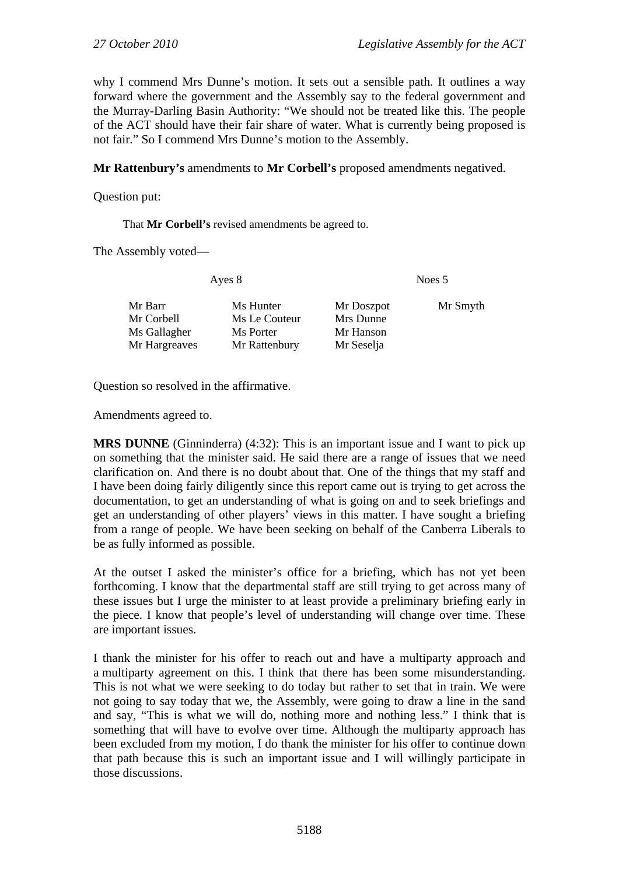why I commend Mrs Dunne's motion. It sets out a sensible path. It outlines a way forward where the government and the Assembly say to the federal government and the Murray-Darling Basin Authority: "We should not be treated like this. The people of the ACT should have their fair share of water. What is currently being proposed is not fair." So I commend Mrs Dunne's motion to the Assembly.

**Mr Rattenbury's** amendments to **Mr Corbell's** proposed amendments negatived.

Question put:

That **Mr Corbell's** revised amendments be agreed to.

The Assembly voted—

Ayes 8 Noes 5 Mr Barr Ms Hunter Mr Doszpot Mr Smyth Mr Corbell Ms Le Couteur Mrs Dunne Ms Gallagher Ms Porter Mr Hanson Mr Hargreaves Mr Rattenbury Mr Seselja

Question so resolved in the affirmative.

Amendments agreed to.

**MRS DUNNE** (Ginninderra) (4:32): This is an important issue and I want to pick up on something that the minister said. He said there are a range of issues that we need clarification on. And there is no doubt about that. One of the things that my staff and I have been doing fairly diligently since this report came out is trying to get across the documentation, to get an understanding of what is going on and to seek briefings and get an understanding of other players' views in this matter. I have sought a briefing from a range of people. We have been seeking on behalf of the Canberra Liberals to be as fully informed as possible.

At the outset I asked the minister's office for a briefing, which has not yet been forthcoming. I know that the departmental staff are still trying to get across many of these issues but I urge the minister to at least provide a preliminary briefing early in the piece. I know that people's level of understanding will change over time. These are important issues.

I thank the minister for his offer to reach out and have a multiparty approach and a multiparty agreement on this. I think that there has been some misunderstanding. This is not what we were seeking to do today but rather to set that in train. We were not going to say today that we, the Assembly, were going to draw a line in the sand and say, "This is what we will do, nothing more and nothing less." I think that is something that will have to evolve over time. Although the multiparty approach has been excluded from my motion, I do thank the minister for his offer to continue down that path because this is such an important issue and I will willingly participate in those discussions.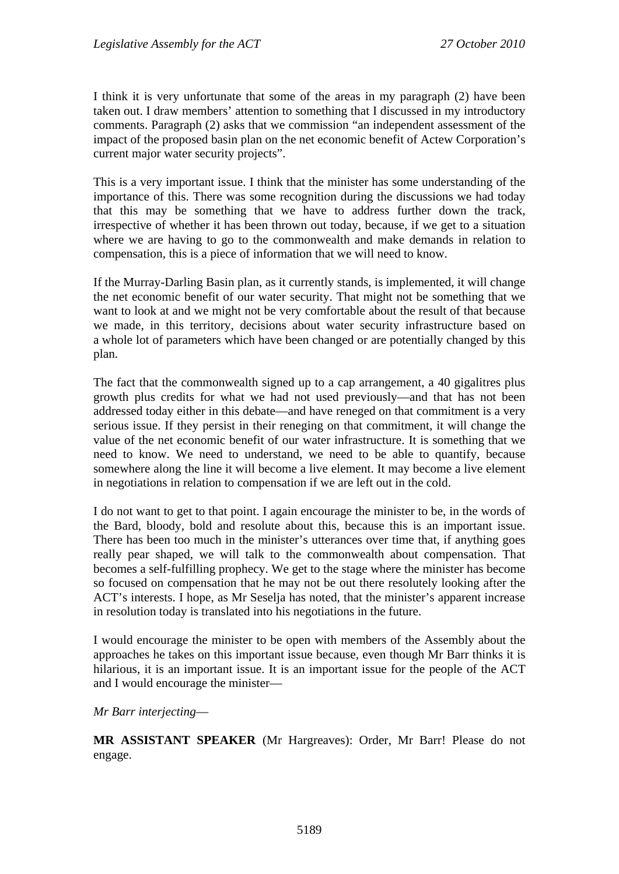I think it is very unfortunate that some of the areas in my paragraph (2) have been taken out. I draw members' attention to something that I discussed in my introductory comments. Paragraph (2) asks that we commission "an independent assessment of the impact of the proposed basin plan on the net economic benefit of Actew Corporation's current major water security projects".

This is a very important issue. I think that the minister has some understanding of the importance of this. There was some recognition during the discussions we had today that this may be something that we have to address further down the track, irrespective of whether it has been thrown out today, because, if we get to a situation where we are having to go to the commonwealth and make demands in relation to compensation, this is a piece of information that we will need to know.

If the Murray-Darling Basin plan, as it currently stands, is implemented, it will change the net economic benefit of our water security. That might not be something that we want to look at and we might not be very comfortable about the result of that because we made, in this territory, decisions about water security infrastructure based on a whole lot of parameters which have been changed or are potentially changed by this plan.

The fact that the commonwealth signed up to a cap arrangement, a 40 gigalitres plus growth plus credits for what we had not used previously—and that has not been addressed today either in this debate—and have reneged on that commitment is a very serious issue. If they persist in their reneging on that commitment, it will change the value of the net economic benefit of our water infrastructure. It is something that we need to know. We need to understand, we need to be able to quantify, because somewhere along the line it will become a live element. It may become a live element in negotiations in relation to compensation if we are left out in the cold.

I do not want to get to that point. I again encourage the minister to be, in the words of the Bard, bloody, bold and resolute about this, because this is an important issue. There has been too much in the minister's utterances over time that, if anything goes really pear shaped, we will talk to the commonwealth about compensation. That becomes a self-fulfilling prophecy. We get to the stage where the minister has become so focused on compensation that he may not be out there resolutely looking after the ACT's interests. I hope, as Mr Seselja has noted, that the minister's apparent increase in resolution today is translated into his negotiations in the future.

I would encourage the minister to be open with members of the Assembly about the approaches he takes on this important issue because, even though Mr Barr thinks it is hilarious, it is an important issue. It is an important issue for the people of the ACT and I would encourage the minister—

### *Mr Barr interjecting*—

**MR ASSISTANT SPEAKER** (Mr Hargreaves): Order, Mr Barr! Please do not engage.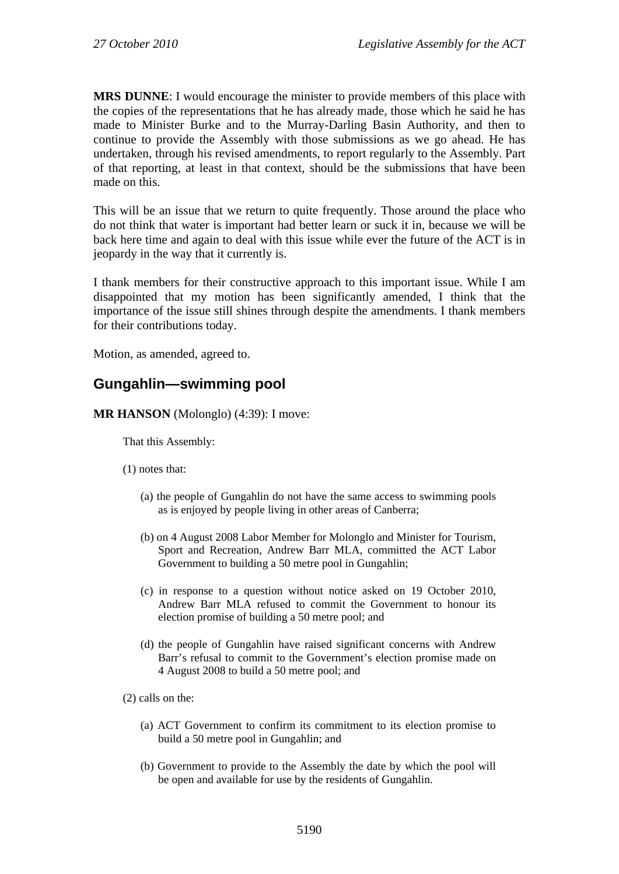**MRS DUNNE**: I would encourage the minister to provide members of this place with the copies of the representations that he has already made, those which he said he has made to Minister Burke and to the Murray-Darling Basin Authority, and then to continue to provide the Assembly with those submissions as we go ahead. He has undertaken, through his revised amendments, to report regularly to the Assembly. Part of that reporting, at least in that context, should be the submissions that have been made on this.

This will be an issue that we return to quite frequently. Those around the place who do not think that water is important had better learn or suck it in, because we will be back here time and again to deal with this issue while ever the future of the ACT is in jeopardy in the way that it currently is.

I thank members for their constructive approach to this important issue. While I am disappointed that my motion has been significantly amended, I think that the importance of the issue still shines through despite the amendments. I thank members for their contributions today.

Motion, as amended, agreed to.

# **Gungahlin—swimming pool**

**MR HANSON** (Molonglo) (4:39): I move:

That this Assembly:

- (1) notes that:
	- (a) the people of Gungahlin do not have the same access to swimming pools as is enjoyed by people living in other areas of Canberra;
	- (b) on 4 August 2008 Labor Member for Molonglo and Minister for Tourism, Sport and Recreation, Andrew Barr MLA, committed the ACT Labor Government to building a 50 metre pool in Gungahlin;
	- (c) in response to a question without notice asked on 19 October 2010, Andrew Barr MLA refused to commit the Government to honour its election promise of building a 50 metre pool; and
	- (d) the people of Gungahlin have raised significant concerns with Andrew Barr's refusal to commit to the Government's election promise made on 4 August 2008 to build a 50 metre pool; and

(2) calls on the:

- (a) ACT Government to confirm its commitment to its election promise to build a 50 metre pool in Gungahlin; and
- (b) Government to provide to the Assembly the date by which the pool will be open and available for use by the residents of Gungahlin.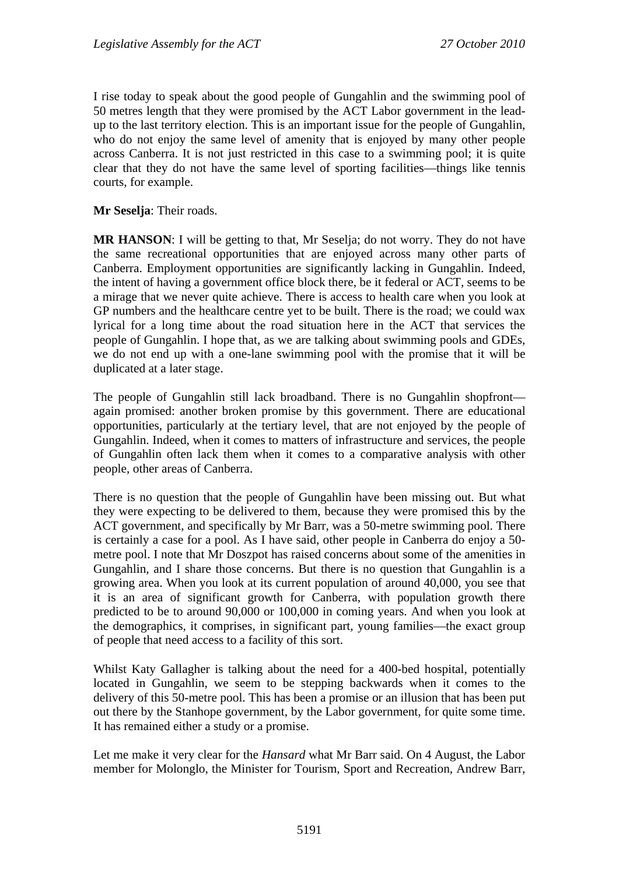I rise today to speak about the good people of Gungahlin and the swimming pool of 50 metres length that they were promised by the ACT Labor government in the leadup to the last territory election. This is an important issue for the people of Gungahlin, who do not enjoy the same level of amenity that is enjoyed by many other people across Canberra. It is not just restricted in this case to a swimming pool; it is quite clear that they do not have the same level of sporting facilities—things like tennis courts, for example.

**Mr Seselja**: Their roads.

**MR HANSON**: I will be getting to that, Mr Seselja; do not worry. They do not have the same recreational opportunities that are enjoyed across many other parts of Canberra. Employment opportunities are significantly lacking in Gungahlin. Indeed, the intent of having a government office block there, be it federal or ACT, seems to be a mirage that we never quite achieve. There is access to health care when you look at GP numbers and the healthcare centre yet to be built. There is the road; we could wax lyrical for a long time about the road situation here in the ACT that services the people of Gungahlin. I hope that, as we are talking about swimming pools and GDEs, we do not end up with a one-lane swimming pool with the promise that it will be duplicated at a later stage.

The people of Gungahlin still lack broadband. There is no Gungahlin shopfront again promised: another broken promise by this government. There are educational opportunities, particularly at the tertiary level, that are not enjoyed by the people of Gungahlin. Indeed, when it comes to matters of infrastructure and services, the people of Gungahlin often lack them when it comes to a comparative analysis with other people, other areas of Canberra.

There is no question that the people of Gungahlin have been missing out. But what they were expecting to be delivered to them, because they were promised this by the ACT government, and specifically by Mr Barr, was a 50-metre swimming pool. There is certainly a case for a pool. As I have said, other people in Canberra do enjoy a 50 metre pool. I note that Mr Doszpot has raised concerns about some of the amenities in Gungahlin, and I share those concerns. But there is no question that Gungahlin is a growing area. When you look at its current population of around 40,000, you see that it is an area of significant growth for Canberra, with population growth there predicted to be to around 90,000 or 100,000 in coming years. And when you look at the demographics, it comprises, in significant part, young families—the exact group of people that need access to a facility of this sort.

Whilst Katy Gallagher is talking about the need for a 400-bed hospital, potentially located in Gungahlin, we seem to be stepping backwards when it comes to the delivery of this 50-metre pool. This has been a promise or an illusion that has been put out there by the Stanhope government, by the Labor government, for quite some time. It has remained either a study or a promise.

Let me make it very clear for the *Hansard* what Mr Barr said. On 4 August, the Labor member for Molonglo, the Minister for Tourism, Sport and Recreation, Andrew Barr,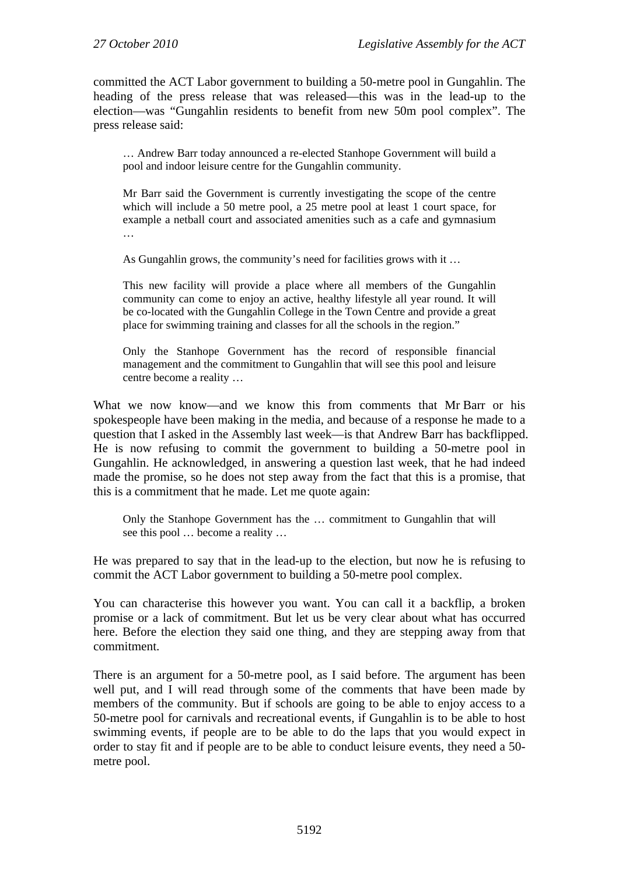committed the ACT Labor government to building a 50-metre pool in Gungahlin. The heading of the press release that was released—this was in the lead-up to the election—was "Gungahlin residents to benefit from new 50m pool complex". The press release said:

… Andrew Barr today announced a re-elected Stanhope Government will build a pool and indoor leisure centre for the Gungahlin community.

Mr Barr said the Government is currently investigating the scope of the centre which will include a 50 metre pool, a 25 metre pool at least 1 court space, for example a netball court and associated amenities such as a cafe and gymnasium …

As Gungahlin grows, the community's need for facilities grows with it …

This new facility will provide a place where all members of the Gungahlin community can come to enjoy an active, healthy lifestyle all year round. It will be co-located with the Gungahlin College in the Town Centre and provide a great place for swimming training and classes for all the schools in the region."

Only the Stanhope Government has the record of responsible financial management and the commitment to Gungahlin that will see this pool and leisure centre become a reality …

What we now know—and we know this from comments that Mr Barr or his spokespeople have been making in the media, and because of a response he made to a question that I asked in the Assembly last week—is that Andrew Barr has backflipped. He is now refusing to commit the government to building a 50-metre pool in Gungahlin. He acknowledged, in answering a question last week, that he had indeed made the promise, so he does not step away from the fact that this is a promise, that this is a commitment that he made. Let me quote again:

Only the Stanhope Government has the … commitment to Gungahlin that will see this pool … become a reality …

He was prepared to say that in the lead-up to the election, but now he is refusing to commit the ACT Labor government to building a 50-metre pool complex.

You can characterise this however you want. You can call it a backflip, a broken promise or a lack of commitment. But let us be very clear about what has occurred here. Before the election they said one thing, and they are stepping away from that commitment.

There is an argument for a 50-metre pool, as I said before. The argument has been well put, and I will read through some of the comments that have been made by members of the community. But if schools are going to be able to enjoy access to a 50-metre pool for carnivals and recreational events, if Gungahlin is to be able to host swimming events, if people are to be able to do the laps that you would expect in order to stay fit and if people are to be able to conduct leisure events, they need a 50 metre pool.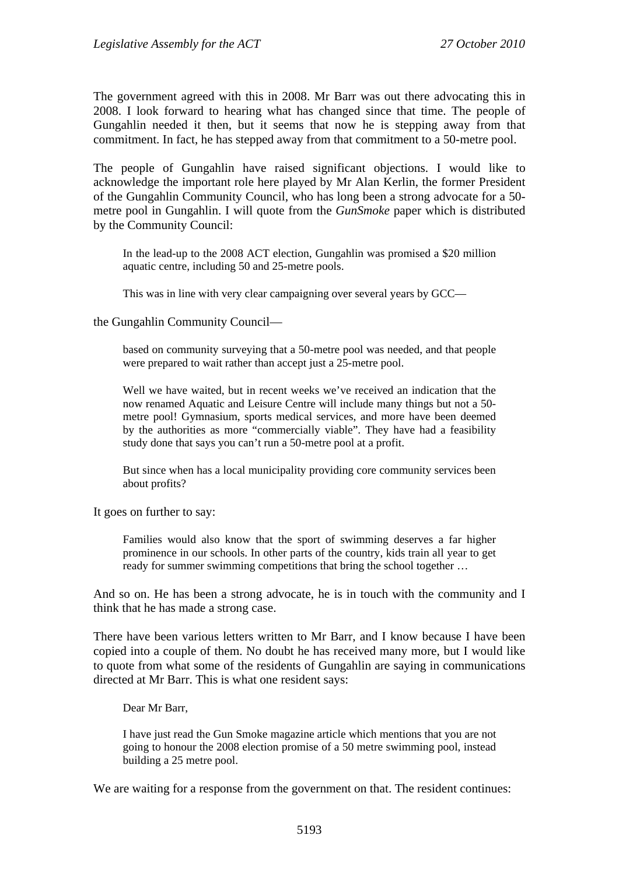The government agreed with this in 2008. Mr Barr was out there advocating this in 2008. I look forward to hearing what has changed since that time. The people of Gungahlin needed it then, but it seems that now he is stepping away from that commitment. In fact, he has stepped away from that commitment to a 50-metre pool.

The people of Gungahlin have raised significant objections. I would like to acknowledge the important role here played by Mr Alan Kerlin, the former President of the Gungahlin Community Council, who has long been a strong advocate for a 50 metre pool in Gungahlin. I will quote from the *GunSmoke* paper which is distributed by the Community Council:

In the lead-up to the 2008 ACT election, Gungahlin was promised a \$20 million aquatic centre, including 50 and 25-metre pools.

This was in line with very clear campaigning over several years by GCC—

the Gungahlin Community Council—

based on community surveying that a 50-metre pool was needed, and that people were prepared to wait rather than accept just a 25-metre pool.

Well we have waited, but in recent weeks we've received an indication that the now renamed Aquatic and Leisure Centre will include many things but not a 50 metre pool! Gymnasium, sports medical services, and more have been deemed by the authorities as more "commercially viable". They have had a feasibility study done that says you can't run a 50-metre pool at a profit.

But since when has a local municipality providing core community services been about profits?

It goes on further to say:

Families would also know that the sport of swimming deserves a far higher prominence in our schools. In other parts of the country, kids train all year to get ready for summer swimming competitions that bring the school together …

And so on. He has been a strong advocate, he is in touch with the community and I think that he has made a strong case.

There have been various letters written to Mr Barr, and I know because I have been copied into a couple of them. No doubt he has received many more, but I would like to quote from what some of the residents of Gungahlin are saying in communications directed at Mr Barr. This is what one resident says:

Dear Mr Barr,

I have just read the Gun Smoke magazine article which mentions that you are not going to honour the 2008 election promise of a 50 metre swimming pool, instead building a 25 metre pool.

We are waiting for a response from the government on that. The resident continues: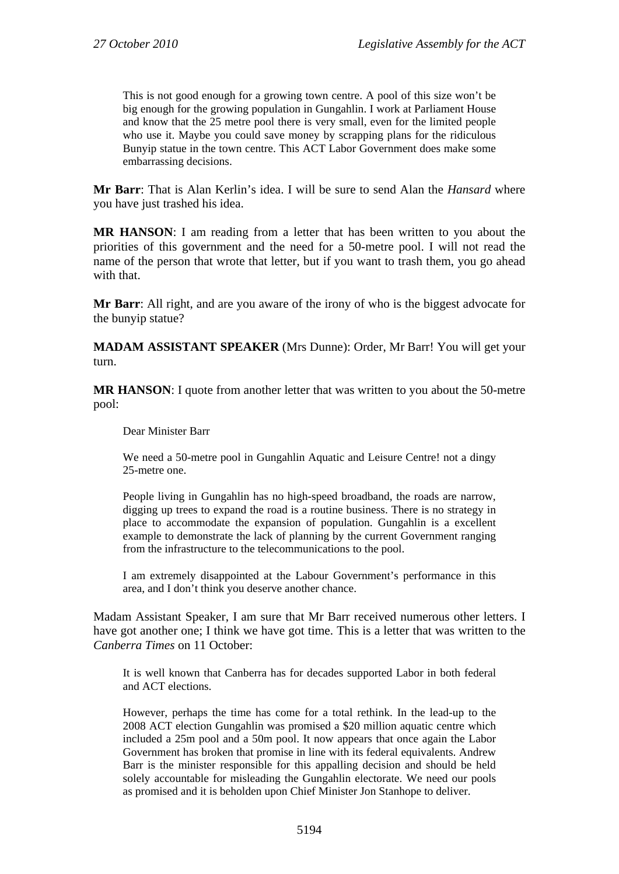This is not good enough for a growing town centre. A pool of this size won't be big enough for the growing population in Gungahlin. I work at Parliament House and know that the 25 metre pool there is very small, even for the limited people who use it. Maybe you could save money by scrapping plans for the ridiculous Bunyip statue in the town centre. This ACT Labor Government does make some embarrassing decisions.

**Mr Barr**: That is Alan Kerlin's idea. I will be sure to send Alan the *Hansard* where you have just trashed his idea.

**MR HANSON**: I am reading from a letter that has been written to you about the priorities of this government and the need for a 50-metre pool. I will not read the name of the person that wrote that letter, but if you want to trash them, you go ahead with that.

**Mr Barr:** All right, and are you aware of the irony of who is the biggest advocate for the bunyip statue?

**MADAM ASSISTANT SPEAKER** (Mrs Dunne): Order, Mr Barr! You will get your turn.

**MR HANSON**: I quote from another letter that was written to you about the 50-metre pool:

Dear Minister Barr

We need a 50-metre pool in Gungahlin Aquatic and Leisure Centre! not a dingy 25-metre one.

People living in Gungahlin has no high-speed broadband, the roads are narrow, digging up trees to expand the road is a routine business. There is no strategy in place to accommodate the expansion of population. Gungahlin is a excellent example to demonstrate the lack of planning by the current Government ranging from the infrastructure to the telecommunications to the pool.

I am extremely disappointed at the Labour Government's performance in this area, and I don't think you deserve another chance.

Madam Assistant Speaker, I am sure that Mr Barr received numerous other letters. I have got another one; I think we have got time. This is a letter that was written to the *Canberra Times* on 11 October:

It is well known that Canberra has for decades supported Labor in both federal and ACT elections.

However, perhaps the time has come for a total rethink. In the lead-up to the 2008 ACT election Gungahlin was promised a \$20 million aquatic centre which included a 25m pool and a 50m pool. It now appears that once again the Labor Government has broken that promise in line with its federal equivalents. Andrew Barr is the minister responsible for this appalling decision and should be held solely accountable for misleading the Gungahlin electorate. We need our pools as promised and it is beholden upon Chief Minister Jon Stanhope to deliver.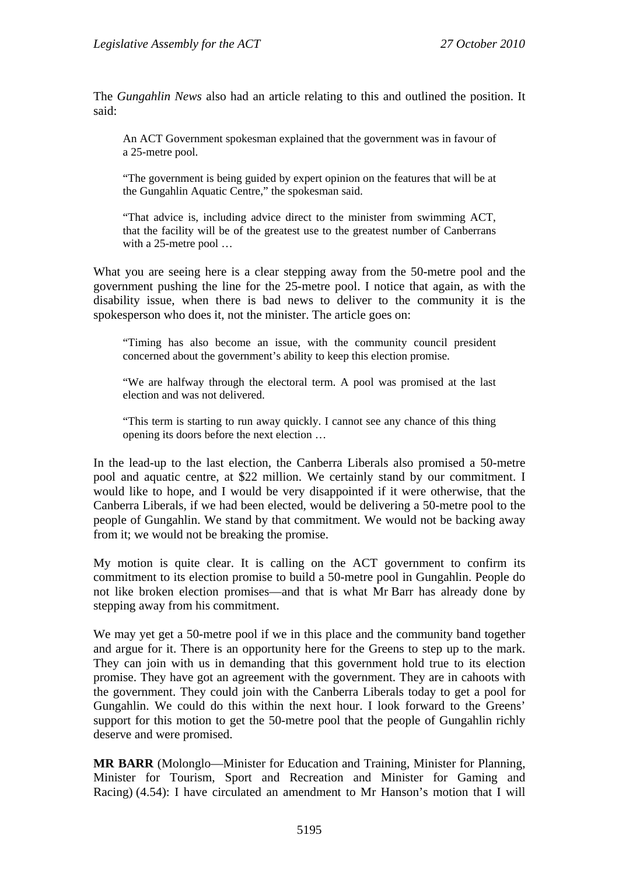The *Gungahlin News* also had an article relating to this and outlined the position. It said:

An ACT Government spokesman explained that the government was in favour of a 25-metre pool.

"The government is being guided by expert opinion on the features that will be at the Gungahlin Aquatic Centre," the spokesman said.

"That advice is, including advice direct to the minister from swimming ACT, that the facility will be of the greatest use to the greatest number of Canberrans with a 25-metre pool …

What you are seeing here is a clear stepping away from the 50-metre pool and the government pushing the line for the 25-metre pool. I notice that again, as with the disability issue, when there is bad news to deliver to the community it is the spokesperson who does it, not the minister. The article goes on:

"Timing has also become an issue, with the community council president concerned about the government's ability to keep this election promise.

"We are halfway through the electoral term. A pool was promised at the last election and was not delivered.

"This term is starting to run away quickly. I cannot see any chance of this thing opening its doors before the next election …

In the lead-up to the last election, the Canberra Liberals also promised a 50-metre pool and aquatic centre, at \$22 million. We certainly stand by our commitment. I would like to hope, and I would be very disappointed if it were otherwise, that the Canberra Liberals, if we had been elected, would be delivering a 50-metre pool to the people of Gungahlin. We stand by that commitment. We would not be backing away from it; we would not be breaking the promise.

My motion is quite clear. It is calling on the ACT government to confirm its commitment to its election promise to build a 50-metre pool in Gungahlin. People do not like broken election promises—and that is what Mr Barr has already done by stepping away from his commitment.

We may yet get a 50-metre pool if we in this place and the community band together and argue for it. There is an opportunity here for the Greens to step up to the mark. They can join with us in demanding that this government hold true to its election promise. They have got an agreement with the government. They are in cahoots with the government. They could join with the Canberra Liberals today to get a pool for Gungahlin. We could do this within the next hour. I look forward to the Greens' support for this motion to get the 50-metre pool that the people of Gungahlin richly deserve and were promised.

**MR BARR** (Molonglo—Minister for Education and Training, Minister for Planning, Minister for Tourism, Sport and Recreation and Minister for Gaming and Racing) (4.54): I have circulated an amendment to Mr Hanson's motion that I will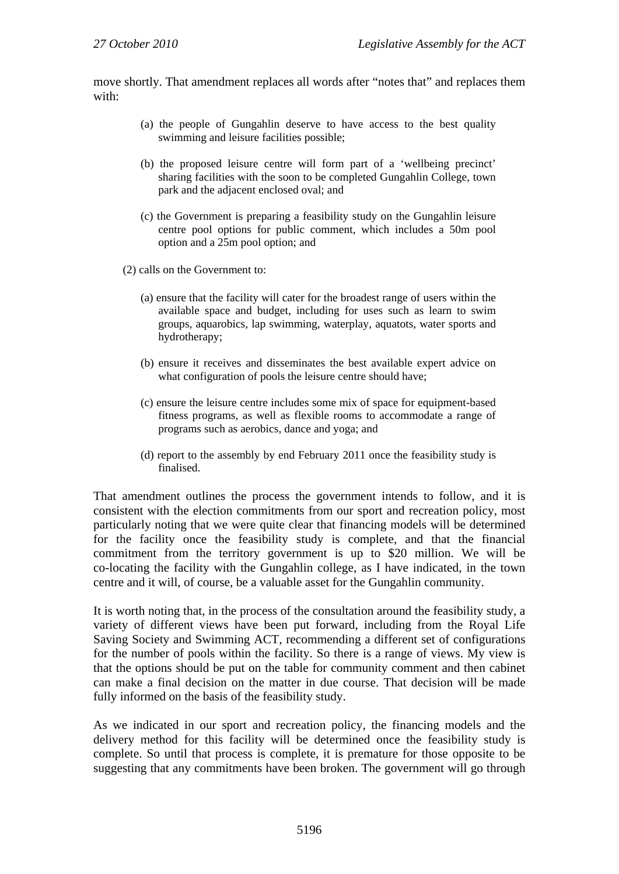move shortly. That amendment replaces all words after "notes that" and replaces them with:

- (a) the people of Gungahlin deserve to have access to the best quality swimming and leisure facilities possible;
- (b) the proposed leisure centre will form part of a 'wellbeing precinct' sharing facilities with the soon to be completed Gungahlin College, town park and the adjacent enclosed oval; and
- (c) the Government is preparing a feasibility study on the Gungahlin leisure centre pool options for public comment, which includes a 50m pool option and a 25m pool option; and
- (2) calls on the Government to:
	- (a) ensure that the facility will cater for the broadest range of users within the available space and budget, including for uses such as learn to swim groups, aquarobics, lap swimming, waterplay, aquatots, water sports and hydrotherapy;
	- (b) ensure it receives and disseminates the best available expert advice on what configuration of pools the leisure centre should have:
	- (c) ensure the leisure centre includes some mix of space for equipment-based fitness programs, as well as flexible rooms to accommodate a range of programs such as aerobics, dance and yoga; and
	- (d) report to the assembly by end February 2011 once the feasibility study is finalised.

That amendment outlines the process the government intends to follow, and it is consistent with the election commitments from our sport and recreation policy, most particularly noting that we were quite clear that financing models will be determined for the facility once the feasibility study is complete, and that the financial commitment from the territory government is up to \$20 million. We will be co-locating the facility with the Gungahlin college, as I have indicated, in the town centre and it will, of course, be a valuable asset for the Gungahlin community.

It is worth noting that, in the process of the consultation around the feasibility study, a variety of different views have been put forward, including from the Royal Life Saving Society and Swimming ACT, recommending a different set of configurations for the number of pools within the facility. So there is a range of views. My view is that the options should be put on the table for community comment and then cabinet can make a final decision on the matter in due course. That decision will be made fully informed on the basis of the feasibility study.

As we indicated in our sport and recreation policy, the financing models and the delivery method for this facility will be determined once the feasibility study is complete. So until that process is complete, it is premature for those opposite to be suggesting that any commitments have been broken. The government will go through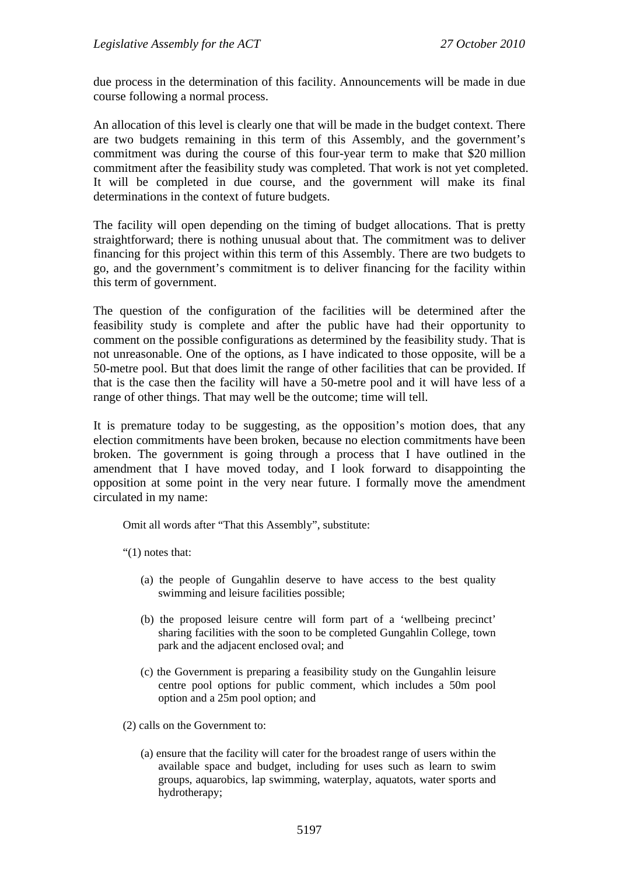due process in the determination of this facility. Announcements will be made in due course following a normal process.

An allocation of this level is clearly one that will be made in the budget context. There are two budgets remaining in this term of this Assembly, and the government's commitment was during the course of this four-year term to make that \$20 million commitment after the feasibility study was completed. That work is not yet completed. It will be completed in due course, and the government will make its final determinations in the context of future budgets.

The facility will open depending on the timing of budget allocations. That is pretty straightforward; there is nothing unusual about that. The commitment was to deliver financing for this project within this term of this Assembly. There are two budgets to go, and the government's commitment is to deliver financing for the facility within this term of government.

The question of the configuration of the facilities will be determined after the feasibility study is complete and after the public have had their opportunity to comment on the possible configurations as determined by the feasibility study. That is not unreasonable. One of the options, as I have indicated to those opposite, will be a 50-metre pool. But that does limit the range of other facilities that can be provided. If that is the case then the facility will have a 50-metre pool and it will have less of a range of other things. That may well be the outcome; time will tell.

It is premature today to be suggesting, as the opposition's motion does, that any election commitments have been broken, because no election commitments have been broken. The government is going through a process that I have outlined in the amendment that I have moved today, and I look forward to disappointing the opposition at some point in the very near future. I formally move the amendment circulated in my name:

Omit all words after "That this Assembly", substitute:

"(1) notes that:

- (a) the people of Gungahlin deserve to have access to the best quality swimming and leisure facilities possible;
- (b) the proposed leisure centre will form part of a 'wellbeing precinct' sharing facilities with the soon to be completed Gungahlin College, town park and the adjacent enclosed oval; and
- (c) the Government is preparing a feasibility study on the Gungahlin leisure centre pool options for public comment, which includes a 50m pool option and a 25m pool option; and

(2) calls on the Government to:

(a) ensure that the facility will cater for the broadest range of users within the available space and budget, including for uses such as learn to swim groups, aquarobics, lap swimming, waterplay, aquatots, water sports and hydrotherapy;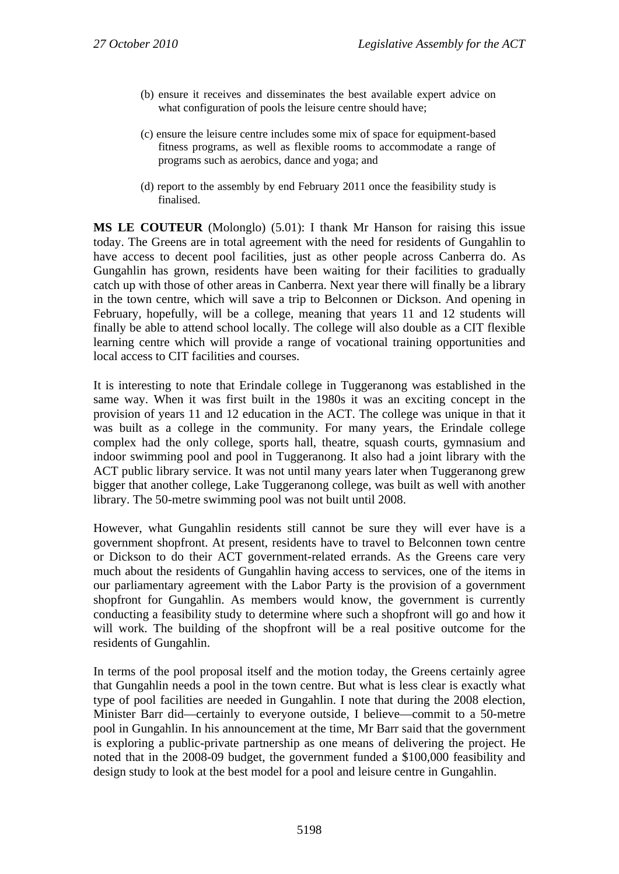- (b) ensure it receives and disseminates the best available expert advice on what configuration of pools the leisure centre should have;
- (c) ensure the leisure centre includes some mix of space for equipment-based fitness programs, as well as flexible rooms to accommodate a range of programs such as aerobics, dance and yoga; and
- (d) report to the assembly by end February 2011 once the feasibility study is finalised.

**MS LE COUTEUR** (Molonglo) (5.01): I thank Mr Hanson for raising this issue today. The Greens are in total agreement with the need for residents of Gungahlin to have access to decent pool facilities, just as other people across Canberra do. As Gungahlin has grown, residents have been waiting for their facilities to gradually catch up with those of other areas in Canberra. Next year there will finally be a library in the town centre, which will save a trip to Belconnen or Dickson. And opening in February, hopefully, will be a college, meaning that years 11 and 12 students will finally be able to attend school locally. The college will also double as a CIT flexible learning centre which will provide a range of vocational training opportunities and local access to CIT facilities and courses.

It is interesting to note that Erindale college in Tuggeranong was established in the same way. When it was first built in the 1980s it was an exciting concept in the provision of years 11 and 12 education in the ACT. The college was unique in that it was built as a college in the community. For many years, the Erindale college complex had the only college, sports hall, theatre, squash courts, gymnasium and indoor swimming pool and pool in Tuggeranong. It also had a joint library with the ACT public library service. It was not until many years later when Tuggeranong grew bigger that another college, Lake Tuggeranong college, was built as well with another library. The 50-metre swimming pool was not built until 2008.

However, what Gungahlin residents still cannot be sure they will ever have is a government shopfront. At present, residents have to travel to Belconnen town centre or Dickson to do their ACT government-related errands. As the Greens care very much about the residents of Gungahlin having access to services, one of the items in our parliamentary agreement with the Labor Party is the provision of a government shopfront for Gungahlin. As members would know, the government is currently conducting a feasibility study to determine where such a shopfront will go and how it will work. The building of the shopfront will be a real positive outcome for the residents of Gungahlin.

In terms of the pool proposal itself and the motion today, the Greens certainly agree that Gungahlin needs a pool in the town centre. But what is less clear is exactly what type of pool facilities are needed in Gungahlin. I note that during the 2008 election, Minister Barr did—certainly to everyone outside, I believe—commit to a 50-metre pool in Gungahlin. In his announcement at the time, Mr Barr said that the government is exploring a public-private partnership as one means of delivering the project. He noted that in the 2008-09 budget, the government funded a \$100,000 feasibility and design study to look at the best model for a pool and leisure centre in Gungahlin.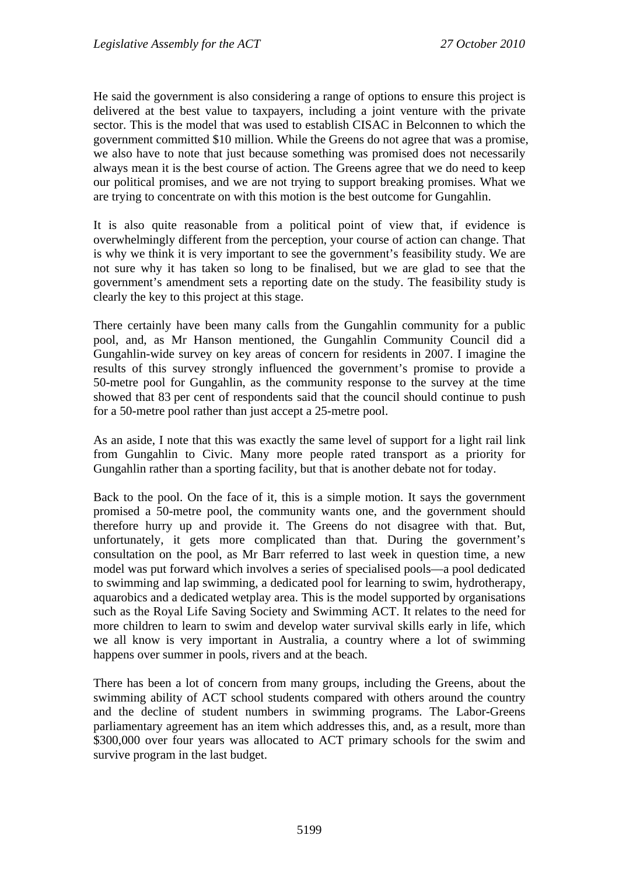He said the government is also considering a range of options to ensure this project is delivered at the best value to taxpayers, including a joint venture with the private sector. This is the model that was used to establish CISAC in Belconnen to which the government committed \$10 million. While the Greens do not agree that was a promise, we also have to note that just because something was promised does not necessarily always mean it is the best course of action. The Greens agree that we do need to keep our political promises, and we are not trying to support breaking promises. What we are trying to concentrate on with this motion is the best outcome for Gungahlin.

It is also quite reasonable from a political point of view that, if evidence is overwhelmingly different from the perception, your course of action can change. That is why we think it is very important to see the government's feasibility study. We are not sure why it has taken so long to be finalised, but we are glad to see that the government's amendment sets a reporting date on the study. The feasibility study is clearly the key to this project at this stage.

There certainly have been many calls from the Gungahlin community for a public pool, and, as Mr Hanson mentioned, the Gungahlin Community Council did a Gungahlin-wide survey on key areas of concern for residents in 2007. I imagine the results of this survey strongly influenced the government's promise to provide a 50-metre pool for Gungahlin, as the community response to the survey at the time showed that 83 per cent of respondents said that the council should continue to push for a 50-metre pool rather than just accept a 25-metre pool.

As an aside, I note that this was exactly the same level of support for a light rail link from Gungahlin to Civic. Many more people rated transport as a priority for Gungahlin rather than a sporting facility, but that is another debate not for today.

Back to the pool. On the face of it, this is a simple motion. It says the government promised a 50-metre pool, the community wants one, and the government should therefore hurry up and provide it. The Greens do not disagree with that. But, unfortunately, it gets more complicated than that. During the government's consultation on the pool, as Mr Barr referred to last week in question time, a new model was put forward which involves a series of specialised pools—a pool dedicated to swimming and lap swimming, a dedicated pool for learning to swim, hydrotherapy, aquarobics and a dedicated wetplay area. This is the model supported by organisations such as the Royal Life Saving Society and Swimming ACT. It relates to the need for more children to learn to swim and develop water survival skills early in life, which we all know is very important in Australia, a country where a lot of swimming happens over summer in pools, rivers and at the beach.

There has been a lot of concern from many groups, including the Greens, about the swimming ability of ACT school students compared with others around the country and the decline of student numbers in swimming programs. The Labor-Greens parliamentary agreement has an item which addresses this, and, as a result, more than \$300,000 over four years was allocated to ACT primary schools for the swim and survive program in the last budget.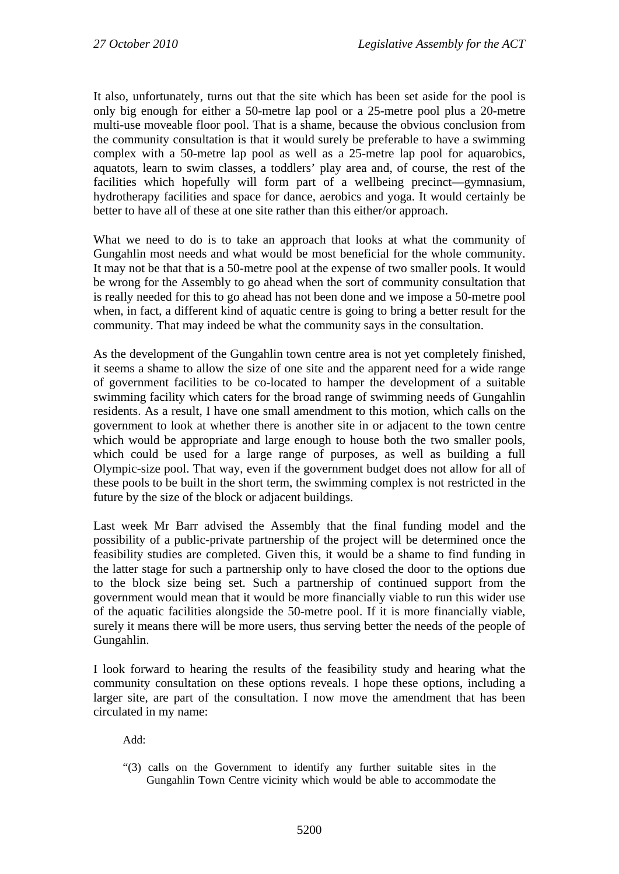It also, unfortunately, turns out that the site which has been set aside for the pool is only big enough for either a 50-metre lap pool or a 25-metre pool plus a 20-metre multi-use moveable floor pool. That is a shame, because the obvious conclusion from the community consultation is that it would surely be preferable to have a swimming complex with a 50-metre lap pool as well as a 25-metre lap pool for aquarobics, aquatots, learn to swim classes, a toddlers' play area and, of course, the rest of the facilities which hopefully will form part of a wellbeing precinct—gymnasium, hydrotherapy facilities and space for dance, aerobics and yoga. It would certainly be better to have all of these at one site rather than this either/or approach.

What we need to do is to take an approach that looks at what the community of Gungahlin most needs and what would be most beneficial for the whole community. It may not be that that is a 50-metre pool at the expense of two smaller pools. It would be wrong for the Assembly to go ahead when the sort of community consultation that is really needed for this to go ahead has not been done and we impose a 50-metre pool when, in fact, a different kind of aquatic centre is going to bring a better result for the community. That may indeed be what the community says in the consultation.

As the development of the Gungahlin town centre area is not yet completely finished, it seems a shame to allow the size of one site and the apparent need for a wide range of government facilities to be co-located to hamper the development of a suitable swimming facility which caters for the broad range of swimming needs of Gungahlin residents. As a result, I have one small amendment to this motion, which calls on the government to look at whether there is another site in or adjacent to the town centre which would be appropriate and large enough to house both the two smaller pools, which could be used for a large range of purposes, as well as building a full Olympic-size pool. That way, even if the government budget does not allow for all of these pools to be built in the short term, the swimming complex is not restricted in the future by the size of the block or adjacent buildings.

Last week Mr Barr advised the Assembly that the final funding model and the possibility of a public-private partnership of the project will be determined once the feasibility studies are completed. Given this, it would be a shame to find funding in the latter stage for such a partnership only to have closed the door to the options due to the block size being set. Such a partnership of continued support from the government would mean that it would be more financially viable to run this wider use of the aquatic facilities alongside the 50-metre pool. If it is more financially viable, surely it means there will be more users, thus serving better the needs of the people of Gungahlin.

I look forward to hearing the results of the feasibility study and hearing what the community consultation on these options reveals. I hope these options, including a larger site, are part of the consultation. I now move the amendment that has been circulated in my name:

Add:

"(3) calls on the Government to identify any further suitable sites in the Gungahlin Town Centre vicinity which would be able to accommodate the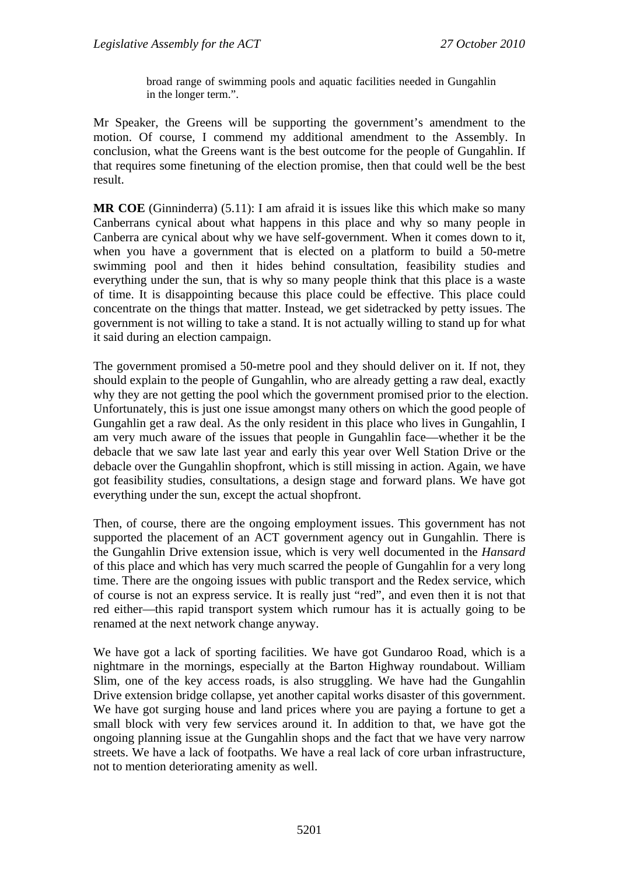broad range of swimming pools and aquatic facilities needed in Gungahlin in the longer term.".

Mr Speaker, the Greens will be supporting the government's amendment to the motion. Of course, I commend my additional amendment to the Assembly. In conclusion, what the Greens want is the best outcome for the people of Gungahlin. If that requires some finetuning of the election promise, then that could well be the best result.

**MR COE** (Ginninderra) (5.11): I am afraid it is issues like this which make so many Canberrans cynical about what happens in this place and why so many people in Canberra are cynical about why we have self-government. When it comes down to it, when you have a government that is elected on a platform to build a 50-metre swimming pool and then it hides behind consultation, feasibility studies and everything under the sun, that is why so many people think that this place is a waste of time. It is disappointing because this place could be effective. This place could concentrate on the things that matter. Instead, we get sidetracked by petty issues. The government is not willing to take a stand. It is not actually willing to stand up for what it said during an election campaign.

The government promised a 50-metre pool and they should deliver on it. If not, they should explain to the people of Gungahlin, who are already getting a raw deal, exactly why they are not getting the pool which the government promised prior to the election. Unfortunately, this is just one issue amongst many others on which the good people of Gungahlin get a raw deal. As the only resident in this place who lives in Gungahlin, I am very much aware of the issues that people in Gungahlin face—whether it be the debacle that we saw late last year and early this year over Well Station Drive or the debacle over the Gungahlin shopfront, which is still missing in action. Again, we have got feasibility studies, consultations, a design stage and forward plans. We have got everything under the sun, except the actual shopfront.

Then, of course, there are the ongoing employment issues. This government has not supported the placement of an ACT government agency out in Gungahlin. There is the Gungahlin Drive extension issue, which is very well documented in the *Hansard* of this place and which has very much scarred the people of Gungahlin for a very long time. There are the ongoing issues with public transport and the Redex service, which of course is not an express service. It is really just "red", and even then it is not that red either—this rapid transport system which rumour has it is actually going to be renamed at the next network change anyway.

We have got a lack of sporting facilities. We have got Gundaroo Road, which is a nightmare in the mornings, especially at the Barton Highway roundabout. William Slim, one of the key access roads, is also struggling. We have had the Gungahlin Drive extension bridge collapse, yet another capital works disaster of this government. We have got surging house and land prices where you are paying a fortune to get a small block with very few services around it. In addition to that, we have got the ongoing planning issue at the Gungahlin shops and the fact that we have very narrow streets. We have a lack of footpaths. We have a real lack of core urban infrastructure, not to mention deteriorating amenity as well.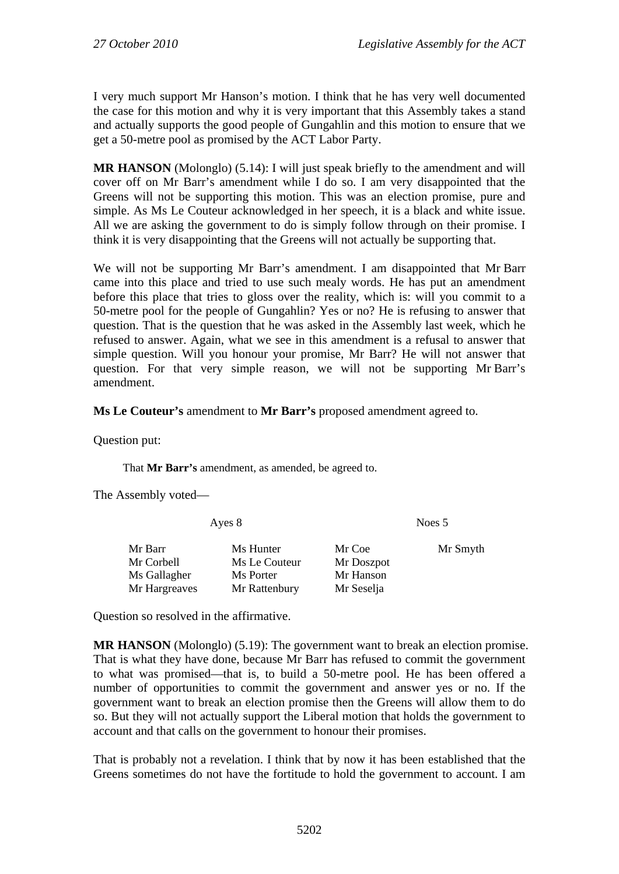I very much support Mr Hanson's motion. I think that he has very well documented the case for this motion and why it is very important that this Assembly takes a stand and actually supports the good people of Gungahlin and this motion to ensure that we get a 50-metre pool as promised by the ACT Labor Party.

**MR HANSON** (Molonglo) (5.14): I will just speak briefly to the amendment and will cover off on Mr Barr's amendment while I do so. I am very disappointed that the Greens will not be supporting this motion. This was an election promise, pure and simple. As Ms Le Couteur acknowledged in her speech, it is a black and white issue. All we are asking the government to do is simply follow through on their promise. I think it is very disappointing that the Greens will not actually be supporting that.

We will not be supporting Mr Barr's amendment. I am disappointed that Mr Barr came into this place and tried to use such mealy words. He has put an amendment before this place that tries to gloss over the reality, which is: will you commit to a 50-metre pool for the people of Gungahlin? Yes or no? He is refusing to answer that question. That is the question that he was asked in the Assembly last week, which he refused to answer. Again, what we see in this amendment is a refusal to answer that simple question. Will you honour your promise, Mr Barr? He will not answer that question. For that very simple reason, we will not be supporting Mr Barr's amendment.

## **Ms Le Couteur's** amendment to **Mr Barr's** proposed amendment agreed to.

Question put:

That **Mr Barr's** amendment, as amended, be agreed to.

The Assembly voted—

| Ayes 8                     |           | Noes 5                                    |  |
|----------------------------|-----------|-------------------------------------------|--|
| Ms Hunter<br>Ms Le Couteur | Mr Coe    | Mr Smyth                                  |  |
| Ms Porter                  | Mr Hanson |                                           |  |
|                            |           | Mr Doszpot<br>Mr Rattenbury<br>Mr Seselja |  |

Question so resolved in the affirmative.

**MR HANSON** (Molonglo) (5.19): The government want to break an election promise. That is what they have done, because Mr Barr has refused to commit the government to what was promised—that is, to build a 50-metre pool. He has been offered a number of opportunities to commit the government and answer yes or no. If the government want to break an election promise then the Greens will allow them to do so. But they will not actually support the Liberal motion that holds the government to account and that calls on the government to honour their promises.

That is probably not a revelation. I think that by now it has been established that the Greens sometimes do not have the fortitude to hold the government to account. I am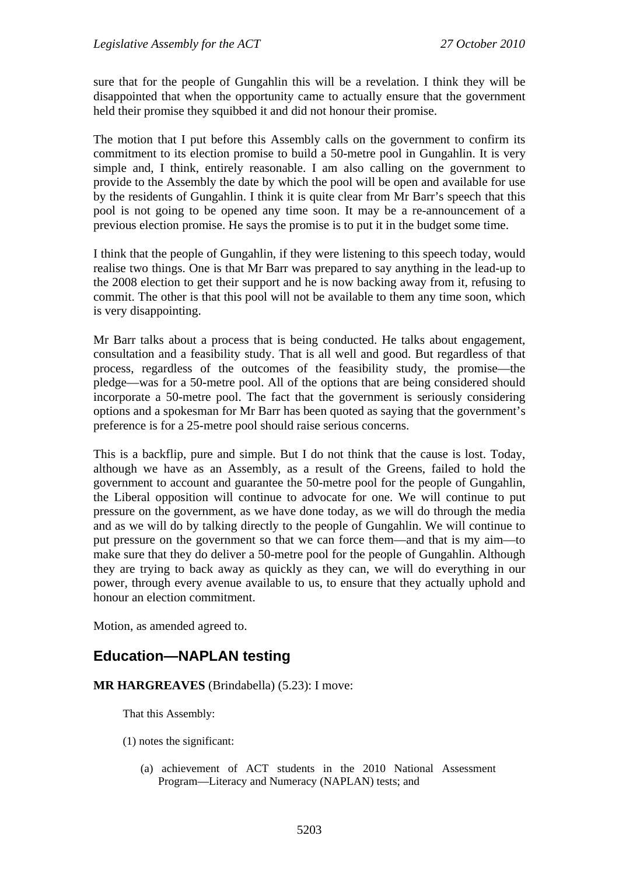sure that for the people of Gungahlin this will be a revelation. I think they will be disappointed that when the opportunity came to actually ensure that the government held their promise they squibbed it and did not honour their promise.

The motion that I put before this Assembly calls on the government to confirm its commitment to its election promise to build a 50-metre pool in Gungahlin. It is very simple and, I think, entirely reasonable. I am also calling on the government to provide to the Assembly the date by which the pool will be open and available for use by the residents of Gungahlin. I think it is quite clear from Mr Barr's speech that this pool is not going to be opened any time soon. It may be a re-announcement of a previous election promise. He says the promise is to put it in the budget some time.

I think that the people of Gungahlin, if they were listening to this speech today, would realise two things. One is that Mr Barr was prepared to say anything in the lead-up to the 2008 election to get their support and he is now backing away from it, refusing to commit. The other is that this pool will not be available to them any time soon, which is very disappointing.

Mr Barr talks about a process that is being conducted. He talks about engagement, consultation and a feasibility study. That is all well and good. But regardless of that process, regardless of the outcomes of the feasibility study, the promise—the pledge—was for a 50-metre pool. All of the options that are being considered should incorporate a 50-metre pool. The fact that the government is seriously considering options and a spokesman for Mr Barr has been quoted as saying that the government's preference is for a 25-metre pool should raise serious concerns.

This is a backflip, pure and simple. But I do not think that the cause is lost. Today, although we have as an Assembly, as a result of the Greens, failed to hold the government to account and guarantee the 50-metre pool for the people of Gungahlin, the Liberal opposition will continue to advocate for one. We will continue to put pressure on the government, as we have done today, as we will do through the media and as we will do by talking directly to the people of Gungahlin. We will continue to put pressure on the government so that we can force them—and that is my aim—to make sure that they do deliver a 50-metre pool for the people of Gungahlin. Although they are trying to back away as quickly as they can, we will do everything in our power, through every avenue available to us, to ensure that they actually uphold and honour an election commitment.

Motion, as amended agreed to.

# **Education—NAPLAN testing**

### **MR HARGREAVES** (Brindabella) (5.23): I move:

That this Assembly:

- (1) notes the significant:
	- (a) achievement of ACT students in the 2010 National Assessment Program—Literacy and Numeracy (NAPLAN) tests; and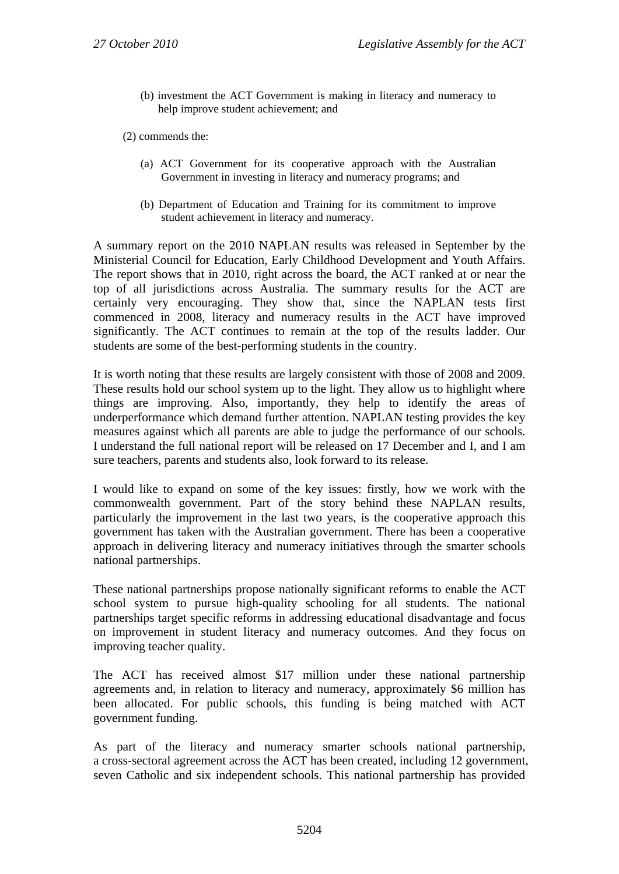(b) investment the ACT Government is making in literacy and numeracy to help improve student achievement; and

(2) commends the:

- (a) ACT Government for its cooperative approach with the Australian Government in investing in literacy and numeracy programs; and
- (b) Department of Education and Training for its commitment to improve student achievement in literacy and numeracy.

A summary report on the 2010 NAPLAN results was released in September by the Ministerial Council for Education, Early Childhood Development and Youth Affairs. The report shows that in 2010, right across the board, the ACT ranked at or near the top of all jurisdictions across Australia. The summary results for the ACT are certainly very encouraging. They show that, since the NAPLAN tests first commenced in 2008, literacy and numeracy results in the ACT have improved significantly. The ACT continues to remain at the top of the results ladder. Our students are some of the best-performing students in the country.

It is worth noting that these results are largely consistent with those of 2008 and 2009. These results hold our school system up to the light. They allow us to highlight where things are improving. Also, importantly, they help to identify the areas of underperformance which demand further attention. NAPLAN testing provides the key measures against which all parents are able to judge the performance of our schools. I understand the full national report will be released on 17 December and I, and I am sure teachers, parents and students also, look forward to its release.

I would like to expand on some of the key issues: firstly, how we work with the commonwealth government. Part of the story behind these NAPLAN results, particularly the improvement in the last two years, is the cooperative approach this government has taken with the Australian government. There has been a cooperative approach in delivering literacy and numeracy initiatives through the smarter schools national partnerships.

These national partnerships propose nationally significant reforms to enable the ACT school system to pursue high-quality schooling for all students. The national partnerships target specific reforms in addressing educational disadvantage and focus on improvement in student literacy and numeracy outcomes. And they focus on improving teacher quality.

The ACT has received almost \$17 million under these national partnership agreements and, in relation to literacy and numeracy, approximately \$6 million has been allocated. For public schools, this funding is being matched with ACT government funding.

As part of the literacy and numeracy smarter schools national partnership, a cross-sectoral agreement across the ACT has been created, including 12 government, seven Catholic and six independent schools. This national partnership has provided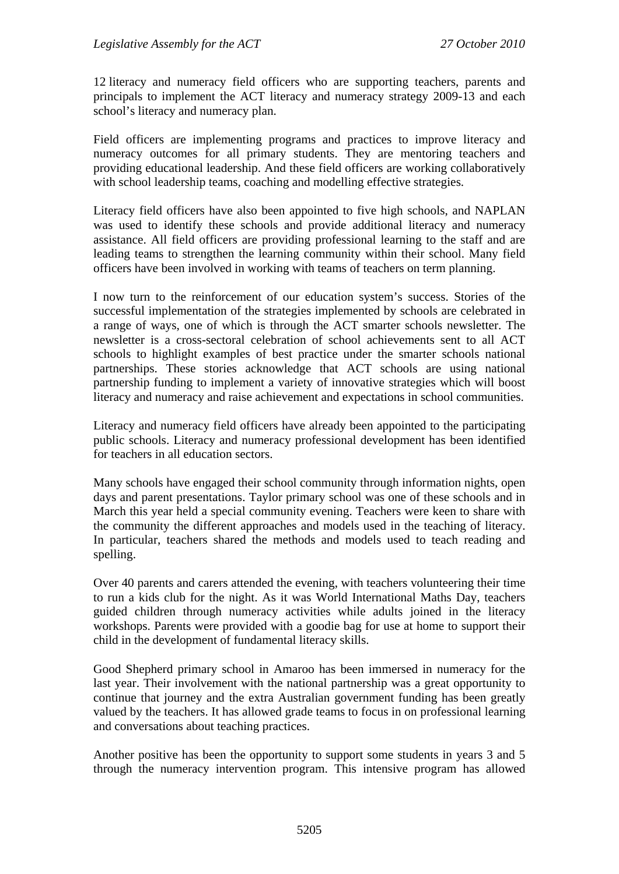12 literacy and numeracy field officers who are supporting teachers, parents and principals to implement the ACT literacy and numeracy strategy 2009-13 and each school's literacy and numeracy plan.

Field officers are implementing programs and practices to improve literacy and numeracy outcomes for all primary students. They are mentoring teachers and providing educational leadership. And these field officers are working collaboratively with school leadership teams, coaching and modelling effective strategies.

Literacy field officers have also been appointed to five high schools, and NAPLAN was used to identify these schools and provide additional literacy and numeracy assistance. All field officers are providing professional learning to the staff and are leading teams to strengthen the learning community within their school. Many field officers have been involved in working with teams of teachers on term planning.

I now turn to the reinforcement of our education system's success. Stories of the successful implementation of the strategies implemented by schools are celebrated in a range of ways, one of which is through the ACT smarter schools newsletter. The newsletter is a cross-sectoral celebration of school achievements sent to all ACT schools to highlight examples of best practice under the smarter schools national partnerships. These stories acknowledge that ACT schools are using national partnership funding to implement a variety of innovative strategies which will boost literacy and numeracy and raise achievement and expectations in school communities.

Literacy and numeracy field officers have already been appointed to the participating public schools. Literacy and numeracy professional development has been identified for teachers in all education sectors.

Many schools have engaged their school community through information nights, open days and parent presentations. Taylor primary school was one of these schools and in March this year held a special community evening. Teachers were keen to share with the community the different approaches and models used in the teaching of literacy. In particular, teachers shared the methods and models used to teach reading and spelling.

Over 40 parents and carers attended the evening, with teachers volunteering their time to run a kids club for the night. As it was World International Maths Day, teachers guided children through numeracy activities while adults joined in the literacy workshops. Parents were provided with a goodie bag for use at home to support their child in the development of fundamental literacy skills.

Good Shepherd primary school in Amaroo has been immersed in numeracy for the last year. Their involvement with the national partnership was a great opportunity to continue that journey and the extra Australian government funding has been greatly valued by the teachers. It has allowed grade teams to focus in on professional learning and conversations about teaching practices.

Another positive has been the opportunity to support some students in years 3 and 5 through the numeracy intervention program. This intensive program has allowed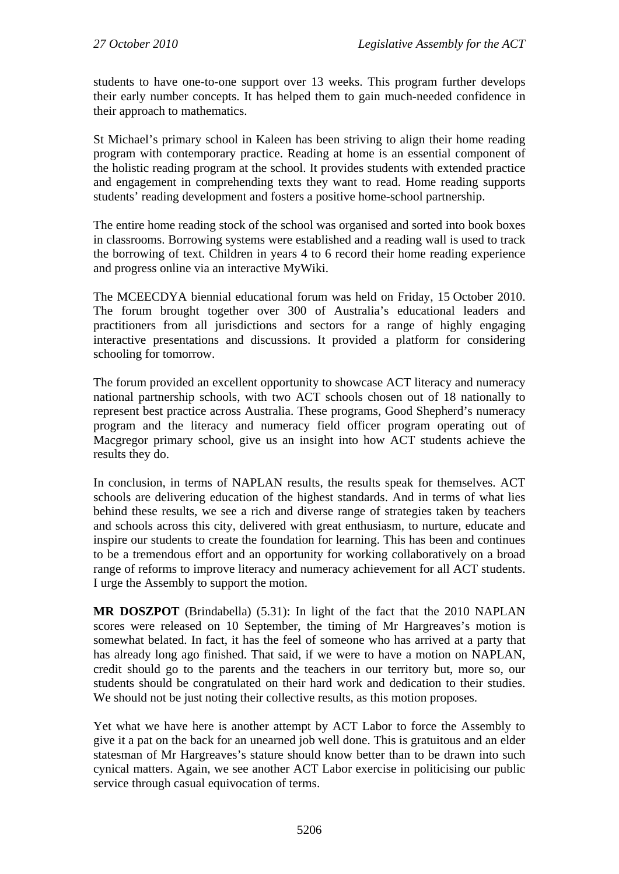students to have one-to-one support over 13 weeks. This program further develops their early number concepts. It has helped them to gain much-needed confidence in their approach to mathematics.

St Michael's primary school in Kaleen has been striving to align their home reading program with contemporary practice. Reading at home is an essential component of the holistic reading program at the school. It provides students with extended practice and engagement in comprehending texts they want to read. Home reading supports students' reading development and fosters a positive home-school partnership.

The entire home reading stock of the school was organised and sorted into book boxes in classrooms. Borrowing systems were established and a reading wall is used to track the borrowing of text. Children in years 4 to 6 record their home reading experience and progress online via an interactive MyWiki.

The MCEECDYA biennial educational forum was held on Friday, 15 October 2010. The forum brought together over 300 of Australia's educational leaders and practitioners from all jurisdictions and sectors for a range of highly engaging interactive presentations and discussions. It provided a platform for considering schooling for tomorrow.

The forum provided an excellent opportunity to showcase ACT literacy and numeracy national partnership schools, with two ACT schools chosen out of 18 nationally to represent best practice across Australia. These programs, Good Shepherd's numeracy program and the literacy and numeracy field officer program operating out of Macgregor primary school, give us an insight into how ACT students achieve the results they do.

In conclusion, in terms of NAPLAN results, the results speak for themselves. ACT schools are delivering education of the highest standards. And in terms of what lies behind these results, we see a rich and diverse range of strategies taken by teachers and schools across this city, delivered with great enthusiasm, to nurture, educate and inspire our students to create the foundation for learning. This has been and continues to be a tremendous effort and an opportunity for working collaboratively on a broad range of reforms to improve literacy and numeracy achievement for all ACT students. I urge the Assembly to support the motion.

**MR DOSZPOT** (Brindabella) (5.31): In light of the fact that the 2010 NAPLAN scores were released on 10 September, the timing of Mr Hargreaves's motion is somewhat belated. In fact, it has the feel of someone who has arrived at a party that has already long ago finished. That said, if we were to have a motion on NAPLAN, credit should go to the parents and the teachers in our territory but, more so, our students should be congratulated on their hard work and dedication to their studies. We should not be just noting their collective results, as this motion proposes.

Yet what we have here is another attempt by ACT Labor to force the Assembly to give it a pat on the back for an unearned job well done. This is gratuitous and an elder statesman of Mr Hargreaves's stature should know better than to be drawn into such cynical matters. Again, we see another ACT Labor exercise in politicising our public service through casual equivocation of terms.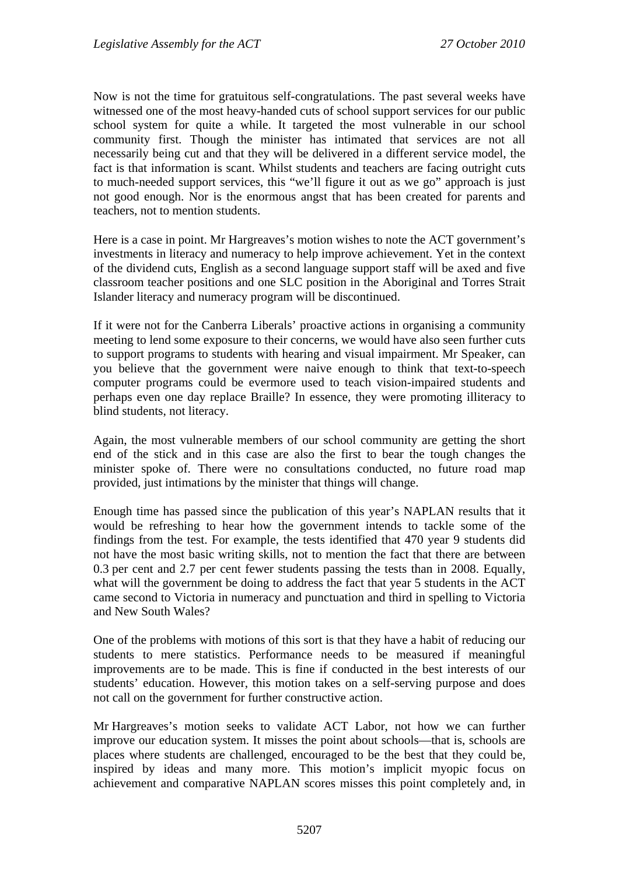Now is not the time for gratuitous self-congratulations. The past several weeks have witnessed one of the most heavy-handed cuts of school support services for our public school system for quite a while. It targeted the most vulnerable in our school community first. Though the minister has intimated that services are not all necessarily being cut and that they will be delivered in a different service model, the fact is that information is scant. Whilst students and teachers are facing outright cuts to much-needed support services, this "we'll figure it out as we go" approach is just not good enough. Nor is the enormous angst that has been created for parents and teachers, not to mention students.

Here is a case in point. Mr Hargreaves's motion wishes to note the ACT government's investments in literacy and numeracy to help improve achievement. Yet in the context of the dividend cuts, English as a second language support staff will be axed and five classroom teacher positions and one SLC position in the Aboriginal and Torres Strait Islander literacy and numeracy program will be discontinued.

If it were not for the Canberra Liberals' proactive actions in organising a community meeting to lend some exposure to their concerns, we would have also seen further cuts to support programs to students with hearing and visual impairment. Mr Speaker, can you believe that the government were naive enough to think that text-to-speech computer programs could be evermore used to teach vision-impaired students and perhaps even one day replace Braille? In essence, they were promoting illiteracy to blind students, not literacy.

Again, the most vulnerable members of our school community are getting the short end of the stick and in this case are also the first to bear the tough changes the minister spoke of. There were no consultations conducted, no future road map provided, just intimations by the minister that things will change.

Enough time has passed since the publication of this year's NAPLAN results that it would be refreshing to hear how the government intends to tackle some of the findings from the test. For example, the tests identified that 470 year 9 students did not have the most basic writing skills, not to mention the fact that there are between 0.3 per cent and 2.7 per cent fewer students passing the tests than in 2008. Equally, what will the government be doing to address the fact that year 5 students in the ACT came second to Victoria in numeracy and punctuation and third in spelling to Victoria and New South Wales?

One of the problems with motions of this sort is that they have a habit of reducing our students to mere statistics. Performance needs to be measured if meaningful improvements are to be made. This is fine if conducted in the best interests of our students' education. However, this motion takes on a self-serving purpose and does not call on the government for further constructive action.

Mr Hargreaves's motion seeks to validate ACT Labor, not how we can further improve our education system. It misses the point about schools—that is, schools are places where students are challenged, encouraged to be the best that they could be, inspired by ideas and many more. This motion's implicit myopic focus on achievement and comparative NAPLAN scores misses this point completely and, in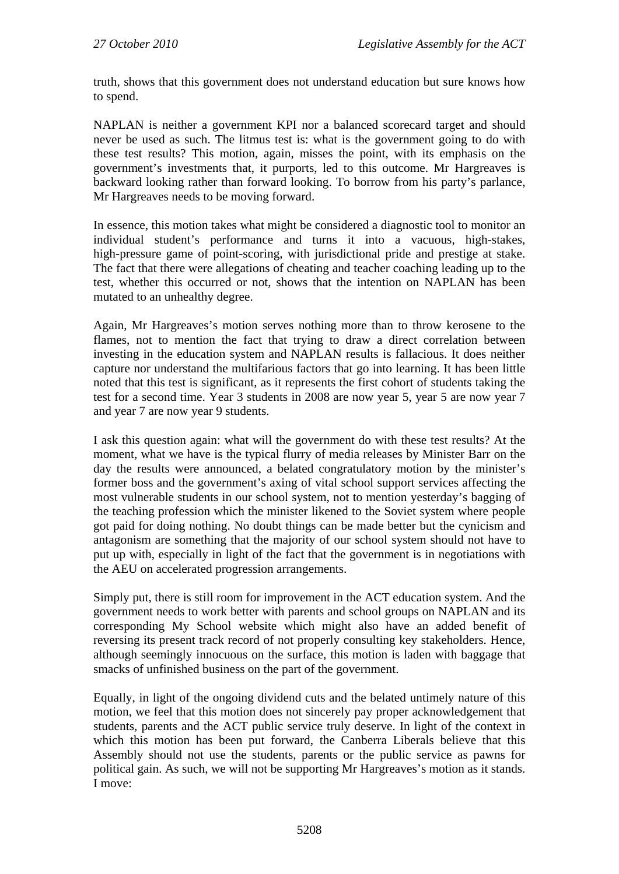truth, shows that this government does not understand education but sure knows how to spend.

NAPLAN is neither a government KPI nor a balanced scorecard target and should never be used as such. The litmus test is: what is the government going to do with these test results? This motion, again, misses the point, with its emphasis on the government's investments that, it purports, led to this outcome. Mr Hargreaves is backward looking rather than forward looking. To borrow from his party's parlance, Mr Hargreaves needs to be moving forward.

In essence, this motion takes what might be considered a diagnostic tool to monitor an individual student's performance and turns it into a vacuous, high-stakes, high-pressure game of point-scoring, with jurisdictional pride and prestige at stake. The fact that there were allegations of cheating and teacher coaching leading up to the test, whether this occurred or not, shows that the intention on NAPLAN has been mutated to an unhealthy degree.

Again, Mr Hargreaves's motion serves nothing more than to throw kerosene to the flames, not to mention the fact that trying to draw a direct correlation between investing in the education system and NAPLAN results is fallacious. It does neither capture nor understand the multifarious factors that go into learning. It has been little noted that this test is significant, as it represents the first cohort of students taking the test for a second time. Year 3 students in 2008 are now year 5, year 5 are now year 7 and year 7 are now year 9 students.

I ask this question again: what will the government do with these test results? At the moment, what we have is the typical flurry of media releases by Minister Barr on the day the results were announced, a belated congratulatory motion by the minister's former boss and the government's axing of vital school support services affecting the most vulnerable students in our school system, not to mention yesterday's bagging of the teaching profession which the minister likened to the Soviet system where people got paid for doing nothing. No doubt things can be made better but the cynicism and antagonism are something that the majority of our school system should not have to put up with, especially in light of the fact that the government is in negotiations with the AEU on accelerated progression arrangements.

Simply put, there is still room for improvement in the ACT education system. And the government needs to work better with parents and school groups on NAPLAN and its corresponding My School website which might also have an added benefit of reversing its present track record of not properly consulting key stakeholders. Hence, although seemingly innocuous on the surface, this motion is laden with baggage that smacks of unfinished business on the part of the government.

Equally, in light of the ongoing dividend cuts and the belated untimely nature of this motion, we feel that this motion does not sincerely pay proper acknowledgement that students, parents and the ACT public service truly deserve. In light of the context in which this motion has been put forward, the Canberra Liberals believe that this Assembly should not use the students, parents or the public service as pawns for political gain. As such, we will not be supporting Mr Hargreaves's motion as it stands. I move: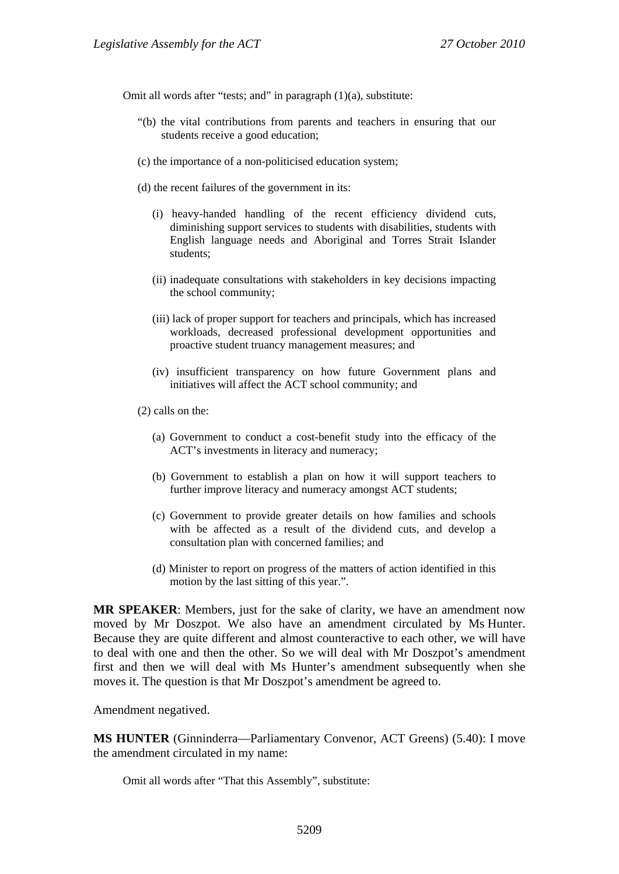Omit all words after "tests; and" in paragraph (1)(a), substitute:

- "(b) the vital contributions from parents and teachers in ensuring that our students receive a good education;
- (c) the importance of a non-politicised education system;
- (d) the recent failures of the government in its:
	- (i) heavy-handed handling of the recent efficiency dividend cuts, diminishing support services to students with disabilities, students with English language needs and Aboriginal and Torres Strait Islander students;
	- (ii) inadequate consultations with stakeholders in key decisions impacting the school community;
	- (iii) lack of proper support for teachers and principals, which has increased workloads, decreased professional development opportunities and proactive student truancy management measures; and
	- (iv) insufficient transparency on how future Government plans and initiatives will affect the ACT school community; and
- (2) calls on the:
	- (a) Government to conduct a cost-benefit study into the efficacy of the ACT's investments in literacy and numeracy;
	- (b) Government to establish a plan on how it will support teachers to further improve literacy and numeracy amongst ACT students;
	- (c) Government to provide greater details on how families and schools with be affected as a result of the dividend cuts, and develop a consultation plan with concerned families; and
	- (d) Minister to report on progress of the matters of action identified in this motion by the last sitting of this year.".

**MR SPEAKER**: Members, just for the sake of clarity, we have an amendment now moved by Mr Doszpot. We also have an amendment circulated by Ms Hunter. Because they are quite different and almost counteractive to each other, we will have to deal with one and then the other. So we will deal with Mr Doszpot's amendment first and then we will deal with Ms Hunter's amendment subsequently when she moves it. The question is that Mr Doszpot's amendment be agreed to.

Amendment negatived.

**MS HUNTER** (Ginninderra—Parliamentary Convenor, ACT Greens) (5.40): I move the amendment circulated in my name:

Omit all words after "That this Assembly", substitute: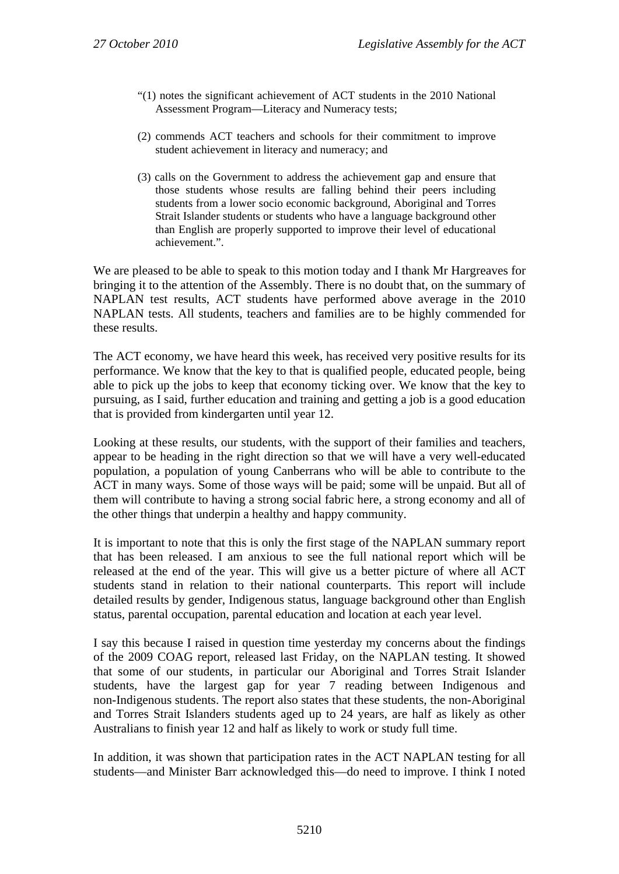- "(1) notes the significant achievement of ACT students in the 2010 National Assessment Program—Literacy and Numeracy tests;
- (2) commends ACT teachers and schools for their commitment to improve student achievement in literacy and numeracy; and
- (3) calls on the Government to address the achievement gap and ensure that those students whose results are falling behind their peers including students from a lower socio economic background, Aboriginal and Torres Strait Islander students or students who have a language background other than English are properly supported to improve their level of educational achievement.".

We are pleased to be able to speak to this motion today and I thank Mr Hargreaves for bringing it to the attention of the Assembly. There is no doubt that, on the summary of NAPLAN test results, ACT students have performed above average in the 2010 NAPLAN tests. All students, teachers and families are to be highly commended for these results.

The ACT economy, we have heard this week, has received very positive results for its performance. We know that the key to that is qualified people, educated people, being able to pick up the jobs to keep that economy ticking over. We know that the key to pursuing, as I said, further education and training and getting a job is a good education that is provided from kindergarten until year 12.

Looking at these results, our students, with the support of their families and teachers, appear to be heading in the right direction so that we will have a very well-educated population, a population of young Canberrans who will be able to contribute to the ACT in many ways. Some of those ways will be paid; some will be unpaid. But all of them will contribute to having a strong social fabric here, a strong economy and all of the other things that underpin a healthy and happy community.

It is important to note that this is only the first stage of the NAPLAN summary report that has been released. I am anxious to see the full national report which will be released at the end of the year. This will give us a better picture of where all ACT students stand in relation to their national counterparts. This report will include detailed results by gender, Indigenous status, language background other than English status, parental occupation, parental education and location at each year level.

I say this because I raised in question time yesterday my concerns about the findings of the 2009 COAG report, released last Friday, on the NAPLAN testing. It showed that some of our students, in particular our Aboriginal and Torres Strait Islander students, have the largest gap for year 7 reading between Indigenous and non-Indigenous students. The report also states that these students, the non-Aboriginal and Torres Strait Islanders students aged up to 24 years, are half as likely as other Australians to finish year 12 and half as likely to work or study full time.

In addition, it was shown that participation rates in the ACT NAPLAN testing for all students—and Minister Barr acknowledged this—do need to improve. I think I noted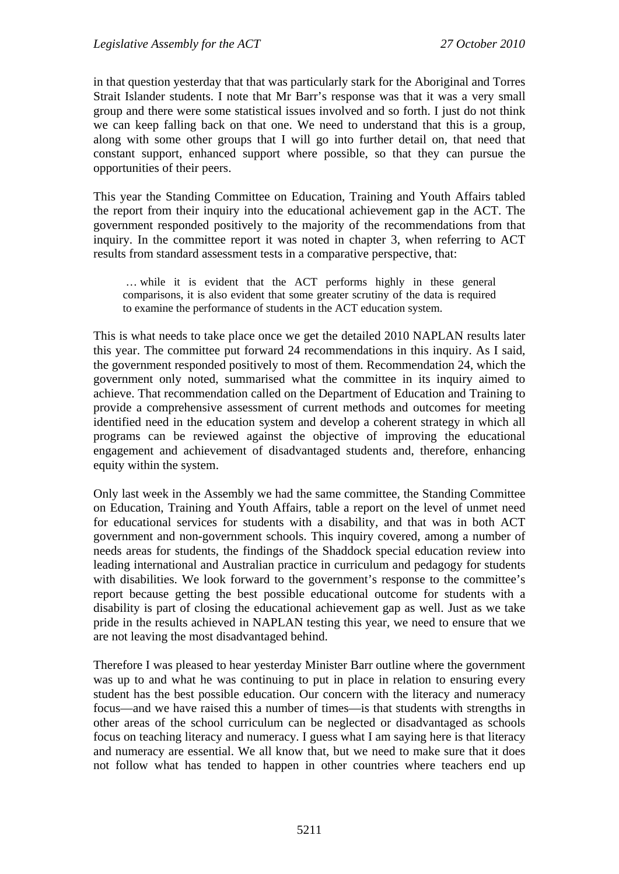in that question yesterday that that was particularly stark for the Aboriginal and Torres Strait Islander students. I note that Mr Barr's response was that it was a very small group and there were some statistical issues involved and so forth. I just do not think we can keep falling back on that one. We need to understand that this is a group, along with some other groups that I will go into further detail on, that need that constant support, enhanced support where possible, so that they can pursue the opportunities of their peers.

This year the Standing Committee on Education, Training and Youth Affairs tabled the report from their inquiry into the educational achievement gap in the ACT. The government responded positively to the majority of the recommendations from that inquiry. In the committee report it was noted in chapter 3, when referring to ACT results from standard assessment tests in a comparative perspective, that:

 … while it is evident that the ACT performs highly in these general comparisons, it is also evident that some greater scrutiny of the data is required to examine the performance of students in the ACT education system.

This is what needs to take place once we get the detailed 2010 NAPLAN results later this year. The committee put forward 24 recommendations in this inquiry. As I said, the government responded positively to most of them. Recommendation 24, which the government only noted, summarised what the committee in its inquiry aimed to achieve. That recommendation called on the Department of Education and Training to provide a comprehensive assessment of current methods and outcomes for meeting identified need in the education system and develop a coherent strategy in which all programs can be reviewed against the objective of improving the educational engagement and achievement of disadvantaged students and, therefore, enhancing equity within the system.

Only last week in the Assembly we had the same committee, the Standing Committee on Education, Training and Youth Affairs, table a report on the level of unmet need for educational services for students with a disability, and that was in both ACT government and non-government schools. This inquiry covered, among a number of needs areas for students, the findings of the Shaddock special education review into leading international and Australian practice in curriculum and pedagogy for students with disabilities. We look forward to the government's response to the committee's report because getting the best possible educational outcome for students with a disability is part of closing the educational achievement gap as well. Just as we take pride in the results achieved in NAPLAN testing this year, we need to ensure that we are not leaving the most disadvantaged behind.

Therefore I was pleased to hear yesterday Minister Barr outline where the government was up to and what he was continuing to put in place in relation to ensuring every student has the best possible education. Our concern with the literacy and numeracy focus—and we have raised this a number of times—is that students with strengths in other areas of the school curriculum can be neglected or disadvantaged as schools focus on teaching literacy and numeracy. I guess what I am saying here is that literacy and numeracy are essential. We all know that, but we need to make sure that it does not follow what has tended to happen in other countries where teachers end up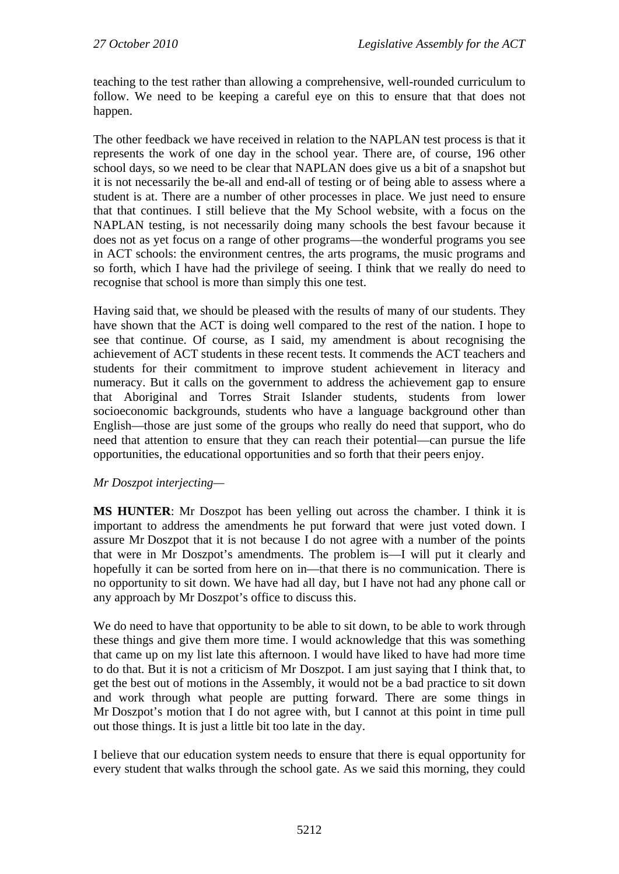teaching to the test rather than allowing a comprehensive, well-rounded curriculum to follow. We need to be keeping a careful eye on this to ensure that that does not happen.

The other feedback we have received in relation to the NAPLAN test process is that it represents the work of one day in the school year. There are, of course, 196 other school days, so we need to be clear that NAPLAN does give us a bit of a snapshot but it is not necessarily the be-all and end-all of testing or of being able to assess where a student is at. There are a number of other processes in place. We just need to ensure that that continues. I still believe that the My School website, with a focus on the NAPLAN testing, is not necessarily doing many schools the best favour because it does not as yet focus on a range of other programs—the wonderful programs you see in ACT schools: the environment centres, the arts programs, the music programs and so forth, which I have had the privilege of seeing. I think that we really do need to recognise that school is more than simply this one test.

Having said that, we should be pleased with the results of many of our students. They have shown that the ACT is doing well compared to the rest of the nation. I hope to see that continue. Of course, as I said, my amendment is about recognising the achievement of ACT students in these recent tests. It commends the ACT teachers and students for their commitment to improve student achievement in literacy and numeracy. But it calls on the government to address the achievement gap to ensure that Aboriginal and Torres Strait Islander students, students from lower socioeconomic backgrounds, students who have a language background other than English—those are just some of the groups who really do need that support, who do need that attention to ensure that they can reach their potential—can pursue the life opportunities, the educational opportunities and so forth that their peers enjoy.

### *Mr Doszpot interjecting—*

**MS HUNTER**: Mr Doszpot has been yelling out across the chamber. I think it is important to address the amendments he put forward that were just voted down. I assure Mr Doszpot that it is not because I do not agree with a number of the points that were in Mr Doszpot's amendments. The problem is—I will put it clearly and hopefully it can be sorted from here on in—that there is no communication. There is no opportunity to sit down. We have had all day, but I have not had any phone call or any approach by Mr Doszpot's office to discuss this.

We do need to have that opportunity to be able to sit down, to be able to work through these things and give them more time. I would acknowledge that this was something that came up on my list late this afternoon. I would have liked to have had more time to do that. But it is not a criticism of Mr Doszpot. I am just saying that I think that, to get the best out of motions in the Assembly, it would not be a bad practice to sit down and work through what people are putting forward. There are some things in Mr Doszpot's motion that I do not agree with, but I cannot at this point in time pull out those things. It is just a little bit too late in the day.

I believe that our education system needs to ensure that there is equal opportunity for every student that walks through the school gate. As we said this morning, they could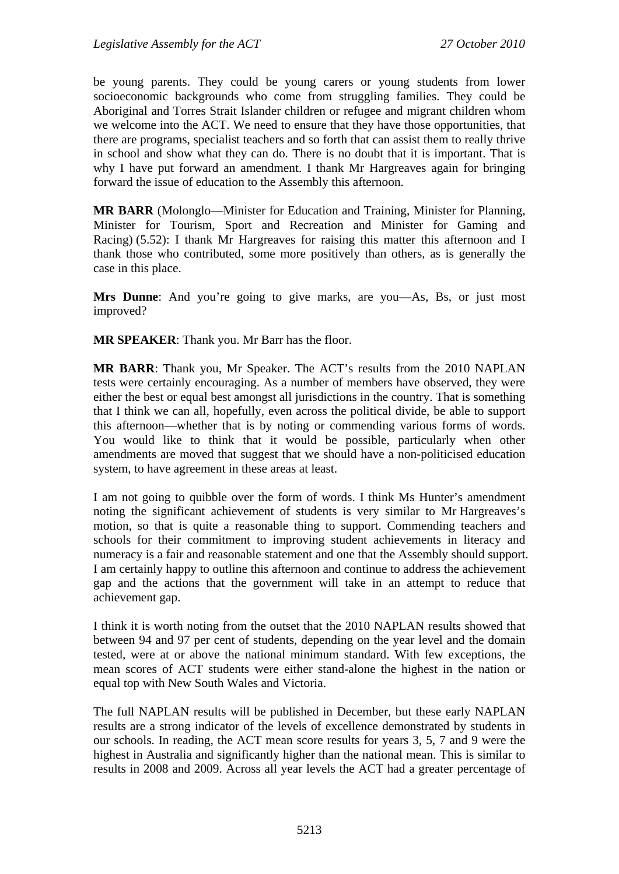be young parents. They could be young carers or young students from lower socioeconomic backgrounds who come from struggling families. They could be Aboriginal and Torres Strait Islander children or refugee and migrant children whom we welcome into the ACT. We need to ensure that they have those opportunities, that there are programs, specialist teachers and so forth that can assist them to really thrive in school and show what they can do. There is no doubt that it is important. That is why I have put forward an amendment. I thank Mr Hargreaves again for bringing forward the issue of education to the Assembly this afternoon.

**MR BARR** (Molonglo—Minister for Education and Training, Minister for Planning, Minister for Tourism, Sport and Recreation and Minister for Gaming and Racing) (5.52): I thank Mr Hargreaves for raising this matter this afternoon and I thank those who contributed, some more positively than others, as is generally the case in this place.

**Mrs Dunne**: And you're going to give marks, are you—As, Bs, or just most improved?

**MR SPEAKER**: Thank you. Mr Barr has the floor.

**MR BARR**: Thank you, Mr Speaker. The ACT's results from the 2010 NAPLAN tests were certainly encouraging. As a number of members have observed, they were either the best or equal best amongst all jurisdictions in the country. That is something that I think we can all, hopefully, even across the political divide, be able to support this afternoon—whether that is by noting or commending various forms of words. You would like to think that it would be possible, particularly when other amendments are moved that suggest that we should have a non-politicised education system, to have agreement in these areas at least.

I am not going to quibble over the form of words. I think Ms Hunter's amendment noting the significant achievement of students is very similar to Mr Hargreaves's motion, so that is quite a reasonable thing to support. Commending teachers and schools for their commitment to improving student achievements in literacy and numeracy is a fair and reasonable statement and one that the Assembly should support. I am certainly happy to outline this afternoon and continue to address the achievement gap and the actions that the government will take in an attempt to reduce that achievement gap.

I think it is worth noting from the outset that the 2010 NAPLAN results showed that between 94 and 97 per cent of students, depending on the year level and the domain tested, were at or above the national minimum standard. With few exceptions, the mean scores of ACT students were either stand-alone the highest in the nation or equal top with New South Wales and Victoria.

The full NAPLAN results will be published in December, but these early NAPLAN results are a strong indicator of the levels of excellence demonstrated by students in our schools. In reading, the ACT mean score results for years 3, 5, 7 and 9 were the highest in Australia and significantly higher than the national mean. This is similar to results in 2008 and 2009. Across all year levels the ACT had a greater percentage of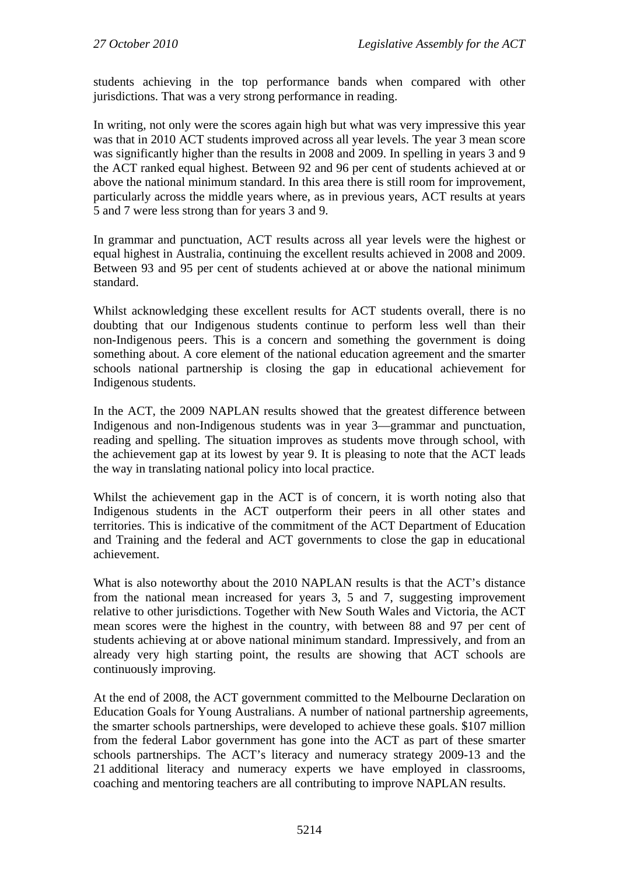students achieving in the top performance bands when compared with other jurisdictions. That was a very strong performance in reading.

In writing, not only were the scores again high but what was very impressive this year was that in 2010 ACT students improved across all year levels. The year 3 mean score was significantly higher than the results in 2008 and 2009. In spelling in years 3 and 9 the ACT ranked equal highest. Between 92 and 96 per cent of students achieved at or above the national minimum standard. In this area there is still room for improvement, particularly across the middle years where, as in previous years, ACT results at years 5 and 7 were less strong than for years 3 and 9.

In grammar and punctuation, ACT results across all year levels were the highest or equal highest in Australia, continuing the excellent results achieved in 2008 and 2009. Between 93 and 95 per cent of students achieved at or above the national minimum standard.

Whilst acknowledging these excellent results for ACT students overall, there is no doubting that our Indigenous students continue to perform less well than their non-Indigenous peers. This is a concern and something the government is doing something about. A core element of the national education agreement and the smarter schools national partnership is closing the gap in educational achievement for Indigenous students.

In the ACT, the 2009 NAPLAN results showed that the greatest difference between Indigenous and non-Indigenous students was in year 3—grammar and punctuation, reading and spelling. The situation improves as students move through school, with the achievement gap at its lowest by year 9. It is pleasing to note that the ACT leads the way in translating national policy into local practice.

Whilst the achievement gap in the ACT is of concern, it is worth noting also that Indigenous students in the ACT outperform their peers in all other states and territories. This is indicative of the commitment of the ACT Department of Education and Training and the federal and ACT governments to close the gap in educational achievement.

What is also noteworthy about the 2010 NAPLAN results is that the ACT's distance from the national mean increased for years 3, 5 and 7, suggesting improvement relative to other jurisdictions. Together with New South Wales and Victoria, the ACT mean scores were the highest in the country, with between 88 and 97 per cent of students achieving at or above national minimum standard. Impressively, and from an already very high starting point, the results are showing that ACT schools are continuously improving.

At the end of 2008, the ACT government committed to the Melbourne Declaration on Education Goals for Young Australians. A number of national partnership agreements, the smarter schools partnerships, were developed to achieve these goals. \$107 million from the federal Labor government has gone into the ACT as part of these smarter schools partnerships. The ACT's literacy and numeracy strategy 2009-13 and the 21 additional literacy and numeracy experts we have employed in classrooms, coaching and mentoring teachers are all contributing to improve NAPLAN results.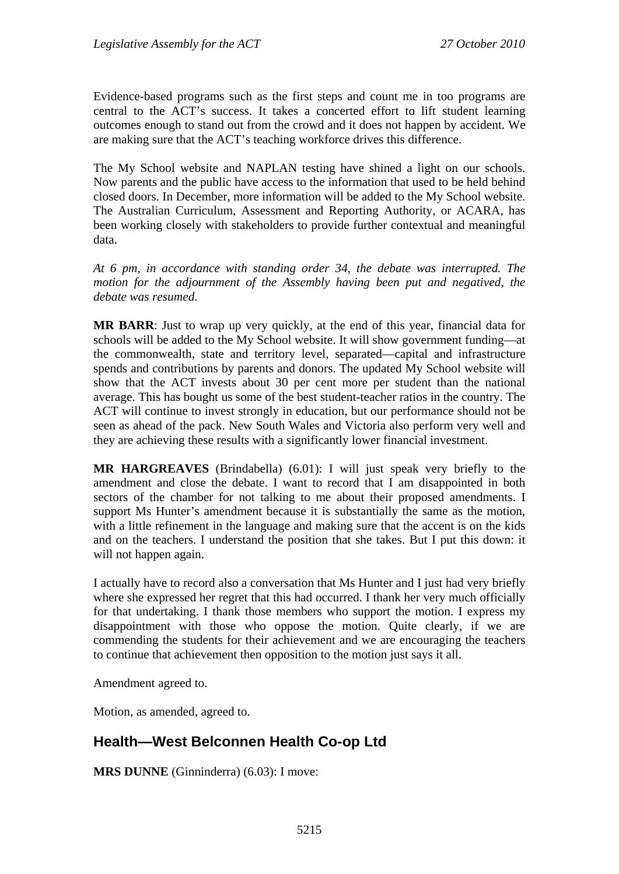Evidence-based programs such as the first steps and count me in too programs are central to the ACT's success. It takes a concerted effort to lift student learning outcomes enough to stand out from the crowd and it does not happen by accident. We are making sure that the ACT's teaching workforce drives this difference.

The My School website and NAPLAN testing have shined a light on our schools. Now parents and the public have access to the information that used to be held behind closed doors. In December, more information will be added to the My School website. The Australian Curriculum, Assessment and Reporting Authority, or ACARA, has been working closely with stakeholders to provide further contextual and meaningful data.

*At 6 pm, in accordance with standing order 34, the debate was interrupted. The motion for the adjournment of the Assembly having been put and negatived, the debate was resumed.*

**MR BARR**: Just to wrap up very quickly, at the end of this year, financial data for schools will be added to the My School website. It will show government funding—at the commonwealth, state and territory level, separated—capital and infrastructure spends and contributions by parents and donors. The updated My School website will show that the ACT invests about 30 per cent more per student than the national average. This has bought us some of the best student-teacher ratios in the country. The ACT will continue to invest strongly in education, but our performance should not be seen as ahead of the pack. New South Wales and Victoria also perform very well and they are achieving these results with a significantly lower financial investment.

**MR HARGREAVES** (Brindabella) (6.01): I will just speak very briefly to the amendment and close the debate. I want to record that I am disappointed in both sectors of the chamber for not talking to me about their proposed amendments. I support Ms Hunter's amendment because it is substantially the same as the motion, with a little refinement in the language and making sure that the accent is on the kids and on the teachers. I understand the position that she takes. But I put this down: it will not happen again.

I actually have to record also a conversation that Ms Hunter and I just had very briefly where she expressed her regret that this had occurred. I thank her very much officially for that undertaking. I thank those members who support the motion. I express my disappointment with those who oppose the motion. Quite clearly, if we are commending the students for their achievement and we are encouraging the teachers to continue that achievement then opposition to the motion just says it all.

Amendment agreed to.

Motion, as amended, agreed to.

# **Health—West Belconnen Health Co-op Ltd**

**MRS DUNNE** (Ginninderra) (6.03): I move: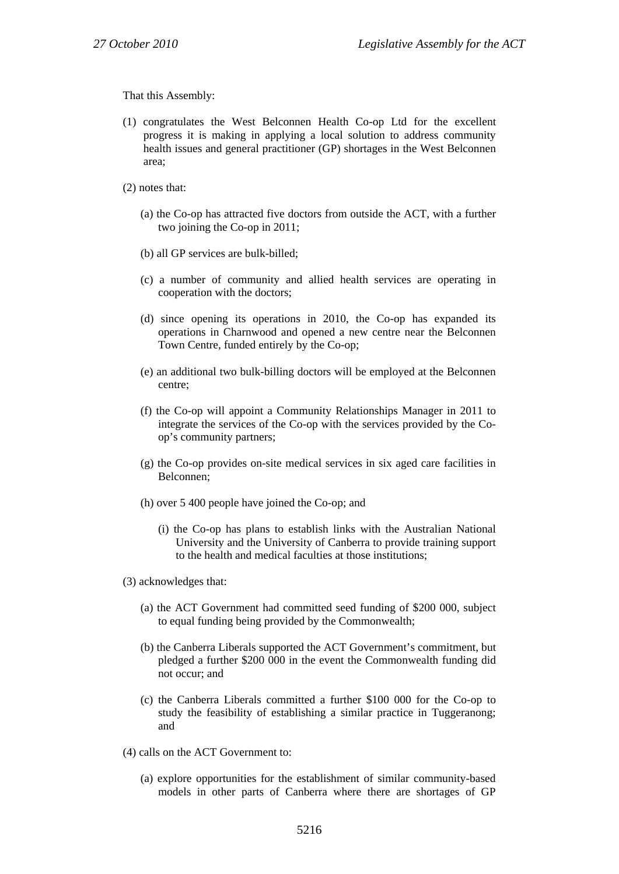That this Assembly:

- (1) congratulates the West Belconnen Health Co-op Ltd for the excellent progress it is making in applying a local solution to address community health issues and general practitioner (GP) shortages in the West Belconnen area;
- (2) notes that:
	- (a) the Co-op has attracted five doctors from outside the ACT, with a further two joining the Co-op in 2011;
	- (b) all GP services are bulk-billed;
	- (c) a number of community and allied health services are operating in cooperation with the doctors;
	- (d) since opening its operations in 2010, the Co-op has expanded its operations in Charnwood and opened a new centre near the Belconnen Town Centre, funded entirely by the Co-op;
	- (e) an additional two bulk-billing doctors will be employed at the Belconnen centre;
	- (f) the Co-op will appoint a Community Relationships Manager in 2011 to integrate the services of the Co-op with the services provided by the Coop's community partners;
	- (g) the Co-op provides on-site medical services in six aged care facilities in Belconnen;
	- (h) over 5 400 people have joined the Co-op; and
		- (i) the Co-op has plans to establish links with the Australian National University and the University of Canberra to provide training support to the health and medical faculties at those institutions;
- (3) acknowledges that:
	- (a) the ACT Government had committed seed funding of \$200 000, subject to equal funding being provided by the Commonwealth;
	- (b) the Canberra Liberals supported the ACT Government's commitment, but pledged a further \$200 000 in the event the Commonwealth funding did not occur; and
	- (c) the Canberra Liberals committed a further \$100 000 for the Co-op to study the feasibility of establishing a similar practice in Tuggeranong; and
- (4) calls on the ACT Government to:
	- (a) explore opportunities for the establishment of similar community-based models in other parts of Canberra where there are shortages of GP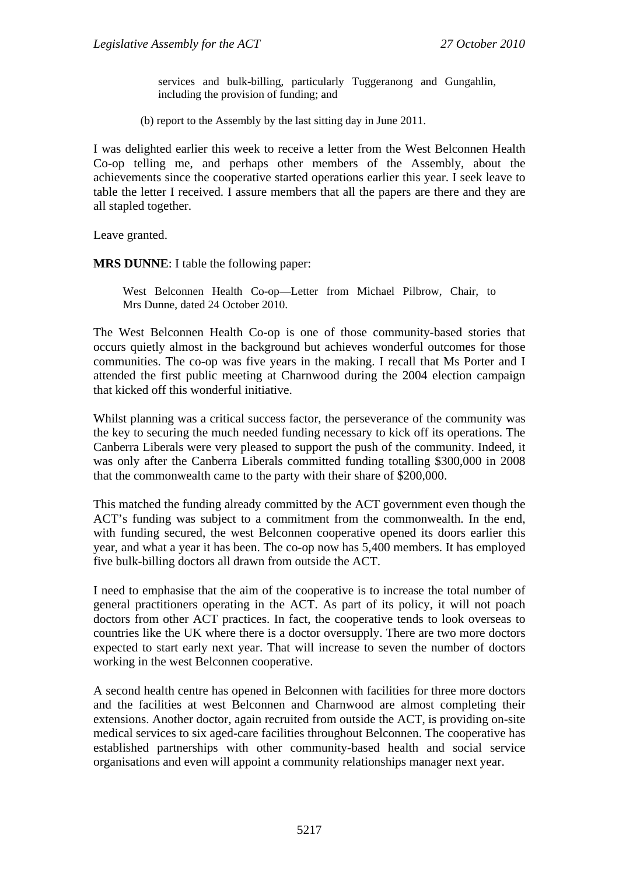services and bulk-billing, particularly Tuggeranong and Gungahlin, including the provision of funding; and

(b) report to the Assembly by the last sitting day in June 2011.

I was delighted earlier this week to receive a letter from the West Belconnen Health Co-op telling me, and perhaps other members of the Assembly, about the achievements since the cooperative started operations earlier this year. I seek leave to table the letter I received. I assure members that all the papers are there and they are all stapled together.

Leave granted.

**MRS DUNNE**: I table the following paper:

West Belconnen Health Co-op—Letter from Michael Pilbrow, Chair, to Mrs Dunne, dated 24 October 2010.

The West Belconnen Health Co-op is one of those community-based stories that occurs quietly almost in the background but achieves wonderful outcomes for those communities. The co-op was five years in the making. I recall that Ms Porter and I attended the first public meeting at Charnwood during the 2004 election campaign that kicked off this wonderful initiative.

Whilst planning was a critical success factor, the perseverance of the community was the key to securing the much needed funding necessary to kick off its operations. The Canberra Liberals were very pleased to support the push of the community. Indeed, it was only after the Canberra Liberals committed funding totalling \$300,000 in 2008 that the commonwealth came to the party with their share of \$200,000.

This matched the funding already committed by the ACT government even though the ACT's funding was subject to a commitment from the commonwealth. In the end, with funding secured, the west Belconnen cooperative opened its doors earlier this year, and what a year it has been. The co-op now has 5,400 members. It has employed five bulk-billing doctors all drawn from outside the ACT.

I need to emphasise that the aim of the cooperative is to increase the total number of general practitioners operating in the ACT. As part of its policy, it will not poach doctors from other ACT practices. In fact, the cooperative tends to look overseas to countries like the UK where there is a doctor oversupply. There are two more doctors expected to start early next year. That will increase to seven the number of doctors working in the west Belconnen cooperative.

A second health centre has opened in Belconnen with facilities for three more doctors and the facilities at west Belconnen and Charnwood are almost completing their extensions. Another doctor, again recruited from outside the ACT, is providing on-site medical services to six aged-care facilities throughout Belconnen. The cooperative has established partnerships with other community-based health and social service organisations and even will appoint a community relationships manager next year.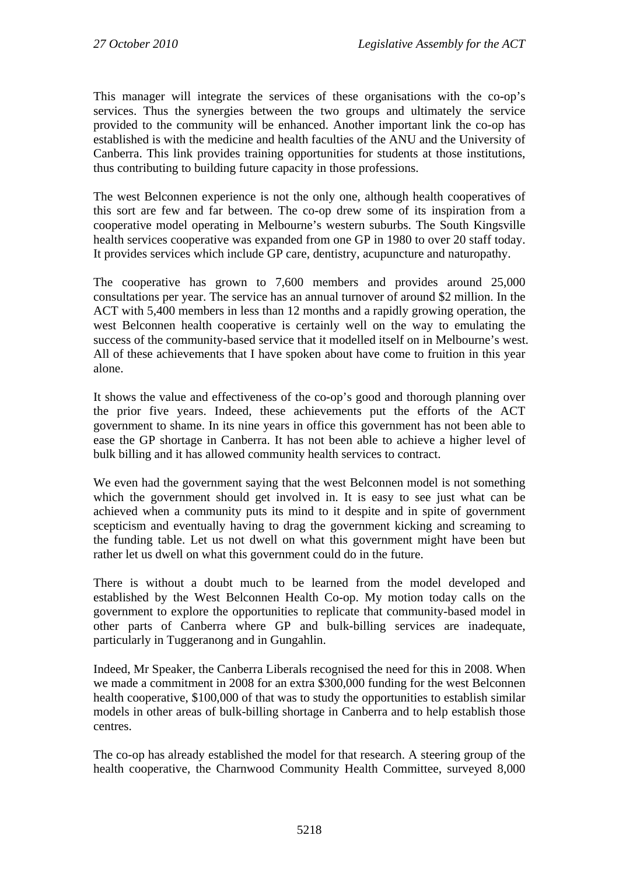This manager will integrate the services of these organisations with the co-op's services. Thus the synergies between the two groups and ultimately the service provided to the community will be enhanced. Another important link the co-op has established is with the medicine and health faculties of the ANU and the University of Canberra. This link provides training opportunities for students at those institutions, thus contributing to building future capacity in those professions.

The west Belconnen experience is not the only one, although health cooperatives of this sort are few and far between. The co-op drew some of its inspiration from a cooperative model operating in Melbourne's western suburbs. The South Kingsville health services cooperative was expanded from one GP in 1980 to over 20 staff today. It provides services which include GP care, dentistry, acupuncture and naturopathy.

The cooperative has grown to 7,600 members and provides around 25,000 consultations per year. The service has an annual turnover of around \$2 million. In the ACT with 5,400 members in less than 12 months and a rapidly growing operation, the west Belconnen health cooperative is certainly well on the way to emulating the success of the community-based service that it modelled itself on in Melbourne's west. All of these achievements that I have spoken about have come to fruition in this year alone.

It shows the value and effectiveness of the co-op's good and thorough planning over the prior five years. Indeed, these achievements put the efforts of the ACT government to shame. In its nine years in office this government has not been able to ease the GP shortage in Canberra. It has not been able to achieve a higher level of bulk billing and it has allowed community health services to contract.

We even had the government saying that the west Belconnen model is not something which the government should get involved in. It is easy to see just what can be achieved when a community puts its mind to it despite and in spite of government scepticism and eventually having to drag the government kicking and screaming to the funding table. Let us not dwell on what this government might have been but rather let us dwell on what this government could do in the future.

There is without a doubt much to be learned from the model developed and established by the West Belconnen Health Co-op. My motion today calls on the government to explore the opportunities to replicate that community-based model in other parts of Canberra where GP and bulk-billing services are inadequate, particularly in Tuggeranong and in Gungahlin.

Indeed, Mr Speaker, the Canberra Liberals recognised the need for this in 2008. When we made a commitment in 2008 for an extra \$300,000 funding for the west Belconnen health cooperative, \$100,000 of that was to study the opportunities to establish similar models in other areas of bulk-billing shortage in Canberra and to help establish those centres.

The co-op has already established the model for that research. A steering group of the health cooperative, the Charnwood Community Health Committee, surveyed 8,000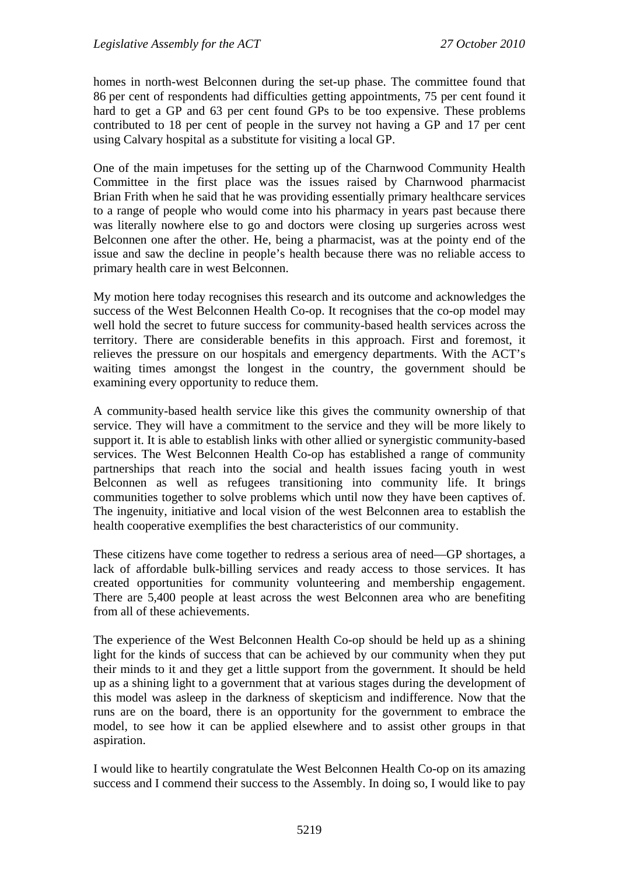homes in north-west Belconnen during the set-up phase. The committee found that 86 per cent of respondents had difficulties getting appointments, 75 per cent found it hard to get a GP and 63 per cent found GPs to be too expensive. These problems contributed to 18 per cent of people in the survey not having a GP and 17 per cent using Calvary hospital as a substitute for visiting a local GP.

One of the main impetuses for the setting up of the Charnwood Community Health Committee in the first place was the issues raised by Charnwood pharmacist Brian Frith when he said that he was providing essentially primary healthcare services to a range of people who would come into his pharmacy in years past because there was literally nowhere else to go and doctors were closing up surgeries across west Belconnen one after the other. He, being a pharmacist, was at the pointy end of the issue and saw the decline in people's health because there was no reliable access to primary health care in west Belconnen.

My motion here today recognises this research and its outcome and acknowledges the success of the West Belconnen Health Co-op. It recognises that the co-op model may well hold the secret to future success for community-based health services across the territory. There are considerable benefits in this approach. First and foremost, it relieves the pressure on our hospitals and emergency departments. With the ACT's waiting times amongst the longest in the country, the government should be examining every opportunity to reduce them.

A community-based health service like this gives the community ownership of that service. They will have a commitment to the service and they will be more likely to support it. It is able to establish links with other allied or synergistic community-based services. The West Belconnen Health Co-op has established a range of community partnerships that reach into the social and health issues facing youth in west Belconnen as well as refugees transitioning into community life. It brings communities together to solve problems which until now they have been captives of. The ingenuity, initiative and local vision of the west Belconnen area to establish the health cooperative exemplifies the best characteristics of our community.

These citizens have come together to redress a serious area of need—GP shortages, a lack of affordable bulk-billing services and ready access to those services. It has created opportunities for community volunteering and membership engagement. There are 5,400 people at least across the west Belconnen area who are benefiting from all of these achievements.

The experience of the West Belconnen Health Co-op should be held up as a shining light for the kinds of success that can be achieved by our community when they put their minds to it and they get a little support from the government. It should be held up as a shining light to a government that at various stages during the development of this model was asleep in the darkness of skepticism and indifference. Now that the runs are on the board, there is an opportunity for the government to embrace the model, to see how it can be applied elsewhere and to assist other groups in that aspiration.

I would like to heartily congratulate the West Belconnen Health Co-op on its amazing success and I commend their success to the Assembly. In doing so, I would like to pay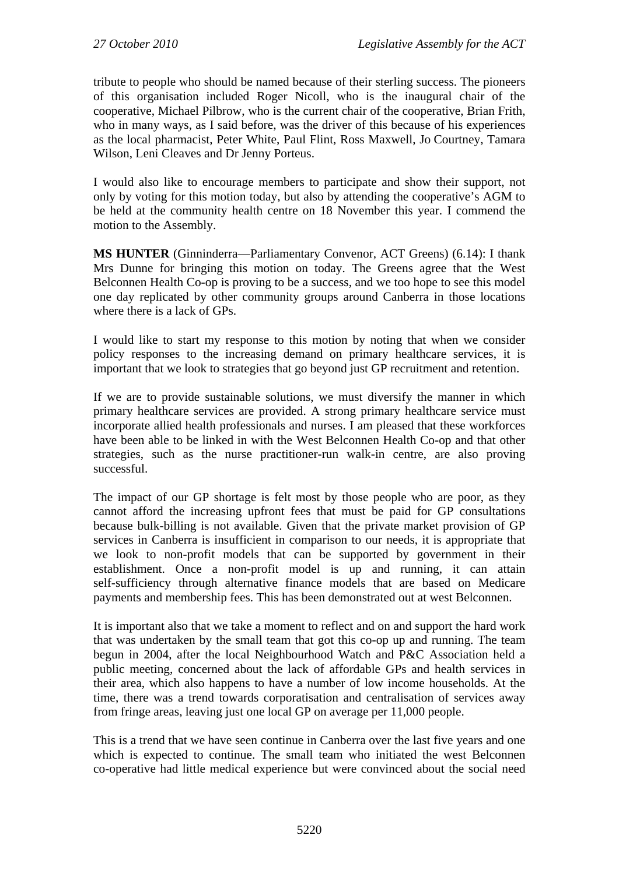tribute to people who should be named because of their sterling success. The pioneers of this organisation included Roger Nicoll, who is the inaugural chair of the cooperative, Michael Pilbrow, who is the current chair of the cooperative, Brian Frith, who in many ways, as I said before, was the driver of this because of his experiences as the local pharmacist, Peter White, Paul Flint, Ross Maxwell, Jo Courtney, Tamara Wilson, Leni Cleaves and Dr Jenny Porteus.

I would also like to encourage members to participate and show their support, not only by voting for this motion today, but also by attending the cooperative's AGM to be held at the community health centre on 18 November this year. I commend the motion to the Assembly.

**MS HUNTER** (Ginninderra—Parliamentary Convenor, ACT Greens) (6.14): I thank Mrs Dunne for bringing this motion on today. The Greens agree that the West Belconnen Health Co-op is proving to be a success, and we too hope to see this model one day replicated by other community groups around Canberra in those locations where there is a lack of GPs.

I would like to start my response to this motion by noting that when we consider policy responses to the increasing demand on primary healthcare services, it is important that we look to strategies that go beyond just GP recruitment and retention.

If we are to provide sustainable solutions, we must diversify the manner in which primary healthcare services are provided. A strong primary healthcare service must incorporate allied health professionals and nurses. I am pleased that these workforces have been able to be linked in with the West Belconnen Health Co-op and that other strategies, such as the nurse practitioner-run walk-in centre, are also proving successful.

The impact of our GP shortage is felt most by those people who are poor, as they cannot afford the increasing upfront fees that must be paid for GP consultations because bulk-billing is not available. Given that the private market provision of GP services in Canberra is insufficient in comparison to our needs, it is appropriate that we look to non-profit models that can be supported by government in their establishment. Once a non-profit model is up and running, it can attain self-sufficiency through alternative finance models that are based on Medicare payments and membership fees. This has been demonstrated out at west Belconnen.

It is important also that we take a moment to reflect and on and support the hard work that was undertaken by the small team that got this co-op up and running. The team begun in 2004, after the local Neighbourhood Watch and P&C Association held a public meeting, concerned about the lack of affordable GPs and health services in their area, which also happens to have a number of low income households. At the time, there was a trend towards corporatisation and centralisation of services away from fringe areas, leaving just one local GP on average per 11,000 people.

This is a trend that we have seen continue in Canberra over the last five years and one which is expected to continue. The small team who initiated the west Belconnen co-operative had little medical experience but were convinced about the social need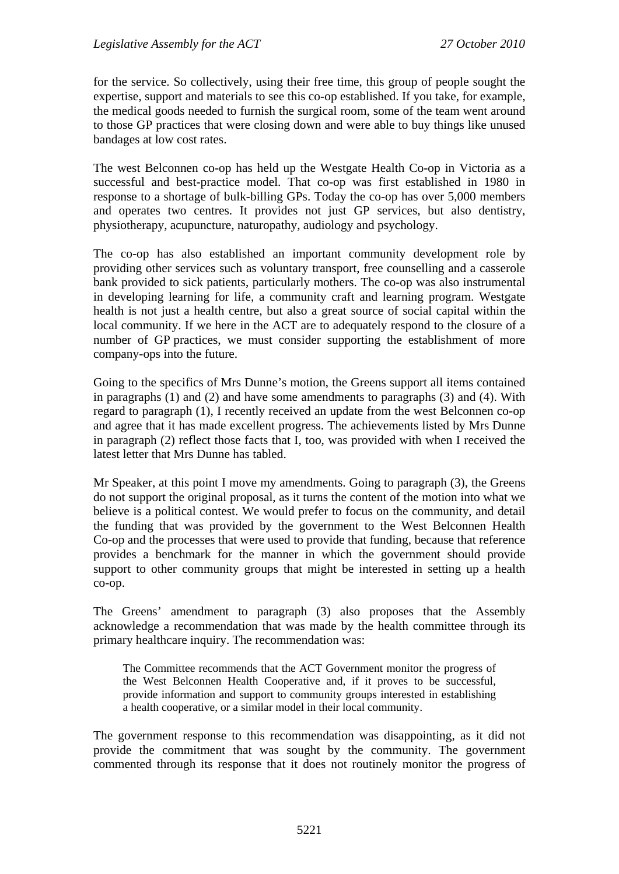for the service. So collectively, using their free time, this group of people sought the expertise, support and materials to see this co-op established. If you take, for example, the medical goods needed to furnish the surgical room, some of the team went around to those GP practices that were closing down and were able to buy things like unused bandages at low cost rates.

The west Belconnen co-op has held up the Westgate Health Co-op in Victoria as a successful and best-practice model. That co-op was first established in 1980 in response to a shortage of bulk-billing GPs. Today the co-op has over 5,000 members and operates two centres. It provides not just GP services, but also dentistry, physiotherapy, acupuncture, naturopathy, audiology and psychology.

The co-op has also established an important community development role by providing other services such as voluntary transport, free counselling and a casserole bank provided to sick patients, particularly mothers. The co-op was also instrumental in developing learning for life, a community craft and learning program. Westgate health is not just a health centre, but also a great source of social capital within the local community. If we here in the ACT are to adequately respond to the closure of a number of GP practices, we must consider supporting the establishment of more company-ops into the future.

Going to the specifics of Mrs Dunne's motion, the Greens support all items contained in paragraphs (1) and (2) and have some amendments to paragraphs (3) and (4). With regard to paragraph (1), I recently received an update from the west Belconnen co-op and agree that it has made excellent progress. The achievements listed by Mrs Dunne in paragraph (2) reflect those facts that I, too, was provided with when I received the latest letter that Mrs Dunne has tabled.

Mr Speaker, at this point I move my amendments. Going to paragraph (3), the Greens do not support the original proposal, as it turns the content of the motion into what we believe is a political contest. We would prefer to focus on the community, and detail the funding that was provided by the government to the West Belconnen Health Co-op and the processes that were used to provide that funding, because that reference provides a benchmark for the manner in which the government should provide support to other community groups that might be interested in setting up a health co-op.

The Greens' amendment to paragraph (3) also proposes that the Assembly acknowledge a recommendation that was made by the health committee through its primary healthcare inquiry. The recommendation was:

The Committee recommends that the ACT Government monitor the progress of the West Belconnen Health Cooperative and, if it proves to be successful, provide information and support to community groups interested in establishing a health cooperative, or a similar model in their local community.

The government response to this recommendation was disappointing, as it did not provide the commitment that was sought by the community. The government commented through its response that it does not routinely monitor the progress of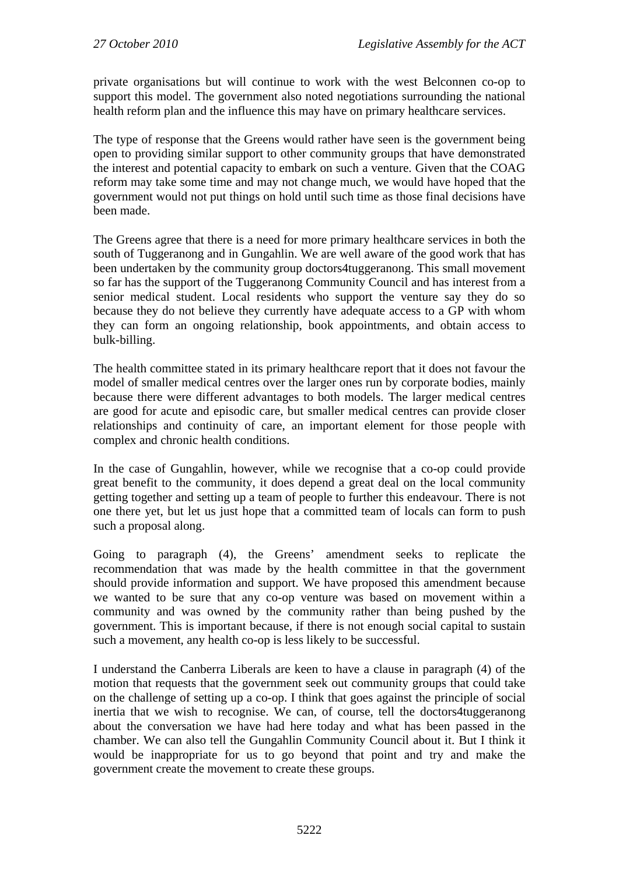private organisations but will continue to work with the west Belconnen co-op to support this model. The government also noted negotiations surrounding the national health reform plan and the influence this may have on primary healthcare services.

The type of response that the Greens would rather have seen is the government being open to providing similar support to other community groups that have demonstrated the interest and potential capacity to embark on such a venture. Given that the COAG reform may take some time and may not change much, we would have hoped that the government would not put things on hold until such time as those final decisions have been made.

The Greens agree that there is a need for more primary healthcare services in both the south of Tuggeranong and in Gungahlin. We are well aware of the good work that has been undertaken by the community group doctors4tuggeranong. This small movement so far has the support of the Tuggeranong Community Council and has interest from a senior medical student. Local residents who support the venture say they do so because they do not believe they currently have adequate access to a GP with whom they can form an ongoing relationship, book appointments, and obtain access to bulk-billing.

The health committee stated in its primary healthcare report that it does not favour the model of smaller medical centres over the larger ones run by corporate bodies, mainly because there were different advantages to both models. The larger medical centres are good for acute and episodic care, but smaller medical centres can provide closer relationships and continuity of care, an important element for those people with complex and chronic health conditions.

In the case of Gungahlin, however, while we recognise that a co-op could provide great benefit to the community, it does depend a great deal on the local community getting together and setting up a team of people to further this endeavour. There is not one there yet, but let us just hope that a committed team of locals can form to push such a proposal along.

Going to paragraph (4), the Greens' amendment seeks to replicate the recommendation that was made by the health committee in that the government should provide information and support. We have proposed this amendment because we wanted to be sure that any co-op venture was based on movement within a community and was owned by the community rather than being pushed by the government. This is important because, if there is not enough social capital to sustain such a movement, any health co-op is less likely to be successful.

I understand the Canberra Liberals are keen to have a clause in paragraph (4) of the motion that requests that the government seek out community groups that could take on the challenge of setting up a co-op. I think that goes against the principle of social inertia that we wish to recognise. We can, of course, tell the doctors4tuggeranong about the conversation we have had here today and what has been passed in the chamber. We can also tell the Gungahlin Community Council about it. But I think it would be inappropriate for us to go beyond that point and try and make the government create the movement to create these groups.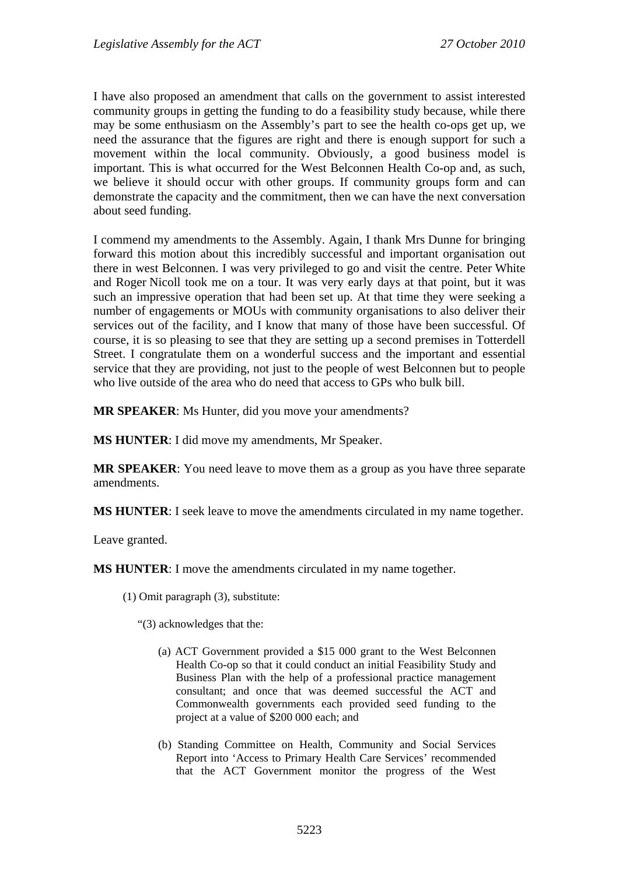I have also proposed an amendment that calls on the government to assist interested community groups in getting the funding to do a feasibility study because, while there may be some enthusiasm on the Assembly's part to see the health co-ops get up, we need the assurance that the figures are right and there is enough support for such a movement within the local community. Obviously, a good business model is important. This is what occurred for the West Belconnen Health Co-op and, as such, we believe it should occur with other groups. If community groups form and can demonstrate the capacity and the commitment, then we can have the next conversation about seed funding.

I commend my amendments to the Assembly. Again, I thank Mrs Dunne for bringing forward this motion about this incredibly successful and important organisation out there in west Belconnen. I was very privileged to go and visit the centre. Peter White and Roger Nicoll took me on a tour. It was very early days at that point, but it was such an impressive operation that had been set up. At that time they were seeking a number of engagements or MOUs with community organisations to also deliver their services out of the facility, and I know that many of those have been successful. Of course, it is so pleasing to see that they are setting up a second premises in Totterdell Street. I congratulate them on a wonderful success and the important and essential service that they are providing, not just to the people of west Belconnen but to people who live outside of the area who do need that access to GPs who bulk bill.

**MR SPEAKER**: Ms Hunter, did you move your amendments?

**MS HUNTER:** I did move my amendments, Mr Speaker.

**MR SPEAKER**: You need leave to move them as a group as you have three separate amendments.

**MS HUNTER**: I seek leave to move the amendments circulated in my name together.

Leave granted.

**MS HUNTER**: I move the amendments circulated in my name together.

(1) Omit paragraph (3), substitute:

"(3) acknowledges that the:

- (a) ACT Government provided a \$15 000 grant to the West Belconnen Health Co-op so that it could conduct an initial Feasibility Study and Business Plan with the help of a professional practice management consultant; and once that was deemed successful the ACT and Commonwealth governments each provided seed funding to the project at a value of \$200 000 each; and
- (b) Standing Committee on Health, Community and Social Services Report into 'Access to Primary Health Care Services' recommended that the ACT Government monitor the progress of the West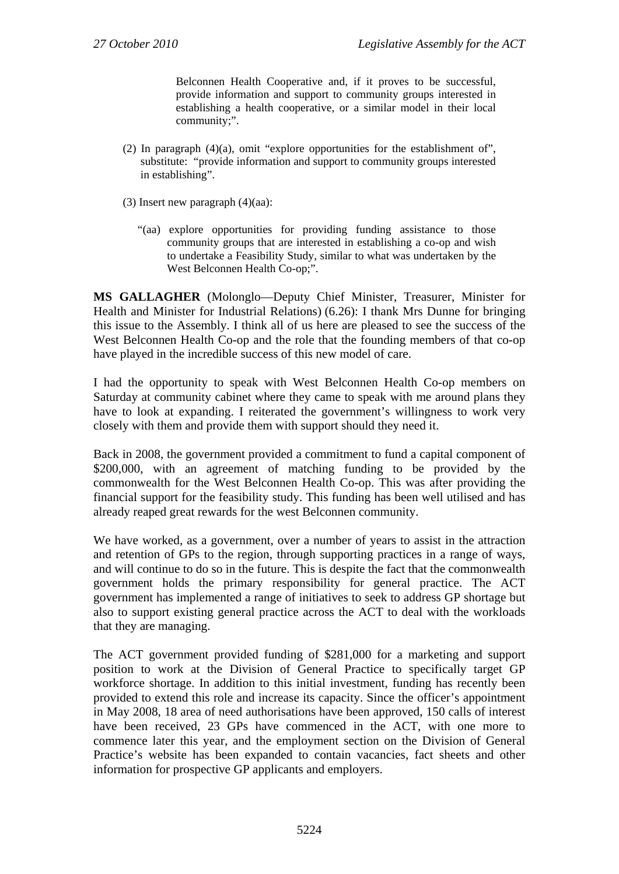Belconnen Health Cooperative and, if it proves to be successful, provide information and support to community groups interested in establishing a health cooperative, or a similar model in their local community;".

- (2) In paragraph  $(4)(a)$ , omit "explore opportunities for the establishment of", substitute: "provide information and support to community groups interested in establishing".
- (3) Insert new paragraph (4)(aa):
	- "(aa) explore opportunities for providing funding assistance to those community groups that are interested in establishing a co-op and wish to undertake a Feasibility Study, similar to what was undertaken by the West Belconnen Health Co-op;".

**MS GALLAGHER** (Molonglo—Deputy Chief Minister, Treasurer, Minister for Health and Minister for Industrial Relations) (6.26): I thank Mrs Dunne for bringing this issue to the Assembly. I think all of us here are pleased to see the success of the West Belconnen Health Co-op and the role that the founding members of that co-op have played in the incredible success of this new model of care.

I had the opportunity to speak with West Belconnen Health Co-op members on Saturday at community cabinet where they came to speak with me around plans they have to look at expanding. I reiterated the government's willingness to work very closely with them and provide them with support should they need it.

Back in 2008, the government provided a commitment to fund a capital component of \$200,000, with an agreement of matching funding to be provided by the commonwealth for the West Belconnen Health Co-op. This was after providing the financial support for the feasibility study. This funding has been well utilised and has already reaped great rewards for the west Belconnen community.

We have worked, as a government, over a number of years to assist in the attraction and retention of GPs to the region, through supporting practices in a range of ways, and will continue to do so in the future. This is despite the fact that the commonwealth government holds the primary responsibility for general practice. The ACT government has implemented a range of initiatives to seek to address GP shortage but also to support existing general practice across the ACT to deal with the workloads that they are managing.

The ACT government provided funding of \$281,000 for a marketing and support position to work at the Division of General Practice to specifically target GP workforce shortage. In addition to this initial investment, funding has recently been provided to extend this role and increase its capacity. Since the officer's appointment in May 2008, 18 area of need authorisations have been approved, 150 calls of interest have been received, 23 GPs have commenced in the ACT, with one more to commence later this year, and the employment section on the Division of General Practice's website has been expanded to contain vacancies, fact sheets and other information for prospective GP applicants and employers.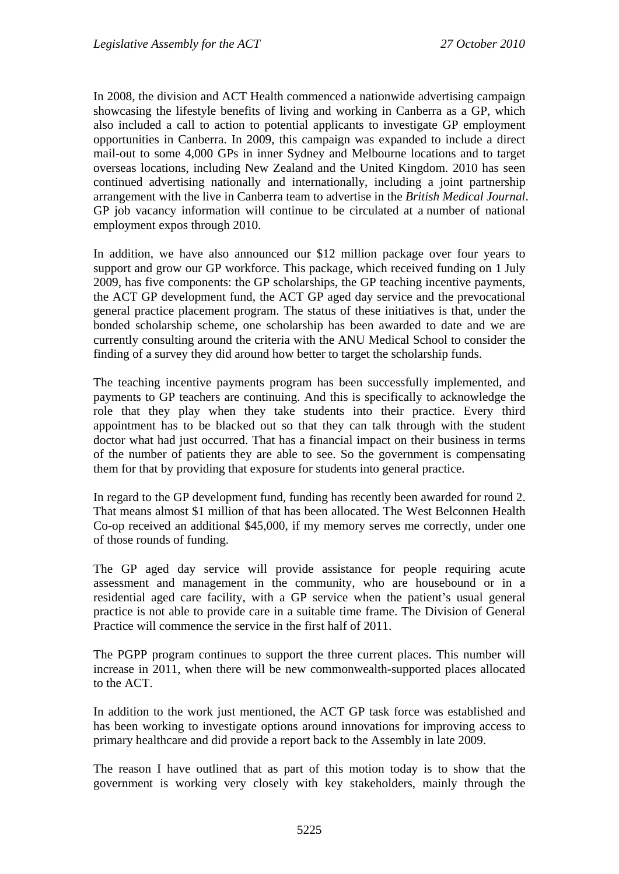In 2008, the division and ACT Health commenced a nationwide advertising campaign showcasing the lifestyle benefits of living and working in Canberra as a GP, which also included a call to action to potential applicants to investigate GP employment opportunities in Canberra. In 2009, this campaign was expanded to include a direct mail-out to some 4,000 GPs in inner Sydney and Melbourne locations and to target overseas locations, including New Zealand and the United Kingdom. 2010 has seen continued advertising nationally and internationally, including a joint partnership arrangement with the live in Canberra team to advertise in the *British Medical Journal*. GP job vacancy information will continue to be circulated at a number of national employment expos through 2010.

In addition, we have also announced our \$12 million package over four years to support and grow our GP workforce. This package, which received funding on 1 July 2009, has five components: the GP scholarships, the GP teaching incentive payments, the ACT GP development fund, the ACT GP aged day service and the prevocational general practice placement program. The status of these initiatives is that, under the bonded scholarship scheme, one scholarship has been awarded to date and we are currently consulting around the criteria with the ANU Medical School to consider the finding of a survey they did around how better to target the scholarship funds.

The teaching incentive payments program has been successfully implemented, and payments to GP teachers are continuing. And this is specifically to acknowledge the role that they play when they take students into their practice. Every third appointment has to be blacked out so that they can talk through with the student doctor what had just occurred. That has a financial impact on their business in terms of the number of patients they are able to see. So the government is compensating them for that by providing that exposure for students into general practice.

In regard to the GP development fund, funding has recently been awarded for round 2. That means almost \$1 million of that has been allocated. The West Belconnen Health Co-op received an additional \$45,000, if my memory serves me correctly, under one of those rounds of funding.

The GP aged day service will provide assistance for people requiring acute assessment and management in the community, who are housebound or in a residential aged care facility, with a GP service when the patient's usual general practice is not able to provide care in a suitable time frame. The Division of General Practice will commence the service in the first half of 2011.

The PGPP program continues to support the three current places. This number will increase in 2011, when there will be new commonwealth-supported places allocated to the ACT.

In addition to the work just mentioned, the ACT GP task force was established and has been working to investigate options around innovations for improving access to primary healthcare and did provide a report back to the Assembly in late 2009.

The reason I have outlined that as part of this motion today is to show that the government is working very closely with key stakeholders, mainly through the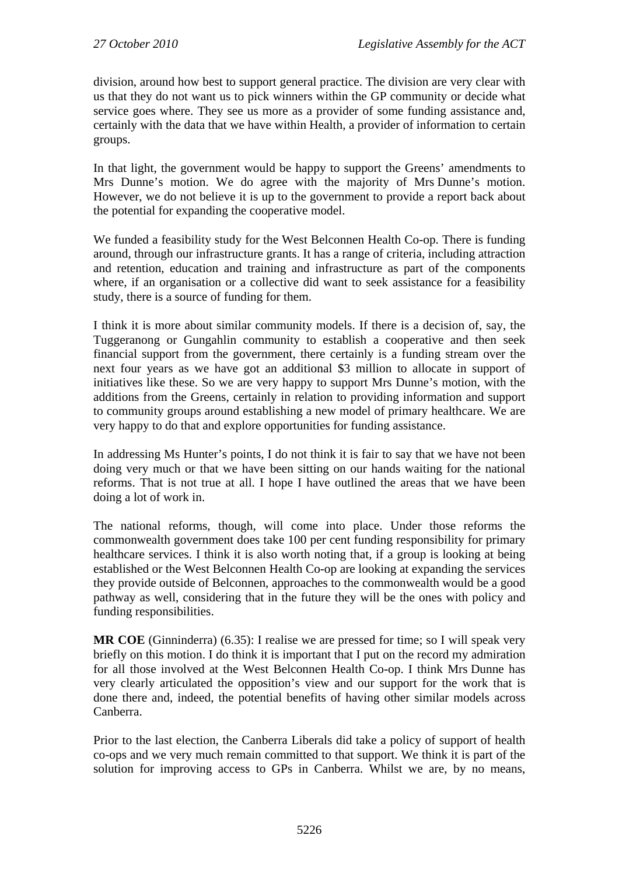division, around how best to support general practice. The division are very clear with us that they do not want us to pick winners within the GP community or decide what service goes where. They see us more as a provider of some funding assistance and, certainly with the data that we have within Health, a provider of information to certain groups.

In that light, the government would be happy to support the Greens' amendments to Mrs Dunne's motion. We do agree with the majority of Mrs Dunne's motion. However, we do not believe it is up to the government to provide a report back about the potential for expanding the cooperative model.

We funded a feasibility study for the West Belconnen Health Co-op. There is funding around, through our infrastructure grants. It has a range of criteria, including attraction and retention, education and training and infrastructure as part of the components where, if an organisation or a collective did want to seek assistance for a feasibility study, there is a source of funding for them.

I think it is more about similar community models. If there is a decision of, say, the Tuggeranong or Gungahlin community to establish a cooperative and then seek financial support from the government, there certainly is a funding stream over the next four years as we have got an additional \$3 million to allocate in support of initiatives like these. So we are very happy to support Mrs Dunne's motion, with the additions from the Greens, certainly in relation to providing information and support to community groups around establishing a new model of primary healthcare. We are very happy to do that and explore opportunities for funding assistance.

In addressing Ms Hunter's points, I do not think it is fair to say that we have not been doing very much or that we have been sitting on our hands waiting for the national reforms. That is not true at all. I hope I have outlined the areas that we have been doing a lot of work in.

The national reforms, though, will come into place. Under those reforms the commonwealth government does take 100 per cent funding responsibility for primary healthcare services. I think it is also worth noting that, if a group is looking at being established or the West Belconnen Health Co-op are looking at expanding the services they provide outside of Belconnen, approaches to the commonwealth would be a good pathway as well, considering that in the future they will be the ones with policy and funding responsibilities.

**MR COE** (Ginninderra) (6.35): I realise we are pressed for time; so I will speak very briefly on this motion. I do think it is important that I put on the record my admiration for all those involved at the West Belconnen Health Co-op. I think Mrs Dunne has very clearly articulated the opposition's view and our support for the work that is done there and, indeed, the potential benefits of having other similar models across Canberra.

Prior to the last election, the Canberra Liberals did take a policy of support of health co-ops and we very much remain committed to that support. We think it is part of the solution for improving access to GPs in Canberra. Whilst we are, by no means,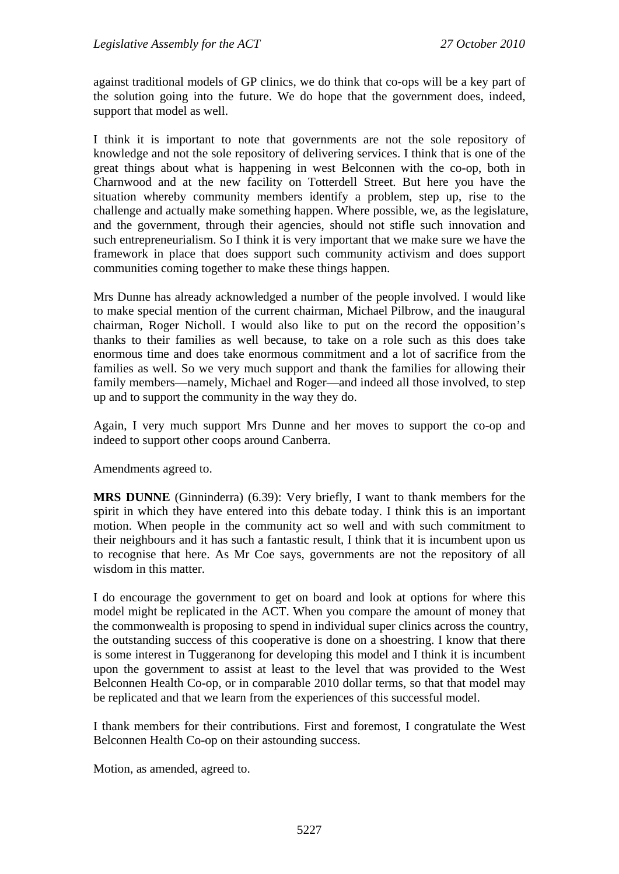against traditional models of GP clinics, we do think that co-ops will be a key part of the solution going into the future. We do hope that the government does, indeed, support that model as well.

I think it is important to note that governments are not the sole repository of knowledge and not the sole repository of delivering services. I think that is one of the great things about what is happening in west Belconnen with the co-op, both in Charnwood and at the new facility on Totterdell Street. But here you have the situation whereby community members identify a problem, step up, rise to the challenge and actually make something happen. Where possible, we, as the legislature, and the government, through their agencies, should not stifle such innovation and such entrepreneurialism. So I think it is very important that we make sure we have the framework in place that does support such community activism and does support communities coming together to make these things happen.

Mrs Dunne has already acknowledged a number of the people involved. I would like to make special mention of the current chairman, Michael Pilbrow, and the inaugural chairman, Roger Nicholl. I would also like to put on the record the opposition's thanks to their families as well because, to take on a role such as this does take enormous time and does take enormous commitment and a lot of sacrifice from the families as well. So we very much support and thank the families for allowing their family members—namely, Michael and Roger—and indeed all those involved, to step up and to support the community in the way they do.

Again, I very much support Mrs Dunne and her moves to support the co-op and indeed to support other coops around Canberra.

Amendments agreed to.

**MRS DUNNE** (Ginninderra) (6.39): Very briefly, I want to thank members for the spirit in which they have entered into this debate today. I think this is an important motion. When people in the community act so well and with such commitment to their neighbours and it has such a fantastic result, I think that it is incumbent upon us to recognise that here. As Mr Coe says, governments are not the repository of all wisdom in this matter.

I do encourage the government to get on board and look at options for where this model might be replicated in the ACT. When you compare the amount of money that the commonwealth is proposing to spend in individual super clinics across the country, the outstanding success of this cooperative is done on a shoestring. I know that there is some interest in Tuggeranong for developing this model and I think it is incumbent upon the government to assist at least to the level that was provided to the West Belconnen Health Co-op, or in comparable 2010 dollar terms, so that that model may be replicated and that we learn from the experiences of this successful model.

I thank members for their contributions. First and foremost, I congratulate the West Belconnen Health Co-op on their astounding success.

Motion, as amended, agreed to.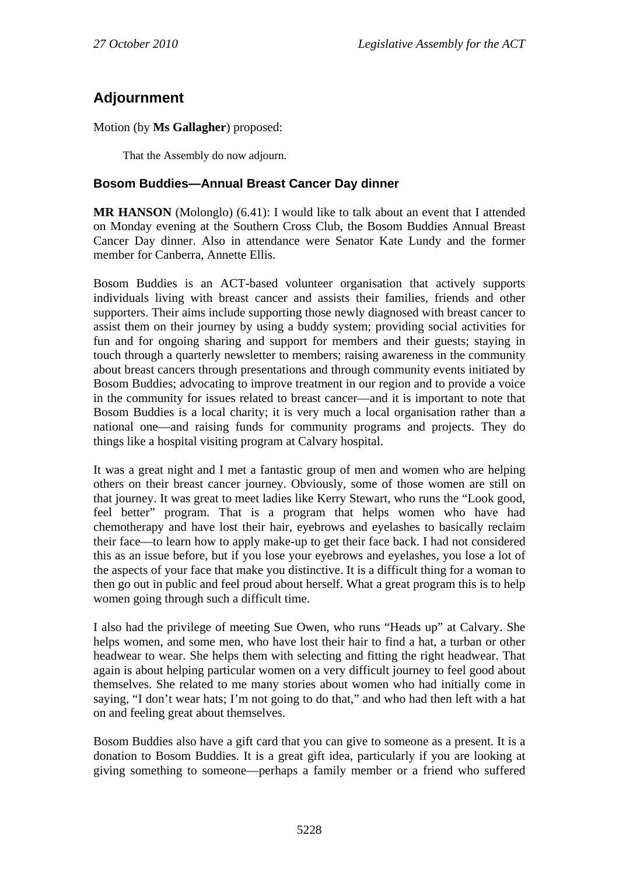# **Adjournment**

Motion (by **Ms Gallagher**) proposed:

That the Assembly do now adjourn.

### **Bosom Buddies—Annual Breast Cancer Day dinner**

**MR HANSON** (Molonglo) (6.41): I would like to talk about an event that I attended on Monday evening at the Southern Cross Club, the Bosom Buddies Annual Breast Cancer Day dinner. Also in attendance were Senator Kate Lundy and the former member for Canberra, Annette Ellis.

Bosom Buddies is an ACT-based volunteer organisation that actively supports individuals living with breast cancer and assists their families, friends and other supporters. Their aims include supporting those newly diagnosed with breast cancer to assist them on their journey by using a buddy system; providing social activities for fun and for ongoing sharing and support for members and their guests; staying in touch through a quarterly newsletter to members; raising awareness in the community about breast cancers through presentations and through community events initiated by Bosom Buddies; advocating to improve treatment in our region and to provide a voice in the community for issues related to breast cancer—and it is important to note that Bosom Buddies is a local charity; it is very much a local organisation rather than a national one—and raising funds for community programs and projects. They do things like a hospital visiting program at Calvary hospital.

It was a great night and I met a fantastic group of men and women who are helping others on their breast cancer journey. Obviously, some of those women are still on that journey. It was great to meet ladies like Kerry Stewart, who runs the "Look good, feel better" program. That is a program that helps women who have had chemotherapy and have lost their hair, eyebrows and eyelashes to basically reclaim their face—to learn how to apply make-up to get their face back. I had not considered this as an issue before, but if you lose your eyebrows and eyelashes, you lose a lot of the aspects of your face that make you distinctive. It is a difficult thing for a woman to then go out in public and feel proud about herself. What a great program this is to help women going through such a difficult time.

I also had the privilege of meeting Sue Owen, who runs "Heads up" at Calvary. She helps women, and some men, who have lost their hair to find a hat, a turban or other headwear to wear. She helps them with selecting and fitting the right headwear. That again is about helping particular women on a very difficult journey to feel good about themselves. She related to me many stories about women who had initially come in saying, "I don't wear hats; I'm not going to do that," and who had then left with a hat on and feeling great about themselves.

Bosom Buddies also have a gift card that you can give to someone as a present. It is a donation to Bosom Buddies. It is a great gift idea, particularly if you are looking at giving something to someone—perhaps a family member or a friend who suffered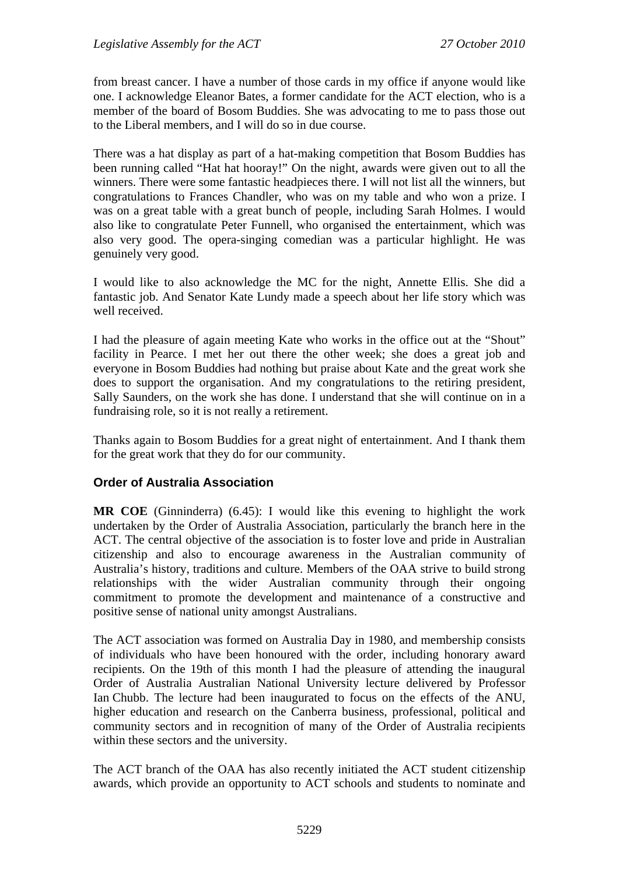from breast cancer. I have a number of those cards in my office if anyone would like one. I acknowledge Eleanor Bates, a former candidate for the ACT election, who is a member of the board of Bosom Buddies. She was advocating to me to pass those out to the Liberal members, and I will do so in due course.

There was a hat display as part of a hat-making competition that Bosom Buddies has been running called "Hat hat hooray!" On the night, awards were given out to all the winners. There were some fantastic headpieces there. I will not list all the winners, but congratulations to Frances Chandler, who was on my table and who won a prize. I was on a great table with a great bunch of people, including Sarah Holmes. I would also like to congratulate Peter Funnell, who organised the entertainment, which was also very good. The opera-singing comedian was a particular highlight. He was genuinely very good.

I would like to also acknowledge the MC for the night, Annette Ellis. She did a fantastic job. And Senator Kate Lundy made a speech about her life story which was well received.

I had the pleasure of again meeting Kate who works in the office out at the "Shout" facility in Pearce. I met her out there the other week; she does a great job and everyone in Bosom Buddies had nothing but praise about Kate and the great work she does to support the organisation. And my congratulations to the retiring president, Sally Saunders, on the work she has done. I understand that she will continue on in a fundraising role, so it is not really a retirement.

Thanks again to Bosom Buddies for a great night of entertainment. And I thank them for the great work that they do for our community.

### **Order of Australia Association**

**MR COE** (Ginninderra) (6.45): I would like this evening to highlight the work undertaken by the Order of Australia Association, particularly the branch here in the ACT. The central objective of the association is to foster love and pride in Australian citizenship and also to encourage awareness in the Australian community of Australia's history, traditions and culture. Members of the OAA strive to build strong relationships with the wider Australian community through their ongoing commitment to promote the development and maintenance of a constructive and positive sense of national unity amongst Australians.

The ACT association was formed on Australia Day in 1980, and membership consists of individuals who have been honoured with the order, including honorary award recipients. On the 19th of this month I had the pleasure of attending the inaugural Order of Australia Australian National University lecture delivered by Professor Ian Chubb. The lecture had been inaugurated to focus on the effects of the ANU, higher education and research on the Canberra business, professional, political and community sectors and in recognition of many of the Order of Australia recipients within these sectors and the university.

The ACT branch of the OAA has also recently initiated the ACT student citizenship awards, which provide an opportunity to ACT schools and students to nominate and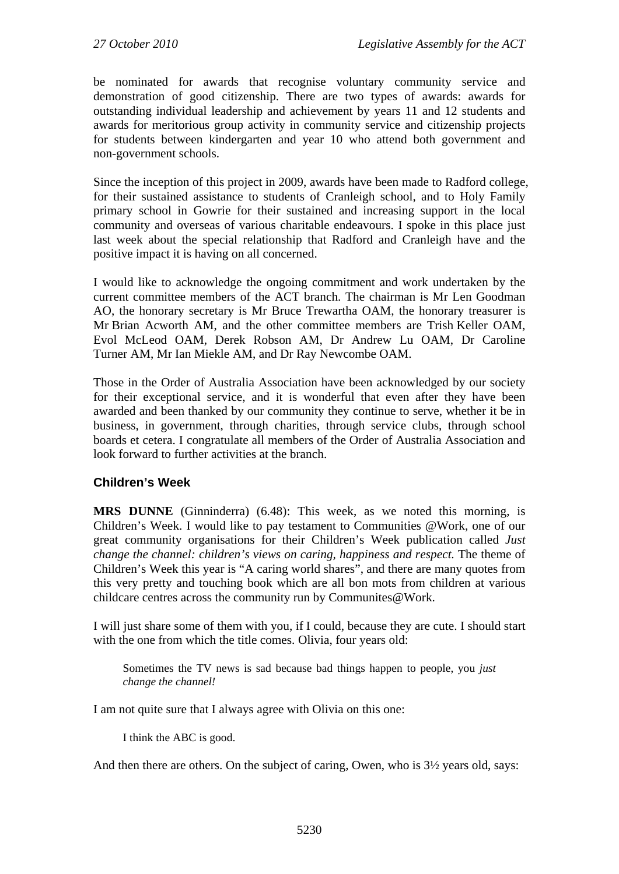be nominated for awards that recognise voluntary community service and demonstration of good citizenship. There are two types of awards: awards for outstanding individual leadership and achievement by years 11 and 12 students and awards for meritorious group activity in community service and citizenship projects for students between kindergarten and year 10 who attend both government and non-government schools.

Since the inception of this project in 2009, awards have been made to Radford college, for their sustained assistance to students of Cranleigh school, and to Holy Family primary school in Gowrie for their sustained and increasing support in the local community and overseas of various charitable endeavours. I spoke in this place just last week about the special relationship that Radford and Cranleigh have and the positive impact it is having on all concerned.

I would like to acknowledge the ongoing commitment and work undertaken by the current committee members of the ACT branch. The chairman is Mr Len Goodman AO, the honorary secretary is Mr Bruce Trewartha OAM, the honorary treasurer is Mr Brian Acworth AM, and the other committee members are Trish Keller OAM, Evol McLeod OAM, Derek Robson AM, Dr Andrew Lu OAM, Dr Caroline Turner AM, Mr Ian Miekle AM, and Dr Ray Newcombe OAM.

Those in the Order of Australia Association have been acknowledged by our society for their exceptional service, and it is wonderful that even after they have been awarded and been thanked by our community they continue to serve, whether it be in business, in government, through charities, through service clubs, through school boards et cetera. I congratulate all members of the Order of Australia Association and look forward to further activities at the branch.

## **Children's Week**

**MRS DUNNE** (Ginninderra) (6.48): This week, as we noted this morning, is Children's Week. I would like to pay testament to Communities @Work, one of our great community organisations for their Children's Week publication called *Just change the channel: children's views on caring, happiness and respect.* The theme of Children's Week this year is "A caring world shares", and there are many quotes from this very pretty and touching book which are all bon mots from children at various childcare centres across the community run by Communites@Work.

I will just share some of them with you, if I could, because they are cute. I should start with the one from which the title comes. Olivia, four years old:

Sometimes the TV news is sad because bad things happen to people, you *just change the channel!*

I am not quite sure that I always agree with Olivia on this one:

I think the ABC is good.

And then there are others. On the subject of caring, Owen, who is 3½ years old, says: